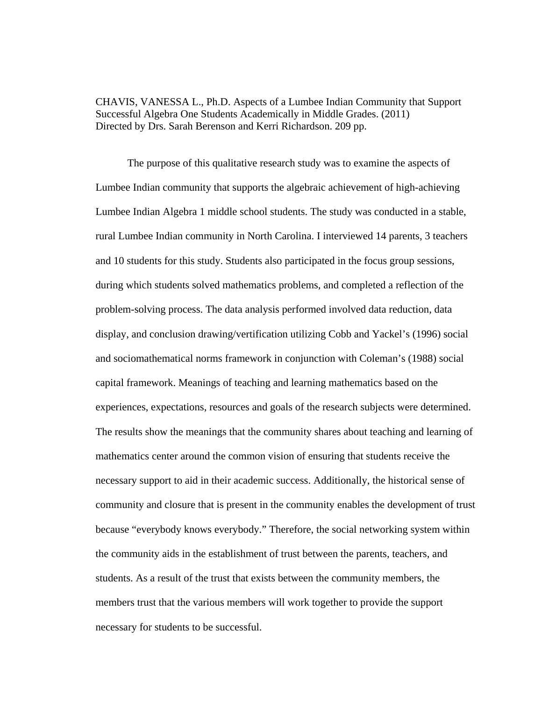CHAVIS, VANESSA L., Ph.D. Aspects of a Lumbee Indian Community that Support Successful Algebra One Students Academically in Middle Grades. (2011) Directed by Drs. Sarah Berenson and Kerri Richardson. 209 pp.

The purpose of this qualitative research study was to examine the aspects of Lumbee Indian community that supports the algebraic achievement of high-achieving Lumbee Indian Algebra 1 middle school students. The study was conducted in a stable, rural Lumbee Indian community in North Carolina. I interviewed 14 parents, 3 teachers and 10 students for this study. Students also participated in the focus group sessions, during which students solved mathematics problems, and completed a reflection of the problem-solving process. The data analysis performed involved data reduction, data display, and conclusion drawing/vertification utilizing Cobb and Yackel's (1996) social and sociomathematical norms framework in conjunction with Coleman's (1988) social capital framework. Meanings of teaching and learning mathematics based on the experiences, expectations, resources and goals of the research subjects were determined. The results show the meanings that the community shares about teaching and learning of mathematics center around the common vision of ensuring that students receive the necessary support to aid in their academic success. Additionally, the historical sense of community and closure that is present in the community enables the development of trust because "everybody knows everybody." Therefore, the social networking system within the community aids in the establishment of trust between the parents, teachers, and students. As a result of the trust that exists between the community members, the members trust that the various members will work together to provide the support necessary for students to be successful.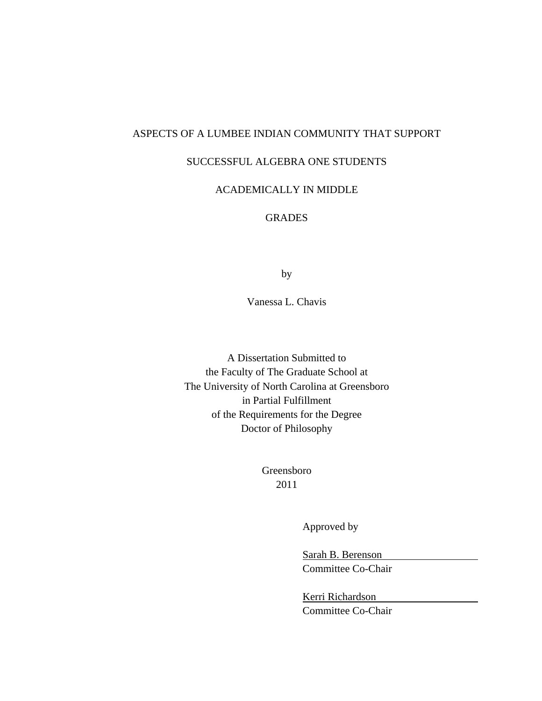# ASPECTS OF A LUMBEE INDIAN COMMUNITY THAT SUPPORT

# SUCCESSFUL ALGEBRA ONE STUDENTS

# ACADEMICALLY IN MIDDLE

# **GRADES**

by

Vanessa L. Chavis

A Dissertation Submitted to the Faculty of The Graduate School at The University of North Carolina at Greensboro in Partial Fulfillment of the Requirements for the Degree Doctor of Philosophy

> Greensboro 2011

> > Approved by

 Sarah B. Berenson Committee Co-Chair

 Kerri Richardson Committee Co-Chair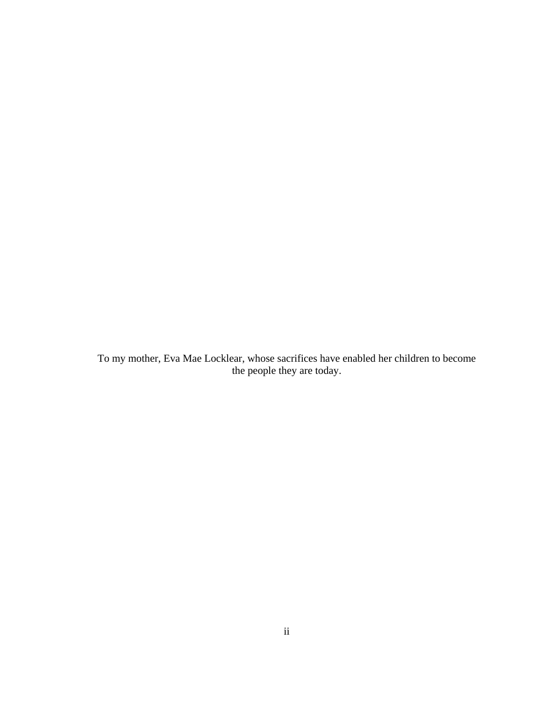To my mother, Eva Mae Locklear, whose sacrifices have enabled her children to become the people they are today.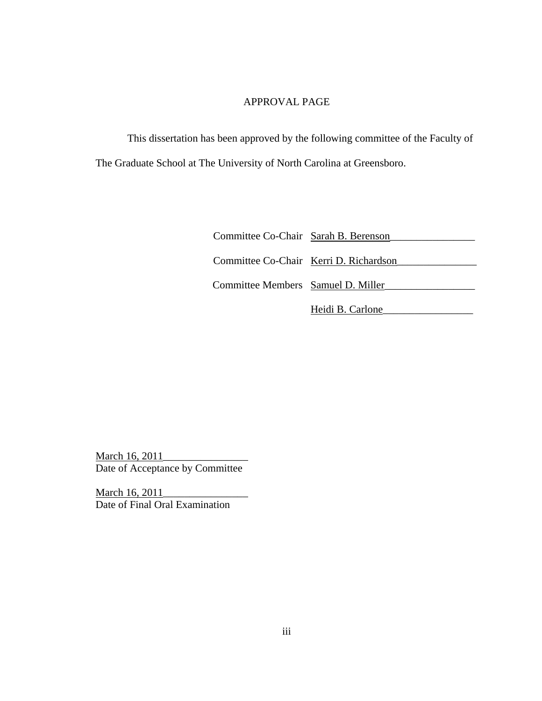# APPROVAL PAGE

 This dissertation has been approved by the following committee of the Faculty of The Graduate School at The University of North Carolina at Greensboro.

| Committee Co-Chair Sarah B. Berenson   |                  |
|----------------------------------------|------------------|
| Committee Co-Chair Kerri D. Richardson |                  |
| Committee Members Samuel D. Miller     |                  |
|                                        | Heidi B. Carlone |

March 16, 2011\_\_\_\_\_\_\_\_\_\_\_\_\_\_\_\_ Date of Acceptance by Committee

March 16, 2011 Date of Final Oral Examination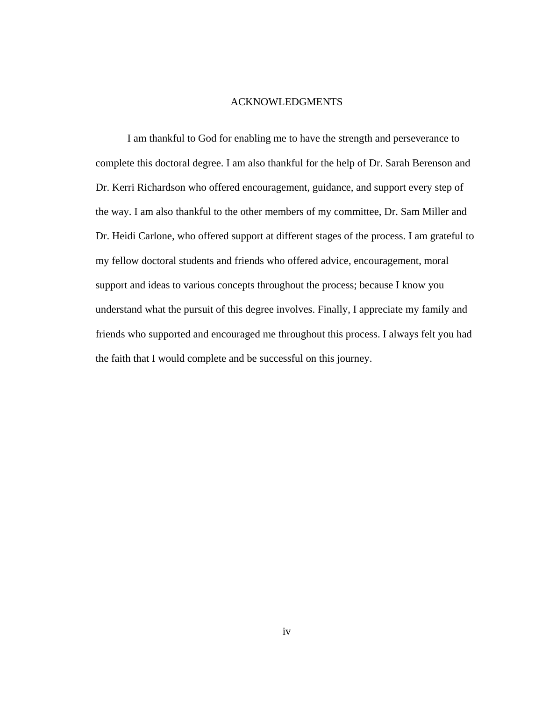## ACKNOWLEDGMENTS

 I am thankful to God for enabling me to have the strength and perseverance to complete this doctoral degree. I am also thankful for the help of Dr. Sarah Berenson and Dr. Kerri Richardson who offered encouragement, guidance, and support every step of the way. I am also thankful to the other members of my committee, Dr. Sam Miller and Dr. Heidi Carlone, who offered support at different stages of the process. I am grateful to my fellow doctoral students and friends who offered advice, encouragement, moral support and ideas to various concepts throughout the process; because I know you understand what the pursuit of this degree involves. Finally, I appreciate my family and friends who supported and encouraged me throughout this process. I always felt you had the faith that I would complete and be successful on this journey.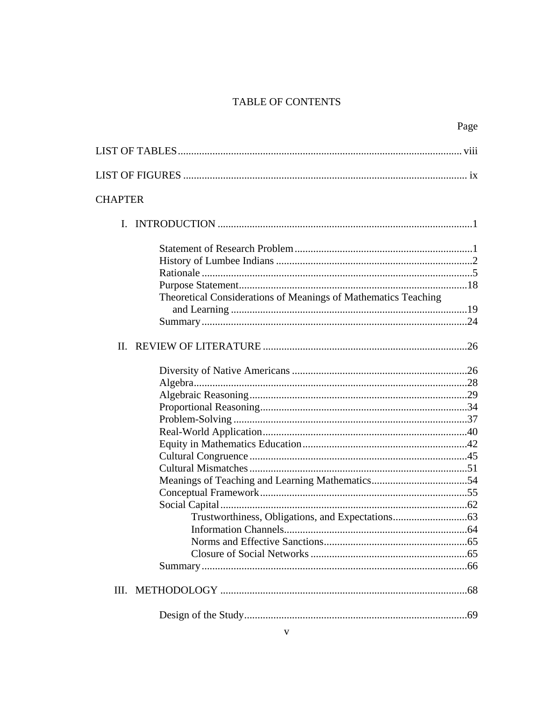# TABLE OF CONTENTS

|                                                                | Page |
|----------------------------------------------------------------|------|
|                                                                |      |
|                                                                |      |
| <b>CHAPTER</b>                                                 |      |
|                                                                |      |
|                                                                |      |
|                                                                |      |
|                                                                |      |
|                                                                |      |
| Theoretical Considerations of Meanings of Mathematics Teaching |      |
|                                                                |      |
|                                                                |      |
|                                                                |      |
|                                                                |      |
|                                                                |      |
|                                                                |      |
|                                                                |      |
|                                                                |      |
|                                                                |      |
|                                                                |      |
|                                                                |      |
|                                                                |      |
|                                                                |      |
|                                                                |      |
|                                                                |      |
|                                                                |      |
|                                                                |      |
|                                                                |      |
|                                                                |      |
|                                                                |      |
|                                                                |      |
|                                                                |      |
|                                                                |      |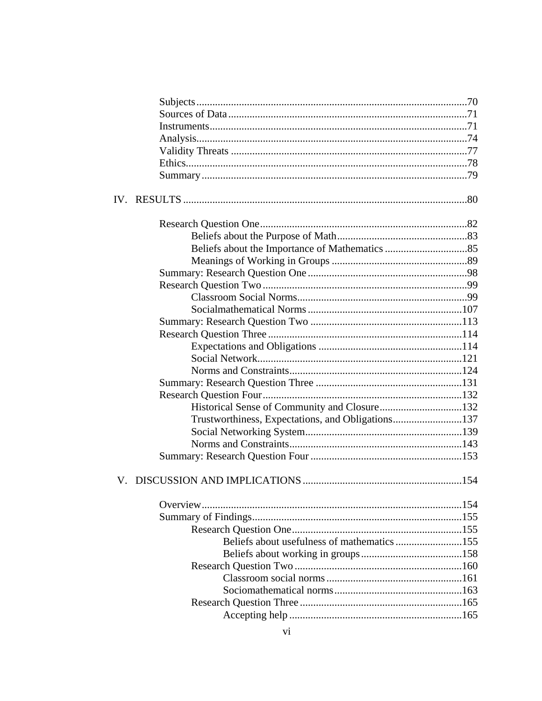| Historical Sense of Community and Closure132      |  |
|---------------------------------------------------|--|
| Trustworthiness, Expectations, and Obligations137 |  |
|                                                   |  |
|                                                   |  |
|                                                   |  |
|                                                   |  |
|                                                   |  |
|                                                   |  |
|                                                   |  |
| Beliefs about usefulness of mathematics 155       |  |
|                                                   |  |
|                                                   |  |
|                                                   |  |
|                                                   |  |
|                                                   |  |
|                                                   |  |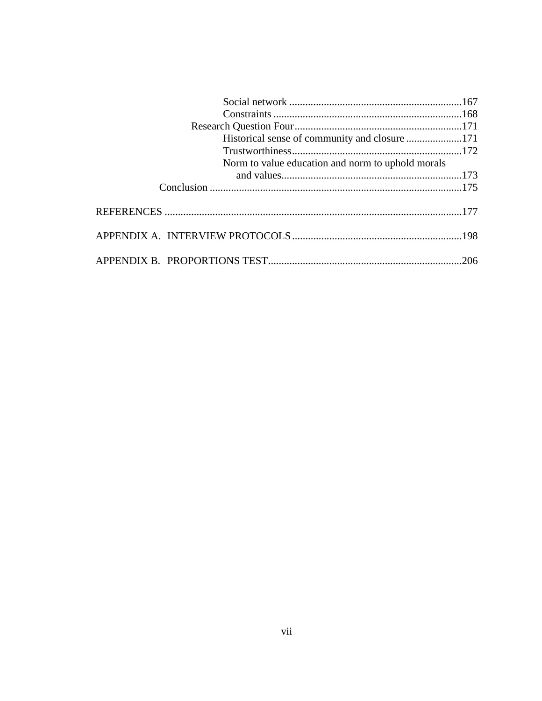| Historical sense of community and closure 171     |  |
|---------------------------------------------------|--|
|                                                   |  |
| Norm to value education and norm to uphold morals |  |
|                                                   |  |
|                                                   |  |
|                                                   |  |
|                                                   |  |
|                                                   |  |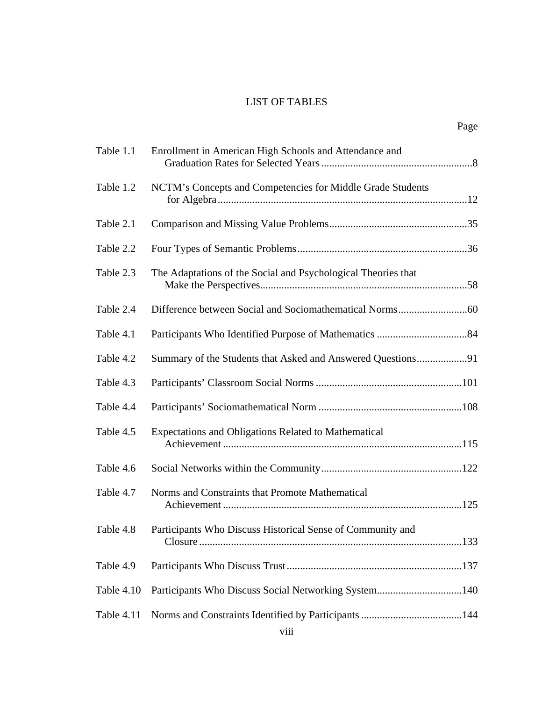# LIST OF TABLES

| Table 1.1  | Enrollment in American High Schools and Attendance and                        |
|------------|-------------------------------------------------------------------------------|
| Table 1.2  | NCTM's Concepts and Competencies for Middle Grade Students                    |
| Table 2.1  |                                                                               |
| Table 2.2  |                                                                               |
| Table 2.3  | The Adaptations of the Social and Psychological Theories that                 |
| Table 2.4  |                                                                               |
| Table 4.1  |                                                                               |
| Table 4.2  | Summary of the Students that Asked and Answered Questions91                   |
| Table 4.3  |                                                                               |
| Table 4.4  |                                                                               |
| Table 4.5  | Expectations and Obligations Related to Mathematical                          |
| Table 4.6  |                                                                               |
| Table 4.7  | Norms and Constraints that Promote Mathematical                               |
| Table 4.8  | Participants Who Discuss Historical Sense of Community and<br>.133<br>Closure |
| Table 4.9  |                                                                               |
| Table 4.10 |                                                                               |
| Table 4.11 |                                                                               |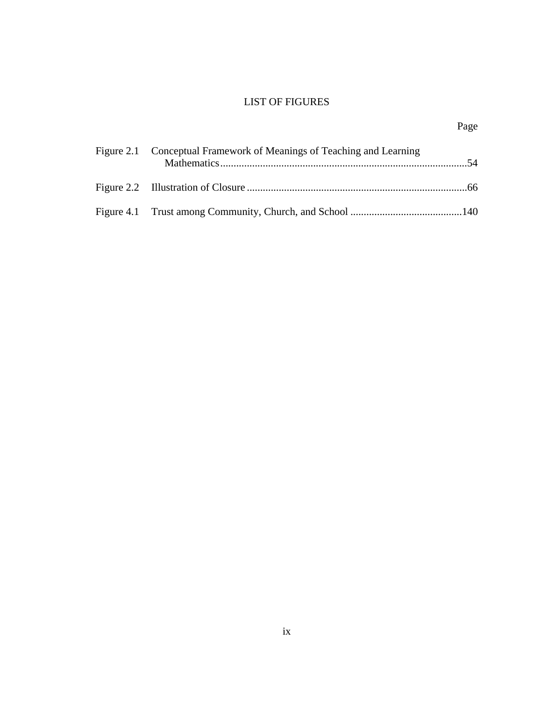# LIST OF FIGURES

| Figure 2.1 Conceptual Framework of Meanings of Teaching and Learning |  |  |
|----------------------------------------------------------------------|--|--|
|                                                                      |  |  |
|                                                                      |  |  |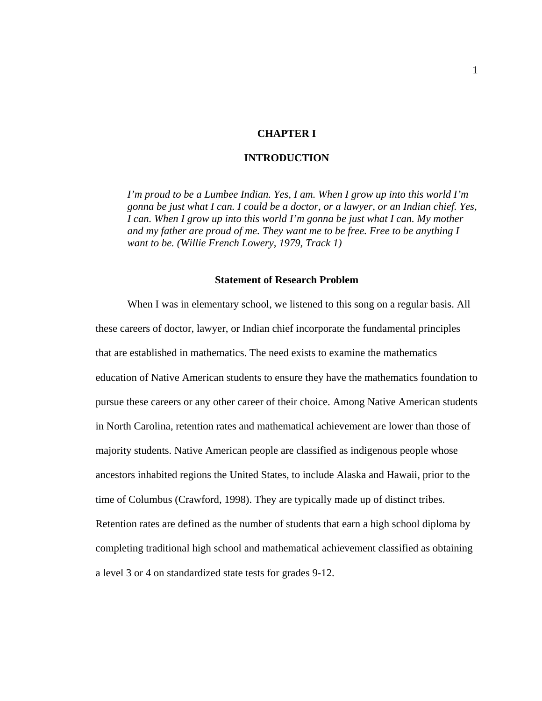## **CHAPTER I**

## **INTRODUCTION**

*I'm proud to be a Lumbee Indian. Yes, I am. When I grow up into this world I'm gonna be just what I can. I could be a doctor, or a lawyer, or an Indian chief. Yes, I can. When I grow up into this world I'm gonna be just what I can. My mother and my father are proud of me. They want me to be free. Free to be anything I want to be. (Willie French Lowery, 1979, Track 1)*

#### **Statement of Research Problem**

When I was in elementary school, we listened to this song on a regular basis. All these careers of doctor, lawyer, or Indian chief incorporate the fundamental principles that are established in mathematics. The need exists to examine the mathematics education of Native American students to ensure they have the mathematics foundation to pursue these careers or any other career of their choice. Among Native American students in North Carolina, retention rates and mathematical achievement are lower than those of majority students. Native American people are classified as indigenous people whose ancestors inhabited regions the United States, to include Alaska and Hawaii, prior to the time of Columbus (Crawford, 1998). They are typically made up of distinct tribes. Retention rates are defined as the number of students that earn a high school diploma by completing traditional high school and mathematical achievement classified as obtaining a level 3 or 4 on standardized state tests for grades 9-12.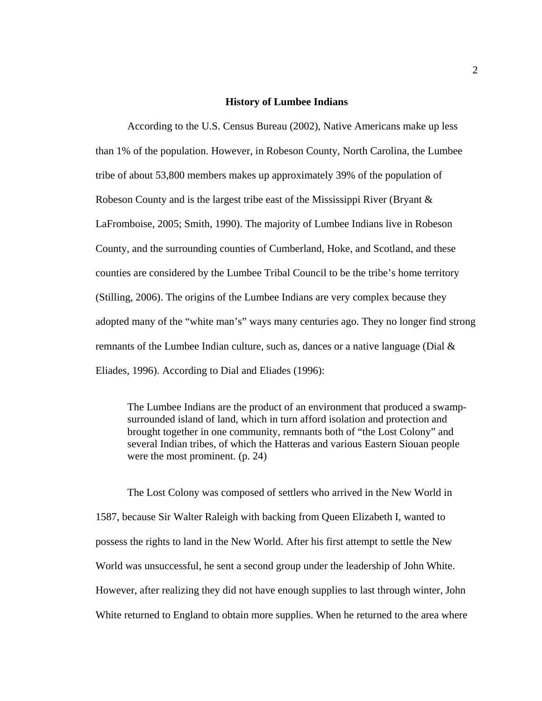#### **History of Lumbee Indians**

According to the U.S. Census Bureau (2002), Native Americans make up less than 1% of the population. However, in Robeson County, North Carolina, the Lumbee tribe of about 53,800 members makes up approximately 39% of the population of Robeson County and is the largest tribe east of the Mississippi River (Bryant & LaFromboise, 2005; Smith, 1990). The majority of Lumbee Indians live in Robeson County, and the surrounding counties of Cumberland, Hoke, and Scotland, and these counties are considered by the Lumbee Tribal Council to be the tribe's home territory (Stilling, 2006). The origins of the Lumbee Indians are very complex because they adopted many of the "white man's" ways many centuries ago. They no longer find strong remnants of the Lumbee Indian culture, such as, dances or a native language (Dial  $\&$ Eliades, 1996). According to Dial and Eliades (1996):

The Lumbee Indians are the product of an environment that produced a swampsurrounded island of land, which in turn afford isolation and protection and brought together in one community, remnants both of "the Lost Colony" and several Indian tribes, of which the Hatteras and various Eastern Siouan people were the most prominent. (p. 24)

The Lost Colony was composed of settlers who arrived in the New World in 1587, because Sir Walter Raleigh with backing from Queen Elizabeth I, wanted to possess the rights to land in the New World. After his first attempt to settle the New World was unsuccessful, he sent a second group under the leadership of John White. However, after realizing they did not have enough supplies to last through winter, John White returned to England to obtain more supplies. When he returned to the area where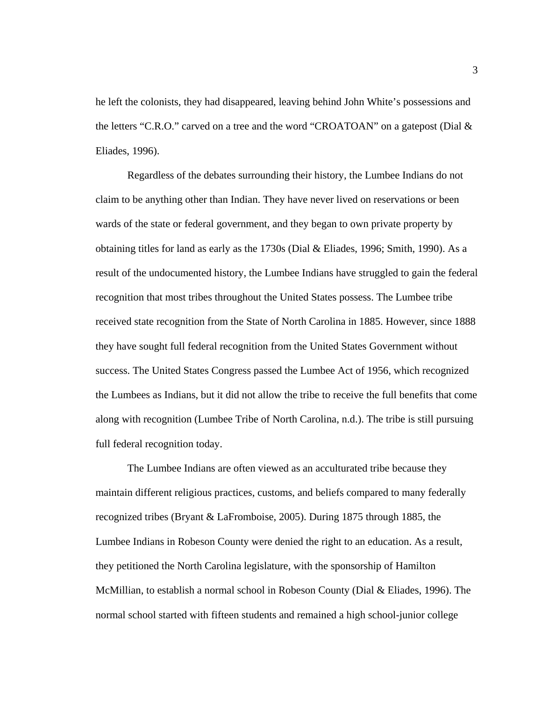he left the colonists, they had disappeared, leaving behind John White's possessions and the letters "C.R.O." carved on a tree and the word "CROATOAN" on a gatepost (Dial & Eliades, 1996).

Regardless of the debates surrounding their history, the Lumbee Indians do not claim to be anything other than Indian. They have never lived on reservations or been wards of the state or federal government, and they began to own private property by obtaining titles for land as early as the 1730s (Dial & Eliades, 1996; Smith, 1990). As a result of the undocumented history, the Lumbee Indians have struggled to gain the federal recognition that most tribes throughout the United States possess. The Lumbee tribe received state recognition from the State of North Carolina in 1885. However, since 1888 they have sought full federal recognition from the United States Government without success. The United States Congress passed the Lumbee Act of 1956, which recognized the Lumbees as Indians, but it did not allow the tribe to receive the full benefits that come along with recognition (Lumbee Tribe of North Carolina, n.d.). The tribe is still pursuing full federal recognition today.

The Lumbee Indians are often viewed as an acculturated tribe because they maintain different religious practices, customs, and beliefs compared to many federally recognized tribes (Bryant & LaFromboise, 2005). During 1875 through 1885, the Lumbee Indians in Robeson County were denied the right to an education. As a result, they petitioned the North Carolina legislature, with the sponsorship of Hamilton McMillian, to establish a normal school in Robeson County (Dial & Eliades, 1996). The normal school started with fifteen students and remained a high school-junior college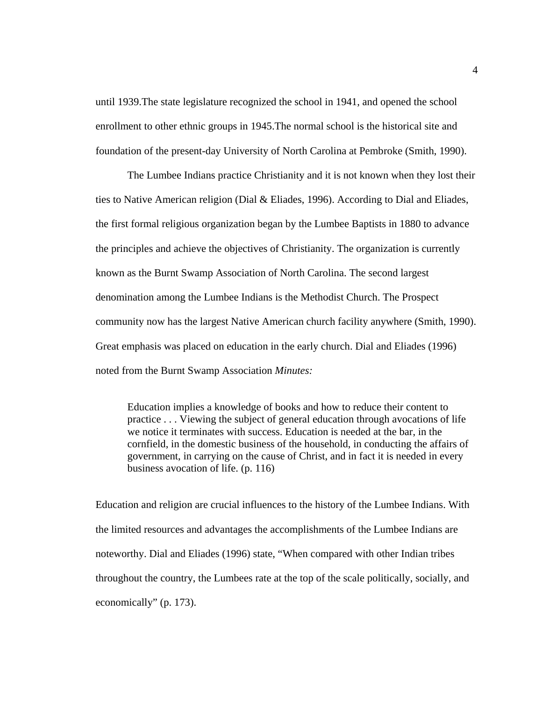until 1939.The state legislature recognized the school in 1941, and opened the school enrollment to other ethnic groups in 1945.The normal school is the historical site and foundation of the present-day University of North Carolina at Pembroke (Smith, 1990).

The Lumbee Indians practice Christianity and it is not known when they lost their ties to Native American religion (Dial & Eliades, 1996). According to Dial and Eliades, the first formal religious organization began by the Lumbee Baptists in 1880 to advance the principles and achieve the objectives of Christianity. The organization is currently known as the Burnt Swamp Association of North Carolina. The second largest denomination among the Lumbee Indians is the Methodist Church. The Prospect community now has the largest Native American church facility anywhere (Smith, 1990). Great emphasis was placed on education in the early church. Dial and Eliades (1996) noted from the Burnt Swamp Association *Minutes:*

Education implies a knowledge of books and how to reduce their content to practice . . . Viewing the subject of general education through avocations of life we notice it terminates with success. Education is needed at the bar, in the cornfield, in the domestic business of the household, in conducting the affairs of government, in carrying on the cause of Christ, and in fact it is needed in every business avocation of life. (p. 116)

Education and religion are crucial influences to the history of the Lumbee Indians. With the limited resources and advantages the accomplishments of the Lumbee Indians are noteworthy. Dial and Eliades (1996) state, "When compared with other Indian tribes throughout the country, the Lumbees rate at the top of the scale politically, socially, and economically" (p. 173).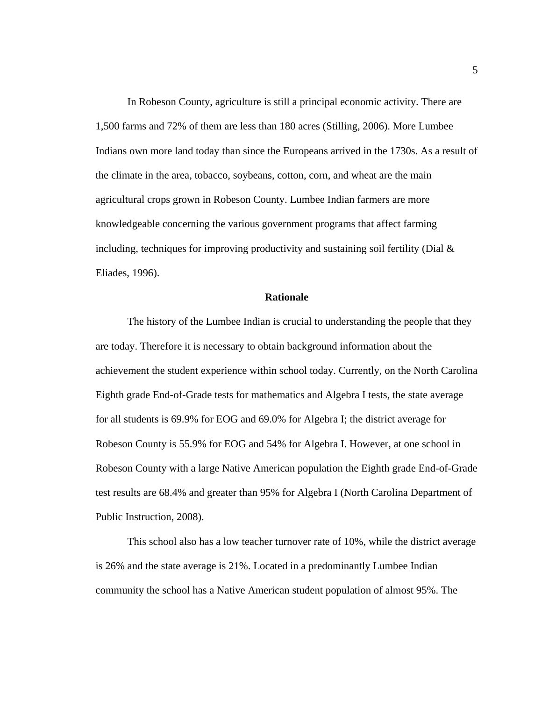In Robeson County, agriculture is still a principal economic activity. There are 1,500 farms and 72% of them are less than 180 acres (Stilling, 2006). More Lumbee Indians own more land today than since the Europeans arrived in the 1730s. As a result of the climate in the area, tobacco, soybeans, cotton, corn, and wheat are the main agricultural crops grown in Robeson County. Lumbee Indian farmers are more knowledgeable concerning the various government programs that affect farming including, techniques for improving productivity and sustaining soil fertility (Dial  $\&$ Eliades, 1996).

### **Rationale**

The history of the Lumbee Indian is crucial to understanding the people that they are today. Therefore it is necessary to obtain background information about the achievement the student experience within school today. Currently, on the North Carolina Eighth grade End-of-Grade tests for mathematics and Algebra I tests, the state average for all students is 69.9% for EOG and 69.0% for Algebra I; the district average for Robeson County is 55.9% for EOG and 54% for Algebra I. However, at one school in Robeson County with a large Native American population the Eighth grade End-of-Grade test results are 68.4% and greater than 95% for Algebra I (North Carolina Department of Public Instruction, 2008).

This school also has a low teacher turnover rate of 10%, while the district average is 26% and the state average is 21%. Located in a predominantly Lumbee Indian community the school has a Native American student population of almost 95%. The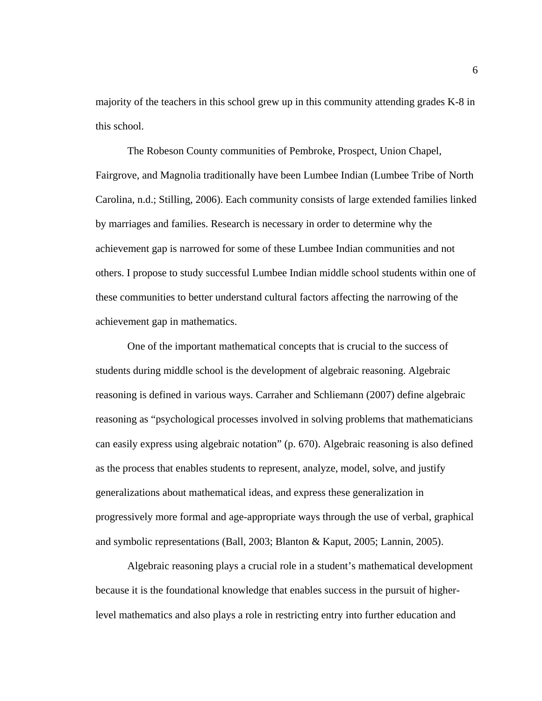majority of the teachers in this school grew up in this community attending grades K-8 in this school.

The Robeson County communities of Pembroke, Prospect, Union Chapel, Fairgrove, and Magnolia traditionally have been Lumbee Indian (Lumbee Tribe of North Carolina, n.d.; Stilling, 2006). Each community consists of large extended families linked by marriages and families. Research is necessary in order to determine why the achievement gap is narrowed for some of these Lumbee Indian communities and not others. I propose to study successful Lumbee Indian middle school students within one of these communities to better understand cultural factors affecting the narrowing of the achievement gap in mathematics.

One of the important mathematical concepts that is crucial to the success of students during middle school is the development of algebraic reasoning. Algebraic reasoning is defined in various ways. Carraher and Schliemann (2007) define algebraic reasoning as "psychological processes involved in solving problems that mathematicians can easily express using algebraic notation" (p. 670). Algebraic reasoning is also defined as the process that enables students to represent, analyze, model, solve, and justify generalizations about mathematical ideas, and express these generalization in progressively more formal and age-appropriate ways through the use of verbal, graphical and symbolic representations (Ball, 2003; Blanton & Kaput, 2005; Lannin, 2005).

Algebraic reasoning plays a crucial role in a student's mathematical development because it is the foundational knowledge that enables success in the pursuit of higherlevel mathematics and also plays a role in restricting entry into further education and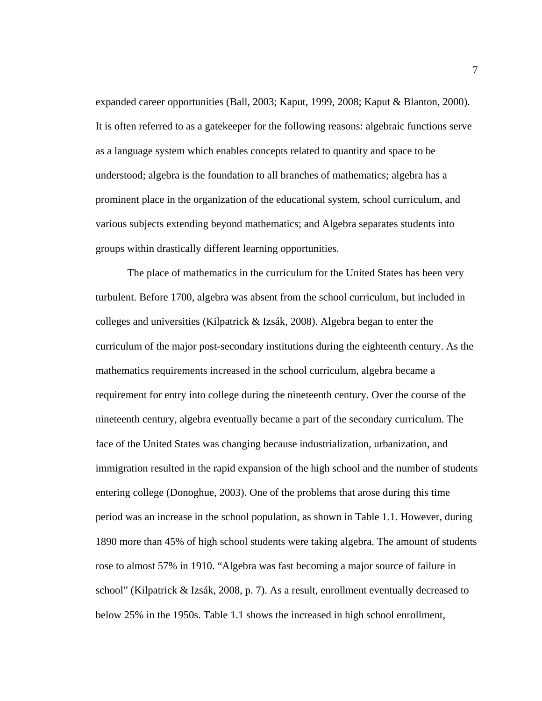expanded career opportunities (Ball, 2003; Kaput, 1999, 2008; Kaput & Blanton, 2000). It is often referred to as a gatekeeper for the following reasons: algebraic functions serve as a language system which enables concepts related to quantity and space to be understood; algebra is the foundation to all branches of mathematics; algebra has a prominent place in the organization of the educational system, school curriculum, and various subjects extending beyond mathematics; and Algebra separates students into groups within drastically different learning opportunities.

 The place of mathematics in the curriculum for the United States has been very turbulent. Before 1700, algebra was absent from the school curriculum, but included in colleges and universities (Kilpatrick & Izsák, 2008). Algebra began to enter the curriculum of the major post-secondary institutions during the eighteenth century. As the mathematics requirements increased in the school curriculum, algebra became a requirement for entry into college during the nineteenth century. Over the course of the nineteenth century, algebra eventually became a part of the secondary curriculum. The face of the United States was changing because industrialization, urbanization, and immigration resulted in the rapid expansion of the high school and the number of students entering college (Donoghue, 2003). One of the problems that arose during this time period was an increase in the school population, as shown in Table 1.1. However, during 1890 more than 45% of high school students were taking algebra. The amount of students rose to almost 57% in 1910. "Algebra was fast becoming a major source of failure in school" (Kilpatrick & Izsák, 2008, p. 7). As a result, enrollment eventually decreased to below 25% in the 1950s. Table 1.1 shows the increased in high school enrollment,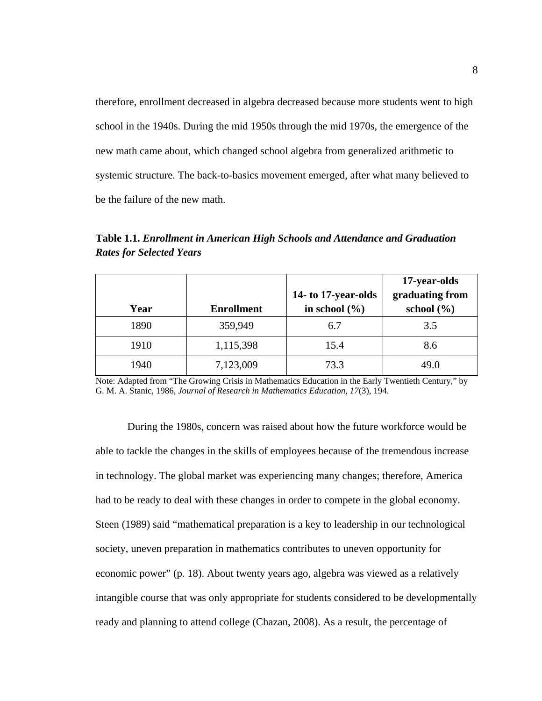therefore, enrollment decreased in algebra decreased because more students went to high school in the 1940s. During the mid 1950s through the mid 1970s, the emergence of the new math came about, which changed school algebra from generalized arithmetic to systemic structure. The back-to-basics movement emerged, after what many believed to be the failure of the new math.

|      |                   | 14- to 17-year-olds | 17-year-olds<br>graduating from |
|------|-------------------|---------------------|---------------------------------|
| Year | <b>Enrollment</b> | in school $(\% )$   | school $(\% )$                  |
| 1890 | 359,949           | 6.7                 | 3.5                             |
| 1910 | 1,115,398         | 15.4                | 8.6                             |
| 1940 | 7,123,009         | 73.3                | 49.0                            |

**Table 1.1.** *Enrollment in American High Schools and Attendance and Graduation Rates for Selected Years* 

Note: Adapted from "The Growing Crisis in Mathematics Education in the Early Twentieth Century," by G. M. A. Stanic, 1986, *Journal of Research in Mathematics Education, 17*(3), 194.

During the 1980s, concern was raised about how the future workforce would be able to tackle the changes in the skills of employees because of the tremendous increase in technology. The global market was experiencing many changes; therefore, America had to be ready to deal with these changes in order to compete in the global economy. Steen (1989) said "mathematical preparation is a key to leadership in our technological society, uneven preparation in mathematics contributes to uneven opportunity for economic power" (p. 18). About twenty years ago, algebra was viewed as a relatively intangible course that was only appropriate for students considered to be developmentally ready and planning to attend college (Chazan, 2008). As a result, the percentage of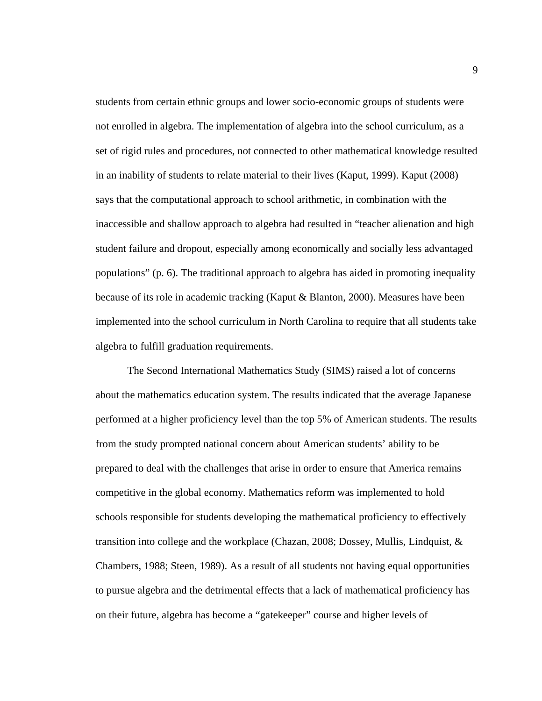students from certain ethnic groups and lower socio-economic groups of students were not enrolled in algebra. The implementation of algebra into the school curriculum, as a set of rigid rules and procedures, not connected to other mathematical knowledge resulted in an inability of students to relate material to their lives (Kaput, 1999). Kaput (2008) says that the computational approach to school arithmetic, in combination with the inaccessible and shallow approach to algebra had resulted in "teacher alienation and high student failure and dropout, especially among economically and socially less advantaged populations" (p. 6). The traditional approach to algebra has aided in promoting inequality because of its role in academic tracking (Kaput & Blanton, 2000). Measures have been implemented into the school curriculum in North Carolina to require that all students take algebra to fulfill graduation requirements.

The Second International Mathematics Study (SIMS) raised a lot of concerns about the mathematics education system. The results indicated that the average Japanese performed at a higher proficiency level than the top 5% of American students. The results from the study prompted national concern about American students' ability to be prepared to deal with the challenges that arise in order to ensure that America remains competitive in the global economy. Mathematics reform was implemented to hold schools responsible for students developing the mathematical proficiency to effectively transition into college and the workplace (Chazan, 2008; Dossey, Mullis, Lindquist, & Chambers, 1988; Steen, 1989). As a result of all students not having equal opportunities to pursue algebra and the detrimental effects that a lack of mathematical proficiency has on their future, algebra has become a "gatekeeper" course and higher levels of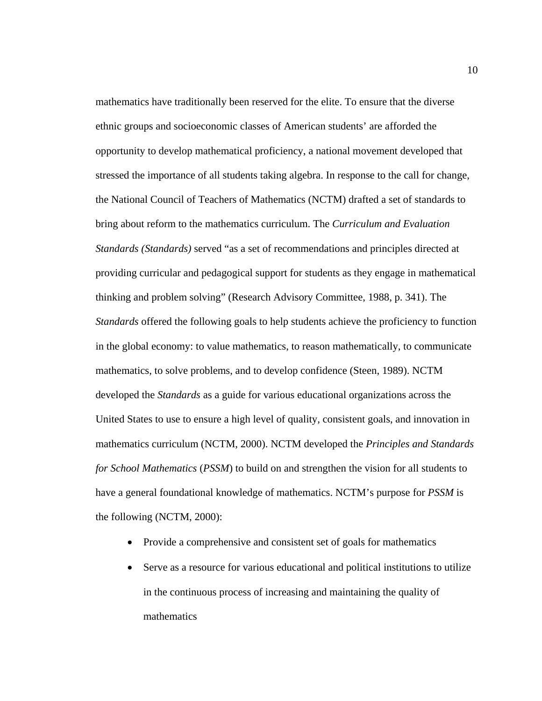mathematics have traditionally been reserved for the elite. To ensure that the diverse ethnic groups and socioeconomic classes of American students' are afforded the opportunity to develop mathematical proficiency, a national movement developed that stressed the importance of all students taking algebra. In response to the call for change, the National Council of Teachers of Mathematics (NCTM) drafted a set of standards to bring about reform to the mathematics curriculum. The *Curriculum and Evaluation Standards (Standards)* served "as a set of recommendations and principles directed at providing curricular and pedagogical support for students as they engage in mathematical thinking and problem solving" (Research Advisory Committee, 1988, p. 341). The *Standards* offered the following goals to help students achieve the proficiency to function in the global economy: to value mathematics, to reason mathematically, to communicate mathematics, to solve problems, and to develop confidence (Steen, 1989). NCTM developed the *Standards* as a guide for various educational organizations across the United States to use to ensure a high level of quality, consistent goals, and innovation in mathematics curriculum (NCTM, 2000). NCTM developed the *Principles and Standards for School Mathematics* (*PSSM*) to build on and strengthen the vision for all students to have a general foundational knowledge of mathematics. NCTM's purpose for *PSSM* is the following (NCTM, 2000):

- Provide a comprehensive and consistent set of goals for mathematics
- Serve as a resource for various educational and political institutions to utilize in the continuous process of increasing and maintaining the quality of mathematics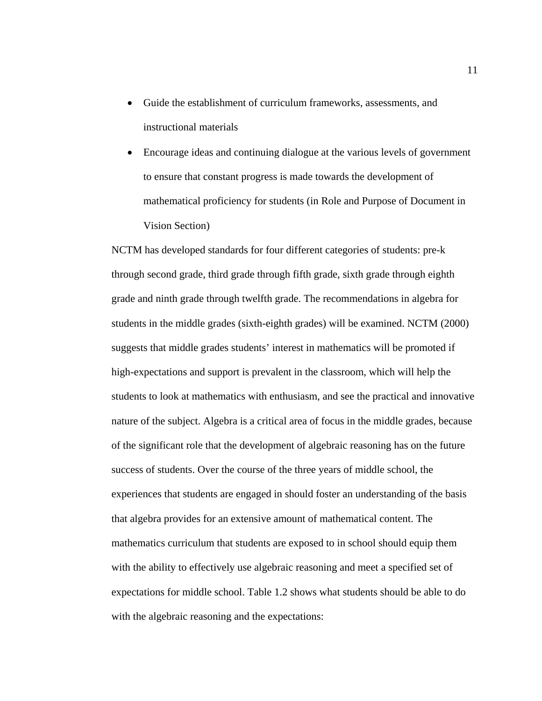- Guide the establishment of curriculum frameworks, assessments, and instructional materials
- Encourage ideas and continuing dialogue at the various levels of government to ensure that constant progress is made towards the development of mathematical proficiency for students (in Role and Purpose of Document in Vision Section)

NCTM has developed standards for four different categories of students: pre-k through second grade, third grade through fifth grade, sixth grade through eighth grade and ninth grade through twelfth grade. The recommendations in algebra for students in the middle grades (sixth-eighth grades) will be examined. NCTM (2000) suggests that middle grades students' interest in mathematics will be promoted if high-expectations and support is prevalent in the classroom, which will help the students to look at mathematics with enthusiasm, and see the practical and innovative nature of the subject. Algebra is a critical area of focus in the middle grades, because of the significant role that the development of algebraic reasoning has on the future success of students. Over the course of the three years of middle school, the experiences that students are engaged in should foster an understanding of the basis that algebra provides for an extensive amount of mathematical content. The mathematics curriculum that students are exposed to in school should equip them with the ability to effectively use algebraic reasoning and meet a specified set of expectations for middle school. Table 1.2 shows what students should be able to do with the algebraic reasoning and the expectations: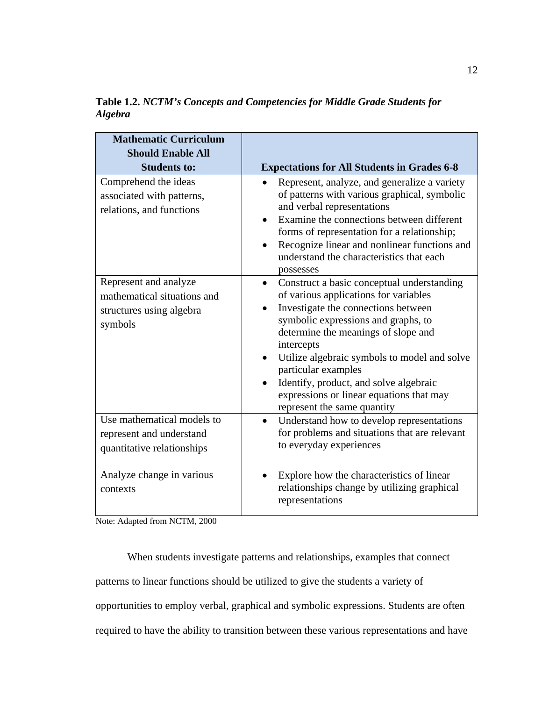**Table 1.2.** *NCTM's Concepts and Competencies for Middle Grade Students for Algebra* 

| <b>Mathematic Curriculum</b><br><b>Should Enable All</b>                                    |                                                                                                                                                                                                                                                                                                                                                                                                                                                           |
|---------------------------------------------------------------------------------------------|-----------------------------------------------------------------------------------------------------------------------------------------------------------------------------------------------------------------------------------------------------------------------------------------------------------------------------------------------------------------------------------------------------------------------------------------------------------|
| <b>Students to:</b>                                                                         | <b>Expectations for All Students in Grades 6-8</b>                                                                                                                                                                                                                                                                                                                                                                                                        |
| Comprehend the ideas<br>associated with patterns,<br>relations, and functions               | Represent, analyze, and generalize a variety<br>of patterns with various graphical, symbolic<br>and verbal representations<br>Examine the connections between different<br>forms of representation for a relationship;<br>Recognize linear and nonlinear functions and<br>$\bullet$<br>understand the characteristics that each<br>possesses                                                                                                              |
| Represent and analyze<br>mathematical situations and<br>structures using algebra<br>symbols | Construct a basic conceptual understanding<br>$\bullet$<br>of various applications for variables<br>Investigate the connections between<br>$\bullet$<br>symbolic expressions and graphs, to<br>determine the meanings of slope and<br>intercepts<br>Utilize algebraic symbols to model and solve<br>$\bullet$<br>particular examples<br>Identify, product, and solve algebraic<br>expressions or linear equations that may<br>represent the same quantity |
| Use mathematical models to<br>represent and understand<br>quantitative relationships        | Understand how to develop representations<br>$\bullet$<br>for problems and situations that are relevant<br>to everyday experiences                                                                                                                                                                                                                                                                                                                        |
| Analyze change in various<br>contexts                                                       | Explore how the characteristics of linear<br>$\bullet$<br>relationships change by utilizing graphical<br>representations                                                                                                                                                                                                                                                                                                                                  |

Note: Adapted from NCTM, 2000

When students investigate patterns and relationships, examples that connect patterns to linear functions should be utilized to give the students a variety of opportunities to employ verbal, graphical and symbolic expressions. Students are often required to have the ability to transition between these various representations and have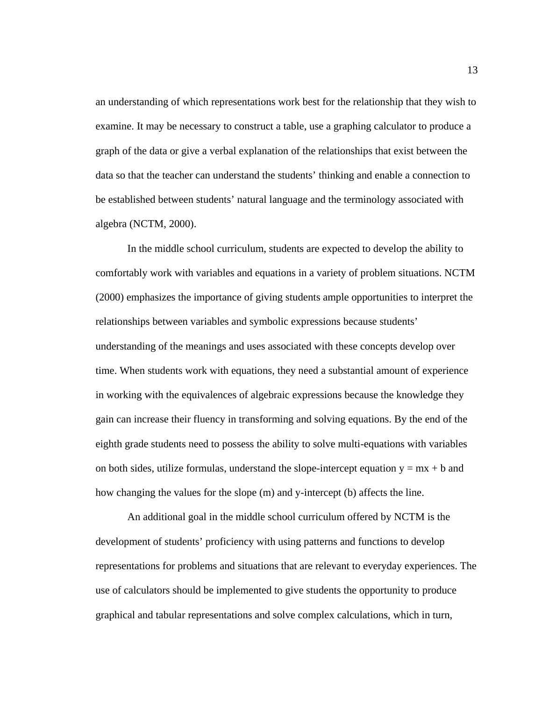an understanding of which representations work best for the relationship that they wish to examine. It may be necessary to construct a table, use a graphing calculator to produce a graph of the data or give a verbal explanation of the relationships that exist between the data so that the teacher can understand the students' thinking and enable a connection to be established between students' natural language and the terminology associated with algebra (NCTM, 2000).

 In the middle school curriculum, students are expected to develop the ability to comfortably work with variables and equations in a variety of problem situations. NCTM (2000) emphasizes the importance of giving students ample opportunities to interpret the relationships between variables and symbolic expressions because students' understanding of the meanings and uses associated with these concepts develop over time. When students work with equations, they need a substantial amount of experience in working with the equivalences of algebraic expressions because the knowledge they gain can increase their fluency in transforming and solving equations. By the end of the eighth grade students need to possess the ability to solve multi-equations with variables on both sides, utilize formulas, understand the slope-intercept equation  $y = mx + b$  and how changing the values for the slope (m) and y-intercept (b) affects the line.

 An additional goal in the middle school curriculum offered by NCTM is the development of students' proficiency with using patterns and functions to develop representations for problems and situations that are relevant to everyday experiences. The use of calculators should be implemented to give students the opportunity to produce graphical and tabular representations and solve complex calculations, which in turn,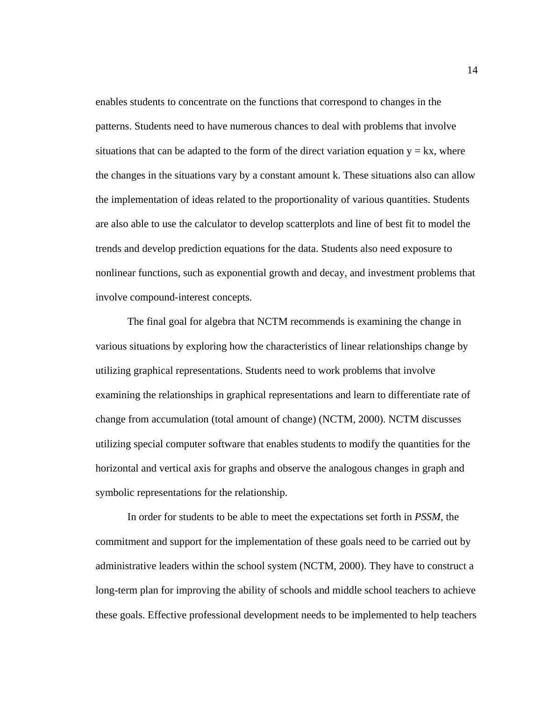enables students to concentrate on the functions that correspond to changes in the patterns. Students need to have numerous chances to deal with problems that involve situations that can be adapted to the form of the direct variation equation  $y = kx$ , where the changes in the situations vary by a constant amount k. These situations also can allow the implementation of ideas related to the proportionality of various quantities. Students are also able to use the calculator to develop scatterplots and line of best fit to model the trends and develop prediction equations for the data. Students also need exposure to nonlinear functions, such as exponential growth and decay, and investment problems that involve compound-interest concepts.

 The final goal for algebra that NCTM recommends is examining the change in various situations by exploring how the characteristics of linear relationships change by utilizing graphical representations. Students need to work problems that involve examining the relationships in graphical representations and learn to differentiate rate of change from accumulation (total amount of change) (NCTM, 2000). NCTM discusses utilizing special computer software that enables students to modify the quantities for the horizontal and vertical axis for graphs and observe the analogous changes in graph and symbolic representations for the relationship.

In order for students to be able to meet the expectations set forth in *PSSM*, the commitment and support for the implementation of these goals need to be carried out by administrative leaders within the school system (NCTM, 2000). They have to construct a long-term plan for improving the ability of schools and middle school teachers to achieve these goals. Effective professional development needs to be implemented to help teachers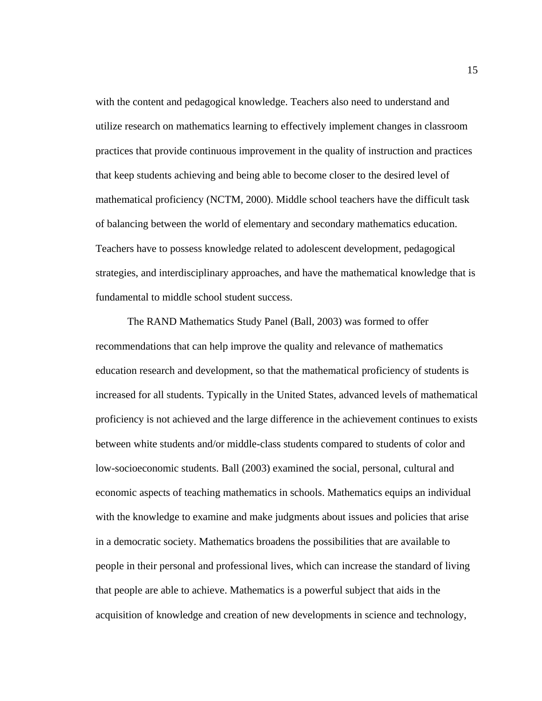with the content and pedagogical knowledge. Teachers also need to understand and utilize research on mathematics learning to effectively implement changes in classroom practices that provide continuous improvement in the quality of instruction and practices that keep students achieving and being able to become closer to the desired level of mathematical proficiency (NCTM, 2000). Middle school teachers have the difficult task of balancing between the world of elementary and secondary mathematics education. Teachers have to possess knowledge related to adolescent development, pedagogical strategies, and interdisciplinary approaches, and have the mathematical knowledge that is fundamental to middle school student success.

The RAND Mathematics Study Panel (Ball, 2003) was formed to offer recommendations that can help improve the quality and relevance of mathematics education research and development, so that the mathematical proficiency of students is increased for all students. Typically in the United States, advanced levels of mathematical proficiency is not achieved and the large difference in the achievement continues to exists between white students and/or middle-class students compared to students of color and low-socioeconomic students. Ball (2003) examined the social, personal, cultural and economic aspects of teaching mathematics in schools. Mathematics equips an individual with the knowledge to examine and make judgments about issues and policies that arise in a democratic society. Mathematics broadens the possibilities that are available to people in their personal and professional lives, which can increase the standard of living that people are able to achieve. Mathematics is a powerful subject that aids in the acquisition of knowledge and creation of new developments in science and technology,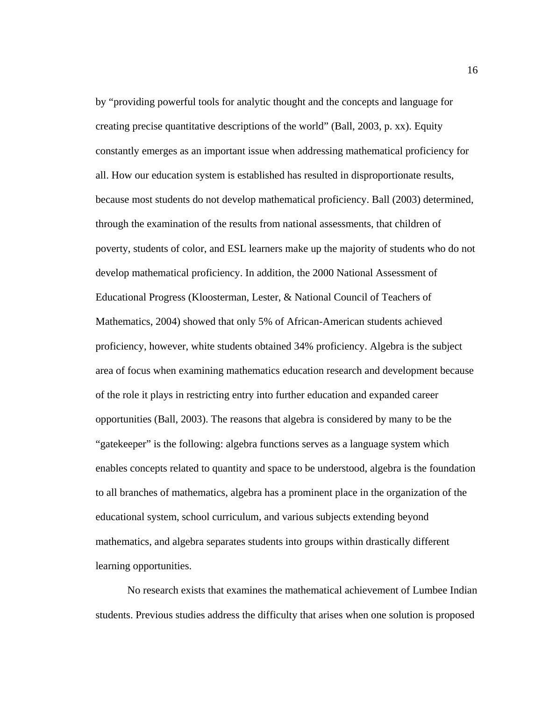by "providing powerful tools for analytic thought and the concepts and language for creating precise quantitative descriptions of the world" (Ball, 2003, p. xx). Equity constantly emerges as an important issue when addressing mathematical proficiency for all. How our education system is established has resulted in disproportionate results, because most students do not develop mathematical proficiency. Ball (2003) determined, through the examination of the results from national assessments, that children of poverty, students of color, and ESL learners make up the majority of students who do not develop mathematical proficiency. In addition, the 2000 National Assessment of Educational Progress (Kloosterman, Lester, & National Council of Teachers of Mathematics, 2004) showed that only 5% of African-American students achieved proficiency, however, white students obtained 34% proficiency. Algebra is the subject area of focus when examining mathematics education research and development because of the role it plays in restricting entry into further education and expanded career opportunities (Ball, 2003). The reasons that algebra is considered by many to be the "gatekeeper" is the following: algebra functions serves as a language system which enables concepts related to quantity and space to be understood, algebra is the foundation to all branches of mathematics, algebra has a prominent place in the organization of the educational system, school curriculum, and various subjects extending beyond mathematics, and algebra separates students into groups within drastically different learning opportunities.

No research exists that examines the mathematical achievement of Lumbee Indian students. Previous studies address the difficulty that arises when one solution is proposed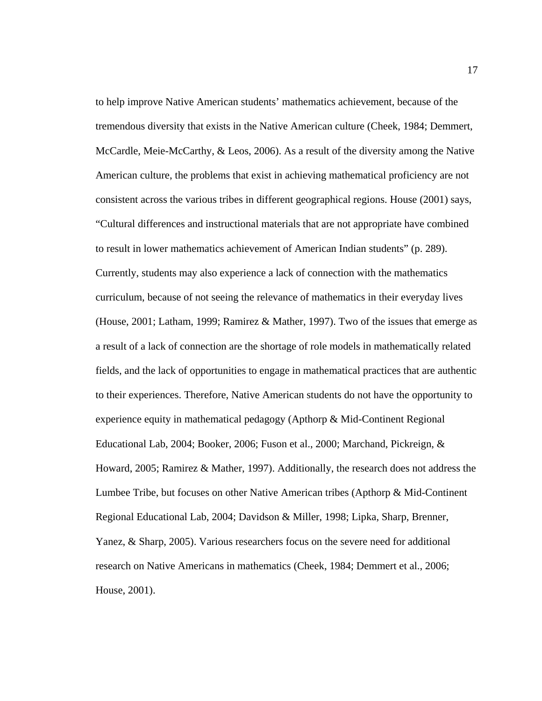to help improve Native American students' mathematics achievement, because of the tremendous diversity that exists in the Native American culture (Cheek, 1984; Demmert, McCardle, Meie-McCarthy, & Leos, 2006). As a result of the diversity among the Native American culture, the problems that exist in achieving mathematical proficiency are not consistent across the various tribes in different geographical regions. House (2001) says, "Cultural differences and instructional materials that are not appropriate have combined to result in lower mathematics achievement of American Indian students" (p. 289). Currently, students may also experience a lack of connection with the mathematics curriculum, because of not seeing the relevance of mathematics in their everyday lives (House, 2001; Latham, 1999; Ramirez & Mather, 1997). Two of the issues that emerge as a result of a lack of connection are the shortage of role models in mathematically related fields, and the lack of opportunities to engage in mathematical practices that are authentic to their experiences. Therefore, Native American students do not have the opportunity to experience equity in mathematical pedagogy (Apthorp & Mid-Continent Regional Educational Lab, 2004; Booker, 2006; Fuson et al., 2000; Marchand, Pickreign, & Howard, 2005; Ramirez & Mather, 1997). Additionally, the research does not address the Lumbee Tribe, but focuses on other Native American tribes (Apthorp & Mid-Continent Regional Educational Lab, 2004; Davidson & Miller, 1998; Lipka, Sharp, Brenner, Yanez, & Sharp, 2005). Various researchers focus on the severe need for additional research on Native Americans in mathematics (Cheek, 1984; Demmert et al., 2006; House, 2001).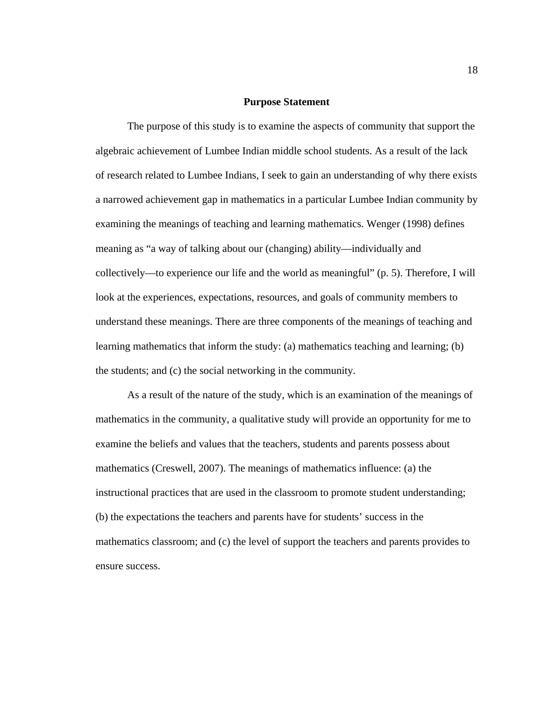#### **Purpose Statement**

The purpose of this study is to examine the aspects of community that support the algebraic achievement of Lumbee Indian middle school students. As a result of the lack of research related to Lumbee Indians, I seek to gain an understanding of why there exists a narrowed achievement gap in mathematics in a particular Lumbee Indian community by examining the meanings of teaching and learning mathematics. Wenger (1998) defines meaning as "a way of talking about our (changing) ability—individually and collectively—to experience our life and the world as meaningful" (p. 5). Therefore, I will look at the experiences, expectations, resources, and goals of community members to understand these meanings. There are three components of the meanings of teaching and learning mathematics that inform the study: (a) mathematics teaching and learning; (b) the students; and (c) the social networking in the community.

As a result of the nature of the study, which is an examination of the meanings of mathematics in the community, a qualitative study will provide an opportunity for me to examine the beliefs and values that the teachers, students and parents possess about mathematics (Creswell, 2007). The meanings of mathematics influence: (a) the instructional practices that are used in the classroom to promote student understanding; (b) the expectations the teachers and parents have for students' success in the mathematics classroom; and (c) the level of support the teachers and parents provides to ensure success.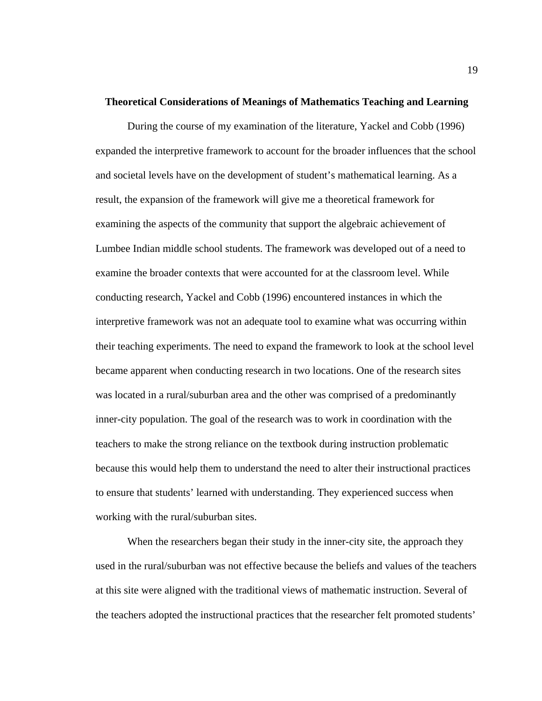#### **Theoretical Considerations of Meanings of Mathematics Teaching and Learning**

During the course of my examination of the literature, Yackel and Cobb (1996) expanded the interpretive framework to account for the broader influences that the school and societal levels have on the development of student's mathematical learning. As a result, the expansion of the framework will give me a theoretical framework for examining the aspects of the community that support the algebraic achievement of Lumbee Indian middle school students. The framework was developed out of a need to examine the broader contexts that were accounted for at the classroom level. While conducting research, Yackel and Cobb (1996) encountered instances in which the interpretive framework was not an adequate tool to examine what was occurring within their teaching experiments. The need to expand the framework to look at the school level became apparent when conducting research in two locations. One of the research sites was located in a rural/suburban area and the other was comprised of a predominantly inner-city population. The goal of the research was to work in coordination with the teachers to make the strong reliance on the textbook during instruction problematic because this would help them to understand the need to alter their instructional practices to ensure that students' learned with understanding. They experienced success when working with the rural/suburban sites.

When the researchers began their study in the inner-city site, the approach they used in the rural/suburban was not effective because the beliefs and values of the teachers at this site were aligned with the traditional views of mathematic instruction. Several of the teachers adopted the instructional practices that the researcher felt promoted students'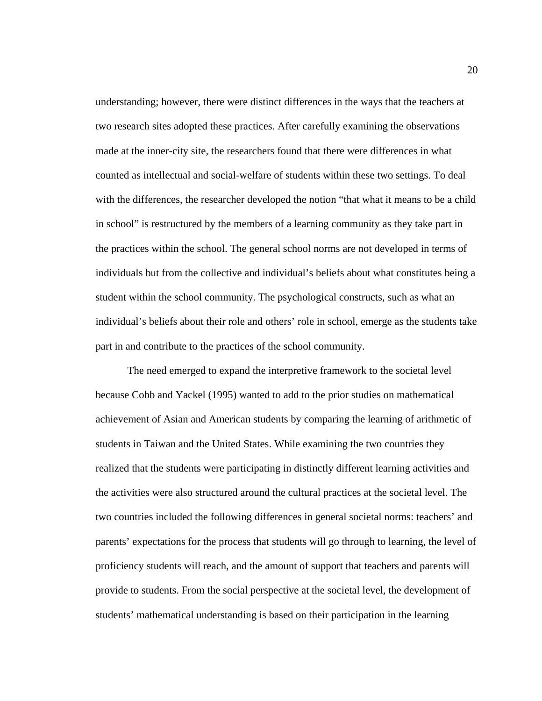understanding; however, there were distinct differences in the ways that the teachers at two research sites adopted these practices. After carefully examining the observations made at the inner-city site, the researchers found that there were differences in what counted as intellectual and social-welfare of students within these two settings. To deal with the differences, the researcher developed the notion "that what it means to be a child in school" is restructured by the members of a learning community as they take part in the practices within the school. The general school norms are not developed in terms of individuals but from the collective and individual's beliefs about what constitutes being a student within the school community. The psychological constructs, such as what an individual's beliefs about their role and others' role in school, emerge as the students take part in and contribute to the practices of the school community.

 The need emerged to expand the interpretive framework to the societal level because Cobb and Yackel (1995) wanted to add to the prior studies on mathematical achievement of Asian and American students by comparing the learning of arithmetic of students in Taiwan and the United States. While examining the two countries they realized that the students were participating in distinctly different learning activities and the activities were also structured around the cultural practices at the societal level. The two countries included the following differences in general societal norms: teachers' and parents' expectations for the process that students will go through to learning, the level of proficiency students will reach, and the amount of support that teachers and parents will provide to students. From the social perspective at the societal level, the development of students' mathematical understanding is based on their participation in the learning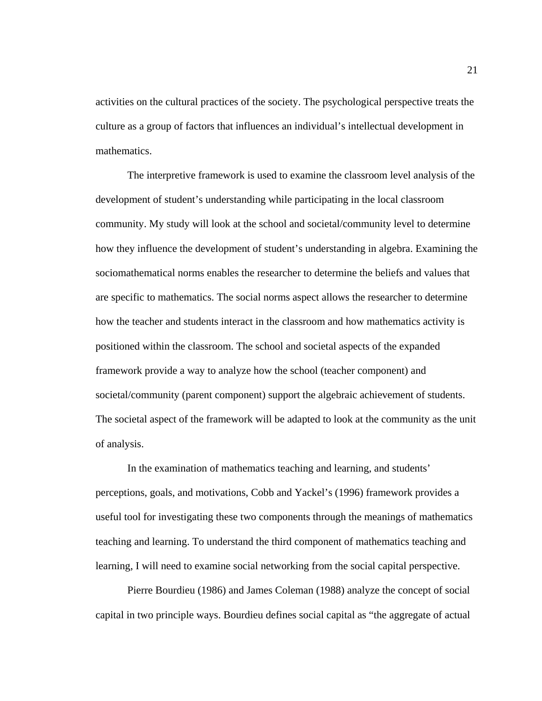activities on the cultural practices of the society. The psychological perspective treats the culture as a group of factors that influences an individual's intellectual development in mathematics.

The interpretive framework is used to examine the classroom level analysis of the development of student's understanding while participating in the local classroom community. My study will look at the school and societal/community level to determine how they influence the development of student's understanding in algebra. Examining the sociomathematical norms enables the researcher to determine the beliefs and values that are specific to mathematics. The social norms aspect allows the researcher to determine how the teacher and students interact in the classroom and how mathematics activity is positioned within the classroom. The school and societal aspects of the expanded framework provide a way to analyze how the school (teacher component) and societal/community (parent component) support the algebraic achievement of students. The societal aspect of the framework will be adapted to look at the community as the unit of analysis.

In the examination of mathematics teaching and learning, and students' perceptions, goals, and motivations, Cobb and Yackel's (1996) framework provides a useful tool for investigating these two components through the meanings of mathematics teaching and learning. To understand the third component of mathematics teaching and learning, I will need to examine social networking from the social capital perspective.

Pierre Bourdieu (1986) and James Coleman (1988) analyze the concept of social capital in two principle ways. Bourdieu defines social capital as "the aggregate of actual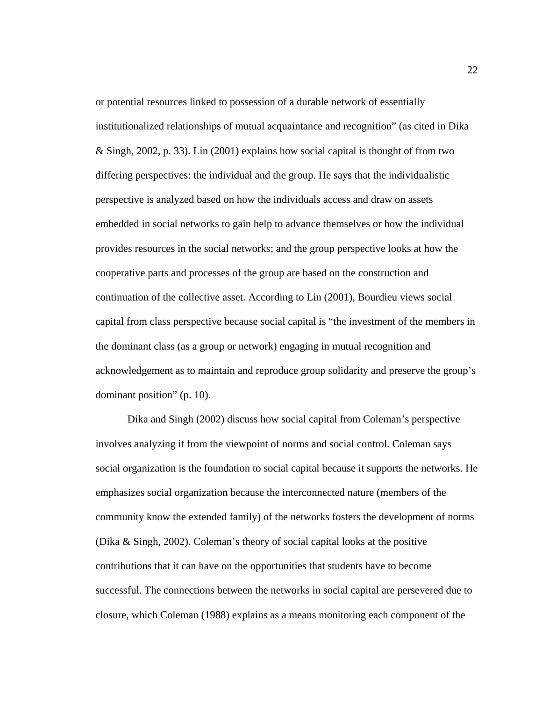or potential resources linked to possession of a durable network of essentially institutionalized relationships of mutual acquaintance and recognition" (as cited in Dika & Singh, 2002, p. 33). Lin (2001) explains how social capital is thought of from two differing perspectives: the individual and the group. He says that the individualistic perspective is analyzed based on how the individuals access and draw on assets embedded in social networks to gain help to advance themselves or how the individual provides resources in the social networks; and the group perspective looks at how the cooperative parts and processes of the group are based on the construction and continuation of the collective asset. According to Lin (2001), Bourdieu views social capital from class perspective because social capital is "the investment of the members in the dominant class (as a group or network) engaging in mutual recognition and acknowledgement as to maintain and reproduce group solidarity and preserve the group's dominant position" (p. 10).

Dika and Singh (2002) discuss how social capital from Coleman's perspective involves analyzing it from the viewpoint of norms and social control. Coleman says social organization is the foundation to social capital because it supports the networks. He emphasizes social organization because the interconnected nature (members of the community know the extended family) of the networks fosters the development of norms (Dika & Singh, 2002). Coleman's theory of social capital looks at the positive contributions that it can have on the opportunities that students have to become successful. The connections between the networks in social capital are persevered due to closure, which Coleman (1988) explains as a means monitoring each component of the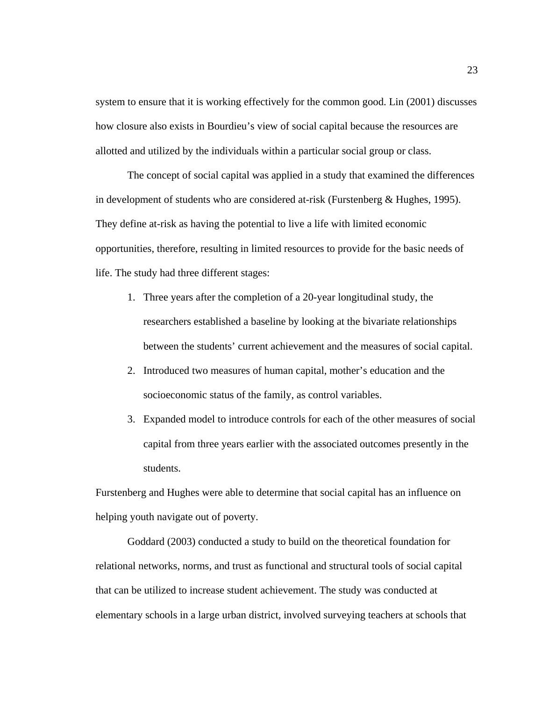system to ensure that it is working effectively for the common good. Lin (2001) discusses how closure also exists in Bourdieu's view of social capital because the resources are allotted and utilized by the individuals within a particular social group or class.

The concept of social capital was applied in a study that examined the differences in development of students who are considered at-risk (Furstenberg & Hughes, 1995). They define at-risk as having the potential to live a life with limited economic opportunities, therefore, resulting in limited resources to provide for the basic needs of life. The study had three different stages:

- 1. Three years after the completion of a 20-year longitudinal study, the researchers established a baseline by looking at the bivariate relationships between the students' current achievement and the measures of social capital.
- 2. Introduced two measures of human capital, mother's education and the socioeconomic status of the family, as control variables.
- 3. Expanded model to introduce controls for each of the other measures of social capital from three years earlier with the associated outcomes presently in the students.

Furstenberg and Hughes were able to determine that social capital has an influence on helping youth navigate out of poverty.

Goddard (2003) conducted a study to build on the theoretical foundation for relational networks, norms, and trust as functional and structural tools of social capital that can be utilized to increase student achievement. The study was conducted at elementary schools in a large urban district, involved surveying teachers at schools that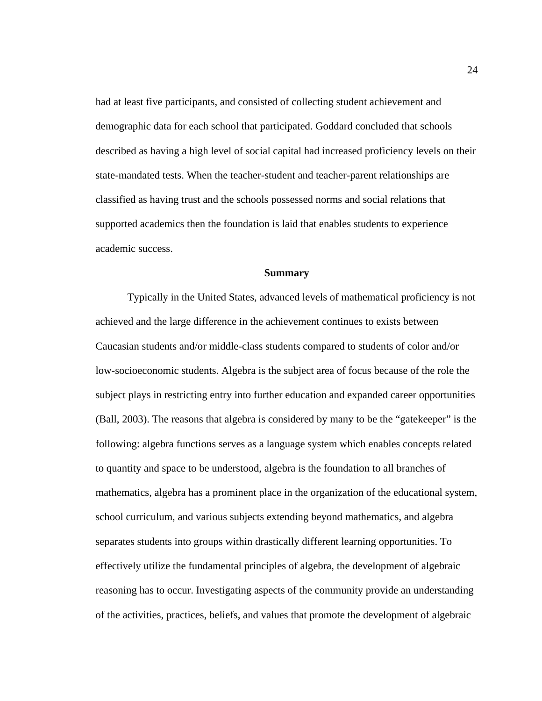had at least five participants, and consisted of collecting student achievement and demographic data for each school that participated. Goddard concluded that schools described as having a high level of social capital had increased proficiency levels on their state-mandated tests. When the teacher-student and teacher-parent relationships are classified as having trust and the schools possessed norms and social relations that supported academics then the foundation is laid that enables students to experience academic success.

### **Summary**

 Typically in the United States, advanced levels of mathematical proficiency is not achieved and the large difference in the achievement continues to exists between Caucasian students and/or middle-class students compared to students of color and/or low-socioeconomic students. Algebra is the subject area of focus because of the role the subject plays in restricting entry into further education and expanded career opportunities (Ball, 2003). The reasons that algebra is considered by many to be the "gatekeeper" is the following: algebra functions serves as a language system which enables concepts related to quantity and space to be understood, algebra is the foundation to all branches of mathematics, algebra has a prominent place in the organization of the educational system, school curriculum, and various subjects extending beyond mathematics, and algebra separates students into groups within drastically different learning opportunities. To effectively utilize the fundamental principles of algebra, the development of algebraic reasoning has to occur. Investigating aspects of the community provide an understanding of the activities, practices, beliefs, and values that promote the development of algebraic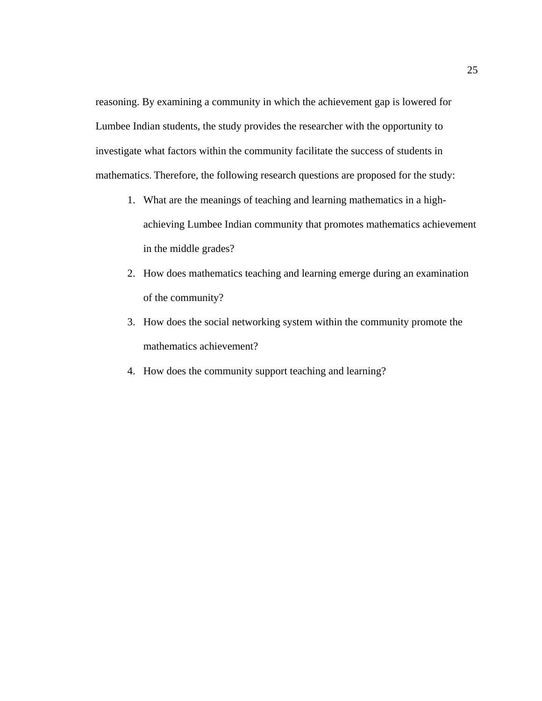reasoning. By examining a community in which the achievement gap is lowered for Lumbee Indian students, the study provides the researcher with the opportunity to investigate what factors within the community facilitate the success of students in mathematics. Therefore, the following research questions are proposed for the study:

- 1. What are the meanings of teaching and learning mathematics in a highachieving Lumbee Indian community that promotes mathematics achievement in the middle grades?
- 2. How does mathematics teaching and learning emerge during an examination of the community?
- 3. How does the social networking system within the community promote the mathematics achievement?
- 4. How does the community support teaching and learning?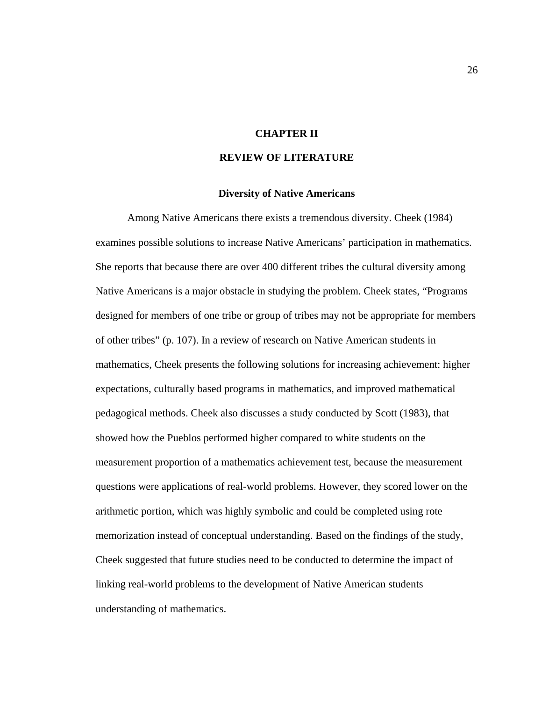## **CHAPTER II**

## **REVIEW OF LITERATURE**

### **Diversity of Native Americans**

 Among Native Americans there exists a tremendous diversity. Cheek (1984) examines possible solutions to increase Native Americans' participation in mathematics. She reports that because there are over 400 different tribes the cultural diversity among Native Americans is a major obstacle in studying the problem. Cheek states, "Programs designed for members of one tribe or group of tribes may not be appropriate for members of other tribes" (p. 107). In a review of research on Native American students in mathematics, Cheek presents the following solutions for increasing achievement: higher expectations, culturally based programs in mathematics, and improved mathematical pedagogical methods. Cheek also discusses a study conducted by Scott (1983), that showed how the Pueblos performed higher compared to white students on the measurement proportion of a mathematics achievement test, because the measurement questions were applications of real-world problems. However, they scored lower on the arithmetic portion, which was highly symbolic and could be completed using rote memorization instead of conceptual understanding. Based on the findings of the study, Cheek suggested that future studies need to be conducted to determine the impact of linking real-world problems to the development of Native American students understanding of mathematics.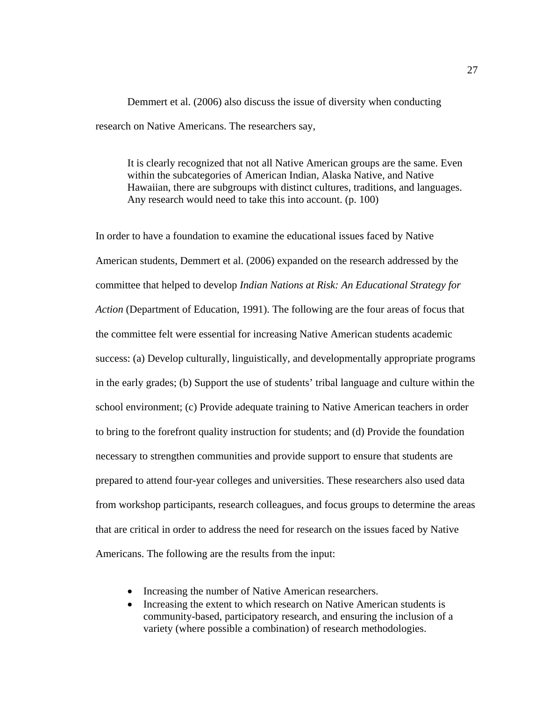Demmert et al. (2006) also discuss the issue of diversity when conducting research on Native Americans. The researchers say,

It is clearly recognized that not all Native American groups are the same. Even within the subcategories of American Indian, Alaska Native, and Native Hawaiian, there are subgroups with distinct cultures, traditions, and languages. Any research would need to take this into account. (p. 100)

In order to have a foundation to examine the educational issues faced by Native American students, Demmert et al. (2006) expanded on the research addressed by the committee that helped to develop *Indian Nations at Risk: An Educational Strategy for Action* (Department of Education, 1991). The following are the four areas of focus that the committee felt were essential for increasing Native American students academic success: (a) Develop culturally, linguistically, and developmentally appropriate programs in the early grades; (b) Support the use of students' tribal language and culture within the school environment; (c) Provide adequate training to Native American teachers in order to bring to the forefront quality instruction for students; and (d) Provide the foundation necessary to strengthen communities and provide support to ensure that students are prepared to attend four-year colleges and universities. These researchers also used data from workshop participants, research colleagues, and focus groups to determine the areas that are critical in order to address the need for research on the issues faced by Native Americans. The following are the results from the input:

- Increasing the number of Native American researchers.
- Increasing the extent to which research on Native American students is community-based, participatory research, and ensuring the inclusion of a variety (where possible a combination) of research methodologies.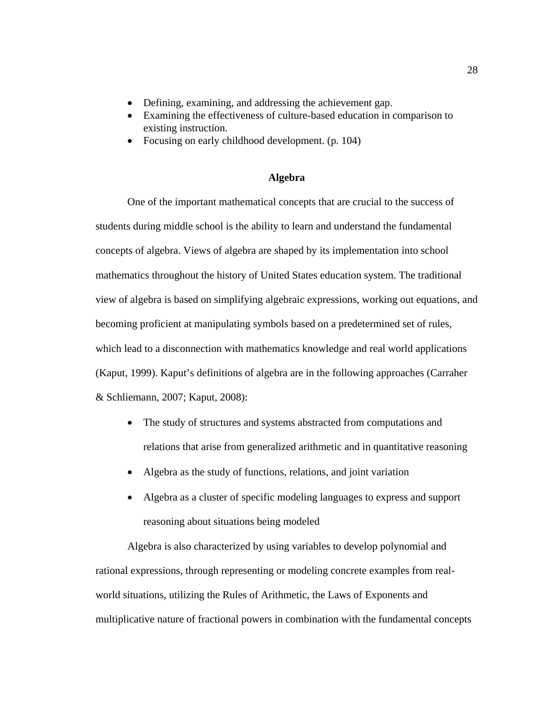- Defining, examining, and addressing the achievement gap.
- Examining the effectiveness of culture-based education in comparison to existing instruction.
- Focusing on early childhood development. (p. 104)

## **Algebra**

One of the important mathematical concepts that are crucial to the success of students during middle school is the ability to learn and understand the fundamental concepts of algebra. Views of algebra are shaped by its implementation into school mathematics throughout the history of United States education system. The traditional view of algebra is based on simplifying algebraic expressions, working out equations, and becoming proficient at manipulating symbols based on a predetermined set of rules, which lead to a disconnection with mathematics knowledge and real world applications (Kaput, 1999). Kaput's definitions of algebra are in the following approaches (Carraher & Schliemann, 2007; Kaput, 2008):

- The study of structures and systems abstracted from computations and relations that arise from generalized arithmetic and in quantitative reasoning
- Algebra as the study of functions, relations, and joint variation
- Algebra as a cluster of specific modeling languages to express and support reasoning about situations being modeled

Algebra is also characterized by using variables to develop polynomial and rational expressions, through representing or modeling concrete examples from realworld situations, utilizing the Rules of Arithmetic, the Laws of Exponents and multiplicative nature of fractional powers in combination with the fundamental concepts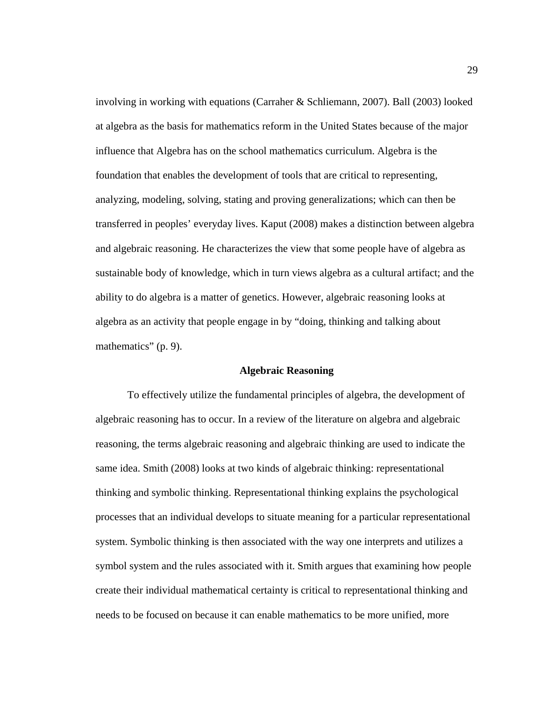involving in working with equations (Carraher & Schliemann, 2007). Ball (2003) looked at algebra as the basis for mathematics reform in the United States because of the major influence that Algebra has on the school mathematics curriculum. Algebra is the foundation that enables the development of tools that are critical to representing, analyzing, modeling, solving, stating and proving generalizations; which can then be transferred in peoples' everyday lives. Kaput (2008) makes a distinction between algebra and algebraic reasoning. He characterizes the view that some people have of algebra as sustainable body of knowledge, which in turn views algebra as a cultural artifact; and the ability to do algebra is a matter of genetics. However, algebraic reasoning looks at algebra as an activity that people engage in by "doing, thinking and talking about mathematics" (p. 9).

### **Algebraic Reasoning**

To effectively utilize the fundamental principles of algebra, the development of algebraic reasoning has to occur. In a review of the literature on algebra and algebraic reasoning, the terms algebraic reasoning and algebraic thinking are used to indicate the same idea. Smith (2008) looks at two kinds of algebraic thinking: representational thinking and symbolic thinking. Representational thinking explains the psychological processes that an individual develops to situate meaning for a particular representational system. Symbolic thinking is then associated with the way one interprets and utilizes a symbol system and the rules associated with it. Smith argues that examining how people create their individual mathematical certainty is critical to representational thinking and needs to be focused on because it can enable mathematics to be more unified, more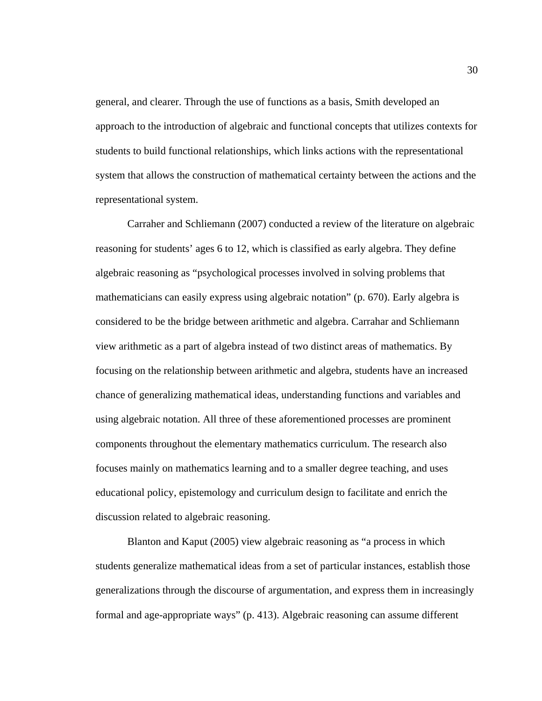general, and clearer. Through the use of functions as a basis, Smith developed an approach to the introduction of algebraic and functional concepts that utilizes contexts for students to build functional relationships, which links actions with the representational system that allows the construction of mathematical certainty between the actions and the representational system.

Carraher and Schliemann (2007) conducted a review of the literature on algebraic reasoning for students' ages 6 to 12, which is classified as early algebra. They define algebraic reasoning as "psychological processes involved in solving problems that mathematicians can easily express using algebraic notation" (p. 670). Early algebra is considered to be the bridge between arithmetic and algebra. Carrahar and Schliemann view arithmetic as a part of algebra instead of two distinct areas of mathematics. By focusing on the relationship between arithmetic and algebra, students have an increased chance of generalizing mathematical ideas, understanding functions and variables and using algebraic notation. All three of these aforementioned processes are prominent components throughout the elementary mathematics curriculum. The research also focuses mainly on mathematics learning and to a smaller degree teaching, and uses educational policy, epistemology and curriculum design to facilitate and enrich the discussion related to algebraic reasoning.

Blanton and Kaput (2005) view algebraic reasoning as "a process in which students generalize mathematical ideas from a set of particular instances, establish those generalizations through the discourse of argumentation, and express them in increasingly formal and age-appropriate ways" (p. 413). Algebraic reasoning can assume different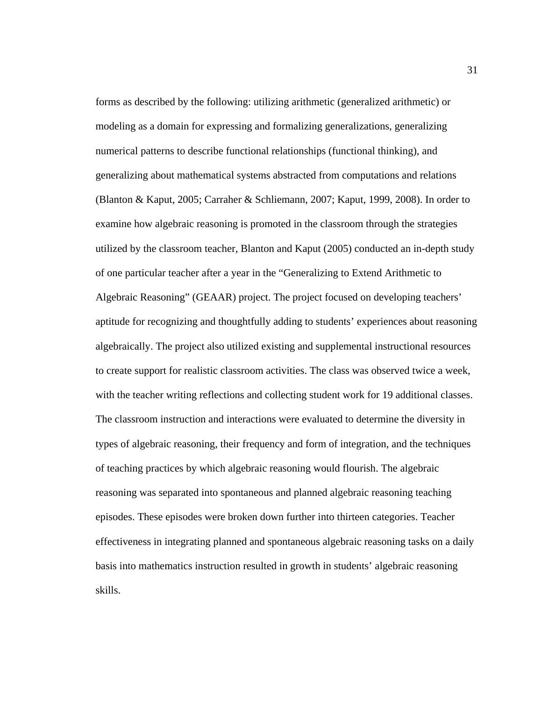forms as described by the following: utilizing arithmetic (generalized arithmetic) or modeling as a domain for expressing and formalizing generalizations, generalizing numerical patterns to describe functional relationships (functional thinking), and generalizing about mathematical systems abstracted from computations and relations (Blanton & Kaput, 2005; Carraher & Schliemann, 2007; Kaput, 1999, 2008). In order to examine how algebraic reasoning is promoted in the classroom through the strategies utilized by the classroom teacher, Blanton and Kaput (2005) conducted an in-depth study of one particular teacher after a year in the "Generalizing to Extend Arithmetic to Algebraic Reasoning" (GEAAR) project. The project focused on developing teachers' aptitude for recognizing and thoughtfully adding to students' experiences about reasoning algebraically. The project also utilized existing and supplemental instructional resources to create support for realistic classroom activities. The class was observed twice a week, with the teacher writing reflections and collecting student work for 19 additional classes. The classroom instruction and interactions were evaluated to determine the diversity in types of algebraic reasoning, their frequency and form of integration, and the techniques of teaching practices by which algebraic reasoning would flourish. The algebraic reasoning was separated into spontaneous and planned algebraic reasoning teaching episodes. These episodes were broken down further into thirteen categories. Teacher effectiveness in integrating planned and spontaneous algebraic reasoning tasks on a daily basis into mathematics instruction resulted in growth in students' algebraic reasoning skills.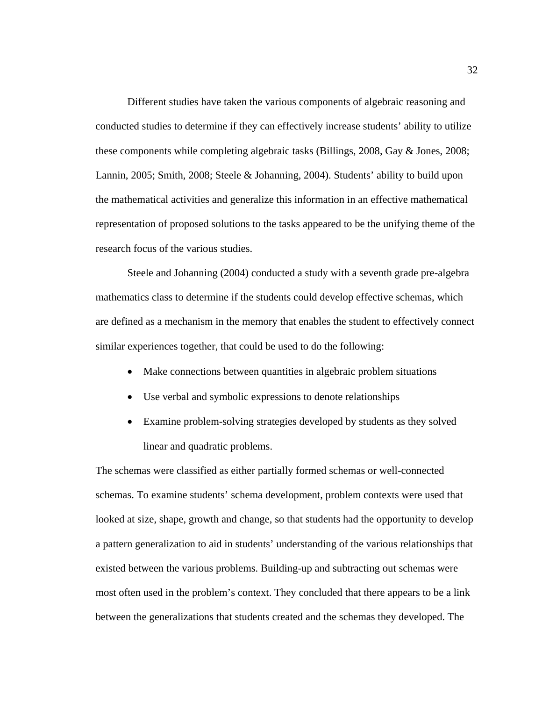Different studies have taken the various components of algebraic reasoning and conducted studies to determine if they can effectively increase students' ability to utilize these components while completing algebraic tasks (Billings, 2008, Gay & Jones, 2008; Lannin, 2005; Smith, 2008; Steele & Johanning, 2004). Students' ability to build upon the mathematical activities and generalize this information in an effective mathematical representation of proposed solutions to the tasks appeared to be the unifying theme of the research focus of the various studies.

Steele and Johanning (2004) conducted a study with a seventh grade pre-algebra mathematics class to determine if the students could develop effective schemas, which are defined as a mechanism in the memory that enables the student to effectively connect similar experiences together, that could be used to do the following:

- Make connections between quantities in algebraic problem situations
- Use verbal and symbolic expressions to denote relationships
- Examine problem-solving strategies developed by students as they solved linear and quadratic problems.

The schemas were classified as either partially formed schemas or well-connected schemas. To examine students' schema development, problem contexts were used that looked at size, shape, growth and change, so that students had the opportunity to develop a pattern generalization to aid in students' understanding of the various relationships that existed between the various problems. Building-up and subtracting out schemas were most often used in the problem's context. They concluded that there appears to be a link between the generalizations that students created and the schemas they developed. The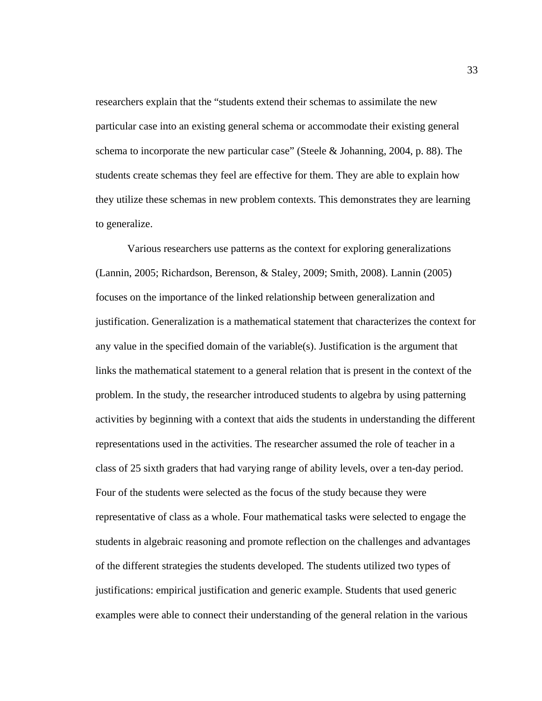researchers explain that the "students extend their schemas to assimilate the new particular case into an existing general schema or accommodate their existing general schema to incorporate the new particular case" (Steele & Johanning, 2004, p. 88). The students create schemas they feel are effective for them. They are able to explain how they utilize these schemas in new problem contexts. This demonstrates they are learning to generalize.

 Various researchers use patterns as the context for exploring generalizations (Lannin, 2005; Richardson, Berenson, & Staley, 2009; Smith, 2008). Lannin (2005) focuses on the importance of the linked relationship between generalization and justification. Generalization is a mathematical statement that characterizes the context for any value in the specified domain of the variable(s). Justification is the argument that links the mathematical statement to a general relation that is present in the context of the problem. In the study, the researcher introduced students to algebra by using patterning activities by beginning with a context that aids the students in understanding the different representations used in the activities. The researcher assumed the role of teacher in a class of 25 sixth graders that had varying range of ability levels, over a ten-day period. Four of the students were selected as the focus of the study because they were representative of class as a whole. Four mathematical tasks were selected to engage the students in algebraic reasoning and promote reflection on the challenges and advantages of the different strategies the students developed. The students utilized two types of justifications: empirical justification and generic example. Students that used generic examples were able to connect their understanding of the general relation in the various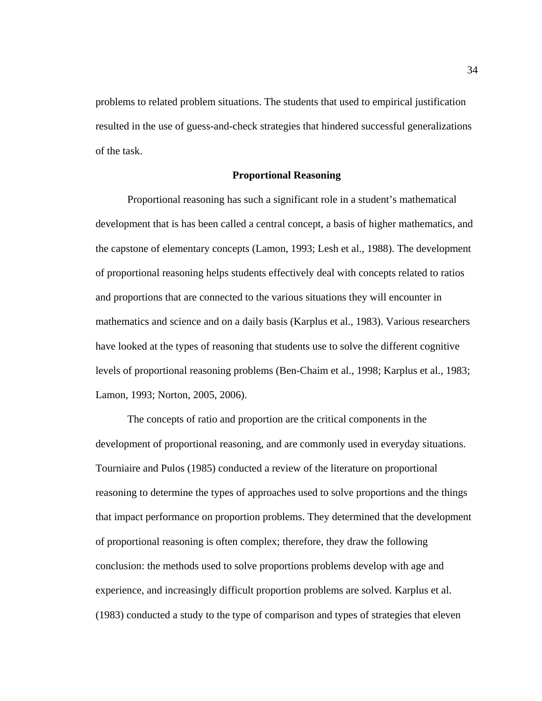problems to related problem situations. The students that used to empirical justification resulted in the use of guess-and-check strategies that hindered successful generalizations of the task.

### **Proportional Reasoning**

Proportional reasoning has such a significant role in a student's mathematical development that is has been called a central concept, a basis of higher mathematics, and the capstone of elementary concepts (Lamon, 1993; Lesh et al., 1988). The development of proportional reasoning helps students effectively deal with concepts related to ratios and proportions that are connected to the various situations they will encounter in mathematics and science and on a daily basis (Karplus et al., 1983). Various researchers have looked at the types of reasoning that students use to solve the different cognitive levels of proportional reasoning problems (Ben-Chaim et al., 1998; Karplus et al., 1983; Lamon, 1993; Norton, 2005, 2006).

 The concepts of ratio and proportion are the critical components in the development of proportional reasoning, and are commonly used in everyday situations. Tourniaire and Pulos (1985) conducted a review of the literature on proportional reasoning to determine the types of approaches used to solve proportions and the things that impact performance on proportion problems. They determined that the development of proportional reasoning is often complex; therefore, they draw the following conclusion: the methods used to solve proportions problems develop with age and experience, and increasingly difficult proportion problems are solved. Karplus et al. (1983) conducted a study to the type of comparison and types of strategies that eleven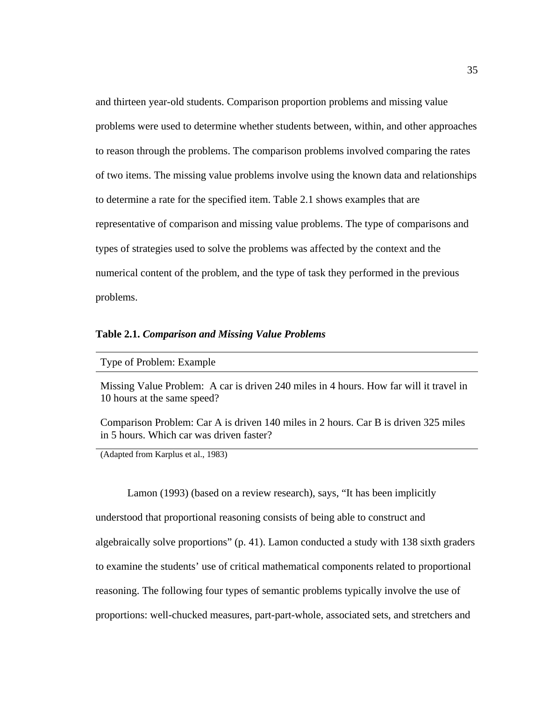and thirteen year-old students. Comparison proportion problems and missing value problems were used to determine whether students between, within, and other approaches to reason through the problems. The comparison problems involved comparing the rates of two items. The missing value problems involve using the known data and relationships to determine a rate for the specified item. Table 2.1 shows examples that are representative of comparison and missing value problems. The type of comparisons and types of strategies used to solve the problems was affected by the context and the numerical content of the problem, and the type of task they performed in the previous problems.

#### **Table 2.1.** *Comparison and Missing Value Problems*

Type of Problem: Example

Missing Value Problem: A car is driven 240 miles in 4 hours. How far will it travel in 10 hours at the same speed?

Comparison Problem: Car A is driven 140 miles in 2 hours. Car B is driven 325 miles in 5 hours. Which car was driven faster?

(Adapted from Karplus et al., 1983)

Lamon (1993) (based on a review research), says, "It has been implicitly understood that proportional reasoning consists of being able to construct and algebraically solve proportions" (p. 41). Lamon conducted a study with 138 sixth graders to examine the students' use of critical mathematical components related to proportional reasoning. The following four types of semantic problems typically involve the use of proportions: well-chucked measures, part-part-whole, associated sets, and stretchers and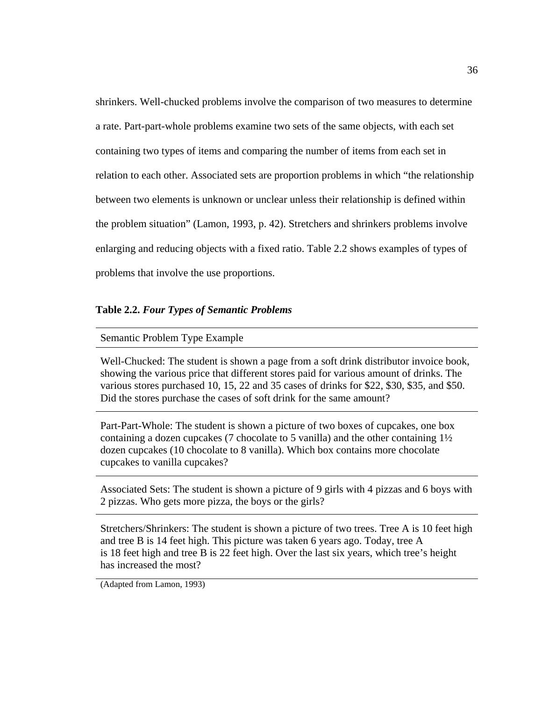shrinkers. Well-chucked problems involve the comparison of two measures to determine a rate. Part-part-whole problems examine two sets of the same objects, with each set containing two types of items and comparing the number of items from each set in relation to each other. Associated sets are proportion problems in which "the relationship between two elements is unknown or unclear unless their relationship is defined within the problem situation" (Lamon, 1993, p. 42). Stretchers and shrinkers problems involve enlarging and reducing objects with a fixed ratio. Table 2.2 shows examples of types of problems that involve the use proportions.

### **Table 2.2.** *Four Types of Semantic Problems*

## Semantic Problem Type Example

Well-Chucked: The student is shown a page from a soft drink distributor invoice book, showing the various price that different stores paid for various amount of drinks. The various stores purchased 10, 15, 22 and 35 cases of drinks for \$22, \$30, \$35, and \$50. Did the stores purchase the cases of soft drink for the same amount?

Part-Part-Whole: The student is shown a picture of two boxes of cupcakes, one box containing a dozen cupcakes (7 chocolate to 5 vanilla) and the other containing 1½ dozen cupcakes (10 chocolate to 8 vanilla). Which box contains more chocolate cupcakes to vanilla cupcakes?

Associated Sets: The student is shown a picture of 9 girls with 4 pizzas and 6 boys with 2 pizzas. Who gets more pizza, the boys or the girls?

Stretchers/Shrinkers: The student is shown a picture of two trees. Tree A is 10 feet high and tree B is 14 feet high. This picture was taken 6 years ago. Today, tree A is 18 feet high and tree B is 22 feet high. Over the last six years, which tree's height has increased the most?

(Adapted from Lamon, 1993)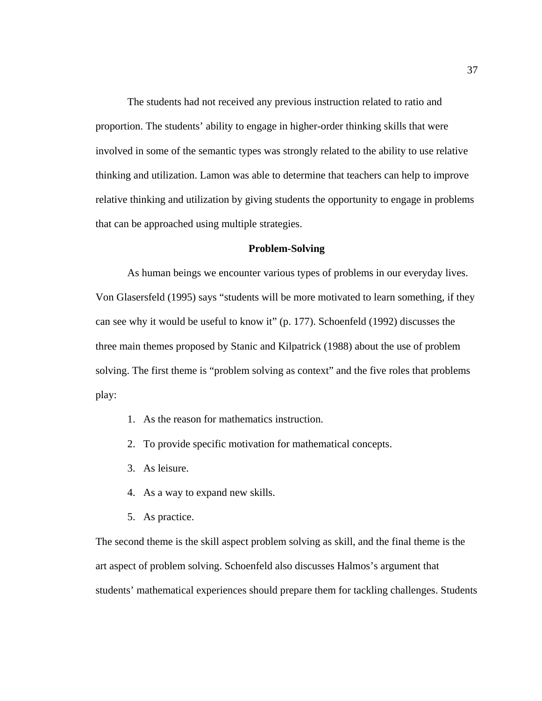The students had not received any previous instruction related to ratio and proportion. The students' ability to engage in higher-order thinking skills that were involved in some of the semantic types was strongly related to the ability to use relative thinking and utilization. Lamon was able to determine that teachers can help to improve relative thinking and utilization by giving students the opportunity to engage in problems that can be approached using multiple strategies.

## **Problem-Solving**

As human beings we encounter various types of problems in our everyday lives. Von Glasersfeld (1995) says "students will be more motivated to learn something, if they can see why it would be useful to know it" (p. 177). Schoenfeld (1992) discusses the three main themes proposed by Stanic and Kilpatrick (1988) about the use of problem solving. The first theme is "problem solving as context" and the five roles that problems play:

- 1. As the reason for mathematics instruction.
- 2. To provide specific motivation for mathematical concepts.
- 3. As leisure.
- 4. As a way to expand new skills.
- 5. As practice.

The second theme is the skill aspect problem solving as skill, and the final theme is the art aspect of problem solving. Schoenfeld also discusses Halmos's argument that students' mathematical experiences should prepare them for tackling challenges. Students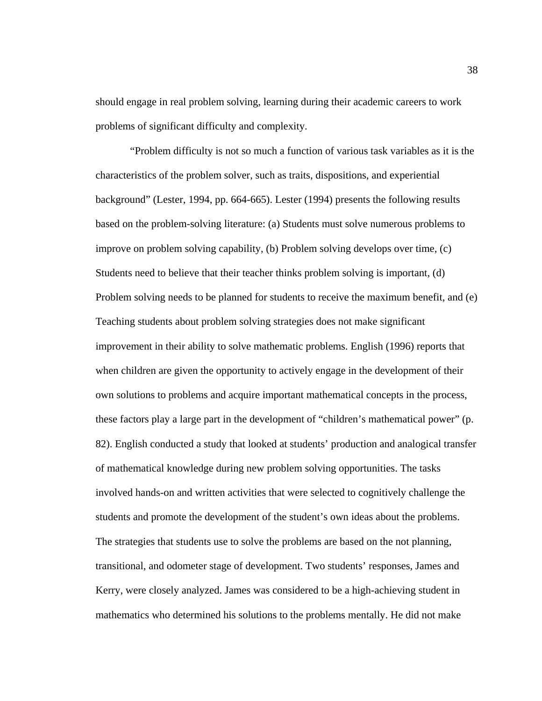should engage in real problem solving, learning during their academic careers to work problems of significant difficulty and complexity.

 "Problem difficulty is not so much a function of various task variables as it is the characteristics of the problem solver, such as traits, dispositions, and experiential background" (Lester, 1994, pp. 664-665). Lester (1994) presents the following results based on the problem-solving literature: (a) Students must solve numerous problems to improve on problem solving capability, (b) Problem solving develops over time, (c) Students need to believe that their teacher thinks problem solving is important, (d) Problem solving needs to be planned for students to receive the maximum benefit, and (e) Teaching students about problem solving strategies does not make significant improvement in their ability to solve mathematic problems. English (1996) reports that when children are given the opportunity to actively engage in the development of their own solutions to problems and acquire important mathematical concepts in the process, these factors play a large part in the development of "children's mathematical power" (p. 82). English conducted a study that looked at students' production and analogical transfer of mathematical knowledge during new problem solving opportunities. The tasks involved hands-on and written activities that were selected to cognitively challenge the students and promote the development of the student's own ideas about the problems. The strategies that students use to solve the problems are based on the not planning, transitional, and odometer stage of development. Two students' responses, James and Kerry, were closely analyzed. James was considered to be a high-achieving student in mathematics who determined his solutions to the problems mentally. He did not make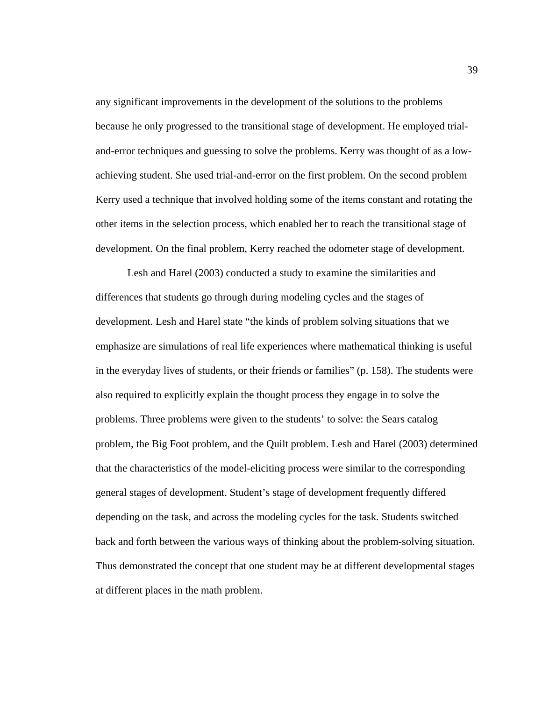any significant improvements in the development of the solutions to the problems because he only progressed to the transitional stage of development. He employed trialand-error techniques and guessing to solve the problems. Kerry was thought of as a lowachieving student. She used trial-and-error on the first problem. On the second problem Kerry used a technique that involved holding some of the items constant and rotating the other items in the selection process, which enabled her to reach the transitional stage of development. On the final problem, Kerry reached the odometer stage of development.

 Lesh and Harel (2003) conducted a study to examine the similarities and differences that students go through during modeling cycles and the stages of development. Lesh and Harel state "the kinds of problem solving situations that we emphasize are simulations of real life experiences where mathematical thinking is useful in the everyday lives of students, or their friends or families" (p. 158). The students were also required to explicitly explain the thought process they engage in to solve the problems. Three problems were given to the students' to solve: the Sears catalog problem, the Big Foot problem, and the Quilt problem. Lesh and Harel (2003) determined that the characteristics of the model-eliciting process were similar to the corresponding general stages of development. Student's stage of development frequently differed depending on the task, and across the modeling cycles for the task. Students switched back and forth between the various ways of thinking about the problem-solving situation. Thus demonstrated the concept that one student may be at different developmental stages at different places in the math problem.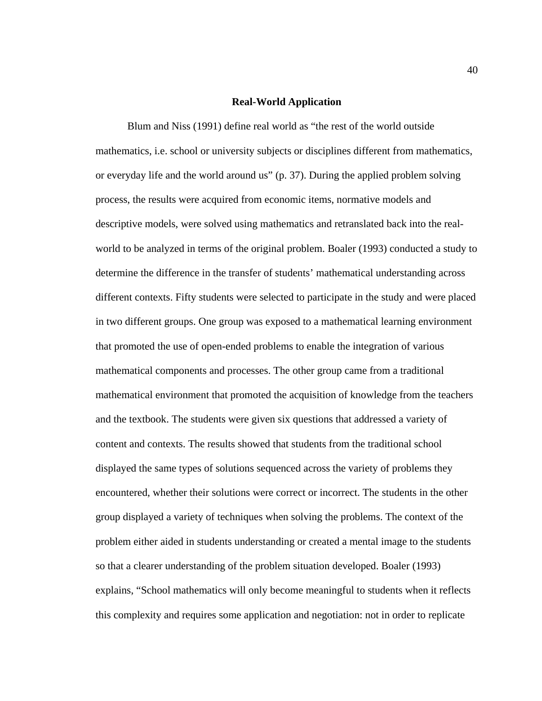#### **Real-World Application**

 Blum and Niss (1991) define real world as "the rest of the world outside mathematics, i.e. school or university subjects or disciplines different from mathematics, or everyday life and the world around us" (p. 37). During the applied problem solving process, the results were acquired from economic items, normative models and descriptive models, were solved using mathematics and retranslated back into the realworld to be analyzed in terms of the original problem. Boaler (1993) conducted a study to determine the difference in the transfer of students' mathematical understanding across different contexts. Fifty students were selected to participate in the study and were placed in two different groups. One group was exposed to a mathematical learning environment that promoted the use of open-ended problems to enable the integration of various mathematical components and processes. The other group came from a traditional mathematical environment that promoted the acquisition of knowledge from the teachers and the textbook. The students were given six questions that addressed a variety of content and contexts. The results showed that students from the traditional school displayed the same types of solutions sequenced across the variety of problems they encountered, whether their solutions were correct or incorrect. The students in the other group displayed a variety of techniques when solving the problems. The context of the problem either aided in students understanding or created a mental image to the students so that a clearer understanding of the problem situation developed. Boaler (1993) explains, "School mathematics will only become meaningful to students when it reflects this complexity and requires some application and negotiation: not in order to replicate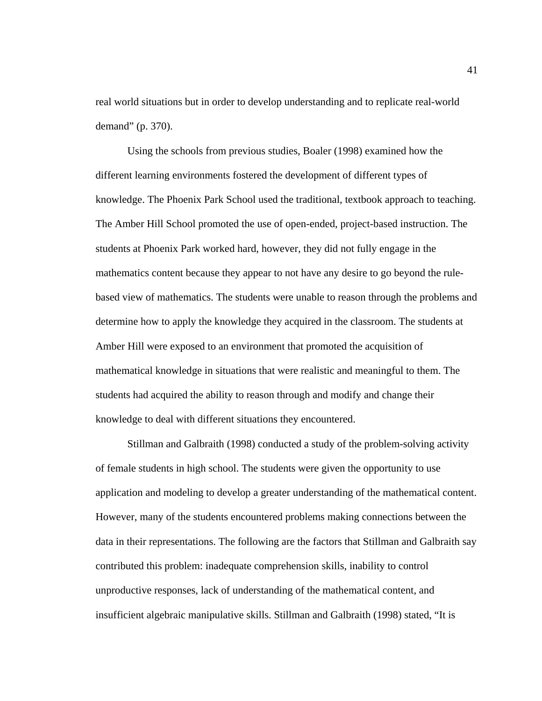real world situations but in order to develop understanding and to replicate real-world demand" (p. 370).

 Using the schools from previous studies, Boaler (1998) examined how the different learning environments fostered the development of different types of knowledge. The Phoenix Park School used the traditional, textbook approach to teaching. The Amber Hill School promoted the use of open-ended, project-based instruction. The students at Phoenix Park worked hard, however, they did not fully engage in the mathematics content because they appear to not have any desire to go beyond the rulebased view of mathematics. The students were unable to reason through the problems and determine how to apply the knowledge they acquired in the classroom. The students at Amber Hill were exposed to an environment that promoted the acquisition of mathematical knowledge in situations that were realistic and meaningful to them. The students had acquired the ability to reason through and modify and change their knowledge to deal with different situations they encountered.

 Stillman and Galbraith (1998) conducted a study of the problem-solving activity of female students in high school. The students were given the opportunity to use application and modeling to develop a greater understanding of the mathematical content. However, many of the students encountered problems making connections between the data in their representations. The following are the factors that Stillman and Galbraith say contributed this problem: inadequate comprehension skills, inability to control unproductive responses, lack of understanding of the mathematical content, and insufficient algebraic manipulative skills. Stillman and Galbraith (1998) stated, "It is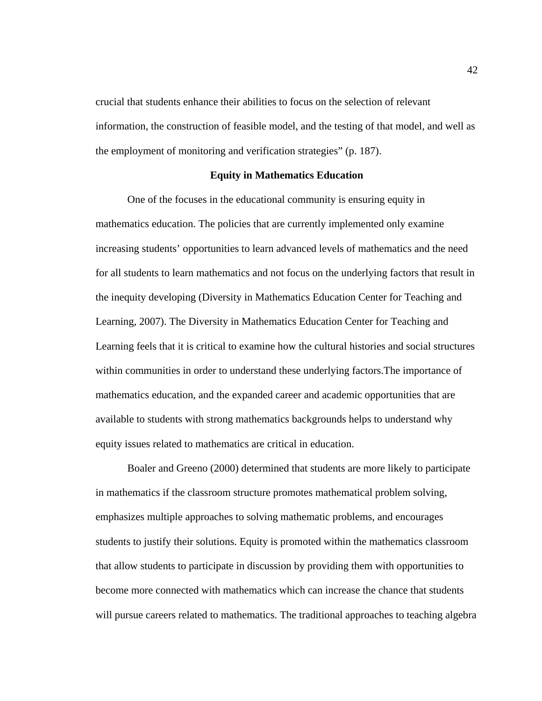crucial that students enhance their abilities to focus on the selection of relevant information, the construction of feasible model, and the testing of that model, and well as the employment of monitoring and verification strategies" (p. 187).

## **Equity in Mathematics Education**

One of the focuses in the educational community is ensuring equity in mathematics education. The policies that are currently implemented only examine increasing students' opportunities to learn advanced levels of mathematics and the need for all students to learn mathematics and not focus on the underlying factors that result in the inequity developing (Diversity in Mathematics Education Center for Teaching and Learning, 2007). The Diversity in Mathematics Education Center for Teaching and Learning feels that it is critical to examine how the cultural histories and social structures within communities in order to understand these underlying factors.The importance of mathematics education, and the expanded career and academic opportunities that are available to students with strong mathematics backgrounds helps to understand why equity issues related to mathematics are critical in education.

Boaler and Greeno (2000) determined that students are more likely to participate in mathematics if the classroom structure promotes mathematical problem solving, emphasizes multiple approaches to solving mathematic problems, and encourages students to justify their solutions. Equity is promoted within the mathematics classroom that allow students to participate in discussion by providing them with opportunities to become more connected with mathematics which can increase the chance that students will pursue careers related to mathematics. The traditional approaches to teaching algebra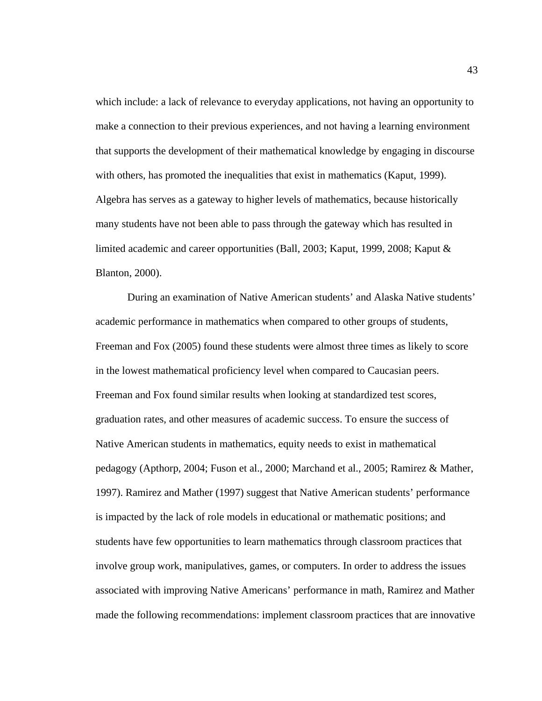which include: a lack of relevance to everyday applications, not having an opportunity to make a connection to their previous experiences, and not having a learning environment that supports the development of their mathematical knowledge by engaging in discourse with others, has promoted the inequalities that exist in mathematics (Kaput, 1999). Algebra has serves as a gateway to higher levels of mathematics, because historically many students have not been able to pass through the gateway which has resulted in limited academic and career opportunities (Ball, 2003; Kaput, 1999, 2008; Kaput & Blanton, 2000).

During an examination of Native American students' and Alaska Native students' academic performance in mathematics when compared to other groups of students, Freeman and Fox (2005) found these students were almost three times as likely to score in the lowest mathematical proficiency level when compared to Caucasian peers. Freeman and Fox found similar results when looking at standardized test scores, graduation rates, and other measures of academic success. To ensure the success of Native American students in mathematics, equity needs to exist in mathematical pedagogy (Apthorp, 2004; Fuson et al., 2000; Marchand et al., 2005; Ramirez & Mather, 1997). Ramirez and Mather (1997) suggest that Native American students' performance is impacted by the lack of role models in educational or mathematic positions; and students have few opportunities to learn mathematics through classroom practices that involve group work, manipulatives, games, or computers. In order to address the issues associated with improving Native Americans' performance in math, Ramirez and Mather made the following recommendations: implement classroom practices that are innovative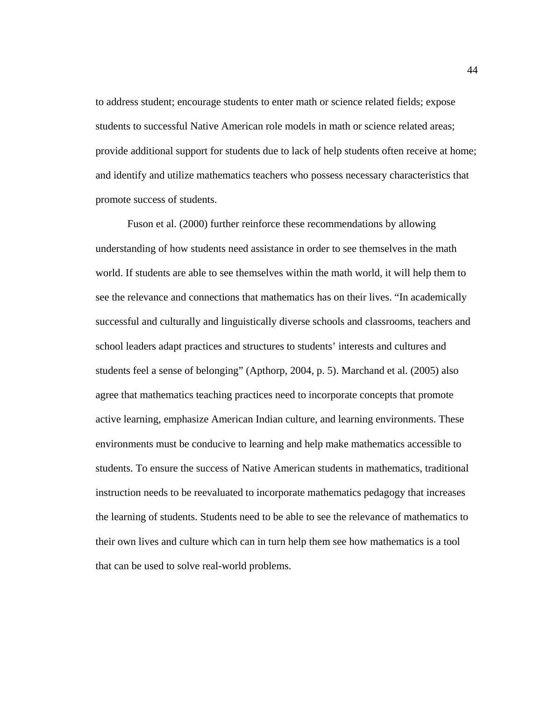to address student; encourage students to enter math or science related fields; expose students to successful Native American role models in math or science related areas; provide additional support for students due to lack of help students often receive at home; and identify and utilize mathematics teachers who possess necessary characteristics that promote success of students.

Fuson et al. (2000) further reinforce these recommendations by allowing understanding of how students need assistance in order to see themselves in the math world. If students are able to see themselves within the math world, it will help them to see the relevance and connections that mathematics has on their lives. "In academically successful and culturally and linguistically diverse schools and classrooms, teachers and school leaders adapt practices and structures to students' interests and cultures and students feel a sense of belonging" (Apthorp, 2004, p. 5). Marchand et al. (2005) also agree that mathematics teaching practices need to incorporate concepts that promote active learning, emphasize American Indian culture, and learning environments. These environments must be conducive to learning and help make mathematics accessible to students. To ensure the success of Native American students in mathematics, traditional instruction needs to be reevaluated to incorporate mathematics pedagogy that increases the learning of students. Students need to be able to see the relevance of mathematics to their own lives and culture which can in turn help them see how mathematics is a tool that can be used to solve real-world problems.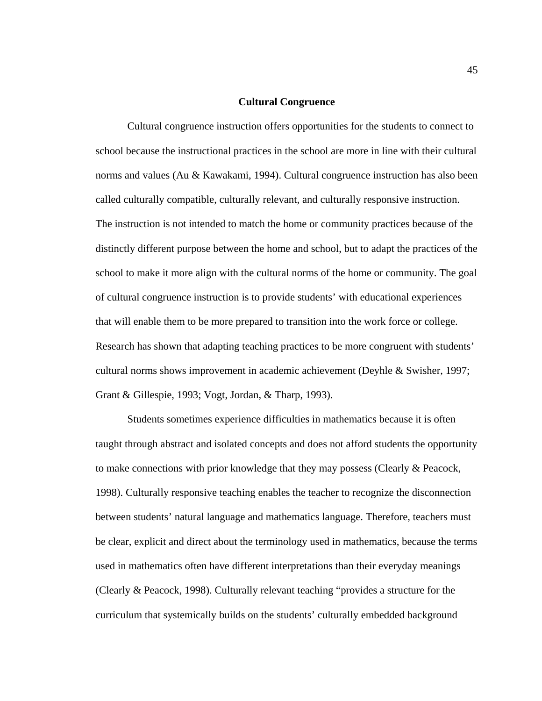#### **Cultural Congruence**

Cultural congruence instruction offers opportunities for the students to connect to school because the instructional practices in the school are more in line with their cultural norms and values (Au & Kawakami, 1994). Cultural congruence instruction has also been called culturally compatible, culturally relevant, and culturally responsive instruction. The instruction is not intended to match the home or community practices because of the distinctly different purpose between the home and school, but to adapt the practices of the school to make it more align with the cultural norms of the home or community. The goal of cultural congruence instruction is to provide students' with educational experiences that will enable them to be more prepared to transition into the work force or college. Research has shown that adapting teaching practices to be more congruent with students' cultural norms shows improvement in academic achievement (Deyhle & Swisher, 1997; Grant & Gillespie, 1993; Vogt, Jordan, & Tharp, 1993).

Students sometimes experience difficulties in mathematics because it is often taught through abstract and isolated concepts and does not afford students the opportunity to make connections with prior knowledge that they may possess (Clearly & Peacock, 1998). Culturally responsive teaching enables the teacher to recognize the disconnection between students' natural language and mathematics language. Therefore, teachers must be clear, explicit and direct about the terminology used in mathematics, because the terms used in mathematics often have different interpretations than their everyday meanings (Clearly & Peacock, 1998). Culturally relevant teaching "provides a structure for the curriculum that systemically builds on the students' culturally embedded background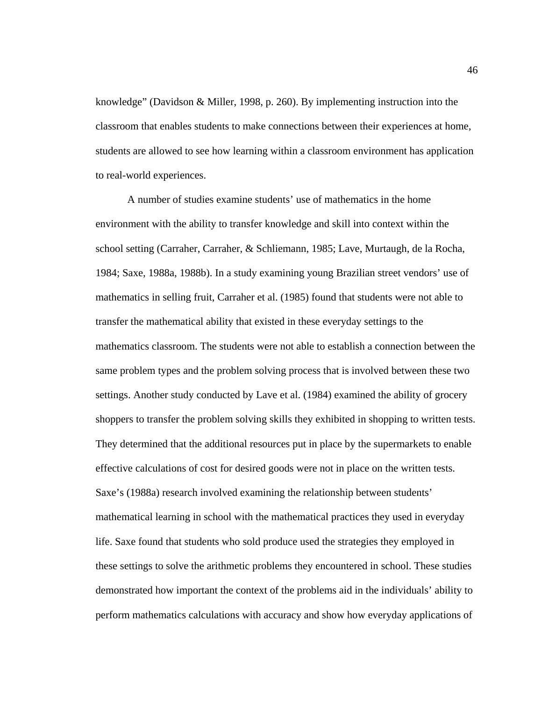knowledge" (Davidson & Miller, 1998, p. 260). By implementing instruction into the classroom that enables students to make connections between their experiences at home, students are allowed to see how learning within a classroom environment has application to real-world experiences.

A number of studies examine students' use of mathematics in the home environment with the ability to transfer knowledge and skill into context within the school setting (Carraher, Carraher, & Schliemann, 1985; Lave, Murtaugh, de la Rocha, 1984; Saxe, 1988a, 1988b). In a study examining young Brazilian street vendors' use of mathematics in selling fruit, Carraher et al. (1985) found that students were not able to transfer the mathematical ability that existed in these everyday settings to the mathematics classroom. The students were not able to establish a connection between the same problem types and the problem solving process that is involved between these two settings. Another study conducted by Lave et al. (1984) examined the ability of grocery shoppers to transfer the problem solving skills they exhibited in shopping to written tests. They determined that the additional resources put in place by the supermarkets to enable effective calculations of cost for desired goods were not in place on the written tests. Saxe's (1988a) research involved examining the relationship between students' mathematical learning in school with the mathematical practices they used in everyday life. Saxe found that students who sold produce used the strategies they employed in these settings to solve the arithmetic problems they encountered in school. These studies demonstrated how important the context of the problems aid in the individuals' ability to perform mathematics calculations with accuracy and show how everyday applications of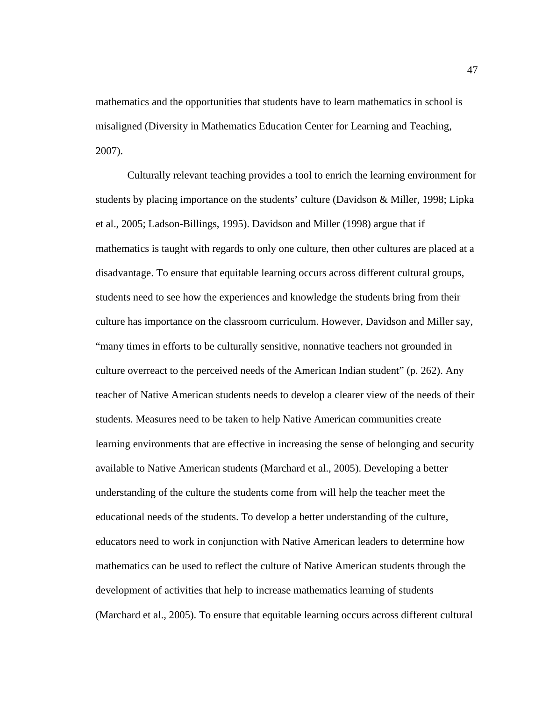mathematics and the opportunities that students have to learn mathematics in school is misaligned (Diversity in Mathematics Education Center for Learning and Teaching, 2007).

Culturally relevant teaching provides a tool to enrich the learning environment for students by placing importance on the students' culture (Davidson & Miller, 1998; Lipka et al., 2005; Ladson-Billings, 1995). Davidson and Miller (1998) argue that if mathematics is taught with regards to only one culture, then other cultures are placed at a disadvantage. To ensure that equitable learning occurs across different cultural groups, students need to see how the experiences and knowledge the students bring from their culture has importance on the classroom curriculum. However, Davidson and Miller say, "many times in efforts to be culturally sensitive, nonnative teachers not grounded in culture overreact to the perceived needs of the American Indian student" (p. 262). Any teacher of Native American students needs to develop a clearer view of the needs of their students. Measures need to be taken to help Native American communities create learning environments that are effective in increasing the sense of belonging and security available to Native American students (Marchard et al., 2005). Developing a better understanding of the culture the students come from will help the teacher meet the educational needs of the students. To develop a better understanding of the culture, educators need to work in conjunction with Native American leaders to determine how mathematics can be used to reflect the culture of Native American students through the development of activities that help to increase mathematics learning of students (Marchard et al., 2005). To ensure that equitable learning occurs across different cultural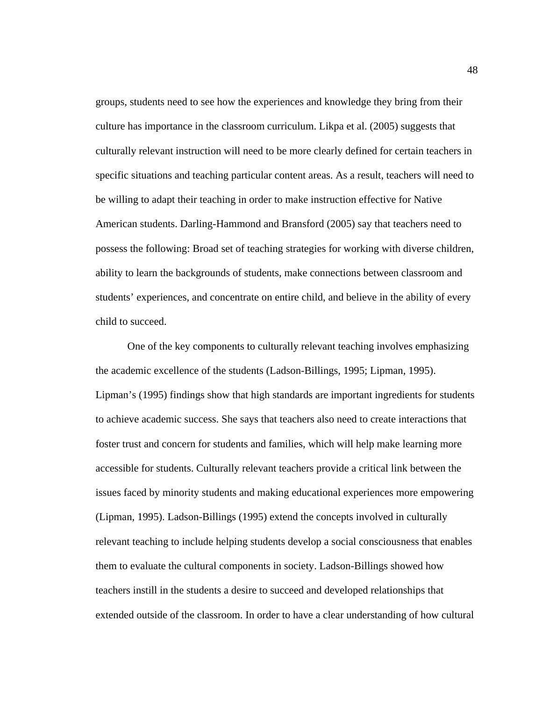groups, students need to see how the experiences and knowledge they bring from their culture has importance in the classroom curriculum. Likpa et al. (2005) suggests that culturally relevant instruction will need to be more clearly defined for certain teachers in specific situations and teaching particular content areas. As a result, teachers will need to be willing to adapt their teaching in order to make instruction effective for Native American students. Darling-Hammond and Bransford (2005) say that teachers need to possess the following: Broad set of teaching strategies for working with diverse children, ability to learn the backgrounds of students, make connections between classroom and students' experiences, and concentrate on entire child, and believe in the ability of every child to succeed.

One of the key components to culturally relevant teaching involves emphasizing the academic excellence of the students (Ladson-Billings, 1995; Lipman, 1995). Lipman's (1995) findings show that high standards are important ingredients for students to achieve academic success. She says that teachers also need to create interactions that foster trust and concern for students and families, which will help make learning more accessible for students. Culturally relevant teachers provide a critical link between the issues faced by minority students and making educational experiences more empowering (Lipman, 1995). Ladson-Billings (1995) extend the concepts involved in culturally relevant teaching to include helping students develop a social consciousness that enables them to evaluate the cultural components in society. Ladson-Billings showed how teachers instill in the students a desire to succeed and developed relationships that extended outside of the classroom. In order to have a clear understanding of how cultural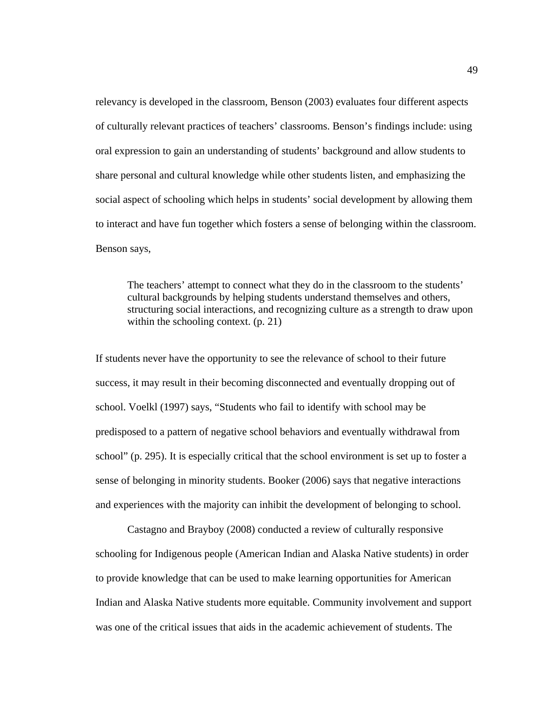relevancy is developed in the classroom, Benson (2003) evaluates four different aspects of culturally relevant practices of teachers' classrooms. Benson's findings include: using oral expression to gain an understanding of students' background and allow students to share personal and cultural knowledge while other students listen, and emphasizing the social aspect of schooling which helps in students' social development by allowing them to interact and have fun together which fosters a sense of belonging within the classroom. Benson says,

The teachers' attempt to connect what they do in the classroom to the students' cultural backgrounds by helping students understand themselves and others, structuring social interactions, and recognizing culture as a strength to draw upon within the schooling context. (p. 21)

If students never have the opportunity to see the relevance of school to their future success, it may result in their becoming disconnected and eventually dropping out of school. Voelkl (1997) says, "Students who fail to identify with school may be predisposed to a pattern of negative school behaviors and eventually withdrawal from school" (p. 295). It is especially critical that the school environment is set up to foster a sense of belonging in minority students. Booker (2006) says that negative interactions and experiences with the majority can inhibit the development of belonging to school.

Castagno and Brayboy (2008) conducted a review of culturally responsive schooling for Indigenous people (American Indian and Alaska Native students) in order to provide knowledge that can be used to make learning opportunities for American Indian and Alaska Native students more equitable. Community involvement and support was one of the critical issues that aids in the academic achievement of students. The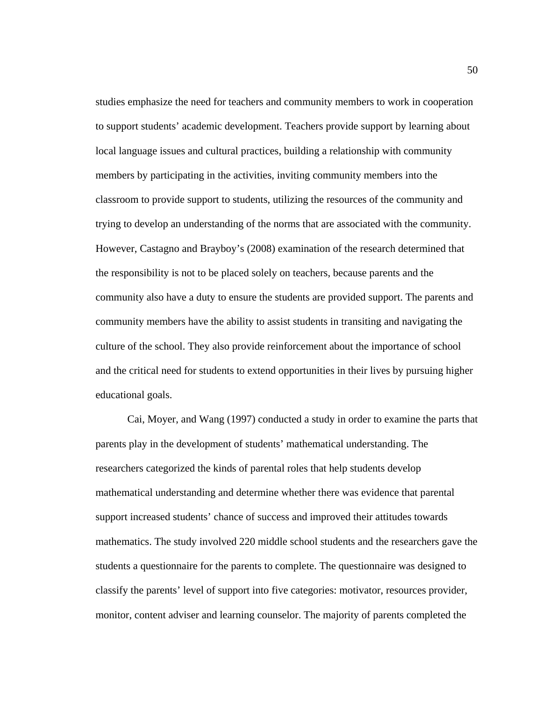studies emphasize the need for teachers and community members to work in cooperation to support students' academic development. Teachers provide support by learning about local language issues and cultural practices, building a relationship with community members by participating in the activities, inviting community members into the classroom to provide support to students, utilizing the resources of the community and trying to develop an understanding of the norms that are associated with the community. However, Castagno and Brayboy's (2008) examination of the research determined that the responsibility is not to be placed solely on teachers, because parents and the community also have a duty to ensure the students are provided support. The parents and community members have the ability to assist students in transiting and navigating the culture of the school. They also provide reinforcement about the importance of school and the critical need for students to extend opportunities in their lives by pursuing higher educational goals.

 Cai, Moyer, and Wang (1997) conducted a study in order to examine the parts that parents play in the development of students' mathematical understanding. The researchers categorized the kinds of parental roles that help students develop mathematical understanding and determine whether there was evidence that parental support increased students' chance of success and improved their attitudes towards mathematics. The study involved 220 middle school students and the researchers gave the students a questionnaire for the parents to complete. The questionnaire was designed to classify the parents' level of support into five categories: motivator, resources provider, monitor, content adviser and learning counselor. The majority of parents completed the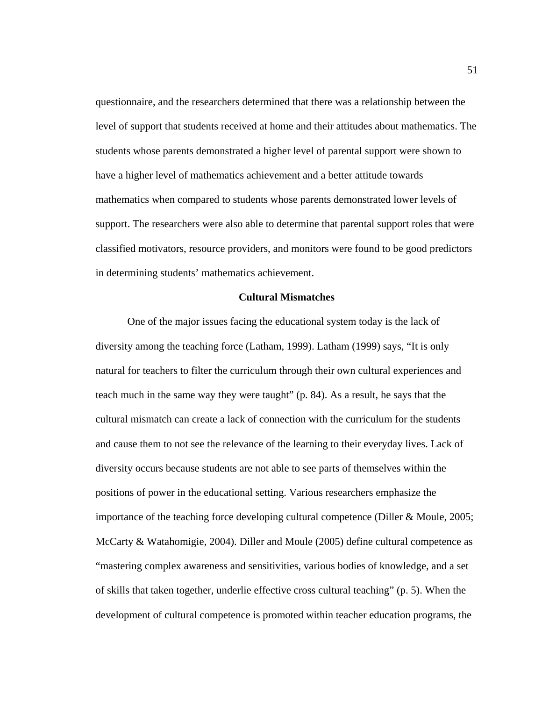questionnaire, and the researchers determined that there was a relationship between the level of support that students received at home and their attitudes about mathematics. The students whose parents demonstrated a higher level of parental support were shown to have a higher level of mathematics achievement and a better attitude towards mathematics when compared to students whose parents demonstrated lower levels of support. The researchers were also able to determine that parental support roles that were classified motivators, resource providers, and monitors were found to be good predictors in determining students' mathematics achievement.

#### **Cultural Mismatches**

One of the major issues facing the educational system today is the lack of diversity among the teaching force (Latham, 1999). Latham (1999) says, "It is only natural for teachers to filter the curriculum through their own cultural experiences and teach much in the same way they were taught" (p. 84). As a result, he says that the cultural mismatch can create a lack of connection with the curriculum for the students and cause them to not see the relevance of the learning to their everyday lives. Lack of diversity occurs because students are not able to see parts of themselves within the positions of power in the educational setting. Various researchers emphasize the importance of the teaching force developing cultural competence (Diller & Moule, 2005; McCarty & Watahomigie, 2004). Diller and Moule (2005) define cultural competence as "mastering complex awareness and sensitivities, various bodies of knowledge, and a set of skills that taken together, underlie effective cross cultural teaching" (p. 5). When the development of cultural competence is promoted within teacher education programs, the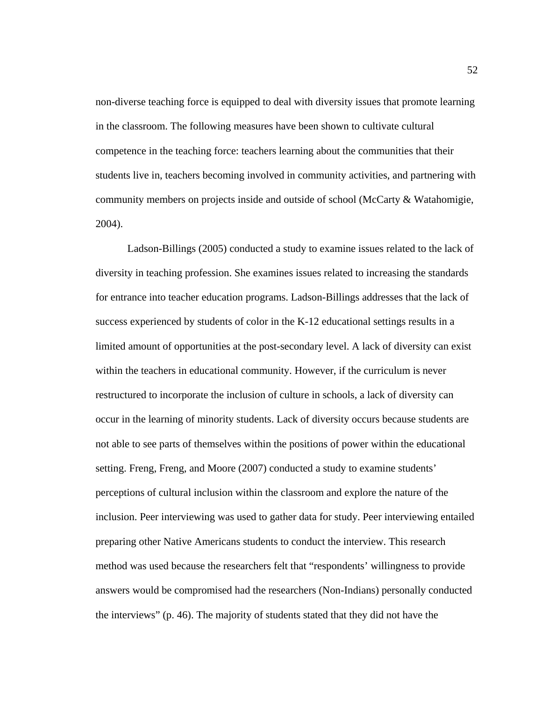non-diverse teaching force is equipped to deal with diversity issues that promote learning in the classroom. The following measures have been shown to cultivate cultural competence in the teaching force: teachers learning about the communities that their students live in, teachers becoming involved in community activities, and partnering with community members on projects inside and outside of school (McCarty & Watahomigie, 2004).

Ladson-Billings (2005) conducted a study to examine issues related to the lack of diversity in teaching profession. She examines issues related to increasing the standards for entrance into teacher education programs. Ladson-Billings addresses that the lack of success experienced by students of color in the K-12 educational settings results in a limited amount of opportunities at the post-secondary level. A lack of diversity can exist within the teachers in educational community. However, if the curriculum is never restructured to incorporate the inclusion of culture in schools, a lack of diversity can occur in the learning of minority students. Lack of diversity occurs because students are not able to see parts of themselves within the positions of power within the educational setting. Freng, Freng, and Moore (2007) conducted a study to examine students' perceptions of cultural inclusion within the classroom and explore the nature of the inclusion. Peer interviewing was used to gather data for study. Peer interviewing entailed preparing other Native Americans students to conduct the interview. This research method was used because the researchers felt that "respondents' willingness to provide answers would be compromised had the researchers (Non-Indians) personally conducted the interviews" (p. 46). The majority of students stated that they did not have the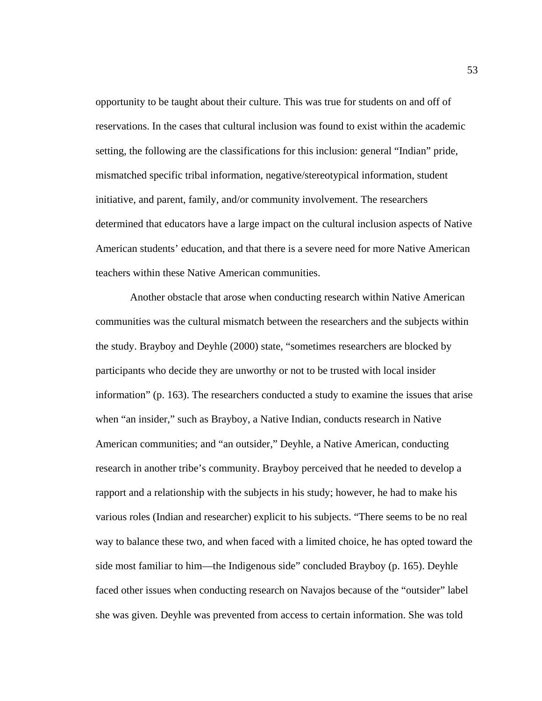opportunity to be taught about their culture. This was true for students on and off of reservations. In the cases that cultural inclusion was found to exist within the academic setting, the following are the classifications for this inclusion: general "Indian" pride, mismatched specific tribal information, negative/stereotypical information, student initiative, and parent, family, and/or community involvement. The researchers determined that educators have a large impact on the cultural inclusion aspects of Native American students' education, and that there is a severe need for more Native American teachers within these Native American communities.

 Another obstacle that arose when conducting research within Native American communities was the cultural mismatch between the researchers and the subjects within the study. Brayboy and Deyhle (2000) state, "sometimes researchers are blocked by participants who decide they are unworthy or not to be trusted with local insider information" (p. 163). The researchers conducted a study to examine the issues that arise when "an insider," such as Brayboy, a Native Indian, conducts research in Native American communities; and "an outsider," Deyhle, a Native American, conducting research in another tribe's community. Brayboy perceived that he needed to develop a rapport and a relationship with the subjects in his study; however, he had to make his various roles (Indian and researcher) explicit to his subjects. "There seems to be no real way to balance these two, and when faced with a limited choice, he has opted toward the side most familiar to him—the Indigenous side" concluded Brayboy (p. 165). Deyhle faced other issues when conducting research on Navajos because of the "outsider" label she was given. Deyhle was prevented from access to certain information. She was told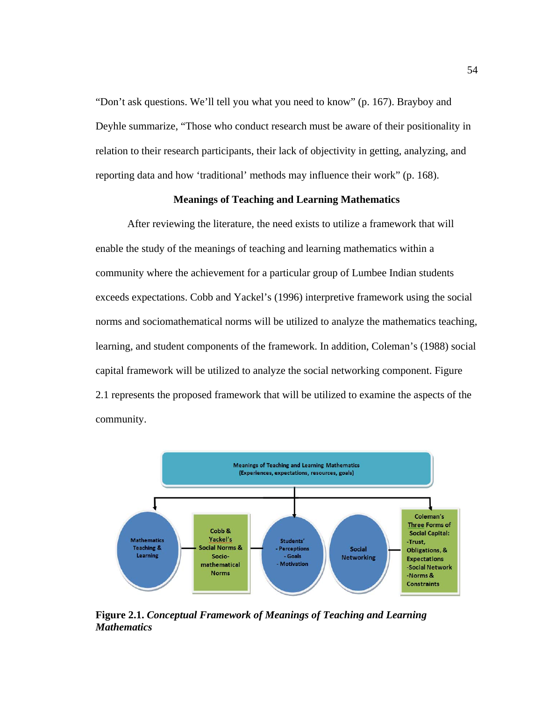"Don't ask questions. We'll tell you what you need to know" (p. 167). Brayboy and Deyhle summarize, "Those who conduct research must be aware of their positionality in relation to their research participants, their lack of objectivity in getting, analyzing, and reporting data and how 'traditional' methods may influence their work" (p. 168).

# **Meanings of Teaching and Learning Mathematics**

After reviewing the literature, the need exists to utilize a framework that will enable the study of the meanings of teaching and learning mathematics within a community where the achievement for a particular group of Lumbee Indian students exceeds expectations. Cobb and Yackel's (1996) interpretive framework using the social norms and sociomathematical norms will be utilized to analyze the mathematics teaching, learning, and student components of the framework. In addition, Coleman's (1988) social capital framework will be utilized to analyze the social networking component. Figure 2.1 represents the proposed framework that will be utilized to examine the aspects of the community.



**Figure 2.1.** *Conceptual Framework of Meanings of Teaching and Learning Mathematics*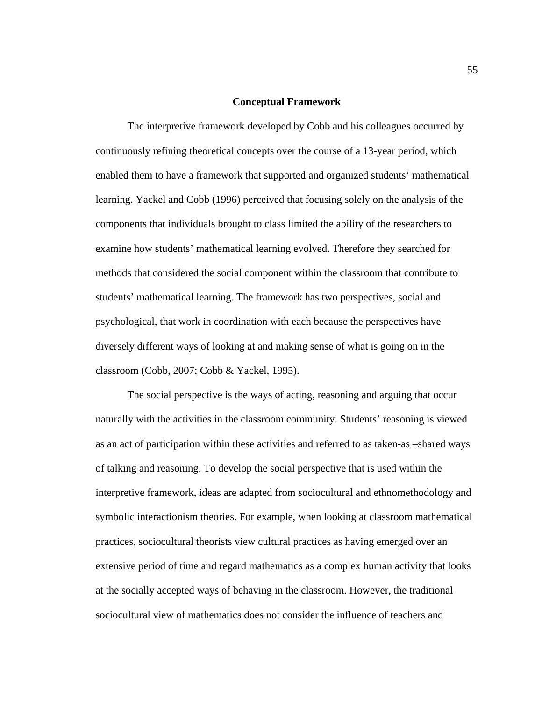#### **Conceptual Framework**

The interpretive framework developed by Cobb and his colleagues occurred by continuously refining theoretical concepts over the course of a 13-year period, which enabled them to have a framework that supported and organized students' mathematical learning. Yackel and Cobb (1996) perceived that focusing solely on the analysis of the components that individuals brought to class limited the ability of the researchers to examine how students' mathematical learning evolved. Therefore they searched for methods that considered the social component within the classroom that contribute to students' mathematical learning. The framework has two perspectives, social and psychological, that work in coordination with each because the perspectives have diversely different ways of looking at and making sense of what is going on in the classroom (Cobb, 2007; Cobb & Yackel, 1995).

The social perspective is the ways of acting, reasoning and arguing that occur naturally with the activities in the classroom community. Students' reasoning is viewed as an act of participation within these activities and referred to as taken-as –shared ways of talking and reasoning. To develop the social perspective that is used within the interpretive framework, ideas are adapted from sociocultural and ethnomethodology and symbolic interactionism theories. For example, when looking at classroom mathematical practices, sociocultural theorists view cultural practices as having emerged over an extensive period of time and regard mathematics as a complex human activity that looks at the socially accepted ways of behaving in the classroom. However, the traditional sociocultural view of mathematics does not consider the influence of teachers and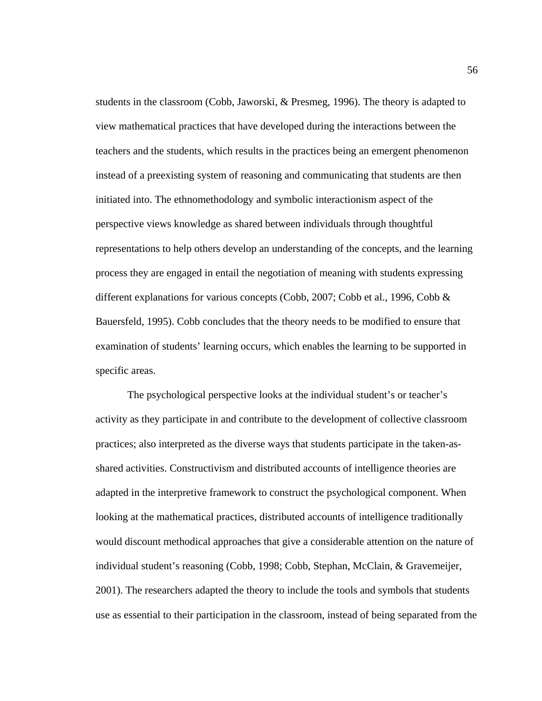students in the classroom (Cobb, Jaworski, & Presmeg, 1996). The theory is adapted to view mathematical practices that have developed during the interactions between the teachers and the students, which results in the practices being an emergent phenomenon instead of a preexisting system of reasoning and communicating that students are then initiated into. The ethnomethodology and symbolic interactionism aspect of the perspective views knowledge as shared between individuals through thoughtful representations to help others develop an understanding of the concepts, and the learning process they are engaged in entail the negotiation of meaning with students expressing different explanations for various concepts (Cobb, 2007; Cobb et al., 1996, Cobb & Bauersfeld, 1995). Cobb concludes that the theory needs to be modified to ensure that examination of students' learning occurs, which enables the learning to be supported in specific areas.

The psychological perspective looks at the individual student's or teacher's activity as they participate in and contribute to the development of collective classroom practices; also interpreted as the diverse ways that students participate in the taken-asshared activities. Constructivism and distributed accounts of intelligence theories are adapted in the interpretive framework to construct the psychological component. When looking at the mathematical practices, distributed accounts of intelligence traditionally would discount methodical approaches that give a considerable attention on the nature of individual student's reasoning (Cobb, 1998; Cobb, Stephan, McClain, & Gravemeijer, 2001). The researchers adapted the theory to include the tools and symbols that students use as essential to their participation in the classroom, instead of being separated from the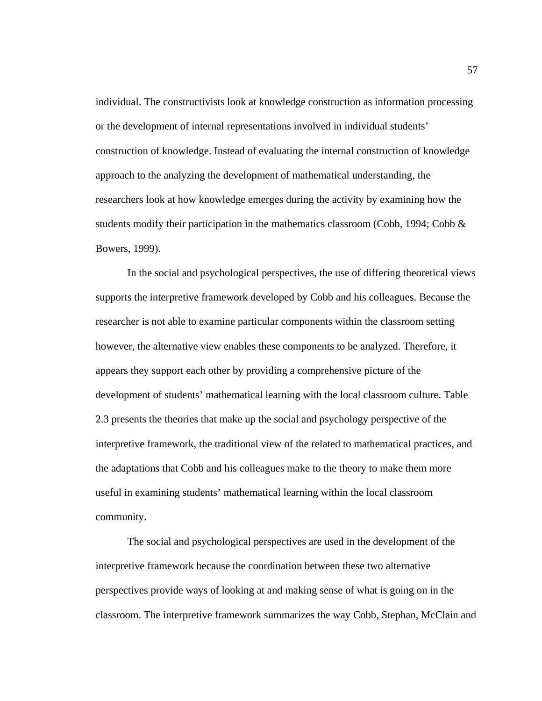individual. The constructivists look at knowledge construction as information processing or the development of internal representations involved in individual students' construction of knowledge. Instead of evaluating the internal construction of knowledge approach to the analyzing the development of mathematical understanding, the researchers look at how knowledge emerges during the activity by examining how the students modify their participation in the mathematics classroom (Cobb, 1994; Cobb  $\&$ Bowers, 1999).

In the social and psychological perspectives, the use of differing theoretical views supports the interpretive framework developed by Cobb and his colleagues. Because the researcher is not able to examine particular components within the classroom setting however, the alternative view enables these components to be analyzed. Therefore, it appears they support each other by providing a comprehensive picture of the development of students' mathematical learning with the local classroom culture. Table 2.3 presents the theories that make up the social and psychology perspective of the interpretive framework, the traditional view of the related to mathematical practices, and the adaptations that Cobb and his colleagues make to the theory to make them more useful in examining students' mathematical learning within the local classroom community.

The social and psychological perspectives are used in the development of the interpretive framework because the coordination between these two alternative perspectives provide ways of looking at and making sense of what is going on in the classroom. The interpretive framework summarizes the way Cobb, Stephan, McClain and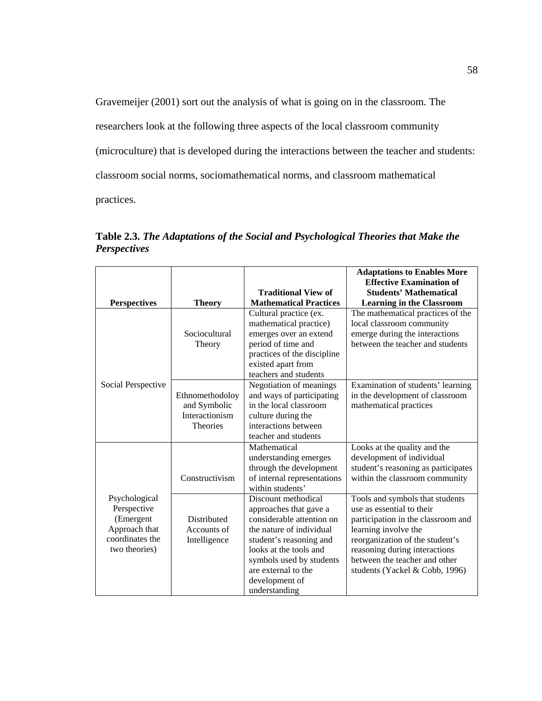Gravemeijer (2001) sort out the analysis of what is going on in the classroom. The researchers look at the following three aspects of the local classroom community (microculture) that is developed during the interactions between the teacher and students: classroom social norms, sociomathematical norms, and classroom mathematical practices.

**Table 2.3.** *The Adaptations of the Social and Psychological Theories that Make the Perspectives*   $\blacksquare$ **Adaptations to Enables More** 

|                                                                                                |                                                                      | <b>Traditional View of</b>                                                                                                                                                                                                                        | <b>Adaptations to Enables More</b><br><b>Effective Examination of</b><br><b>Students' Mathematical</b>                                                                                                                                                            |
|------------------------------------------------------------------------------------------------|----------------------------------------------------------------------|---------------------------------------------------------------------------------------------------------------------------------------------------------------------------------------------------------------------------------------------------|-------------------------------------------------------------------------------------------------------------------------------------------------------------------------------------------------------------------------------------------------------------------|
| <b>Perspectives</b>                                                                            | <b>Theory</b>                                                        | <b>Mathematical Practices</b>                                                                                                                                                                                                                     | <b>Learning in the Classroom</b>                                                                                                                                                                                                                                  |
| Social Perspective                                                                             | Sociocultural<br>Theory                                              | Cultural practice (ex.<br>mathematical practice)<br>emerges over an extend<br>period of time and<br>practices of the discipline<br>existed apart from<br>teachers and students                                                                    | The mathematical practices of the<br>local classroom community<br>emerge during the interactions<br>between the teacher and students                                                                                                                              |
|                                                                                                | Ethnomethodoloy<br>and Symbolic<br>Interactionism<br><b>Theories</b> | Negotiation of meanings<br>and ways of participating<br>in the local classroom<br>culture during the<br>interactions between<br>teacher and students                                                                                              | Examination of students' learning<br>in the development of classroom<br>mathematical practices                                                                                                                                                                    |
|                                                                                                | Constructivism                                                       | Mathematical<br>understanding emerges<br>through the development<br>of internal representations<br>within students'                                                                                                                               | Looks at the quality and the<br>development of individual<br>student's reasoning as participates<br>within the classroom community                                                                                                                                |
| Psychological<br>Perspective<br>(Emergent<br>Approach that<br>coordinates the<br>two theories) | Distributed<br>Accounts of<br>Intelligence                           | Discount methodical<br>approaches that gave a<br>considerable attention on<br>the nature of individual<br>student's reasoning and<br>looks at the tools and<br>symbols used by students<br>are external to the<br>development of<br>understanding | Tools and symbols that students<br>use as essential to their<br>participation in the classroom and<br>learning involve the<br>reorganization of the student's<br>reasoning during interactions<br>between the teacher and other<br>students (Yackel & Cobb, 1996) |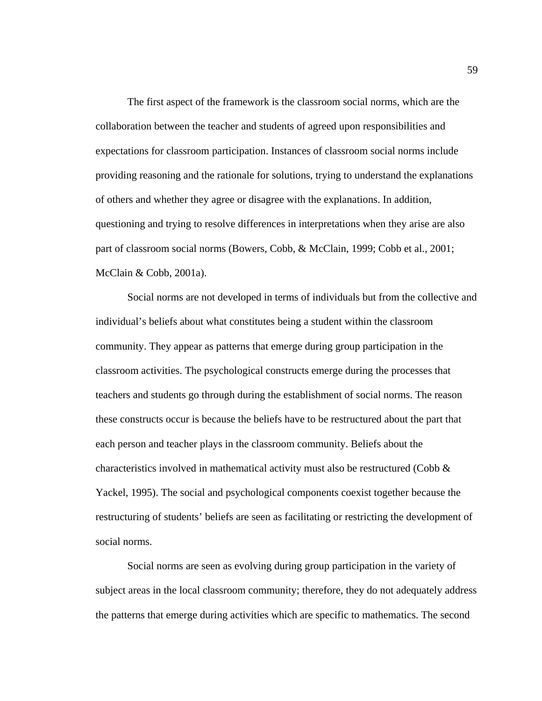The first aspect of the framework is the classroom social norms, which are the collaboration between the teacher and students of agreed upon responsibilities and expectations for classroom participation. Instances of classroom social norms include providing reasoning and the rationale for solutions, trying to understand the explanations of others and whether they agree or disagree with the explanations. In addition, questioning and trying to resolve differences in interpretations when they arise are also part of classroom social norms (Bowers, Cobb, & McClain, 1999; Cobb et al., 2001; McClain & Cobb, 2001a).

Social norms are not developed in terms of individuals but from the collective and individual's beliefs about what constitutes being a student within the classroom community. They appear as patterns that emerge during group participation in the classroom activities. The psychological constructs emerge during the processes that teachers and students go through during the establishment of social norms. The reason these constructs occur is because the beliefs have to be restructured about the part that each person and teacher plays in the classroom community. Beliefs about the characteristics involved in mathematical activity must also be restructured (Cobb  $\&$ Yackel, 1995). The social and psychological components coexist together because the restructuring of students' beliefs are seen as facilitating or restricting the development of social norms.

Social norms are seen as evolving during group participation in the variety of subject areas in the local classroom community; therefore, they do not adequately address the patterns that emerge during activities which are specific to mathematics. The second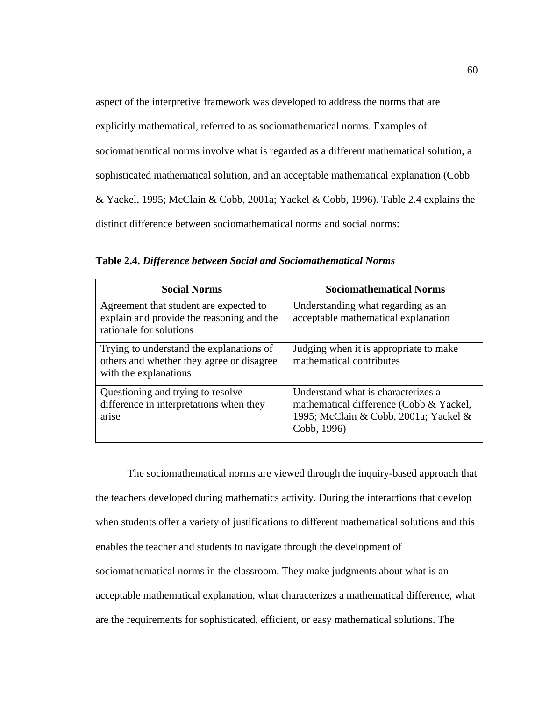aspect of the interpretive framework was developed to address the norms that are

explicitly mathematical, referred to as sociomathematical norms. Examples of

sociomathemtical norms involve what is regarded as a different mathematical solution, a

sophisticated mathematical solution, and an acceptable mathematical explanation (Cobb

& Yackel, 1995; McClain & Cobb, 2001a; Yackel & Cobb, 1996). Table 2.4 explains the

distinct difference between sociomathematical norms and social norms:

| <b>Social Norms</b>                                                                                            | <b>Sociomathematical Norms</b>                                                                                                        |
|----------------------------------------------------------------------------------------------------------------|---------------------------------------------------------------------------------------------------------------------------------------|
| Agreement that student are expected to<br>explain and provide the reasoning and the<br>rationale for solutions | Understanding what regarding as an<br>acceptable mathematical explanation                                                             |
| Trying to understand the explanations of<br>others and whether they agree or disagree<br>with the explanations | Judging when it is appropriate to make<br>mathematical contributes                                                                    |
| Questioning and trying to resolve<br>difference in interpretations when they<br>arise                          | Understand what is characterizes a<br>mathematical difference (Cobb & Yackel,<br>1995; McClain & Cobb, 2001a; Yackel &<br>Cobb, 1996) |

**Table 2.4.** *Difference between Social and Sociomathematical Norms*

The sociomathematical norms are viewed through the inquiry-based approach that the teachers developed during mathematics activity. During the interactions that develop when students offer a variety of justifications to different mathematical solutions and this enables the teacher and students to navigate through the development of sociomathematical norms in the classroom. They make judgments about what is an acceptable mathematical explanation, what characterizes a mathematical difference, what are the requirements for sophisticated, efficient, or easy mathematical solutions. The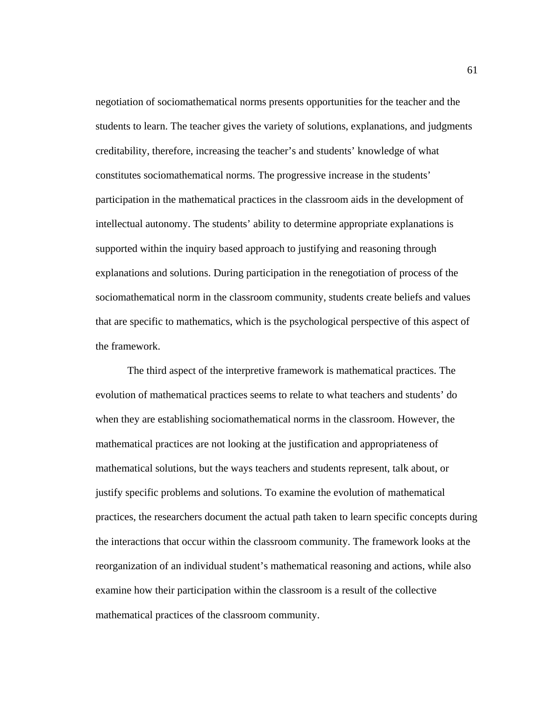negotiation of sociomathematical norms presents opportunities for the teacher and the students to learn. The teacher gives the variety of solutions, explanations, and judgments creditability, therefore, increasing the teacher's and students' knowledge of what constitutes sociomathematical norms. The progressive increase in the students' participation in the mathematical practices in the classroom aids in the development of intellectual autonomy. The students' ability to determine appropriate explanations is supported within the inquiry based approach to justifying and reasoning through explanations and solutions. During participation in the renegotiation of process of the sociomathematical norm in the classroom community, students create beliefs and values that are specific to mathematics, which is the psychological perspective of this aspect of the framework.

The third aspect of the interpretive framework is mathematical practices. The evolution of mathematical practices seems to relate to what teachers and students' do when they are establishing sociomathematical norms in the classroom. However, the mathematical practices are not looking at the justification and appropriateness of mathematical solutions, but the ways teachers and students represent, talk about, or justify specific problems and solutions. To examine the evolution of mathematical practices, the researchers document the actual path taken to learn specific concepts during the interactions that occur within the classroom community. The framework looks at the reorganization of an individual student's mathematical reasoning and actions, while also examine how their participation within the classroom is a result of the collective mathematical practices of the classroom community.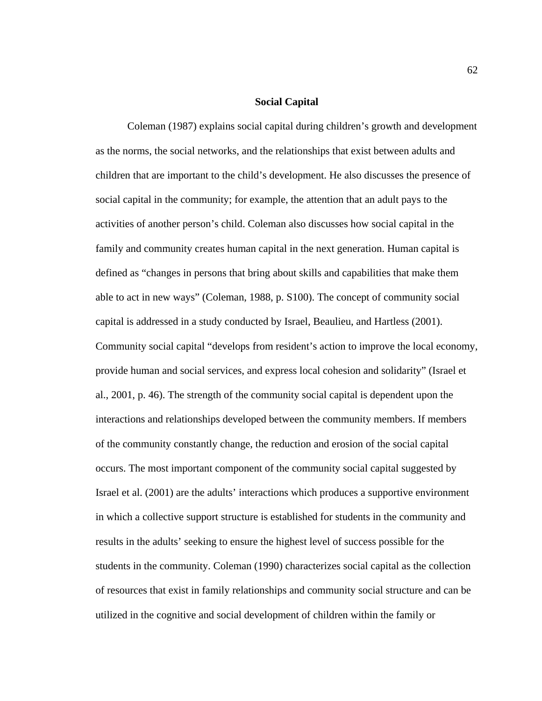### **Social Capital**

Coleman (1987) explains social capital during children's growth and development as the norms, the social networks, and the relationships that exist between adults and children that are important to the child's development. He also discusses the presence of social capital in the community; for example, the attention that an adult pays to the activities of another person's child. Coleman also discusses how social capital in the family and community creates human capital in the next generation. Human capital is defined as "changes in persons that bring about skills and capabilities that make them able to act in new ways" (Coleman, 1988, p. S100). The concept of community social capital is addressed in a study conducted by Israel, Beaulieu, and Hartless (2001). Community social capital "develops from resident's action to improve the local economy, provide human and social services, and express local cohesion and solidarity" (Israel et al., 2001, p. 46). The strength of the community social capital is dependent upon the interactions and relationships developed between the community members. If members of the community constantly change, the reduction and erosion of the social capital occurs. The most important component of the community social capital suggested by Israel et al. (2001) are the adults' interactions which produces a supportive environment in which a collective support structure is established for students in the community and results in the adults' seeking to ensure the highest level of success possible for the students in the community. Coleman (1990) characterizes social capital as the collection of resources that exist in family relationships and community social structure and can be utilized in the cognitive and social development of children within the family or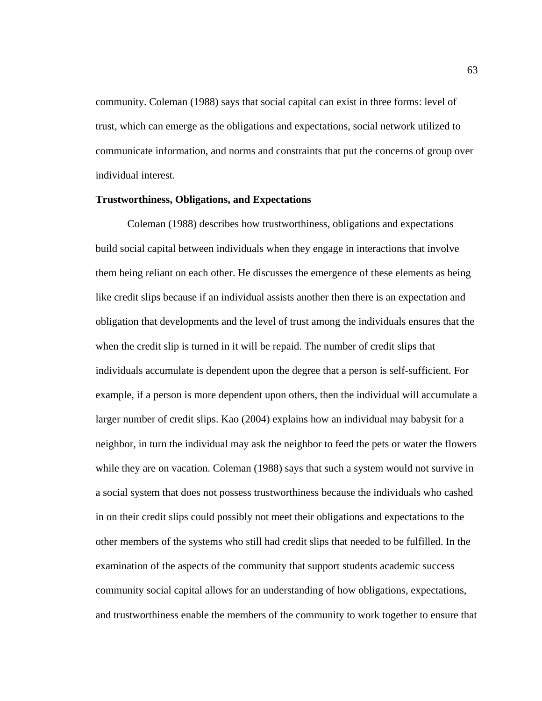community. Coleman (1988) says that social capital can exist in three forms: level of trust, which can emerge as the obligations and expectations, social network utilized to communicate information, and norms and constraints that put the concerns of group over individual interest.

#### **Trustworthiness, Obligations, and Expectations**

 Coleman (1988) describes how trustworthiness, obligations and expectations build social capital between individuals when they engage in interactions that involve them being reliant on each other. He discusses the emergence of these elements as being like credit slips because if an individual assists another then there is an expectation and obligation that developments and the level of trust among the individuals ensures that the when the credit slip is turned in it will be repaid. The number of credit slips that individuals accumulate is dependent upon the degree that a person is self-sufficient. For example, if a person is more dependent upon others, then the individual will accumulate a larger number of credit slips. Kao (2004) explains how an individual may babysit for a neighbor, in turn the individual may ask the neighbor to feed the pets or water the flowers while they are on vacation. Coleman (1988) says that such a system would not survive in a social system that does not possess trustworthiness because the individuals who cashed in on their credit slips could possibly not meet their obligations and expectations to the other members of the systems who still had credit slips that needed to be fulfilled. In the examination of the aspects of the community that support students academic success community social capital allows for an understanding of how obligations, expectations, and trustworthiness enable the members of the community to work together to ensure that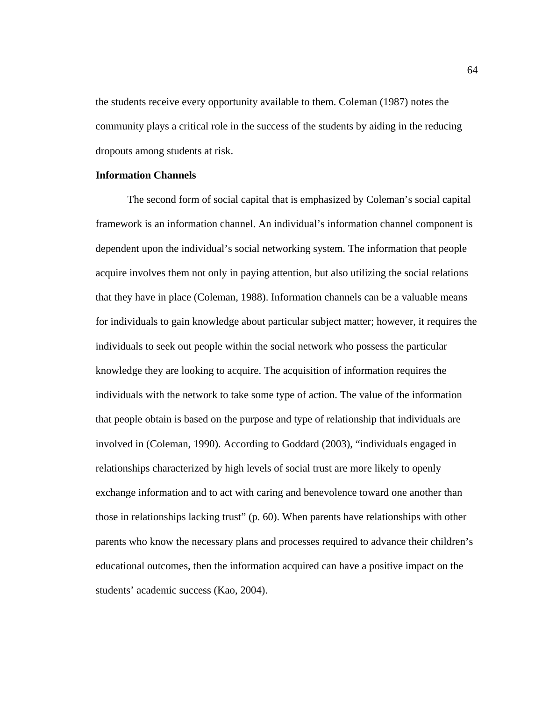the students receive every opportunity available to them. Coleman (1987) notes the community plays a critical role in the success of the students by aiding in the reducing dropouts among students at risk.

# **Information Channels**

The second form of social capital that is emphasized by Coleman's social capital framework is an information channel. An individual's information channel component is dependent upon the individual's social networking system. The information that people acquire involves them not only in paying attention, but also utilizing the social relations that they have in place (Coleman, 1988). Information channels can be a valuable means for individuals to gain knowledge about particular subject matter; however, it requires the individuals to seek out people within the social network who possess the particular knowledge they are looking to acquire. The acquisition of information requires the individuals with the network to take some type of action. The value of the information that people obtain is based on the purpose and type of relationship that individuals are involved in (Coleman, 1990). According to Goddard (2003), "individuals engaged in relationships characterized by high levels of social trust are more likely to openly exchange information and to act with caring and benevolence toward one another than those in relationships lacking trust" (p. 60). When parents have relationships with other parents who know the necessary plans and processes required to advance their children's educational outcomes, then the information acquired can have a positive impact on the students' academic success (Kao, 2004).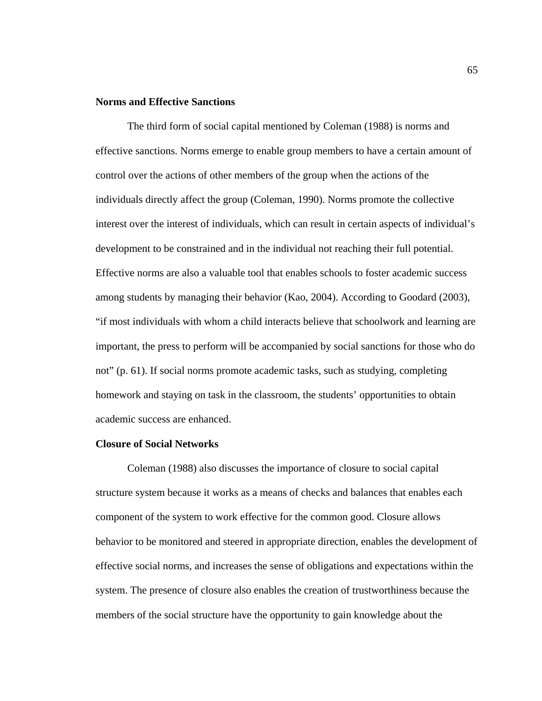# **Norms and Effective Sanctions**

 The third form of social capital mentioned by Coleman (1988) is norms and effective sanctions. Norms emerge to enable group members to have a certain amount of control over the actions of other members of the group when the actions of the individuals directly affect the group (Coleman, 1990). Norms promote the collective interest over the interest of individuals, which can result in certain aspects of individual's development to be constrained and in the individual not reaching their full potential. Effective norms are also a valuable tool that enables schools to foster academic success among students by managing their behavior (Kao, 2004). According to Goodard (2003), "if most individuals with whom a child interacts believe that schoolwork and learning are important, the press to perform will be accompanied by social sanctions for those who do not" (p. 61). If social norms promote academic tasks, such as studying, completing homework and staying on task in the classroom, the students' opportunities to obtain academic success are enhanced.

#### **Closure of Social Networks**

Coleman (1988) also discusses the importance of closure to social capital structure system because it works as a means of checks and balances that enables each component of the system to work effective for the common good. Closure allows behavior to be monitored and steered in appropriate direction, enables the development of effective social norms, and increases the sense of obligations and expectations within the system. The presence of closure also enables the creation of trustworthiness because the members of the social structure have the opportunity to gain knowledge about the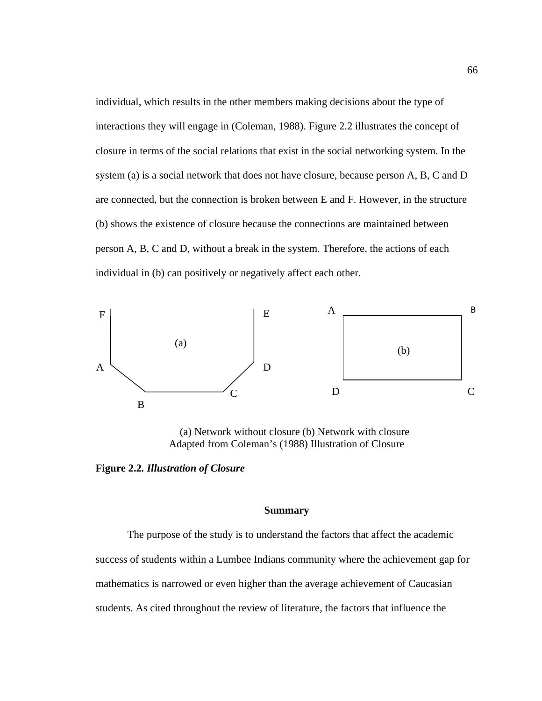individual, which results in the other members making decisions about the type of interactions they will engage in (Coleman, 1988). Figure 2.2 illustrates the concept of closure in terms of the social relations that exist in the social networking system. In the system (a) is a social network that does not have closure, because person A, B, C and D are connected, but the connection is broken between E and F. However, in the structure (b) shows the existence of closure because the connections are maintained between person A, B, C and D, without a break in the system. Therefore, the actions of each individual in (b) can positively or negatively affect each other.



(a) Network without closure (b) Network with closure Adapted from Coleman's (1988) Illustration of Closure

**Figure 2.2***. Illustration of Closure* 

# **Summary**

 The purpose of the study is to understand the factors that affect the academic success of students within a Lumbee Indians community where the achievement gap for mathematics is narrowed or even higher than the average achievement of Caucasian students. As cited throughout the review of literature, the factors that influence the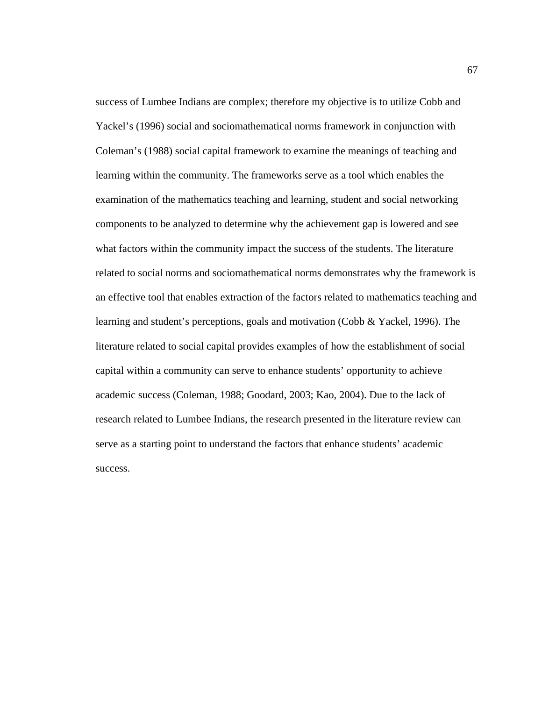success of Lumbee Indians are complex; therefore my objective is to utilize Cobb and Yackel's (1996) social and sociomathematical norms framework in conjunction with Coleman's (1988) social capital framework to examine the meanings of teaching and learning within the community. The frameworks serve as a tool which enables the examination of the mathematics teaching and learning, student and social networking components to be analyzed to determine why the achievement gap is lowered and see what factors within the community impact the success of the students. The literature related to social norms and sociomathematical norms demonstrates why the framework is an effective tool that enables extraction of the factors related to mathematics teaching and learning and student's perceptions, goals and motivation (Cobb & Yackel, 1996). The literature related to social capital provides examples of how the establishment of social capital within a community can serve to enhance students' opportunity to achieve academic success (Coleman, 1988; Goodard, 2003; Kao, 2004). Due to the lack of research related to Lumbee Indians, the research presented in the literature review can serve as a starting point to understand the factors that enhance students' academic success.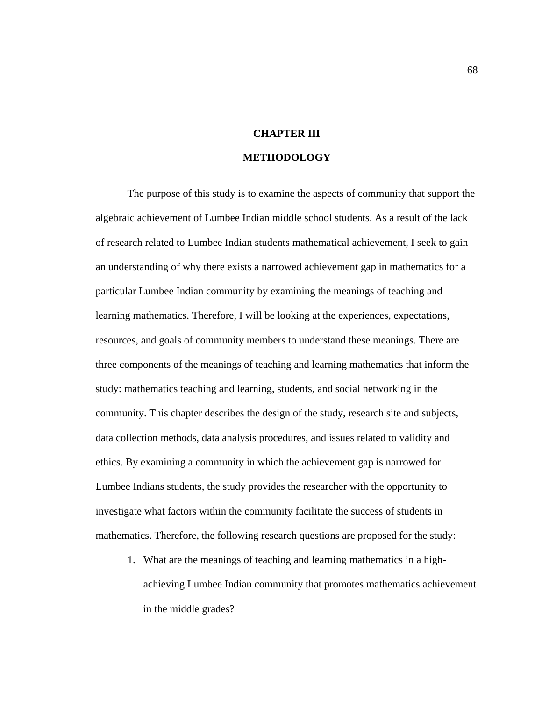# **CHAPTER III**

# **METHODOLOGY**

 The purpose of this study is to examine the aspects of community that support the algebraic achievement of Lumbee Indian middle school students. As a result of the lack of research related to Lumbee Indian students mathematical achievement, I seek to gain an understanding of why there exists a narrowed achievement gap in mathematics for a particular Lumbee Indian community by examining the meanings of teaching and learning mathematics. Therefore, I will be looking at the experiences, expectations, resources, and goals of community members to understand these meanings. There are three components of the meanings of teaching and learning mathematics that inform the study: mathematics teaching and learning, students, and social networking in the community. This chapter describes the design of the study, research site and subjects, data collection methods, data analysis procedures, and issues related to validity and ethics. By examining a community in which the achievement gap is narrowed for Lumbee Indians students, the study provides the researcher with the opportunity to investigate what factors within the community facilitate the success of students in mathematics. Therefore, the following research questions are proposed for the study:

1. What are the meanings of teaching and learning mathematics in a highachieving Lumbee Indian community that promotes mathematics achievement in the middle grades?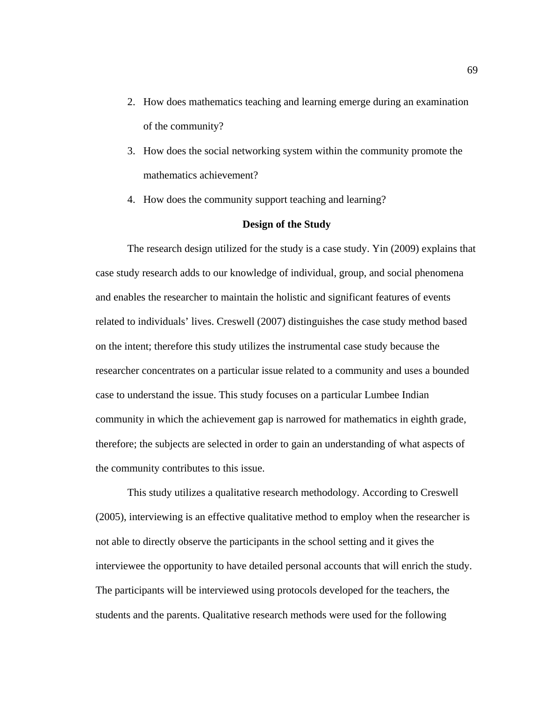- 2. How does mathematics teaching and learning emerge during an examination of the community?
- 3. How does the social networking system within the community promote the mathematics achievement?
- 4. How does the community support teaching and learning?

## **Design of the Study**

 The research design utilized for the study is a case study. Yin (2009) explains that case study research adds to our knowledge of individual, group, and social phenomena and enables the researcher to maintain the holistic and significant features of events related to individuals' lives. Creswell (2007) distinguishes the case study method based on the intent; therefore this study utilizes the instrumental case study because the researcher concentrates on a particular issue related to a community and uses a bounded case to understand the issue. This study focuses on a particular Lumbee Indian community in which the achievement gap is narrowed for mathematics in eighth grade, therefore; the subjects are selected in order to gain an understanding of what aspects of the community contributes to this issue.

 This study utilizes a qualitative research methodology. According to Creswell (2005), interviewing is an effective qualitative method to employ when the researcher is not able to directly observe the participants in the school setting and it gives the interviewee the opportunity to have detailed personal accounts that will enrich the study. The participants will be interviewed using protocols developed for the teachers, the students and the parents. Qualitative research methods were used for the following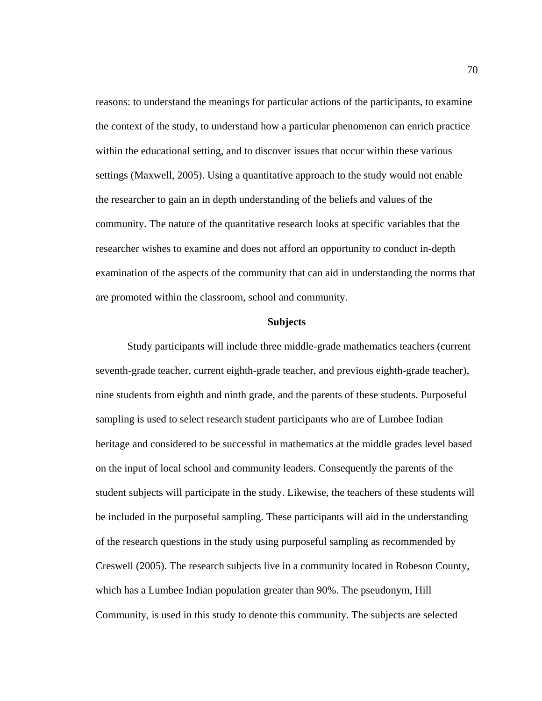reasons: to understand the meanings for particular actions of the participants, to examine the context of the study, to understand how a particular phenomenon can enrich practice within the educational setting, and to discover issues that occur within these various settings (Maxwell, 2005). Using a quantitative approach to the study would not enable the researcher to gain an in depth understanding of the beliefs and values of the community. The nature of the quantitative research looks at specific variables that the researcher wishes to examine and does not afford an opportunity to conduct in-depth examination of the aspects of the community that can aid in understanding the norms that are promoted within the classroom, school and community.

# **Subjects**

 Study participants will include three middle-grade mathematics teachers (current seventh-grade teacher, current eighth-grade teacher, and previous eighth-grade teacher), nine students from eighth and ninth grade, and the parents of these students. Purposeful sampling is used to select research student participants who are of Lumbee Indian heritage and considered to be successful in mathematics at the middle grades level based on the input of local school and community leaders. Consequently the parents of the student subjects will participate in the study. Likewise, the teachers of these students will be included in the purposeful sampling. These participants will aid in the understanding of the research questions in the study using purposeful sampling as recommended by Creswell (2005). The research subjects live in a community located in Robeson County, which has a Lumbee Indian population greater than 90%. The pseudonym, Hill Community, is used in this study to denote this community. The subjects are selected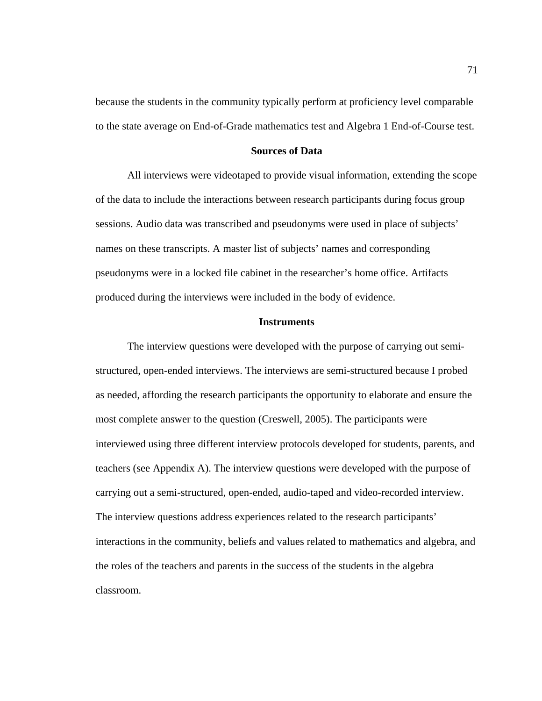because the students in the community typically perform at proficiency level comparable to the state average on End-of-Grade mathematics test and Algebra 1 End-of-Course test.

# **Sources of Data**

 All interviews were videotaped to provide visual information, extending the scope of the data to include the interactions between research participants during focus group sessions. Audio data was transcribed and pseudonyms were used in place of subjects' names on these transcripts. A master list of subjects' names and corresponding pseudonyms were in a locked file cabinet in the researcher's home office. Artifacts produced during the interviews were included in the body of evidence.

# **Instruments**

 The interview questions were developed with the purpose of carrying out semistructured, open-ended interviews. The interviews are semi-structured because I probed as needed, affording the research participants the opportunity to elaborate and ensure the most complete answer to the question (Creswell, 2005). The participants were interviewed using three different interview protocols developed for students, parents, and teachers (see Appendix A). The interview questions were developed with the purpose of carrying out a semi-structured, open-ended, audio-taped and video-recorded interview. The interview questions address experiences related to the research participants' interactions in the community, beliefs and values related to mathematics and algebra, and the roles of the teachers and parents in the success of the students in the algebra classroom.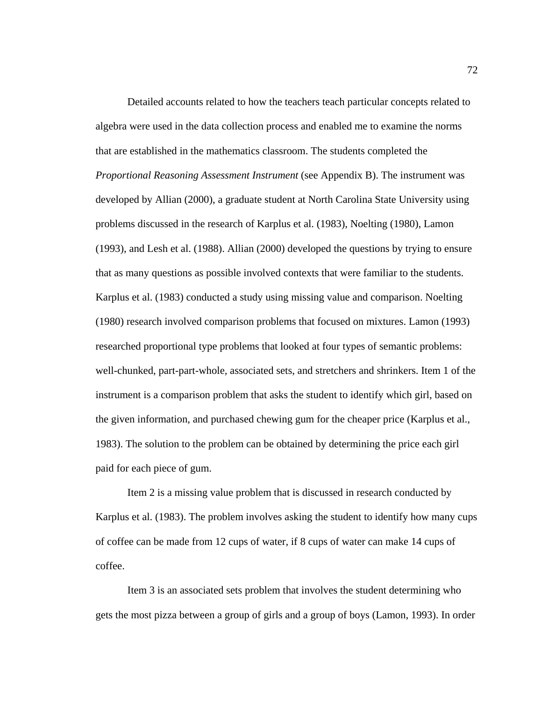Detailed accounts related to how the teachers teach particular concepts related to algebra were used in the data collection process and enabled me to examine the norms that are established in the mathematics classroom. The students completed the *Proportional Reasoning Assessment Instrument* (see Appendix B). The instrument was developed by Allian (2000), a graduate student at North Carolina State University using problems discussed in the research of Karplus et al. (1983), Noelting (1980), Lamon (1993), and Lesh et al. (1988). Allian (2000) developed the questions by trying to ensure that as many questions as possible involved contexts that were familiar to the students. Karplus et al. (1983) conducted a study using missing value and comparison. Noelting (1980) research involved comparison problems that focused on mixtures. Lamon (1993) researched proportional type problems that looked at four types of semantic problems: well-chunked, part-part-whole, associated sets, and stretchers and shrinkers. Item 1 of the instrument is a comparison problem that asks the student to identify which girl, based on the given information, and purchased chewing gum for the cheaper price (Karplus et al., 1983). The solution to the problem can be obtained by determining the price each girl paid for each piece of gum.

 Item 2 is a missing value problem that is discussed in research conducted by Karplus et al. (1983). The problem involves asking the student to identify how many cups of coffee can be made from 12 cups of water, if 8 cups of water can make 14 cups of coffee.

 Item 3 is an associated sets problem that involves the student determining who gets the most pizza between a group of girls and a group of boys (Lamon, 1993). In order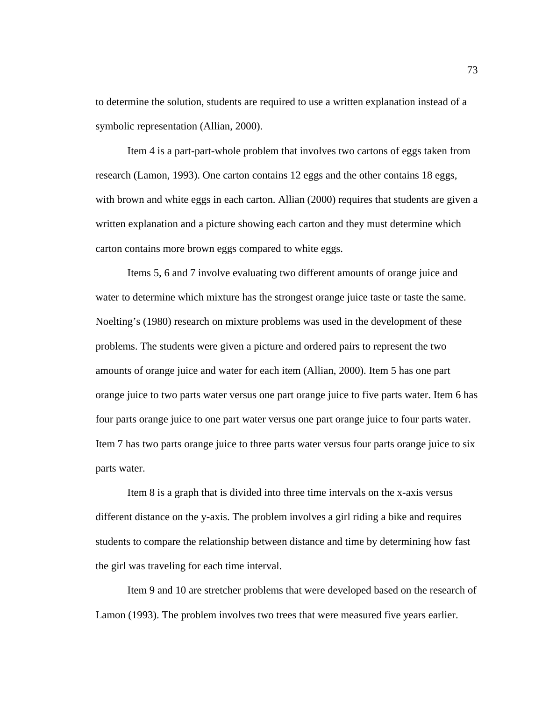to determine the solution, students are required to use a written explanation instead of a symbolic representation (Allian, 2000).

 Item 4 is a part-part-whole problem that involves two cartons of eggs taken from research (Lamon, 1993). One carton contains 12 eggs and the other contains 18 eggs, with brown and white eggs in each carton. Allian (2000) requires that students are given a written explanation and a picture showing each carton and they must determine which carton contains more brown eggs compared to white eggs.

 Items 5, 6 and 7 involve evaluating two different amounts of orange juice and water to determine which mixture has the strongest orange juice taste or taste the same. Noelting's (1980) research on mixture problems was used in the development of these problems. The students were given a picture and ordered pairs to represent the two amounts of orange juice and water for each item (Allian, 2000). Item 5 has one part orange juice to two parts water versus one part orange juice to five parts water. Item 6 has four parts orange juice to one part water versus one part orange juice to four parts water. Item 7 has two parts orange juice to three parts water versus four parts orange juice to six parts water.

 Item 8 is a graph that is divided into three time intervals on the x-axis versus different distance on the y-axis. The problem involves a girl riding a bike and requires students to compare the relationship between distance and time by determining how fast the girl was traveling for each time interval.

 Item 9 and 10 are stretcher problems that were developed based on the research of Lamon (1993). The problem involves two trees that were measured five years earlier.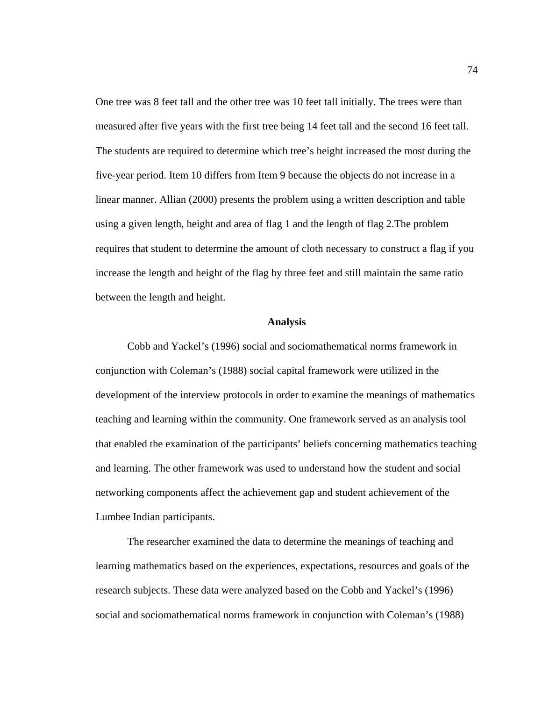One tree was 8 feet tall and the other tree was 10 feet tall initially. The trees were than measured after five years with the first tree being 14 feet tall and the second 16 feet tall. The students are required to determine which tree's height increased the most during the five-year period. Item 10 differs from Item 9 because the objects do not increase in a linear manner. Allian (2000) presents the problem using a written description and table using a given length, height and area of flag 1 and the length of flag 2.The problem requires that student to determine the amount of cloth necessary to construct a flag if you increase the length and height of the flag by three feet and still maintain the same ratio between the length and height.

#### **Analysis**

Cobb and Yackel's (1996) social and sociomathematical norms framework in conjunction with Coleman's (1988) social capital framework were utilized in the development of the interview protocols in order to examine the meanings of mathematics teaching and learning within the community. One framework served as an analysis tool that enabled the examination of the participants' beliefs concerning mathematics teaching and learning. The other framework was used to understand how the student and social networking components affect the achievement gap and student achievement of the Lumbee Indian participants.

The researcher examined the data to determine the meanings of teaching and learning mathematics based on the experiences, expectations, resources and goals of the research subjects. These data were analyzed based on the Cobb and Yackel's (1996) social and sociomathematical norms framework in conjunction with Coleman's (1988)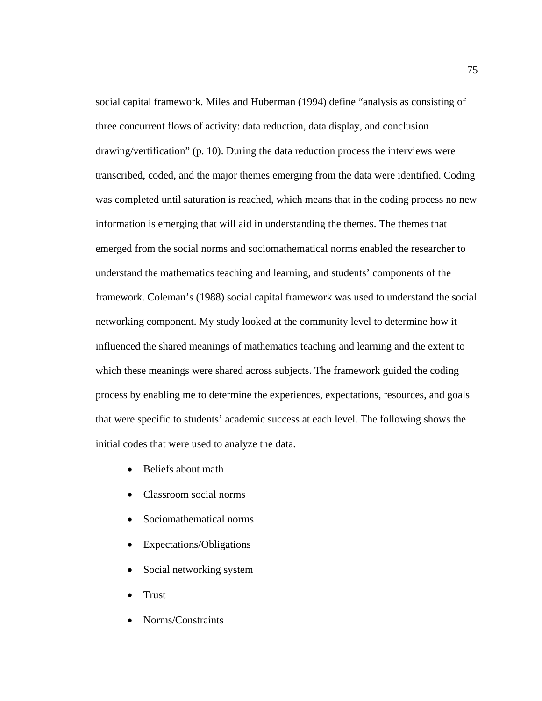social capital framework. Miles and Huberman (1994) define "analysis as consisting of three concurrent flows of activity: data reduction, data display, and conclusion drawing/vertification" (p. 10). During the data reduction process the interviews were transcribed, coded, and the major themes emerging from the data were identified. Coding was completed until saturation is reached, which means that in the coding process no new information is emerging that will aid in understanding the themes. The themes that emerged from the social norms and sociomathematical norms enabled the researcher to understand the mathematics teaching and learning, and students' components of the framework. Coleman's (1988) social capital framework was used to understand the social networking component. My study looked at the community level to determine how it influenced the shared meanings of mathematics teaching and learning and the extent to which these meanings were shared across subjects. The framework guided the coding process by enabling me to determine the experiences, expectations, resources, and goals that were specific to students' academic success at each level. The following shows the initial codes that were used to analyze the data.

- Beliefs about math
- Classroom social norms
- Sociomathematical norms
- Expectations/Obligations
- Social networking system
- Trust
- Norms/Constraints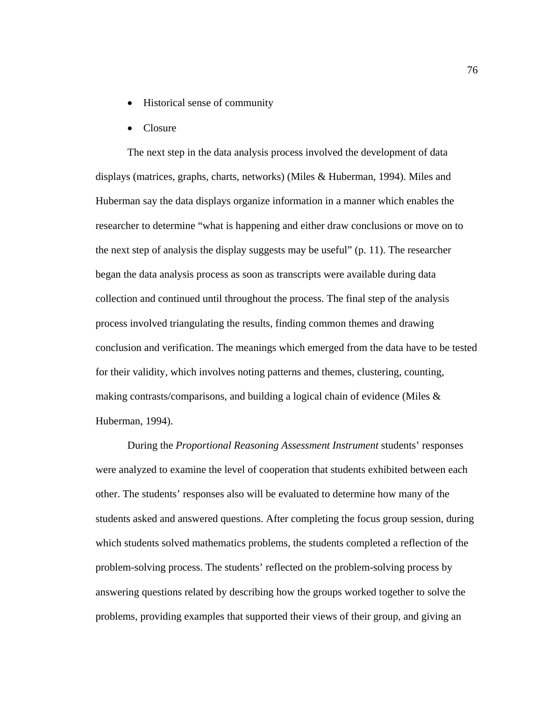- Historical sense of community
- Closure

The next step in the data analysis process involved the development of data displays (matrices, graphs, charts, networks) (Miles & Huberman, 1994). Miles and Huberman say the data displays organize information in a manner which enables the researcher to determine "what is happening and either draw conclusions or move on to the next step of analysis the display suggests may be useful" (p. 11). The researcher began the data analysis process as soon as transcripts were available during data collection and continued until throughout the process. The final step of the analysis process involved triangulating the results, finding common themes and drawing conclusion and verification. The meanings which emerged from the data have to be tested for their validity, which involves noting patterns and themes, clustering, counting, making contrasts/comparisons, and building a logical chain of evidence (Miles  $\&$ Huberman, 1994).

During the *Proportional Reasoning Assessment Instrument* students' responses were analyzed to examine the level of cooperation that students exhibited between each other. The students' responses also will be evaluated to determine how many of the students asked and answered questions. After completing the focus group session, during which students solved mathematics problems, the students completed a reflection of the problem-solving process. The students' reflected on the problem-solving process by answering questions related by describing how the groups worked together to solve the problems, providing examples that supported their views of their group, and giving an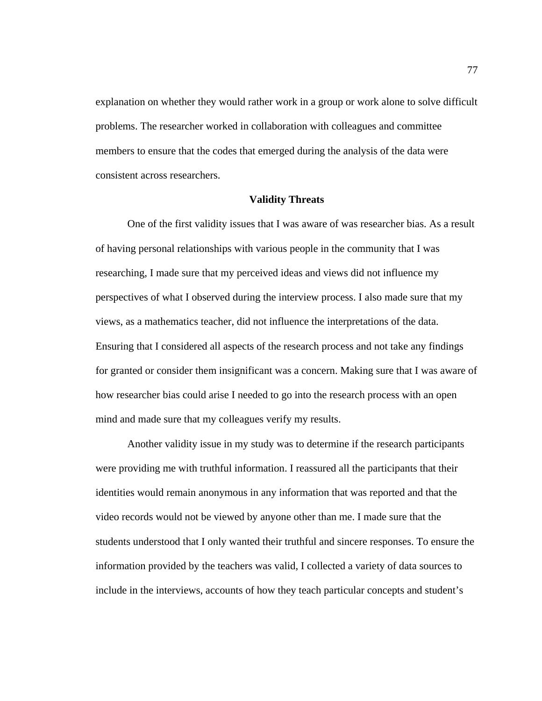explanation on whether they would rather work in a group or work alone to solve difficult problems. The researcher worked in collaboration with colleagues and committee members to ensure that the codes that emerged during the analysis of the data were consistent across researchers.

#### **Validity Threats**

 One of the first validity issues that I was aware of was researcher bias. As a result of having personal relationships with various people in the community that I was researching, I made sure that my perceived ideas and views did not influence my perspectives of what I observed during the interview process. I also made sure that my views, as a mathematics teacher, did not influence the interpretations of the data. Ensuring that I considered all aspects of the research process and not take any findings for granted or consider them insignificant was a concern. Making sure that I was aware of how researcher bias could arise I needed to go into the research process with an open mind and made sure that my colleagues verify my results.

 Another validity issue in my study was to determine if the research participants were providing me with truthful information. I reassured all the participants that their identities would remain anonymous in any information that was reported and that the video records would not be viewed by anyone other than me. I made sure that the students understood that I only wanted their truthful and sincere responses. To ensure the information provided by the teachers was valid, I collected a variety of data sources to include in the interviews, accounts of how they teach particular concepts and student's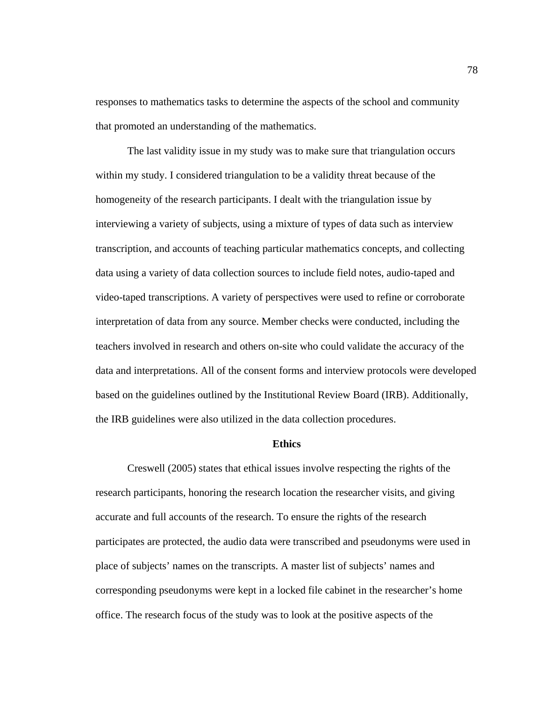responses to mathematics tasks to determine the aspects of the school and community that promoted an understanding of the mathematics.

 The last validity issue in my study was to make sure that triangulation occurs within my study. I considered triangulation to be a validity threat because of the homogeneity of the research participants. I dealt with the triangulation issue by interviewing a variety of subjects, using a mixture of types of data such as interview transcription, and accounts of teaching particular mathematics concepts, and collecting data using a variety of data collection sources to include field notes, audio-taped and video-taped transcriptions. A variety of perspectives were used to refine or corroborate interpretation of data from any source. Member checks were conducted, including the teachers involved in research and others on-site who could validate the accuracy of the data and interpretations. All of the consent forms and interview protocols were developed based on the guidelines outlined by the Institutional Review Board (IRB). Additionally, the IRB guidelines were also utilized in the data collection procedures.

#### **Ethics**

Creswell (2005) states that ethical issues involve respecting the rights of the research participants, honoring the research location the researcher visits, and giving accurate and full accounts of the research. To ensure the rights of the research participates are protected, the audio data were transcribed and pseudonyms were used in place of subjects' names on the transcripts. A master list of subjects' names and corresponding pseudonyms were kept in a locked file cabinet in the researcher's home office. The research focus of the study was to look at the positive aspects of the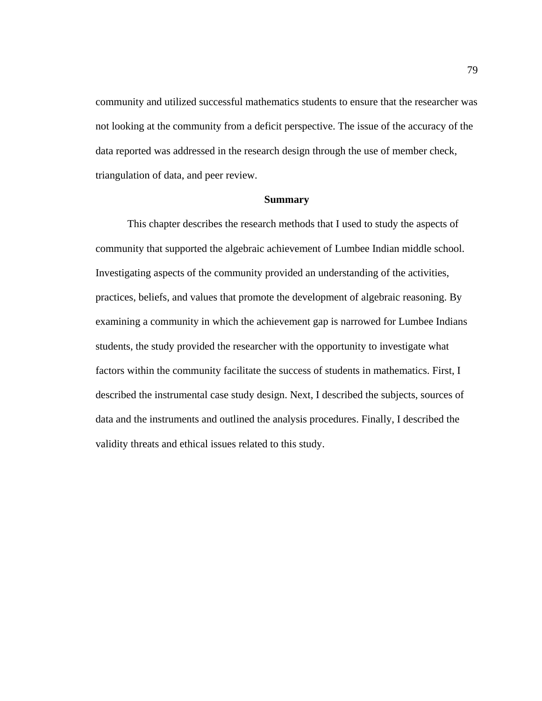community and utilized successful mathematics students to ensure that the researcher was not looking at the community from a deficit perspective. The issue of the accuracy of the data reported was addressed in the research design through the use of member check, triangulation of data, and peer review.

# **Summary**

This chapter describes the research methods that I used to study the aspects of community that supported the algebraic achievement of Lumbee Indian middle school. Investigating aspects of the community provided an understanding of the activities, practices, beliefs, and values that promote the development of algebraic reasoning. By examining a community in which the achievement gap is narrowed for Lumbee Indians students, the study provided the researcher with the opportunity to investigate what factors within the community facilitate the success of students in mathematics. First, I described the instrumental case study design. Next, I described the subjects, sources of data and the instruments and outlined the analysis procedures. Finally, I described the validity threats and ethical issues related to this study.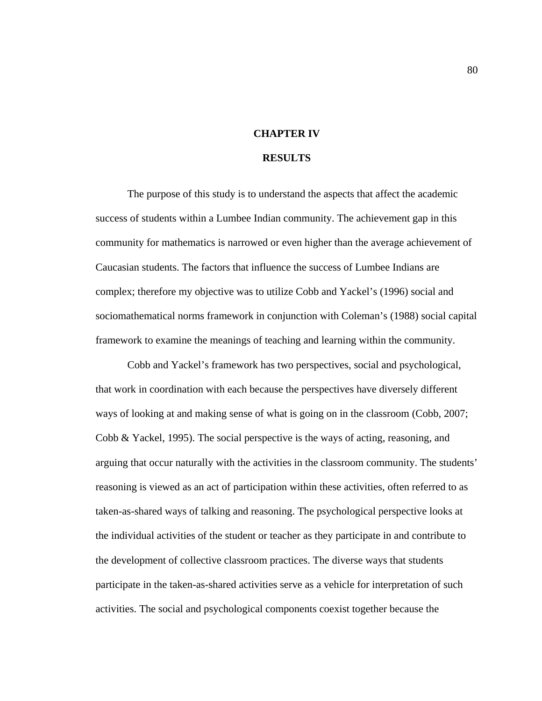#### **CHAPTER IV**

#### **RESULTS**

The purpose of this study is to understand the aspects that affect the academic success of students within a Lumbee Indian community. The achievement gap in this community for mathematics is narrowed or even higher than the average achievement of Caucasian students. The factors that influence the success of Lumbee Indians are complex; therefore my objective was to utilize Cobb and Yackel's (1996) social and sociomathematical norms framework in conjunction with Coleman's (1988) social capital framework to examine the meanings of teaching and learning within the community.

Cobb and Yackel's framework has two perspectives, social and psychological, that work in coordination with each because the perspectives have diversely different ways of looking at and making sense of what is going on in the classroom (Cobb, 2007; Cobb & Yackel, 1995). The social perspective is the ways of acting, reasoning, and arguing that occur naturally with the activities in the classroom community. The students' reasoning is viewed as an act of participation within these activities, often referred to as taken-as-shared ways of talking and reasoning. The psychological perspective looks at the individual activities of the student or teacher as they participate in and contribute to the development of collective classroom practices. The diverse ways that students participate in the taken-as-shared activities serve as a vehicle for interpretation of such activities. The social and psychological components coexist together because the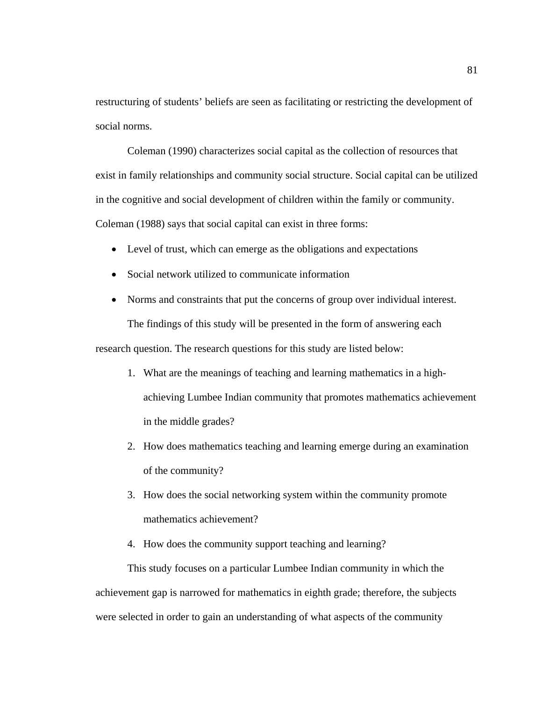restructuring of students' beliefs are seen as facilitating or restricting the development of social norms.

Coleman (1990) characterizes social capital as the collection of resources that exist in family relationships and community social structure. Social capital can be utilized in the cognitive and social development of children within the family or community. Coleman (1988) says that social capital can exist in three forms:

- Level of trust, which can emerge as the obligations and expectations
- Social network utilized to communicate information
- Norms and constraints that put the concerns of group over individual interest. The findings of this study will be presented in the form of answering each

research question. The research questions for this study are listed below:

- 1. What are the meanings of teaching and learning mathematics in a highachieving Lumbee Indian community that promotes mathematics achievement in the middle grades?
- 2. How does mathematics teaching and learning emerge during an examination of the community?
- 3. How does the social networking system within the community promote mathematics achievement?
- 4. How does the community support teaching and learning?

This study focuses on a particular Lumbee Indian community in which the achievement gap is narrowed for mathematics in eighth grade; therefore, the subjects were selected in order to gain an understanding of what aspects of the community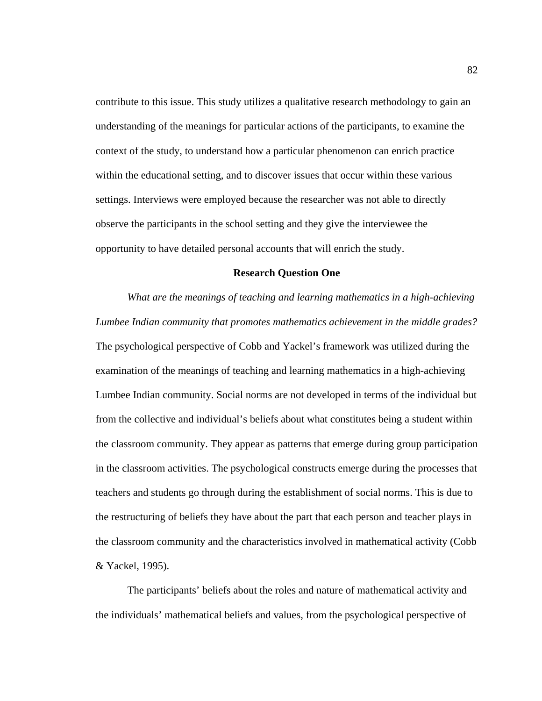contribute to this issue. This study utilizes a qualitative research methodology to gain an understanding of the meanings for particular actions of the participants, to examine the context of the study, to understand how a particular phenomenon can enrich practice within the educational setting, and to discover issues that occur within these various settings. Interviews were employed because the researcher was not able to directly observe the participants in the school setting and they give the interviewee the opportunity to have detailed personal accounts that will enrich the study.

#### **Research Question One**

 *What are the meanings of teaching and learning mathematics in a high-achieving Lumbee Indian community that promotes mathematics achievement in the middle grades?*  The psychological perspective of Cobb and Yackel's framework was utilized during the examination of the meanings of teaching and learning mathematics in a high-achieving Lumbee Indian community. Social norms are not developed in terms of the individual but from the collective and individual's beliefs about what constitutes being a student within the classroom community. They appear as patterns that emerge during group participation in the classroom activities. The psychological constructs emerge during the processes that teachers and students go through during the establishment of social norms. This is due to the restructuring of beliefs they have about the part that each person and teacher plays in the classroom community and the characteristics involved in mathematical activity (Cobb & Yackel, 1995).

The participants' beliefs about the roles and nature of mathematical activity and the individuals' mathematical beliefs and values, from the psychological perspective of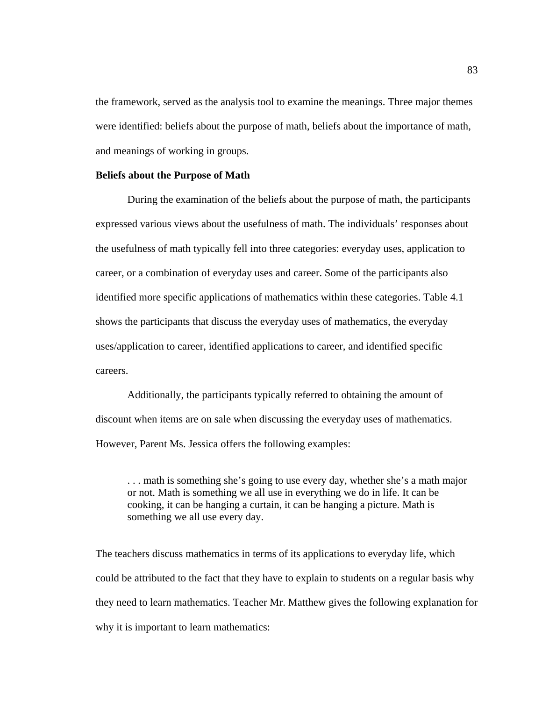the framework, served as the analysis tool to examine the meanings. Three major themes were identified: beliefs about the purpose of math, beliefs about the importance of math, and meanings of working in groups.

# **Beliefs about the Purpose of Math**

 During the examination of the beliefs about the purpose of math, the participants expressed various views about the usefulness of math. The individuals' responses about the usefulness of math typically fell into three categories: everyday uses, application to career, or a combination of everyday uses and career. Some of the participants also identified more specific applications of mathematics within these categories. Table 4.1 shows the participants that discuss the everyday uses of mathematics, the everyday uses/application to career, identified applications to career, and identified specific careers.

Additionally, the participants typically referred to obtaining the amount of discount when items are on sale when discussing the everyday uses of mathematics. However, Parent Ms. Jessica offers the following examples:

. . . math is something she's going to use every day, whether she's a math major or not. Math is something we all use in everything we do in life. It can be cooking, it can be hanging a curtain, it can be hanging a picture. Math is something we all use every day.

The teachers discuss mathematics in terms of its applications to everyday life, which could be attributed to the fact that they have to explain to students on a regular basis why they need to learn mathematics. Teacher Mr. Matthew gives the following explanation for why it is important to learn mathematics: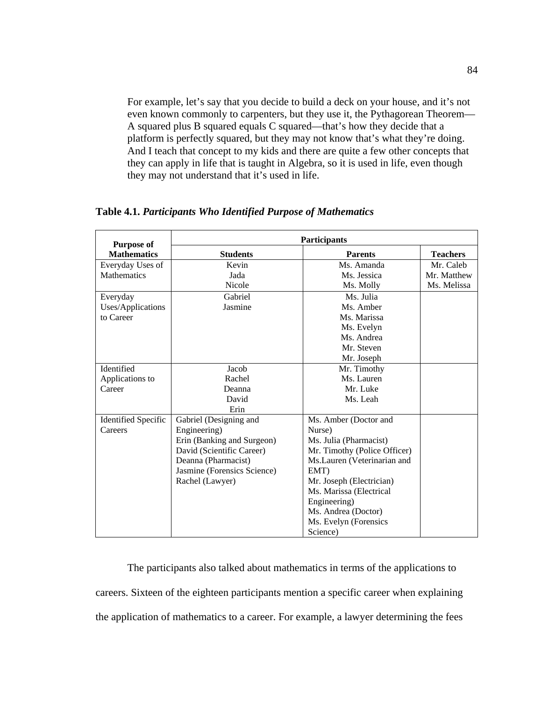For example, let's say that you decide to build a deck on your house, and it's not even known commonly to carpenters, but they use it, the Pythagorean Theorem— A squared plus B squared equals C squared—that's how they decide that a platform is perfectly squared, but they may not know that's what they're doing. And I teach that concept to my kids and there are quite a few other concepts that they can apply in life that is taught in Algebra, so it is used in life, even though they may not understand that it's used in life.

| <b>Purpose of</b>          | <b>Participants</b>         |                              |                 |  |  |  |
|----------------------------|-----------------------------|------------------------------|-----------------|--|--|--|
| <b>Mathematics</b>         | <b>Students</b>             | <b>Parents</b>               | <b>Teachers</b> |  |  |  |
| Everyday Uses of           | Kevin                       | Ms. Amanda                   | Mr. Caleb       |  |  |  |
| <b>Mathematics</b>         | Jada                        | Ms. Jessica                  | Mr. Matthew     |  |  |  |
|                            | Nicole                      | Ms. Molly                    | Ms. Melissa     |  |  |  |
| Everyday                   | Gabriel                     | Ms. Julia                    |                 |  |  |  |
| Uses/Applications          | Jasmine                     | Ms. Amber                    |                 |  |  |  |
| to Career                  |                             | Ms. Marissa                  |                 |  |  |  |
|                            |                             | Ms. Evelyn                   |                 |  |  |  |
|                            |                             | Ms. Andrea                   |                 |  |  |  |
|                            |                             | Mr. Steven                   |                 |  |  |  |
|                            |                             | Mr. Joseph                   |                 |  |  |  |
| Identified                 | Jacob                       | Mr. Timothy                  |                 |  |  |  |
| Applications to            | Rachel                      | Ms. Lauren                   |                 |  |  |  |
| Career                     | Deanna                      | Mr. Luke                     |                 |  |  |  |
|                            | David                       | Ms. Leah                     |                 |  |  |  |
|                            | Erin                        |                              |                 |  |  |  |
| <b>Identified Specific</b> | Gabriel (Designing and      | Ms. Amber (Doctor and        |                 |  |  |  |
| Careers                    | Engineering)                | Nurse)                       |                 |  |  |  |
|                            | Erin (Banking and Surgeon)  | Ms. Julia (Pharmacist)       |                 |  |  |  |
|                            | David (Scientific Career)   | Mr. Timothy (Police Officer) |                 |  |  |  |
|                            | Deanna (Pharmacist)         | Ms.Lauren (Veterinarian and  |                 |  |  |  |
|                            | Jasmine (Forensics Science) | EMT)                         |                 |  |  |  |
|                            | Rachel (Lawyer)             | Mr. Joseph (Electrician)     |                 |  |  |  |
|                            |                             | Ms. Marissa (Electrical      |                 |  |  |  |
|                            |                             | Engineering)                 |                 |  |  |  |
|                            |                             | Ms. Andrea (Doctor)          |                 |  |  |  |
|                            |                             | Ms. Evelyn (Forensics        |                 |  |  |  |
|                            |                             | Science)                     |                 |  |  |  |

**Table 4.1.** *Participants Who Identified Purpose of Mathematics*

 The participants also talked about mathematics in terms of the applications to careers. Sixteen of the eighteen participants mention a specific career when explaining the application of mathematics to a career. For example, a lawyer determining the fees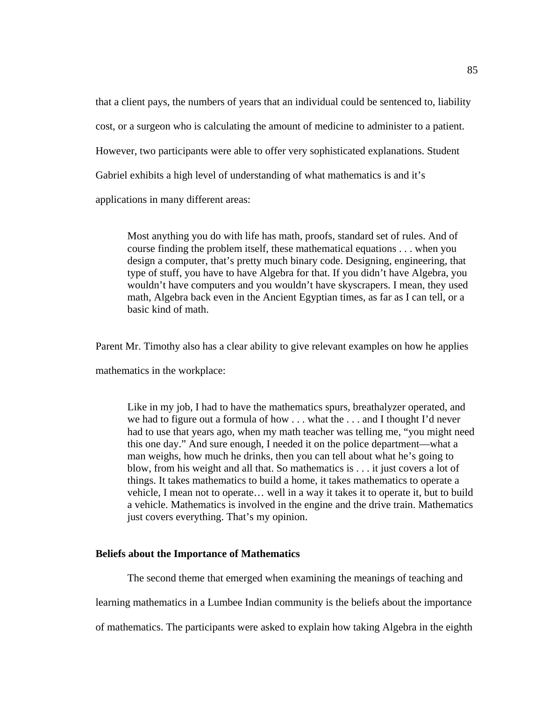that a client pays, the numbers of years that an individual could be sentenced to, liability cost, or a surgeon who is calculating the amount of medicine to administer to a patient. However, two participants were able to offer very sophisticated explanations. Student Gabriel exhibits a high level of understanding of what mathematics is and it's

applications in many different areas:

Most anything you do with life has math, proofs, standard set of rules. And of course finding the problem itself, these mathematical equations . . . when you design a computer, that's pretty much binary code. Designing, engineering, that type of stuff, you have to have Algebra for that. If you didn't have Algebra, you wouldn't have computers and you wouldn't have skyscrapers. I mean, they used math, Algebra back even in the Ancient Egyptian times, as far as I can tell, or a basic kind of math.

Parent Mr. Timothy also has a clear ability to give relevant examples on how he applies

mathematics in the workplace:

Like in my job, I had to have the mathematics spurs, breathalyzer operated, and we had to figure out a formula of how . . . what the . . . and I thought I'd never had to use that years ago, when my math teacher was telling me, "you might need this one day." And sure enough, I needed it on the police department—what a man weighs, how much he drinks, then you can tell about what he's going to blow, from his weight and all that. So mathematics is . . . it just covers a lot of things. It takes mathematics to build a home, it takes mathematics to operate a vehicle, I mean not to operate… well in a way it takes it to operate it, but to build a vehicle. Mathematics is involved in the engine and the drive train. Mathematics just covers everything. That's my opinion.

# **Beliefs about the Importance of Mathematics**

The second theme that emerged when examining the meanings of teaching and

learning mathematics in a Lumbee Indian community is the beliefs about the importance

of mathematics. The participants were asked to explain how taking Algebra in the eighth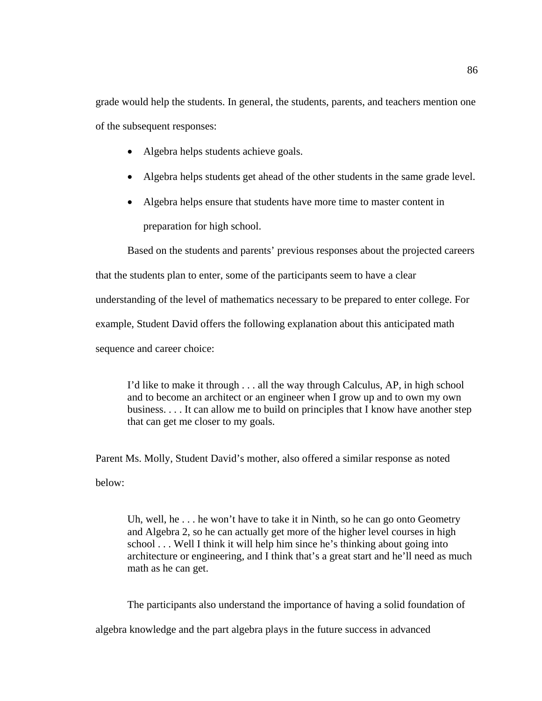grade would help the students. In general, the students, parents, and teachers mention one of the subsequent responses:

- Algebra helps students achieve goals.
- Algebra helps students get ahead of the other students in the same grade level.
- Algebra helps ensure that students have more time to master content in preparation for high school.

Based on the students and parents' previous responses about the projected careers

that the students plan to enter, some of the participants seem to have a clear

understanding of the level of mathematics necessary to be prepared to enter college. For

example, Student David offers the following explanation about this anticipated math

sequence and career choice:

I'd like to make it through . . . all the way through Calculus, AP, in high school and to become an architect or an engineer when I grow up and to own my own business. . . . It can allow me to build on principles that I know have another step that can get me closer to my goals.

Parent Ms. Molly, Student David's mother, also offered a similar response as noted below:

Uh, well, he . . . he won't have to take it in Ninth, so he can go onto Geometry and Algebra 2, so he can actually get more of the higher level courses in high school . . . Well I think it will help him since he's thinking about going into architecture or engineering, and I think that's a great start and he'll need as much math as he can get.

The participants also understand the importance of having a solid foundation of algebra knowledge and the part algebra plays in the future success in advanced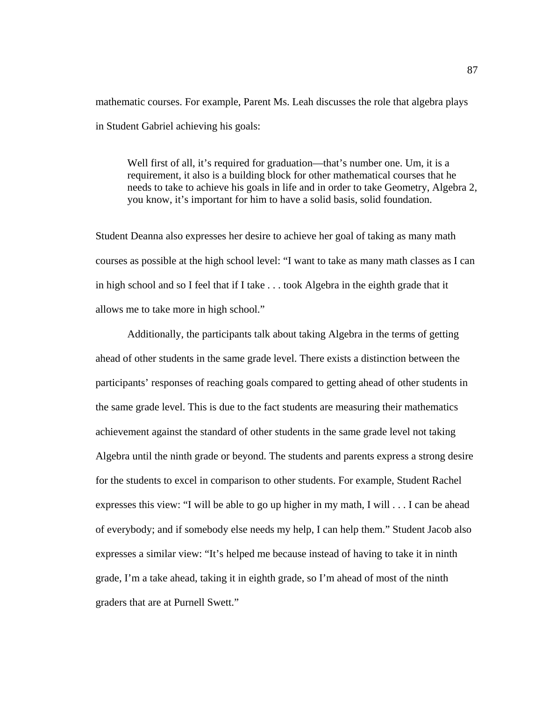mathematic courses. For example, Parent Ms. Leah discusses the role that algebra plays in Student Gabriel achieving his goals:

Well first of all, it's required for graduation—that's number one. Um, it is a requirement, it also is a building block for other mathematical courses that he needs to take to achieve his goals in life and in order to take Geometry, Algebra 2, you know, it's important for him to have a solid basis, solid foundation.

Student Deanna also expresses her desire to achieve her goal of taking as many math courses as possible at the high school level: "I want to take as many math classes as I can in high school and so I feel that if I take . . . took Algebra in the eighth grade that it allows me to take more in high school."

Additionally, the participants talk about taking Algebra in the terms of getting ahead of other students in the same grade level. There exists a distinction between the participants' responses of reaching goals compared to getting ahead of other students in the same grade level. This is due to the fact students are measuring their mathematics achievement against the standard of other students in the same grade level not taking Algebra until the ninth grade or beyond. The students and parents express a strong desire for the students to excel in comparison to other students. For example, Student Rachel expresses this view: "I will be able to go up higher in my math, I will . . . I can be ahead of everybody; and if somebody else needs my help, I can help them." Student Jacob also expresses a similar view: "It's helped me because instead of having to take it in ninth grade, I'm a take ahead, taking it in eighth grade, so I'm ahead of most of the ninth graders that are at Purnell Swett."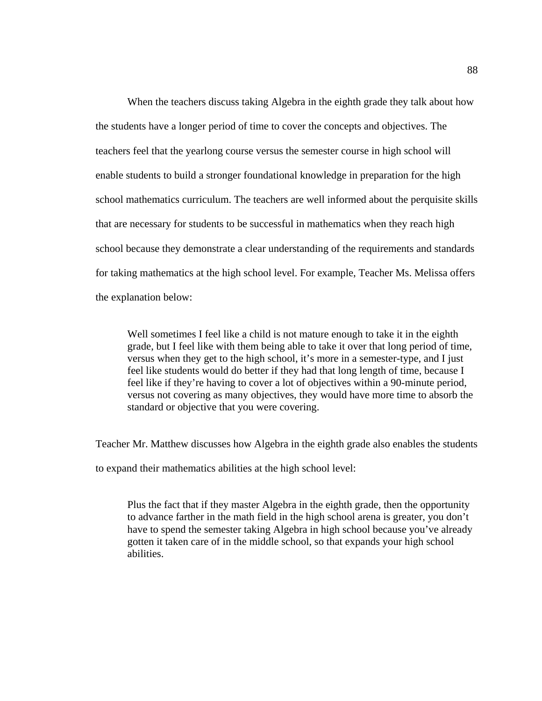When the teachers discuss taking Algebra in the eighth grade they talk about how the students have a longer period of time to cover the concepts and objectives. The teachers feel that the yearlong course versus the semester course in high school will enable students to build a stronger foundational knowledge in preparation for the high school mathematics curriculum. The teachers are well informed about the perquisite skills that are necessary for students to be successful in mathematics when they reach high school because they demonstrate a clear understanding of the requirements and standards for taking mathematics at the high school level. For example, Teacher Ms. Melissa offers the explanation below:

Well sometimes I feel like a child is not mature enough to take it in the eighth grade, but I feel like with them being able to take it over that long period of time, versus when they get to the high school, it's more in a semester-type, and I just feel like students would do better if they had that long length of time, because I feel like if they're having to cover a lot of objectives within a 90-minute period, versus not covering as many objectives, they would have more time to absorb the standard or objective that you were covering.

Teacher Mr. Matthew discusses how Algebra in the eighth grade also enables the students

to expand their mathematics abilities at the high school level:

Plus the fact that if they master Algebra in the eighth grade, then the opportunity to advance farther in the math field in the high school arena is greater, you don't have to spend the semester taking Algebra in high school because you've already gotten it taken care of in the middle school, so that expands your high school abilities.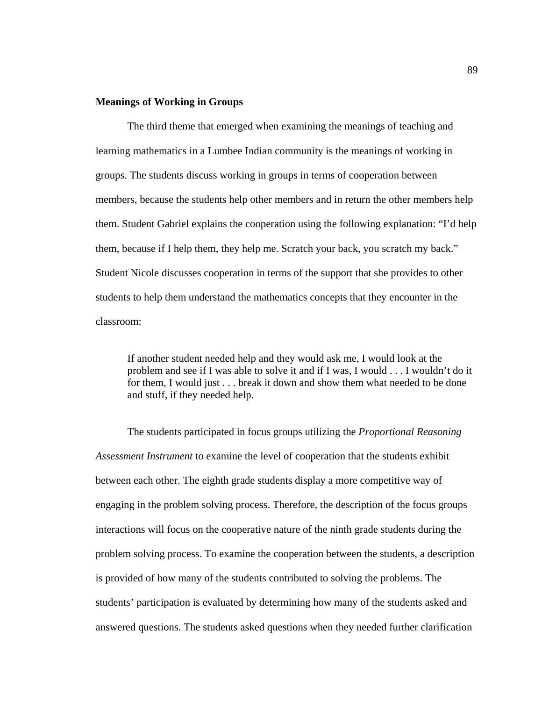# **Meanings of Working in Groups**

The third theme that emerged when examining the meanings of teaching and learning mathematics in a Lumbee Indian community is the meanings of working in groups. The students discuss working in groups in terms of cooperation between members, because the students help other members and in return the other members help them. Student Gabriel explains the cooperation using the following explanation: "I'd help them, because if I help them, they help me. Scratch your back, you scratch my back." Student Nicole discusses cooperation in terms of the support that she provides to other students to help them understand the mathematics concepts that they encounter in the classroom:

If another student needed help and they would ask me, I would look at the problem and see if I was able to solve it and if I was, I would . . . I wouldn't do it for them, I would just . . . break it down and show them what needed to be done and stuff, if they needed help.

The students participated in focus groups utilizing the *Proportional Reasoning Assessment Instrument* to examine the level of cooperation that the students exhibit between each other. The eighth grade students display a more competitive way of engaging in the problem solving process. Therefore, the description of the focus groups interactions will focus on the cooperative nature of the ninth grade students during the problem solving process. To examine the cooperation between the students, a description is provided of how many of the students contributed to solving the problems. The students' participation is evaluated by determining how many of the students asked and answered questions. The students asked questions when they needed further clarification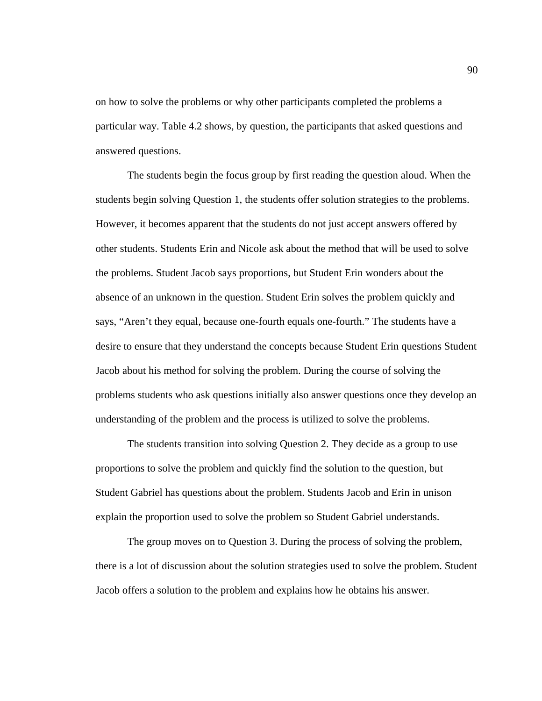on how to solve the problems or why other participants completed the problems a particular way. Table 4.2 shows, by question, the participants that asked questions and answered questions.

The students begin the focus group by first reading the question aloud. When the students begin solving Question 1, the students offer solution strategies to the problems. However, it becomes apparent that the students do not just accept answers offered by other students. Students Erin and Nicole ask about the method that will be used to solve the problems. Student Jacob says proportions, but Student Erin wonders about the absence of an unknown in the question. Student Erin solves the problem quickly and says, "Aren't they equal, because one-fourth equals one-fourth." The students have a desire to ensure that they understand the concepts because Student Erin questions Student Jacob about his method for solving the problem. During the course of solving the problems students who ask questions initially also answer questions once they develop an understanding of the problem and the process is utilized to solve the problems.

The students transition into solving Question 2. They decide as a group to use proportions to solve the problem and quickly find the solution to the question, but Student Gabriel has questions about the problem. Students Jacob and Erin in unison explain the proportion used to solve the problem so Student Gabriel understands.

 The group moves on to Question 3. During the process of solving the problem, there is a lot of discussion about the solution strategies used to solve the problem. Student Jacob offers a solution to the problem and explains how he obtains his answer.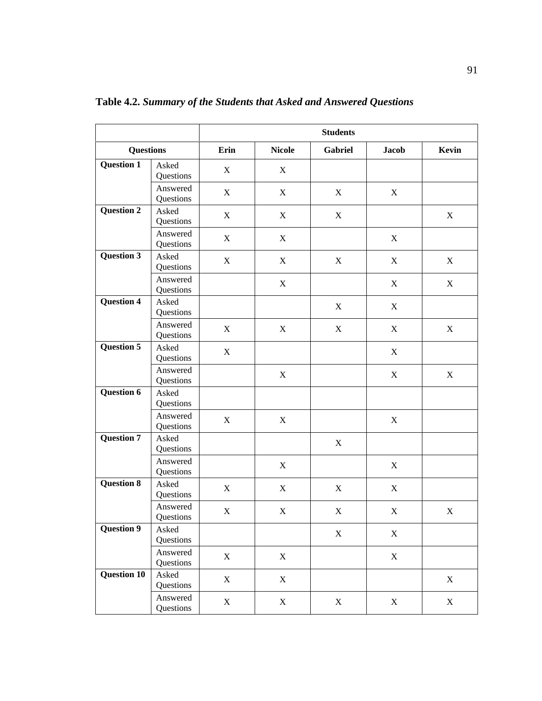|                    |                       | <b>Students</b> |                  |             |              |                           |  |
|--------------------|-----------------------|-----------------|------------------|-------------|--------------|---------------------------|--|
| <b>Questions</b>   |                       | Erin            | <b>Nicole</b>    | Gabriel     | <b>Jacob</b> | Kevin                     |  |
| <b>Question 1</b>  | Asked<br>Questions    | $\mathbf X$     | X                |             |              |                           |  |
|                    | Answered<br>Questions | $\mathbf X$     | $\boldsymbol{X}$ | X           | X            |                           |  |
| <b>Question 2</b>  | Asked<br>Questions    | $\mathbf X$     | $\boldsymbol{X}$ | $\mathbf X$ |              | X                         |  |
|                    | Answered<br>Questions | $\mathbf X$     | X                |             | $\mathbf X$  |                           |  |
| <b>Question 3</b>  | Asked<br>Questions    | X               | $\boldsymbol{X}$ | $\mathbf X$ | X            | X                         |  |
|                    | Answered<br>Questions |                 | $\mathbf X$      |             | $\mathbf X$  | X                         |  |
| Question 4         | Asked<br>Questions    |                 |                  | X           | X            |                           |  |
|                    | Answered<br>Questions | X               | X                | $\mathbf X$ | X            | X                         |  |
| <b>Question 5</b>  | Asked<br>Questions    | $\mathbf X$     |                  |             | X            |                           |  |
|                    | Answered<br>Questions |                 | $\mathbf X$      |             | $\mathbf X$  | $\boldsymbol{\mathrm{X}}$ |  |
| <b>Question 6</b>  | Asked<br>Questions    |                 |                  |             |              |                           |  |
|                    | Answered<br>Questions | X               | $\mathbf X$      |             | $\mathbf X$  |                           |  |
| <b>Question 7</b>  | Asked<br>Questions    |                 |                  | $\mathbf X$ |              |                           |  |
|                    | Answered<br>Questions |                 | $\boldsymbol{X}$ |             | X            |                           |  |
| <b>Question 8</b>  | Asked<br>Questions    | $\mathbf X$     | $\boldsymbol{X}$ | $\mathbf X$ | $\mathbf X$  |                           |  |
|                    | Answered<br>Questions | $\mathbf X$     | X                | $\mathbf X$ | X            | X                         |  |
| <b>Question 9</b>  | Asked<br>Questions    |                 |                  | $\mathbf X$ | X            |                           |  |
|                    | Answered<br>Questions | $\mathbf X$     | $\mathbf X$      |             | $\mathbf X$  |                           |  |
| <b>Question 10</b> | Asked<br>Questions    | $\mathbf X$     | $\mathbf X$      |             |              | $\mathbf X$               |  |
|                    | Answered<br>Questions | $\mathbf X$     | $\mathbf X$      | $\mathbf X$ | $\mathbf X$  | $\mathbf X$               |  |

**Table 4.2.** *Summary of the Students that Asked and Answered Questions*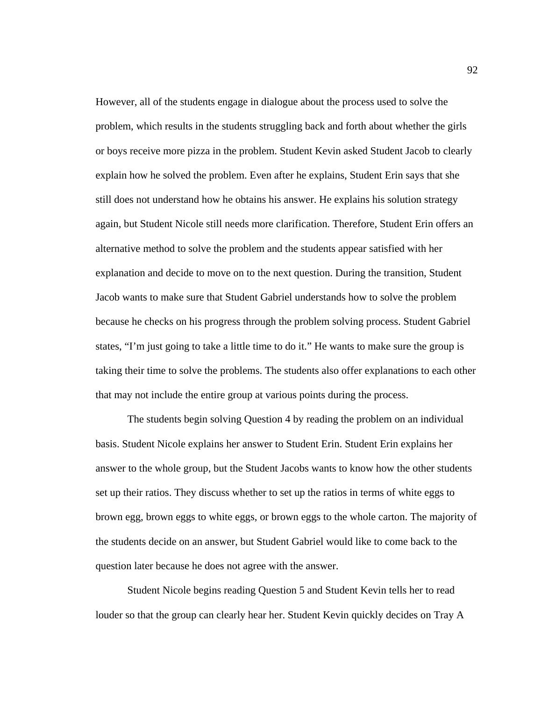However, all of the students engage in dialogue about the process used to solve the problem, which results in the students struggling back and forth about whether the girls or boys receive more pizza in the problem. Student Kevin asked Student Jacob to clearly explain how he solved the problem. Even after he explains, Student Erin says that she still does not understand how he obtains his answer. He explains his solution strategy again, but Student Nicole still needs more clarification. Therefore, Student Erin offers an alternative method to solve the problem and the students appear satisfied with her explanation and decide to move on to the next question. During the transition, Student Jacob wants to make sure that Student Gabriel understands how to solve the problem because he checks on his progress through the problem solving process. Student Gabriel states, "I'm just going to take a little time to do it." He wants to make sure the group is taking their time to solve the problems. The students also offer explanations to each other that may not include the entire group at various points during the process.

The students begin solving Question 4 by reading the problem on an individual basis. Student Nicole explains her answer to Student Erin. Student Erin explains her answer to the whole group, but the Student Jacobs wants to know how the other students set up their ratios. They discuss whether to set up the ratios in terms of white eggs to brown egg, brown eggs to white eggs, or brown eggs to the whole carton. The majority of the students decide on an answer, but Student Gabriel would like to come back to the question later because he does not agree with the answer.

Student Nicole begins reading Question 5 and Student Kevin tells her to read louder so that the group can clearly hear her. Student Kevin quickly decides on Tray A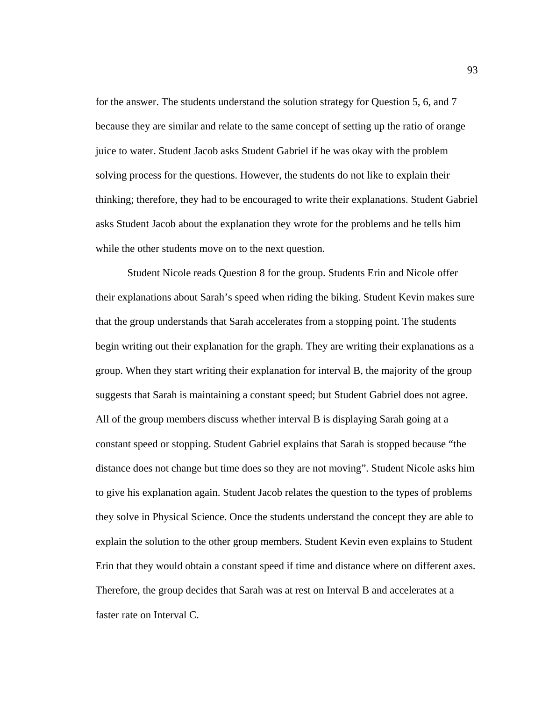for the answer. The students understand the solution strategy for Question 5, 6, and 7 because they are similar and relate to the same concept of setting up the ratio of orange juice to water. Student Jacob asks Student Gabriel if he was okay with the problem solving process for the questions. However, the students do not like to explain their thinking; therefore, they had to be encouraged to write their explanations. Student Gabriel asks Student Jacob about the explanation they wrote for the problems and he tells him while the other students move on to the next question.

Student Nicole reads Question 8 for the group. Students Erin and Nicole offer their explanations about Sarah's speed when riding the biking. Student Kevin makes sure that the group understands that Sarah accelerates from a stopping point. The students begin writing out their explanation for the graph. They are writing their explanations as a group. When they start writing their explanation for interval B, the majority of the group suggests that Sarah is maintaining a constant speed; but Student Gabriel does not agree. All of the group members discuss whether interval B is displaying Sarah going at a constant speed or stopping. Student Gabriel explains that Sarah is stopped because "the distance does not change but time does so they are not moving". Student Nicole asks him to give his explanation again. Student Jacob relates the question to the types of problems they solve in Physical Science. Once the students understand the concept they are able to explain the solution to the other group members. Student Kevin even explains to Student Erin that they would obtain a constant speed if time and distance where on different axes. Therefore, the group decides that Sarah was at rest on Interval B and accelerates at a faster rate on Interval C.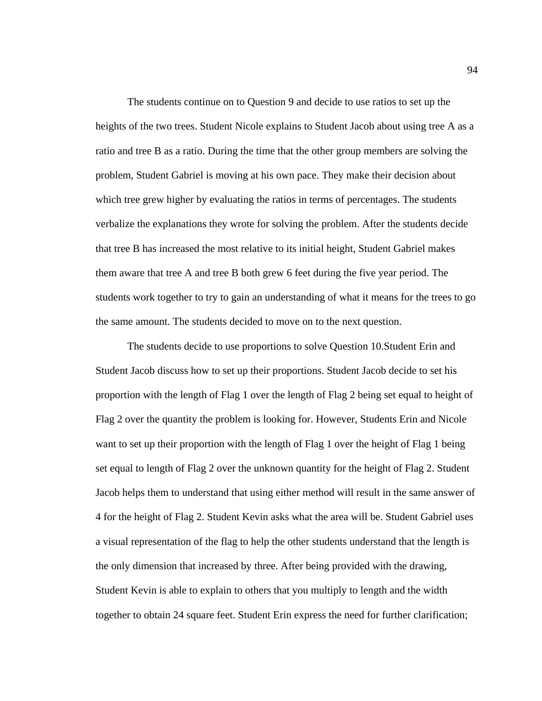The students continue on to Question 9 and decide to use ratios to set up the heights of the two trees. Student Nicole explains to Student Jacob about using tree A as a ratio and tree B as a ratio. During the time that the other group members are solving the problem, Student Gabriel is moving at his own pace. They make their decision about which tree grew higher by evaluating the ratios in terms of percentages. The students verbalize the explanations they wrote for solving the problem. After the students decide that tree B has increased the most relative to its initial height, Student Gabriel makes them aware that tree A and tree B both grew 6 feet during the five year period. The students work together to try to gain an understanding of what it means for the trees to go the same amount. The students decided to move on to the next question.

The students decide to use proportions to solve Question 10.Student Erin and Student Jacob discuss how to set up their proportions. Student Jacob decide to set his proportion with the length of Flag 1 over the length of Flag 2 being set equal to height of Flag 2 over the quantity the problem is looking for. However, Students Erin and Nicole want to set up their proportion with the length of Flag 1 over the height of Flag 1 being set equal to length of Flag 2 over the unknown quantity for the height of Flag 2. Student Jacob helps them to understand that using either method will result in the same answer of 4 for the height of Flag 2. Student Kevin asks what the area will be. Student Gabriel uses a visual representation of the flag to help the other students understand that the length is the only dimension that increased by three. After being provided with the drawing, Student Kevin is able to explain to others that you multiply to length and the width together to obtain 24 square feet. Student Erin express the need for further clarification;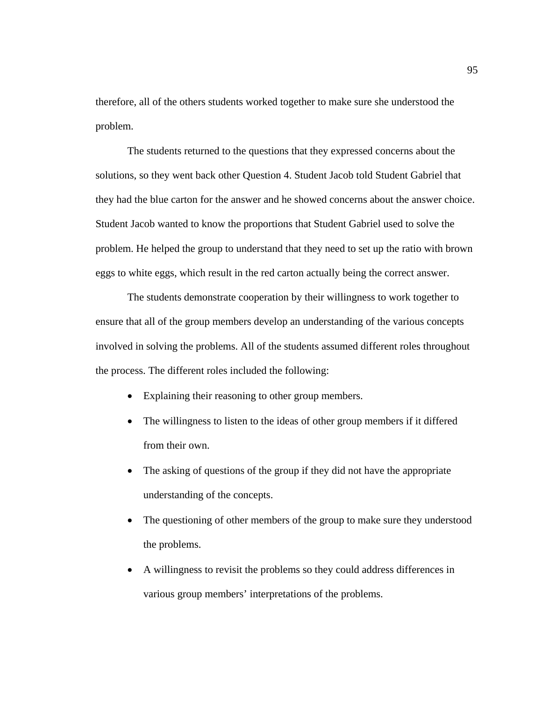therefore, all of the others students worked together to make sure she understood the problem.

The students returned to the questions that they expressed concerns about the solutions, so they went back other Question 4. Student Jacob told Student Gabriel that they had the blue carton for the answer and he showed concerns about the answer choice. Student Jacob wanted to know the proportions that Student Gabriel used to solve the problem. He helped the group to understand that they need to set up the ratio with brown eggs to white eggs, which result in the red carton actually being the correct answer.

The students demonstrate cooperation by their willingness to work together to ensure that all of the group members develop an understanding of the various concepts involved in solving the problems. All of the students assumed different roles throughout the process. The different roles included the following:

- Explaining their reasoning to other group members.
- The willingness to listen to the ideas of other group members if it differed from their own.
- The asking of questions of the group if they did not have the appropriate understanding of the concepts.
- The questioning of other members of the group to make sure they understood the problems.
- A willingness to revisit the problems so they could address differences in various group members' interpretations of the problems.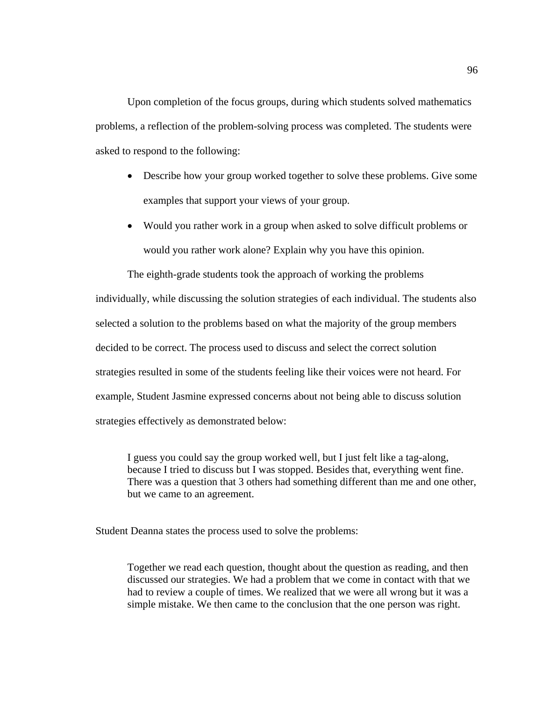Upon completion of the focus groups, during which students solved mathematics problems, a reflection of the problem-solving process was completed. The students were asked to respond to the following:

- Describe how your group worked together to solve these problems. Give some examples that support your views of your group.
- Would you rather work in a group when asked to solve difficult problems or would you rather work alone? Explain why you have this opinion.

The eighth-grade students took the approach of working the problems individually, while discussing the solution strategies of each individual. The students also selected a solution to the problems based on what the majority of the group members decided to be correct. The process used to discuss and select the correct solution strategies resulted in some of the students feeling like their voices were not heard. For example, Student Jasmine expressed concerns about not being able to discuss solution strategies effectively as demonstrated below:

I guess you could say the group worked well, but I just felt like a tag-along, because I tried to discuss but I was stopped. Besides that, everything went fine. There was a question that 3 others had something different than me and one other, but we came to an agreement.

Student Deanna states the process used to solve the problems:

Together we read each question, thought about the question as reading, and then discussed our strategies. We had a problem that we come in contact with that we had to review a couple of times. We realized that we were all wrong but it was a simple mistake. We then came to the conclusion that the one person was right.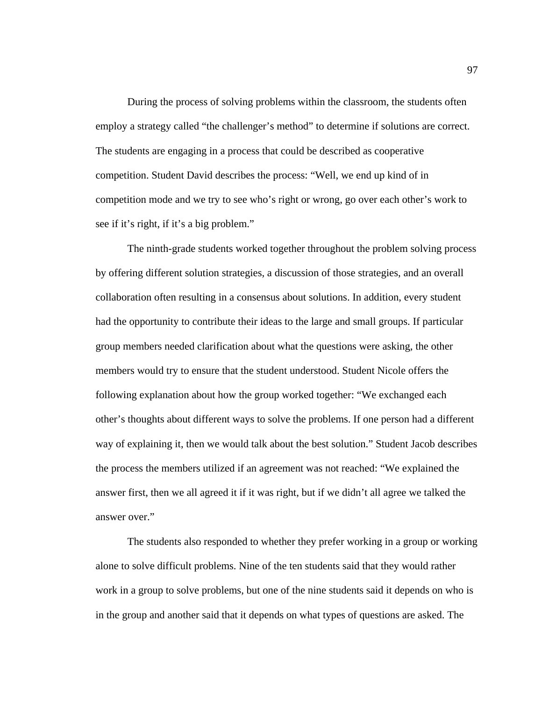During the process of solving problems within the classroom, the students often employ a strategy called "the challenger's method" to determine if solutions are correct. The students are engaging in a process that could be described as cooperative competition. Student David describes the process: "Well, we end up kind of in competition mode and we try to see who's right or wrong, go over each other's work to see if it's right, if it's a big problem."

 The ninth-grade students worked together throughout the problem solving process by offering different solution strategies, a discussion of those strategies, and an overall collaboration often resulting in a consensus about solutions. In addition, every student had the opportunity to contribute their ideas to the large and small groups. If particular group members needed clarification about what the questions were asking, the other members would try to ensure that the student understood. Student Nicole offers the following explanation about how the group worked together: "We exchanged each other's thoughts about different ways to solve the problems. If one person had a different way of explaining it, then we would talk about the best solution." Student Jacob describes the process the members utilized if an agreement was not reached: "We explained the answer first, then we all agreed it if it was right, but if we didn't all agree we talked the answer over."

The students also responded to whether they prefer working in a group or working alone to solve difficult problems. Nine of the ten students said that they would rather work in a group to solve problems, but one of the nine students said it depends on who is in the group and another said that it depends on what types of questions are asked. The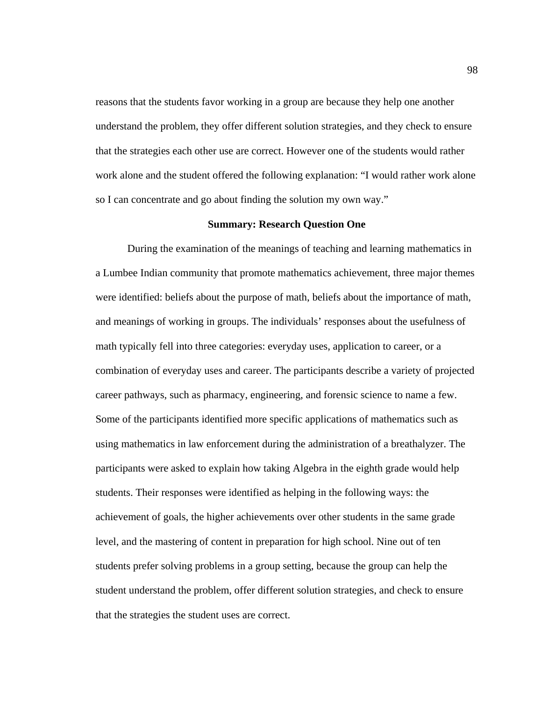reasons that the students favor working in a group are because they help one another understand the problem, they offer different solution strategies, and they check to ensure that the strategies each other use are correct. However one of the students would rather work alone and the student offered the following explanation: "I would rather work alone so I can concentrate and go about finding the solution my own way."

# **Summary: Research Question One**

 During the examination of the meanings of teaching and learning mathematics in a Lumbee Indian community that promote mathematics achievement, three major themes were identified: beliefs about the purpose of math, beliefs about the importance of math, and meanings of working in groups. The individuals' responses about the usefulness of math typically fell into three categories: everyday uses, application to career, or a combination of everyday uses and career. The participants describe a variety of projected career pathways, such as pharmacy, engineering, and forensic science to name a few. Some of the participants identified more specific applications of mathematics such as using mathematics in law enforcement during the administration of a breathalyzer. The participants were asked to explain how taking Algebra in the eighth grade would help students. Their responses were identified as helping in the following ways: the achievement of goals, the higher achievements over other students in the same grade level, and the mastering of content in preparation for high school. Nine out of ten students prefer solving problems in a group setting, because the group can help the student understand the problem, offer different solution strategies, and check to ensure that the strategies the student uses are correct.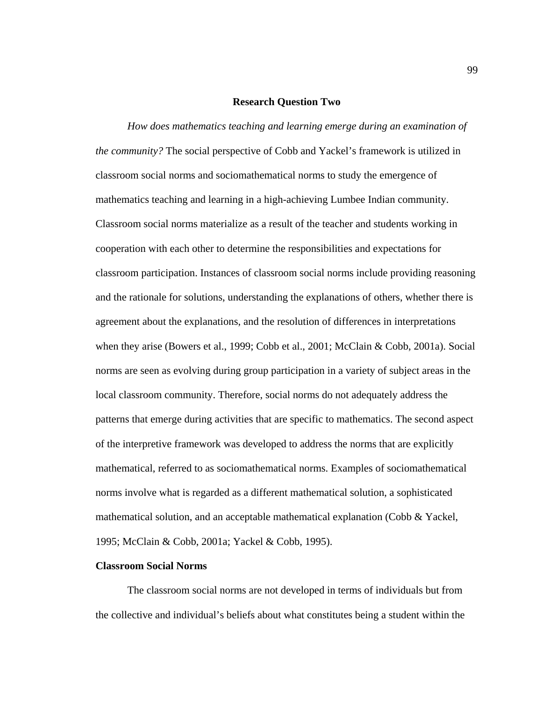#### **Research Question Two**

 *How does mathematics teaching and learning emerge during an examination of the community?* The social perspective of Cobb and Yackel's framework is utilized in classroom social norms and sociomathematical norms to study the emergence of mathematics teaching and learning in a high-achieving Lumbee Indian community. Classroom social norms materialize as a result of the teacher and students working in cooperation with each other to determine the responsibilities and expectations for classroom participation. Instances of classroom social norms include providing reasoning and the rationale for solutions, understanding the explanations of others, whether there is agreement about the explanations, and the resolution of differences in interpretations when they arise (Bowers et al., 1999; Cobb et al., 2001; McClain & Cobb, 2001a). Social norms are seen as evolving during group participation in a variety of subject areas in the local classroom community. Therefore, social norms do not adequately address the patterns that emerge during activities that are specific to mathematics. The second aspect of the interpretive framework was developed to address the norms that are explicitly mathematical, referred to as sociomathematical norms. Examples of sociomathematical norms involve what is regarded as a different mathematical solution, a sophisticated mathematical solution, and an acceptable mathematical explanation (Cobb & Yackel, 1995; McClain & Cobb, 2001a; Yackel & Cobb, 1995).

# **Classroom Social Norms**

 The classroom social norms are not developed in terms of individuals but from the collective and individual's beliefs about what constitutes being a student within the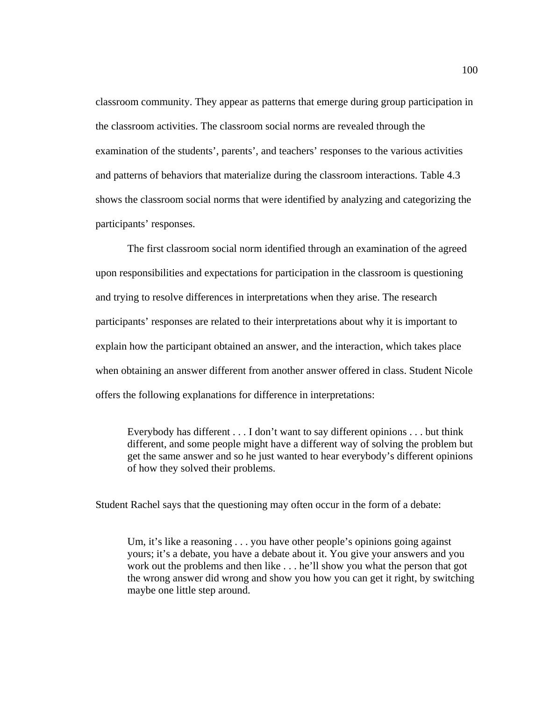classroom community. They appear as patterns that emerge during group participation in the classroom activities. The classroom social norms are revealed through the examination of the students', parents', and teachers' responses to the various activities and patterns of behaviors that materialize during the classroom interactions. Table 4.3 shows the classroom social norms that were identified by analyzing and categorizing the participants' responses.

 The first classroom social norm identified through an examination of the agreed upon responsibilities and expectations for participation in the classroom is questioning and trying to resolve differences in interpretations when they arise. The research participants' responses are related to their interpretations about why it is important to explain how the participant obtained an answer, and the interaction, which takes place when obtaining an answer different from another answer offered in class. Student Nicole offers the following explanations for difference in interpretations:

Everybody has different . . . I don't want to say different opinions . . . but think different, and some people might have a different way of solving the problem but get the same answer and so he just wanted to hear everybody's different opinions of how they solved their problems.

Student Rachel says that the questioning may often occur in the form of a debate:

Um, it's like a reasoning . . . you have other people's opinions going against yours; it's a debate, you have a debate about it. You give your answers and you work out the problems and then like . . . he'll show you what the person that got the wrong answer did wrong and show you how you can get it right, by switching maybe one little step around.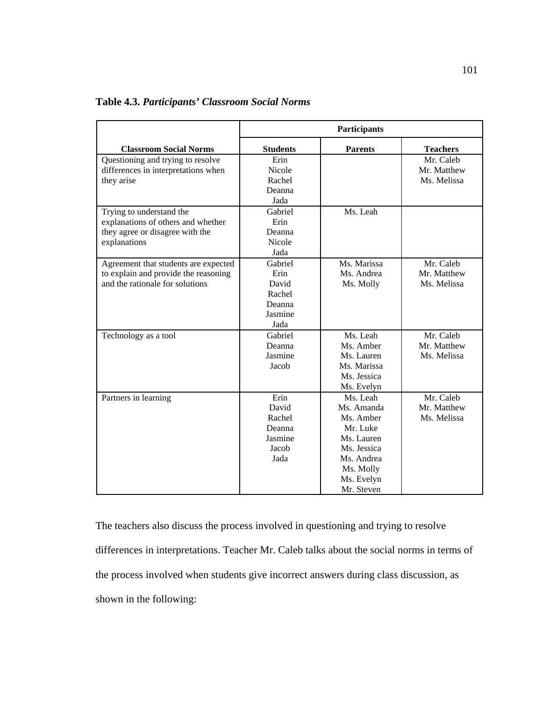|                                                                                                                   | Participants                                                    |                                                                                                                                     |                                         |
|-------------------------------------------------------------------------------------------------------------------|-----------------------------------------------------------------|-------------------------------------------------------------------------------------------------------------------------------------|-----------------------------------------|
| <b>Classroom Social Norms</b>                                                                                     | <b>Students</b>                                                 | <b>Parents</b>                                                                                                                      | <b>Teachers</b>                         |
| Questioning and trying to resolve<br>differences in interpretations when<br>they arise                            | Erin<br><b>Nicole</b><br>Rachel<br>Deanna<br>Jada               |                                                                                                                                     | Mr. Caleb<br>Mr. Matthew<br>Ms. Melissa |
| Trying to understand the<br>explanations of others and whether<br>they agree or disagree with the<br>explanations | Gabriel<br>Erin<br>Deanna<br><b>Nicole</b><br>Jada              | Ms. Leah                                                                                                                            |                                         |
| Agreement that students are expected<br>to explain and provide the reasoning<br>and the rationale for solutions   | Gabriel<br>Erin<br>David<br>Rachel<br>Deanna<br>Jasmine<br>Jada | Ms. Marissa<br>Ms. Andrea<br>Ms. Molly                                                                                              | Mr. Caleb<br>Mr. Matthew<br>Ms. Melissa |
| Technology as a tool                                                                                              | Gabriel<br>Deanna<br>Jasmine<br>Jacob                           | Ms. Leah<br>Ms. Amber<br>Ms. Lauren<br>Ms. Marissa<br>Ms. Jessica<br>Ms. Evelyn                                                     | Mr. Caleb<br>Mr. Matthew<br>Ms. Melissa |
| Partners in learning                                                                                              | Erin<br>David<br>Rachel<br>Deanna<br>Jasmine<br>Jacob<br>Jada   | Ms. Leah<br>Ms. Amanda<br>Ms. Amber<br>Mr. Luke<br>Ms. Lauren<br>Ms. Jessica<br>Ms. Andrea<br>Ms. Molly<br>Ms. Evelyn<br>Mr. Steven | Mr. Caleb<br>Mr. Matthew<br>Ms. Melissa |

**Table 4.3.** *Participants' Classroom Social Norms* 

The teachers also discuss the process involved in questioning and trying to resolve differences in interpretations. Teacher Mr. Caleb talks about the social norms in terms of the process involved when students give incorrect answers during class discussion, as shown in the following: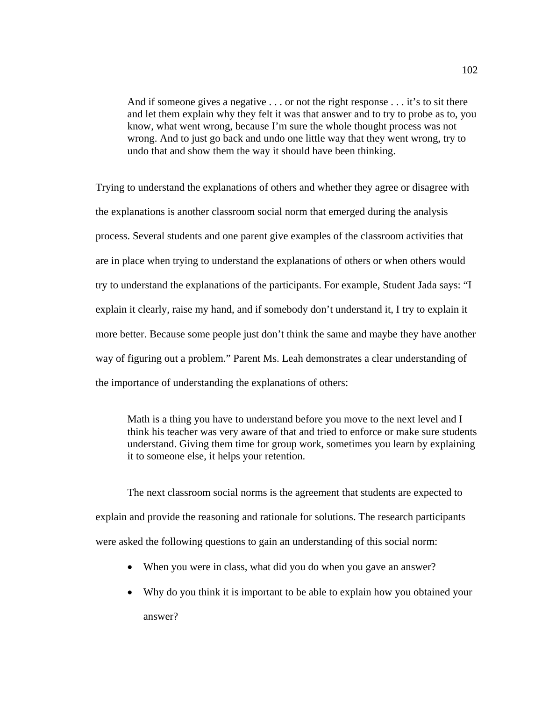And if someone gives a negative . . . or not the right response . . . it's to sit there and let them explain why they felt it was that answer and to try to probe as to, you know, what went wrong, because I'm sure the whole thought process was not wrong. And to just go back and undo one little way that they went wrong, try to undo that and show them the way it should have been thinking.

Trying to understand the explanations of others and whether they agree or disagree with the explanations is another classroom social norm that emerged during the analysis process. Several students and one parent give examples of the classroom activities that are in place when trying to understand the explanations of others or when others would try to understand the explanations of the participants. For example, Student Jada says: "I explain it clearly, raise my hand, and if somebody don't understand it, I try to explain it more better. Because some people just don't think the same and maybe they have another way of figuring out a problem." Parent Ms. Leah demonstrates a clear understanding of the importance of understanding the explanations of others:

Math is a thing you have to understand before you move to the next level and I think his teacher was very aware of that and tried to enforce or make sure students understand. Giving them time for group work, sometimes you learn by explaining it to someone else, it helps your retention.

 The next classroom social norms is the agreement that students are expected to explain and provide the reasoning and rationale for solutions. The research participants were asked the following questions to gain an understanding of this social norm:

- When you were in class, what did you do when you gave an answer?
- Why do you think it is important to be able to explain how you obtained your answer?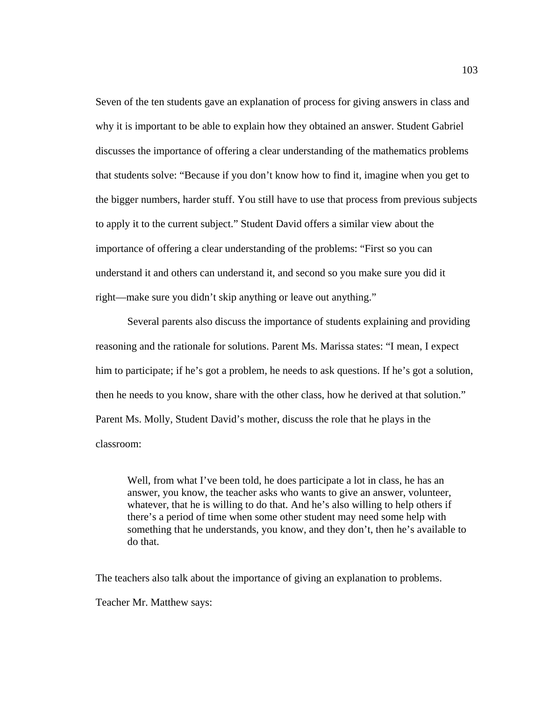Seven of the ten students gave an explanation of process for giving answers in class and why it is important to be able to explain how they obtained an answer. Student Gabriel discusses the importance of offering a clear understanding of the mathematics problems that students solve: "Because if you don't know how to find it, imagine when you get to the bigger numbers, harder stuff. You still have to use that process from previous subjects to apply it to the current subject." Student David offers a similar view about the importance of offering a clear understanding of the problems: "First so you can understand it and others can understand it, and second so you make sure you did it right—make sure you didn't skip anything or leave out anything."

Several parents also discuss the importance of students explaining and providing reasoning and the rationale for solutions. Parent Ms. Marissa states: "I mean, I expect him to participate; if he's got a problem, he needs to ask questions. If he's got a solution, then he needs to you know, share with the other class, how he derived at that solution." Parent Ms. Molly, Student David's mother, discuss the role that he plays in the classroom:

Well, from what I've been told, he does participate a lot in class, he has an answer, you know, the teacher asks who wants to give an answer, volunteer, whatever, that he is willing to do that. And he's also willing to help others if there's a period of time when some other student may need some help with something that he understands, you know, and they don't, then he's available to do that.

The teachers also talk about the importance of giving an explanation to problems.

Teacher Mr. Matthew says: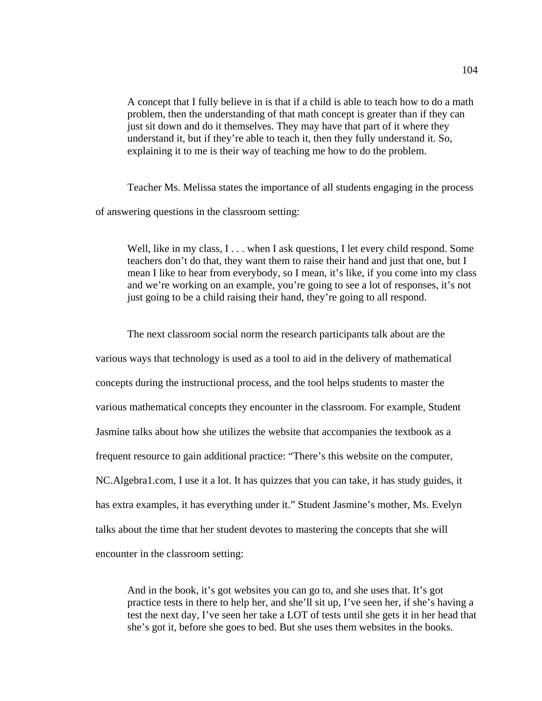A concept that I fully believe in is that if a child is able to teach how to do a math problem, then the understanding of that math concept is greater than if they can just sit down and do it themselves. They may have that part of it where they understand it, but if they're able to teach it, then they fully understand it. So, explaining it to me is their way of teaching me how to do the problem.

 Teacher Ms. Melissa states the importance of all students engaging in the process of answering questions in the classroom setting:

Well, like in my class, I . . . when I ask questions, I let every child respond. Some teachers don't do that, they want them to raise their hand and just that one, but I mean I like to hear from everybody, so I mean, it's like, if you come into my class and we're working on an example, you're going to see a lot of responses, it's not just going to be a child raising their hand, they're going to all respond.

The next classroom social norm the research participants talk about are the various ways that technology is used as a tool to aid in the delivery of mathematical concepts during the instructional process, and the tool helps students to master the various mathematical concepts they encounter in the classroom. For example, Student Jasmine talks about how she utilizes the website that accompanies the textbook as a frequent resource to gain additional practice: "There's this website on the computer, NC.Algebra1.com, I use it a lot. It has quizzes that you can take, it has study guides, it has extra examples, it has everything under it." Student Jasmine's mother, Ms. Evelyn talks about the time that her student devotes to mastering the concepts that she will encounter in the classroom setting:

And in the book, it's got websites you can go to, and she uses that. It's got practice tests in there to help her, and she'll sit up, I've seen her, if she's having a test the next day, I've seen her take a LOT of tests until she gets it in her head that she's got it, before she goes to bed. But she uses them websites in the books.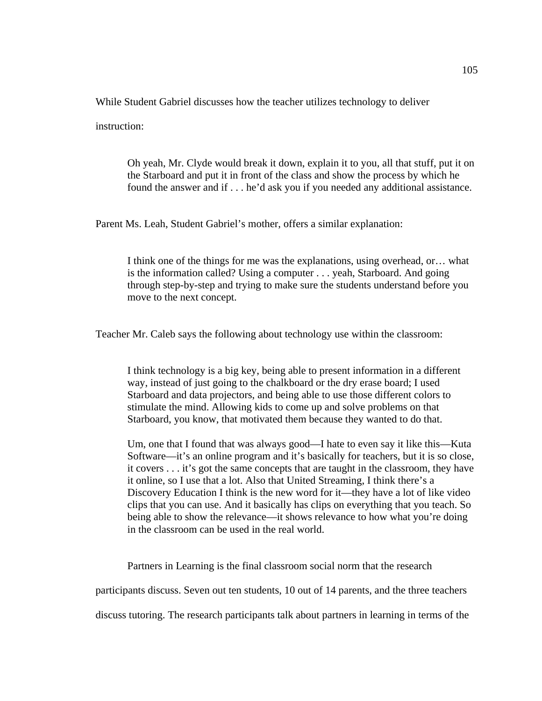While Student Gabriel discusses how the teacher utilizes technology to deliver

instruction:

Oh yeah, Mr. Clyde would break it down, explain it to you, all that stuff, put it on the Starboard and put it in front of the class and show the process by which he found the answer and if . . . he'd ask you if you needed any additional assistance.

Parent Ms. Leah, Student Gabriel's mother, offers a similar explanation:

I think one of the things for me was the explanations, using overhead, or… what is the information called? Using a computer . . . yeah, Starboard. And going through step-by-step and trying to make sure the students understand before you move to the next concept.

Teacher Mr. Caleb says the following about technology use within the classroom:

I think technology is a big key, being able to present information in a different way, instead of just going to the chalkboard or the dry erase board; I used Starboard and data projectors, and being able to use those different colors to stimulate the mind. Allowing kids to come up and solve problems on that Starboard, you know, that motivated them because they wanted to do that.

Um, one that I found that was always good—I hate to even say it like this—Kuta Software—it's an online program and it's basically for teachers, but it is so close, it covers . . . it's got the same concepts that are taught in the classroom, they have it online, so I use that a lot. Also that United Streaming, I think there's a Discovery Education I think is the new word for it—they have a lot of like video clips that you can use. And it basically has clips on everything that you teach. So being able to show the relevance—it shows relevance to how what you're doing in the classroom can be used in the real world.

Partners in Learning is the final classroom social norm that the research

participants discuss. Seven out ten students, 10 out of 14 parents, and the three teachers

discuss tutoring. The research participants talk about partners in learning in terms of the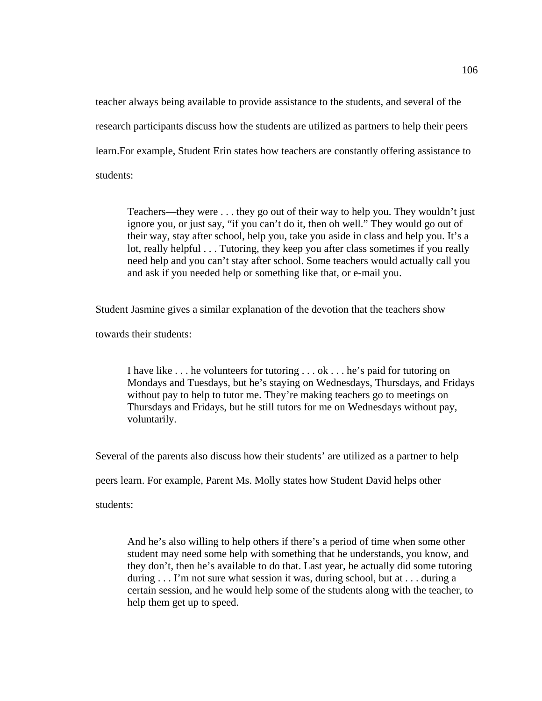teacher always being available to provide assistance to the students, and several of the research participants discuss how the students are utilized as partners to help their peers learn.For example, Student Erin states how teachers are constantly offering assistance to students:

Teachers—they were . . . they go out of their way to help you. They wouldn't just ignore you, or just say, "if you can't do it, then oh well." They would go out of their way, stay after school, help you, take you aside in class and help you. It's a lot, really helpful . . . Tutoring, they keep you after class sometimes if you really need help and you can't stay after school. Some teachers would actually call you and ask if you needed help or something like that, or e-mail you.

Student Jasmine gives a similar explanation of the devotion that the teachers show

towards their students:

I have like . . . he volunteers for tutoring . . . ok . . . he's paid for tutoring on Mondays and Tuesdays, but he's staying on Wednesdays, Thursdays, and Fridays without pay to help to tutor me. They're making teachers go to meetings on Thursdays and Fridays, but he still tutors for me on Wednesdays without pay, voluntarily.

Several of the parents also discuss how their students' are utilized as a partner to help

peers learn. For example, Parent Ms. Molly states how Student David helps other

students:

And he's also willing to help others if there's a period of time when some other student may need some help with something that he understands, you know, and they don't, then he's available to do that. Last year, he actually did some tutoring during . . . I'm not sure what session it was, during school, but at . . . during a certain session, and he would help some of the students along with the teacher, to help them get up to speed.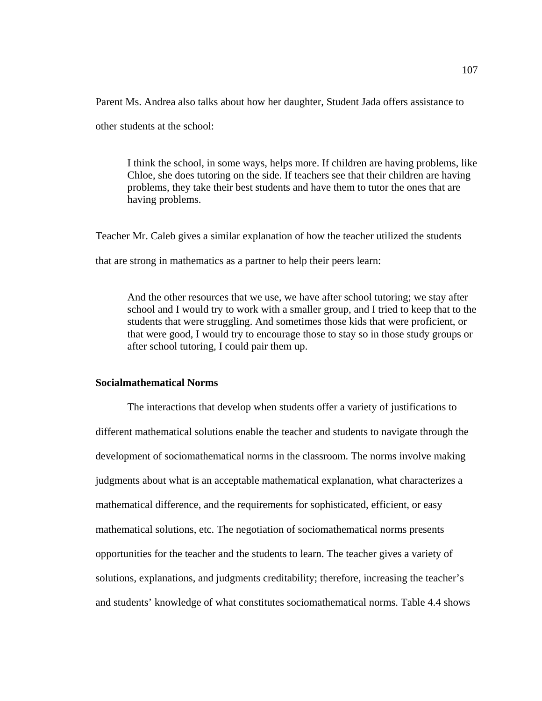Parent Ms. Andrea also talks about how her daughter, Student Jada offers assistance to

other students at the school:

I think the school, in some ways, helps more. If children are having problems, like Chloe, she does tutoring on the side. If teachers see that their children are having problems, they take their best students and have them to tutor the ones that are having problems.

Teacher Mr. Caleb gives a similar explanation of how the teacher utilized the students that are strong in mathematics as a partner to help their peers learn:

And the other resources that we use, we have after school tutoring; we stay after school and I would try to work with a smaller group, and I tried to keep that to the students that were struggling. And sometimes those kids that were proficient, or that were good, I would try to encourage those to stay so in those study groups or after school tutoring, I could pair them up.

## **Socialmathematical Norms**

 The interactions that develop when students offer a variety of justifications to different mathematical solutions enable the teacher and students to navigate through the development of sociomathematical norms in the classroom. The norms involve making judgments about what is an acceptable mathematical explanation, what characterizes a mathematical difference, and the requirements for sophisticated, efficient, or easy mathematical solutions, etc. The negotiation of sociomathematical norms presents opportunities for the teacher and the students to learn. The teacher gives a variety of solutions, explanations, and judgments creditability; therefore, increasing the teacher's and students' knowledge of what constitutes sociomathematical norms. Table 4.4 shows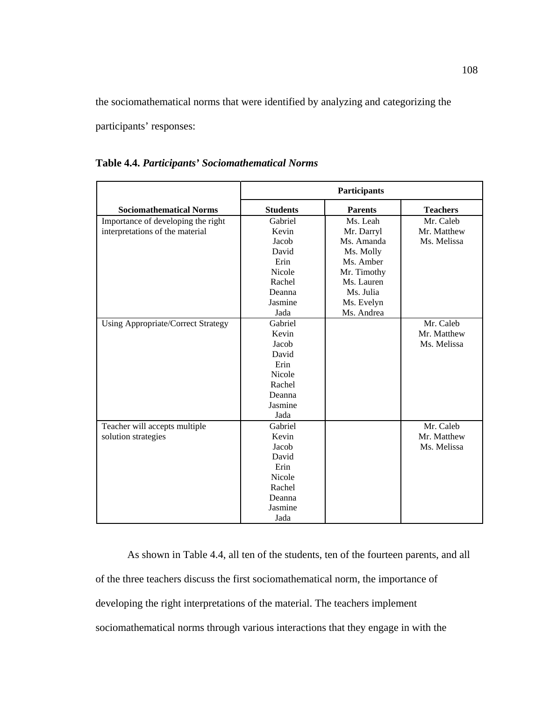the sociomathematical norms that were identified by analyzing and categorizing the

participants' responses:

|                                           | Participants    |                |                 |
|-------------------------------------------|-----------------|----------------|-----------------|
| <b>Sociomathematical Norms</b>            | <b>Students</b> | <b>Parents</b> | <b>Teachers</b> |
| Importance of developing the right        | Gabriel         | Ms. Leah       | Mr. Caleb       |
| interpretations of the material           | Kevin           | Mr. Darryl     | Mr. Matthew     |
|                                           | Jacob           | Ms. Amanda     | Ms. Melissa     |
|                                           | David           | Ms. Molly      |                 |
|                                           | Erin            | Ms. Amber      |                 |
|                                           | <b>Nicole</b>   | Mr. Timothy    |                 |
|                                           | Rachel          | Ms. Lauren     |                 |
|                                           | Deanna          | Ms. Julia      |                 |
|                                           | Jasmine         | Ms. Evelyn     |                 |
|                                           | Jada            | Ms. Andrea     |                 |
| <b>Using Appropriate/Correct Strategy</b> | Gabriel         |                | Mr. Caleb       |
|                                           | Kevin           |                | Mr. Matthew     |
|                                           | Jacob           |                | Ms. Melissa     |
|                                           | David           |                |                 |
|                                           | Erin            |                |                 |
|                                           | <b>Nicole</b>   |                |                 |
|                                           | Rachel          |                |                 |
|                                           | Deanna          |                |                 |
|                                           | Jasmine         |                |                 |
|                                           | Jada            |                |                 |
| Teacher will accepts multiple             | Gabriel         |                | Mr. Caleb       |
| solution strategies                       | Kevin           |                | Mr. Matthew     |
|                                           | Jacob           |                | Ms. Melissa     |
|                                           | David           |                |                 |
|                                           | Erin            |                |                 |
|                                           | <b>Nicole</b>   |                |                 |
|                                           | Rachel          |                |                 |
|                                           | Deanna          |                |                 |
|                                           | Jasmine         |                |                 |
|                                           | Jada            |                |                 |

**Table 4.4.** *Participants' Sociomathematical Norms* 

As shown in Table 4.4, all ten of the students, ten of the fourteen parents, and all of the three teachers discuss the first sociomathematical norm, the importance of developing the right interpretations of the material. The teachers implement sociomathematical norms through various interactions that they engage in with the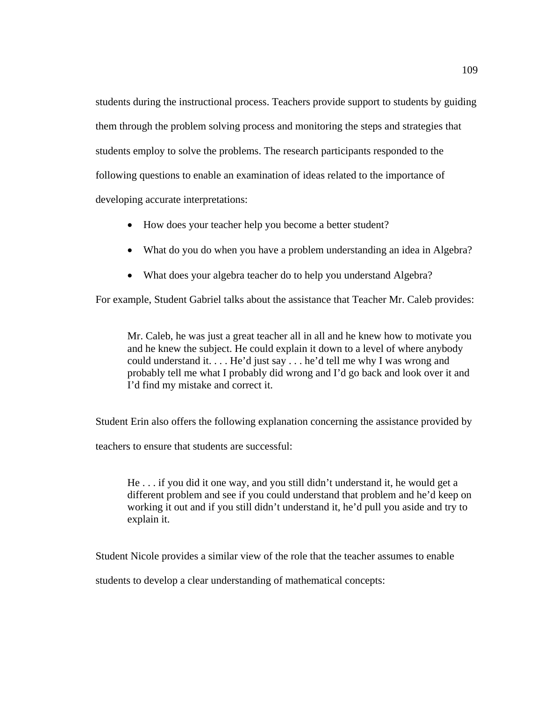students during the instructional process. Teachers provide support to students by guiding them through the problem solving process and monitoring the steps and strategies that students employ to solve the problems. The research participants responded to the following questions to enable an examination of ideas related to the importance of developing accurate interpretations:

- How does your teacher help you become a better student?
- What do you do when you have a problem understanding an idea in Algebra?
- What does your algebra teacher do to help you understand Algebra?

For example, Student Gabriel talks about the assistance that Teacher Mr. Caleb provides:

Mr. Caleb, he was just a great teacher all in all and he knew how to motivate you and he knew the subject. He could explain it down to a level of where anybody could understand it. . . . He'd just say . . . he'd tell me why I was wrong and probably tell me what I probably did wrong and I'd go back and look over it and I'd find my mistake and correct it.

Student Erin also offers the following explanation concerning the assistance provided by

teachers to ensure that students are successful:

He . . . if you did it one way, and you still didn't understand it, he would get a different problem and see if you could understand that problem and he'd keep on working it out and if you still didn't understand it, he'd pull you aside and try to explain it.

Student Nicole provides a similar view of the role that the teacher assumes to enable

students to develop a clear understanding of mathematical concepts: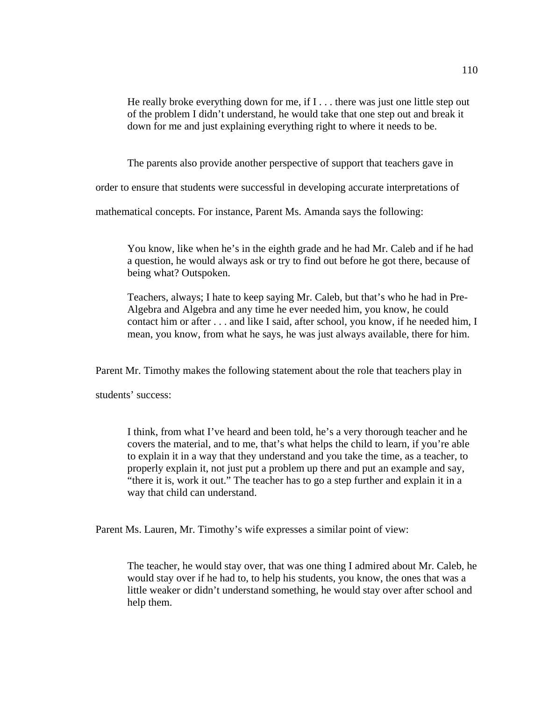He really broke everything down for me, if I . . . there was just one little step out of the problem I didn't understand, he would take that one step out and break it down for me and just explaining everything right to where it needs to be.

The parents also provide another perspective of support that teachers gave in

order to ensure that students were successful in developing accurate interpretations of

mathematical concepts. For instance, Parent Ms. Amanda says the following:

You know, like when he's in the eighth grade and he had Mr. Caleb and if he had a question, he would always ask or try to find out before he got there, because of being what? Outspoken.

Teachers, always; I hate to keep saying Mr. Caleb, but that's who he had in Pre-Algebra and Algebra and any time he ever needed him, you know, he could contact him or after . . . and like I said, after school, you know, if he needed him, I mean, you know, from what he says, he was just always available, there for him.

Parent Mr. Timothy makes the following statement about the role that teachers play in

students' success:

I think, from what I've heard and been told, he's a very thorough teacher and he covers the material, and to me, that's what helps the child to learn, if you're able to explain it in a way that they understand and you take the time, as a teacher, to properly explain it, not just put a problem up there and put an example and say, "there it is, work it out." The teacher has to go a step further and explain it in a way that child can understand.

Parent Ms. Lauren, Mr. Timothy's wife expresses a similar point of view:

The teacher, he would stay over, that was one thing I admired about Mr. Caleb, he would stay over if he had to, to help his students, you know, the ones that was a little weaker or didn't understand something, he would stay over after school and help them.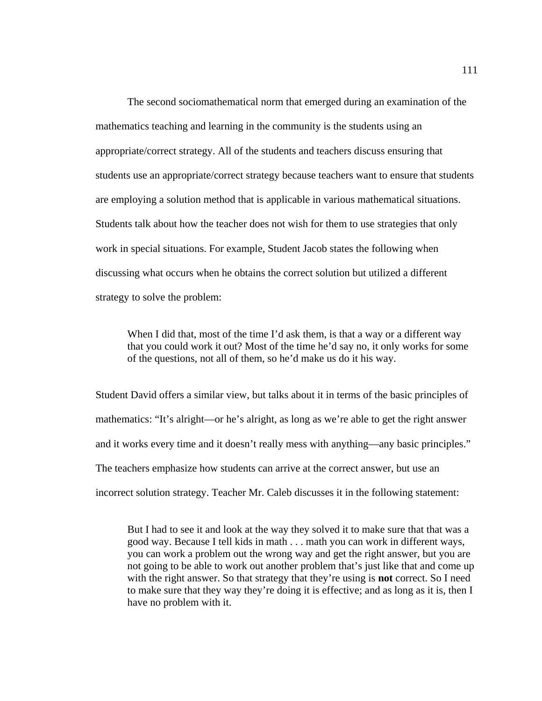The second sociomathematical norm that emerged during an examination of the mathematics teaching and learning in the community is the students using an appropriate/correct strategy. All of the students and teachers discuss ensuring that students use an appropriate/correct strategy because teachers want to ensure that students are employing a solution method that is applicable in various mathematical situations. Students talk about how the teacher does not wish for them to use strategies that only work in special situations. For example, Student Jacob states the following when discussing what occurs when he obtains the correct solution but utilized a different strategy to solve the problem:

When I did that, most of the time I'd ask them, is that a way or a different way that you could work it out? Most of the time he'd say no, it only works for some of the questions, not all of them, so he'd make us do it his way.

Student David offers a similar view, but talks about it in terms of the basic principles of mathematics: "It's alright—or he's alright, as long as we're able to get the right answer and it works every time and it doesn't really mess with anything—any basic principles." The teachers emphasize how students can arrive at the correct answer, but use an incorrect solution strategy. Teacher Mr. Caleb discusses it in the following statement:

But I had to see it and look at the way they solved it to make sure that that was a good way. Because I tell kids in math . . . math you can work in different ways, you can work a problem out the wrong way and get the right answer, but you are not going to be able to work out another problem that's just like that and come up with the right answer. So that strategy that they're using is **not** correct. So I need to make sure that they way they're doing it is effective; and as long as it is, then I have no problem with it.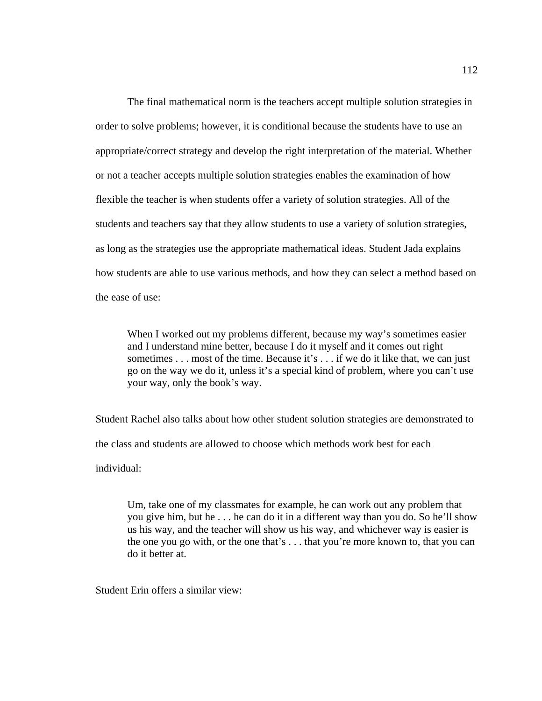The final mathematical norm is the teachers accept multiple solution strategies in order to solve problems; however, it is conditional because the students have to use an appropriate/correct strategy and develop the right interpretation of the material. Whether or not a teacher accepts multiple solution strategies enables the examination of how flexible the teacher is when students offer a variety of solution strategies. All of the students and teachers say that they allow students to use a variety of solution strategies, as long as the strategies use the appropriate mathematical ideas. Student Jada explains how students are able to use various methods, and how they can select a method based on the ease of use:

When I worked out my problems different, because my way's sometimes easier and I understand mine better, because I do it myself and it comes out right sometimes . . . most of the time. Because it's . . . if we do it like that, we can just go on the way we do it, unless it's a special kind of problem, where you can't use your way, only the book's way.

Student Rachel also talks about how other student solution strategies are demonstrated to the class and students are allowed to choose which methods work best for each

individual:

Um, take one of my classmates for example, he can work out any problem that you give him, but he . . . he can do it in a different way than you do. So he'll show us his way, and the teacher will show us his way, and whichever way is easier is the one you go with, or the one that's . . . that you're more known to, that you can do it better at.

Student Erin offers a similar view: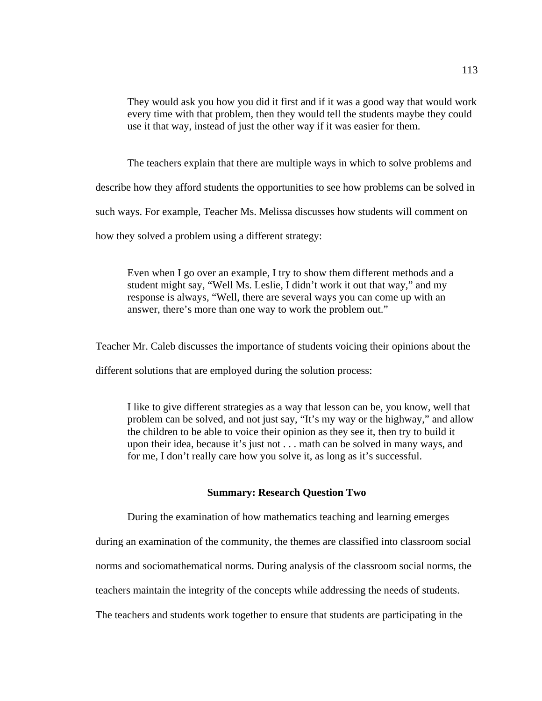They would ask you how you did it first and if it was a good way that would work every time with that problem, then they would tell the students maybe they could use it that way, instead of just the other way if it was easier for them.

The teachers explain that there are multiple ways in which to solve problems and

describe how they afford students the opportunities to see how problems can be solved in

such ways. For example, Teacher Ms. Melissa discusses how students will comment on

how they solved a problem using a different strategy:

Even when I go over an example, I try to show them different methods and a student might say, "Well Ms. Leslie, I didn't work it out that way," and my response is always, "Well, there are several ways you can come up with an answer, there's more than one way to work the problem out."

Teacher Mr. Caleb discusses the importance of students voicing their opinions about the

different solutions that are employed during the solution process:

I like to give different strategies as a way that lesson can be, you know, well that problem can be solved, and not just say, "It's my way or the highway," and allow the children to be able to voice their opinion as they see it, then try to build it upon their idea, because it's just not . . . math can be solved in many ways, and for me, I don't really care how you solve it, as long as it's successful.

# **Summary: Research Question Two**

During the examination of how mathematics teaching and learning emerges

during an examination of the community, the themes are classified into classroom social

norms and sociomathematical norms. During analysis of the classroom social norms, the

teachers maintain the integrity of the concepts while addressing the needs of students.

The teachers and students work together to ensure that students are participating in the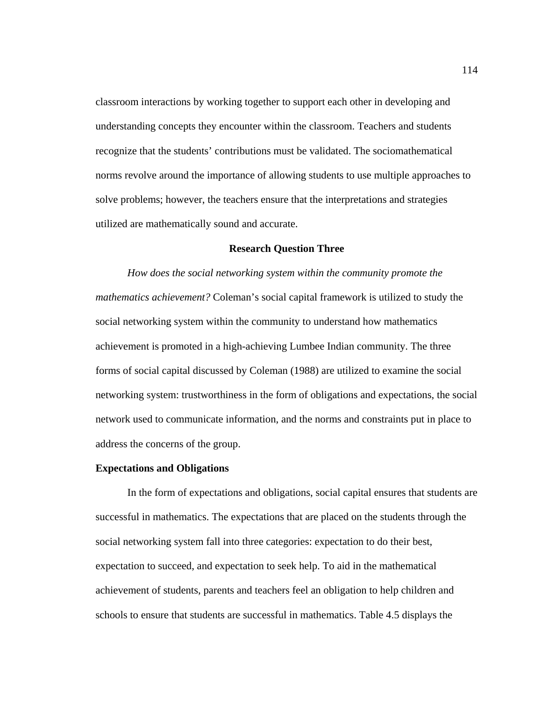classroom interactions by working together to support each other in developing and understanding concepts they encounter within the classroom. Teachers and students recognize that the students' contributions must be validated. The sociomathematical norms revolve around the importance of allowing students to use multiple approaches to solve problems; however, the teachers ensure that the interpretations and strategies utilized are mathematically sound and accurate.

## **Research Question Three**

*How does the social networking system within the community promote the mathematics achievement?* Coleman's social capital framework is utilized to study the social networking system within the community to understand how mathematics achievement is promoted in a high-achieving Lumbee Indian community. The three forms of social capital discussed by Coleman (1988) are utilized to examine the social networking system: trustworthiness in the form of obligations and expectations, the social network used to communicate information, and the norms and constraints put in place to address the concerns of the group.

## **Expectations and Obligations**

 In the form of expectations and obligations, social capital ensures that students are successful in mathematics. The expectations that are placed on the students through the social networking system fall into three categories: expectation to do their best, expectation to succeed, and expectation to seek help. To aid in the mathematical achievement of students, parents and teachers feel an obligation to help children and schools to ensure that students are successful in mathematics. Table 4.5 displays the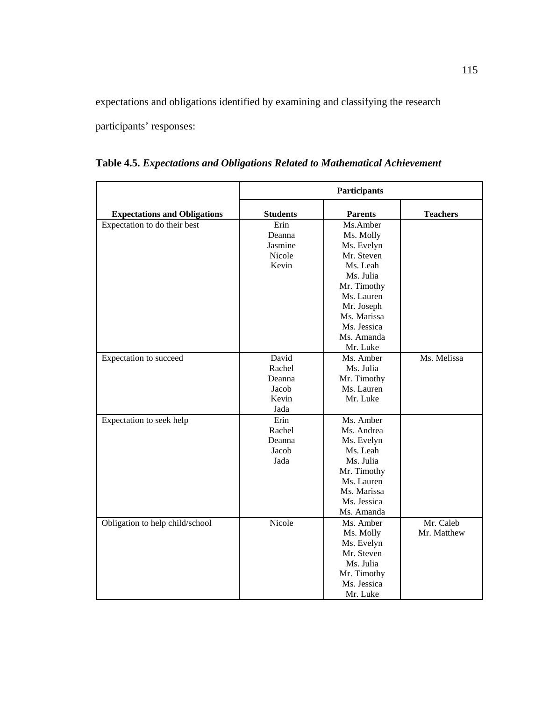expectations and obligations identified by examining and classifying the research

participants' responses:

|                                     | Participants    |                |                 |
|-------------------------------------|-----------------|----------------|-----------------|
| <b>Expectations and Obligations</b> | <b>Students</b> | <b>Parents</b> | <b>Teachers</b> |
| Expectation to do their best        | Erin            | Ms.Amber       |                 |
|                                     | Deanna          | Ms. Molly      |                 |
|                                     | Jasmine         | Ms. Evelyn     |                 |
|                                     | Nicole          | Mr. Steven     |                 |
|                                     | Kevin           | Ms. Leah       |                 |
|                                     |                 | Ms. Julia      |                 |
|                                     |                 | Mr. Timothy    |                 |
|                                     |                 | Ms. Lauren     |                 |
|                                     |                 | Mr. Joseph     |                 |
|                                     |                 | Ms. Marissa    |                 |
|                                     |                 | Ms. Jessica    |                 |
|                                     |                 | Ms. Amanda     |                 |
|                                     |                 | Mr. Luke       |                 |
| Expectation to succeed              | David           | Ms. Amber      | Ms. Melissa     |
|                                     | Rachel          | Ms. Julia      |                 |
|                                     | Deanna          | Mr. Timothy    |                 |
|                                     | Jacob           | Ms. Lauren     |                 |
|                                     | Kevin           | Mr. Luke       |                 |
|                                     | Jada            |                |                 |
| Expectation to seek help            | Erin            | Ms. Amber      |                 |
|                                     | Rachel          | Ms. Andrea     |                 |
|                                     | Deanna          | Ms. Evelyn     |                 |
|                                     | Jacob           | Ms. Leah       |                 |
|                                     | Jada            | Ms. Julia      |                 |
|                                     |                 | Mr. Timothy    |                 |
|                                     |                 | Ms. Lauren     |                 |
|                                     |                 | Ms. Marissa    |                 |
|                                     |                 | Ms. Jessica    |                 |
|                                     |                 | Ms. Amanda     |                 |
| Obligation to help child/school     | Nicole          | Ms. Amber      | Mr. Caleb       |
|                                     |                 | Ms. Molly      | Mr. Matthew     |
|                                     |                 | Ms. Evelyn     |                 |
|                                     |                 | Mr. Steven     |                 |
|                                     |                 | Ms. Julia      |                 |
|                                     |                 | Mr. Timothy    |                 |
|                                     |                 | Ms. Jessica    |                 |
|                                     |                 | Mr. Luke       |                 |

**Table 4.5.** *Expectations and Obligations Related to Mathematical Achievement*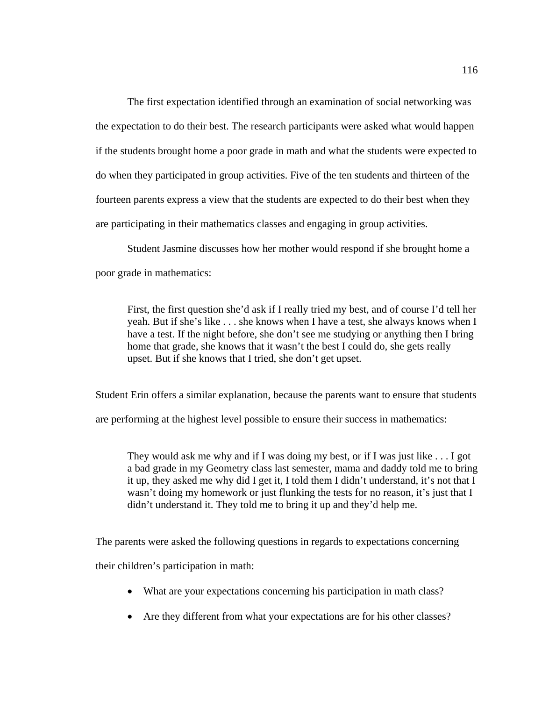The first expectation identified through an examination of social networking was the expectation to do their best. The research participants were asked what would happen if the students brought home a poor grade in math and what the students were expected to do when they participated in group activities. Five of the ten students and thirteen of the fourteen parents express a view that the students are expected to do their best when they are participating in their mathematics classes and engaging in group activities.

 Student Jasmine discusses how her mother would respond if she brought home a poor grade in mathematics:

First, the first question she'd ask if I really tried my best, and of course I'd tell her yeah. But if she's like . . . she knows when I have a test, she always knows when I have a test. If the night before, she don't see me studying or anything then I bring home that grade, she knows that it wasn't the best I could do, she gets really upset. But if she knows that I tried, she don't get upset.

Student Erin offers a similar explanation, because the parents want to ensure that students

are performing at the highest level possible to ensure their success in mathematics:

They would ask me why and if I was doing my best, or if I was just like . . . I got a bad grade in my Geometry class last semester, mama and daddy told me to bring it up, they asked me why did I get it, I told them I didn't understand, it's not that I wasn't doing my homework or just flunking the tests for no reason, it's just that I didn't understand it. They told me to bring it up and they'd help me.

The parents were asked the following questions in regards to expectations concerning

their children's participation in math:

- What are your expectations concerning his participation in math class?
- Are they different from what your expectations are for his other classes?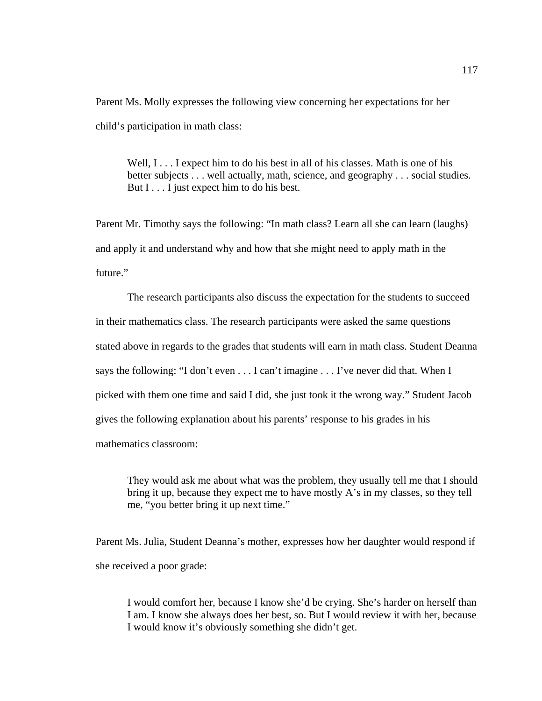Parent Ms. Molly expresses the following view concerning her expectations for her child's participation in math class:

Well,  $I \ldots I$  expect him to do his best in all of his classes. Math is one of his better subjects . . . well actually, math, science, and geography . . . social studies. But I . . . I just expect him to do his best.

Parent Mr. Timothy says the following: "In math class? Learn all she can learn (laughs) and apply it and understand why and how that she might need to apply math in the future."

The research participants also discuss the expectation for the students to succeed in their mathematics class. The research participants were asked the same questions stated above in regards to the grades that students will earn in math class. Student Deanna says the following: "I don't even . . . I can't imagine . . . I've never did that. When I picked with them one time and said I did, she just took it the wrong way." Student Jacob gives the following explanation about his parents' response to his grades in his mathematics classroom:

They would ask me about what was the problem, they usually tell me that I should bring it up, because they expect me to have mostly A's in my classes, so they tell me, "you better bring it up next time."

Parent Ms. Julia, Student Deanna's mother, expresses how her daughter would respond if she received a poor grade:

I would comfort her, because I know she'd be crying. She's harder on herself than I am. I know she always does her best, so. But I would review it with her, because I would know it's obviously something she didn't get.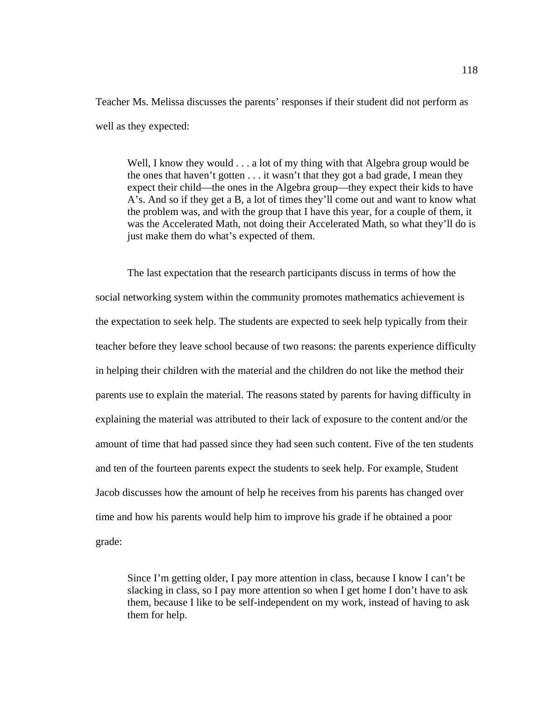Teacher Ms. Melissa discusses the parents' responses if their student did not perform as well as they expected:

Well, I know they would . . . a lot of my thing with that Algebra group would be the ones that haven't gotten . . . it wasn't that they got a bad grade, I mean they expect their child—the ones in the Algebra group—they expect their kids to have A's. And so if they get a B, a lot of times they'll come out and want to know what the problem was, and with the group that I have this year, for a couple of them, it was the Accelerated Math, not doing their Accelerated Math, so what they'll do is just make them do what's expected of them.

The last expectation that the research participants discuss in terms of how the social networking system within the community promotes mathematics achievement is the expectation to seek help. The students are expected to seek help typically from their teacher before they leave school because of two reasons: the parents experience difficulty in helping their children with the material and the children do not like the method their parents use to explain the material. The reasons stated by parents for having difficulty in explaining the material was attributed to their lack of exposure to the content and/or the amount of time that had passed since they had seen such content. Five of the ten students and ten of the fourteen parents expect the students to seek help. For example, Student Jacob discusses how the amount of help he receives from his parents has changed over time and how his parents would help him to improve his grade if he obtained a poor grade:

Since I'm getting older, I pay more attention in class, because I know I can't be slacking in class, so I pay more attention so when I get home I don't have to ask them, because I like to be self-independent on my work, instead of having to ask them for help.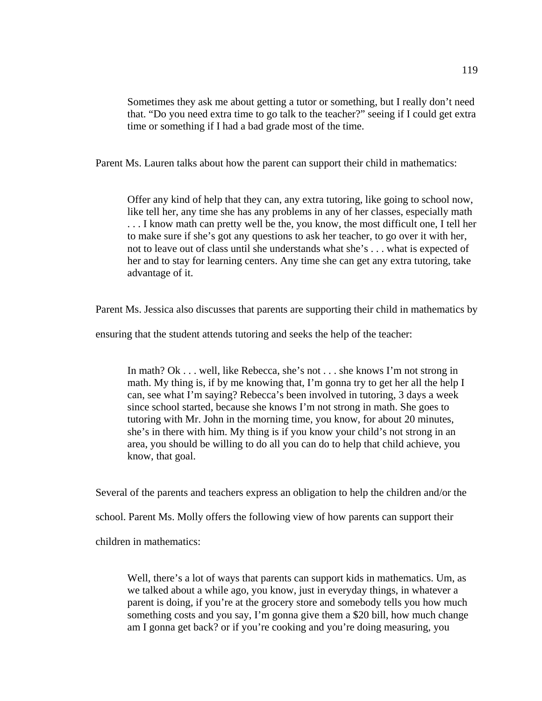Sometimes they ask me about getting a tutor or something, but I really don't need that. "Do you need extra time to go talk to the teacher?" seeing if I could get extra time or something if I had a bad grade most of the time.

Parent Ms. Lauren talks about how the parent can support their child in mathematics:

Offer any kind of help that they can, any extra tutoring, like going to school now, like tell her, any time she has any problems in any of her classes, especially math . . . I know math can pretty well be the, you know, the most difficult one, I tell her to make sure if she's got any questions to ask her teacher, to go over it with her, not to leave out of class until she understands what she's . . . what is expected of her and to stay for learning centers. Any time she can get any extra tutoring, take advantage of it.

Parent Ms. Jessica also discusses that parents are supporting their child in mathematics by

ensuring that the student attends tutoring and seeks the help of the teacher:

In math? Ok . . . well, like Rebecca, she's not . . . she knows I'm not strong in math. My thing is, if by me knowing that, I'm gonna try to get her all the help I can, see what I'm saying? Rebecca's been involved in tutoring, 3 days a week since school started, because she knows I'm not strong in math. She goes to tutoring with Mr. John in the morning time, you know, for about 20 minutes, she's in there with him. My thing is if you know your child's not strong in an area, you should be willing to do all you can do to help that child achieve, you know, that goal.

Several of the parents and teachers express an obligation to help the children and/or the

school. Parent Ms. Molly offers the following view of how parents can support their

children in mathematics:

Well, there's a lot of ways that parents can support kids in mathematics. Um, as we talked about a while ago, you know, just in everyday things, in whatever a parent is doing, if you're at the grocery store and somebody tells you how much something costs and you say, I'm gonna give them a \$20 bill, how much change am I gonna get back? or if you're cooking and you're doing measuring, you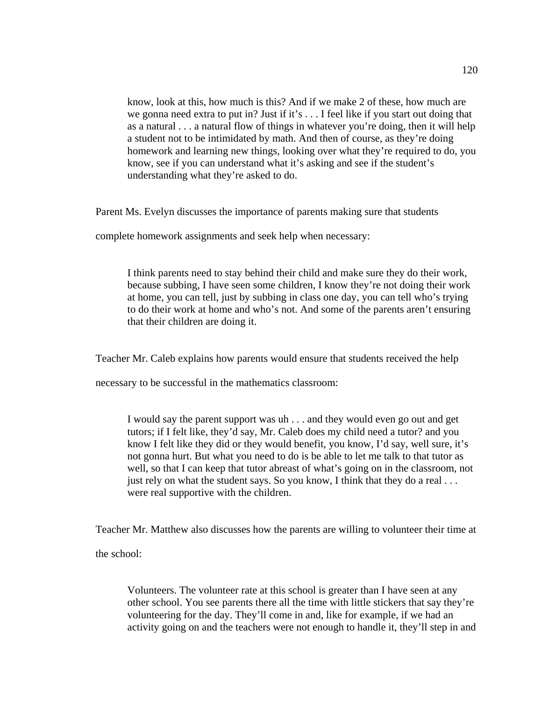know, look at this, how much is this? And if we make 2 of these, how much are we gonna need extra to put in? Just if it's . . . I feel like if you start out doing that as a natural . . . a natural flow of things in whatever you're doing, then it will help a student not to be intimidated by math. And then of course, as they're doing homework and learning new things, looking over what they're required to do, you know, see if you can understand what it's asking and see if the student's understanding what they're asked to do.

Parent Ms. Evelyn discusses the importance of parents making sure that students

complete homework assignments and seek help when necessary:

I think parents need to stay behind their child and make sure they do their work, because subbing, I have seen some children, I know they're not doing their work at home, you can tell, just by subbing in class one day, you can tell who's trying to do their work at home and who's not. And some of the parents aren't ensuring that their children are doing it.

Teacher Mr. Caleb explains how parents would ensure that students received the help

necessary to be successful in the mathematics classroom:

I would say the parent support was uh . . . and they would even go out and get tutors; if I felt like, they'd say, Mr. Caleb does my child need a tutor? and you know I felt like they did or they would benefit, you know, I'd say, well sure, it's not gonna hurt. But what you need to do is be able to let me talk to that tutor as well, so that I can keep that tutor abreast of what's going on in the classroom, not just rely on what the student says. So you know, I think that they do a real ... were real supportive with the children.

Teacher Mr. Matthew also discusses how the parents are willing to volunteer their time at the school:

Volunteers. The volunteer rate at this school is greater than I have seen at any other school. You see parents there all the time with little stickers that say they're volunteering for the day. They'll come in and, like for example, if we had an activity going on and the teachers were not enough to handle it, they'll step in and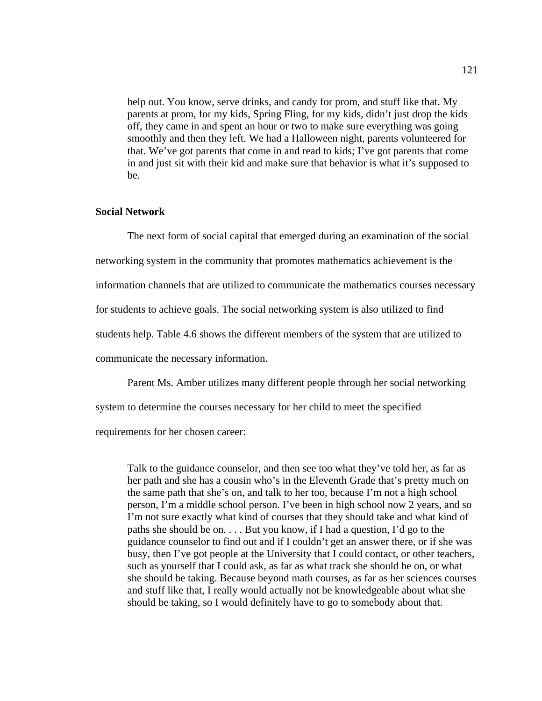help out. You know, serve drinks, and candy for prom, and stuff like that. My parents at prom, for my kids, Spring Fling, for my kids, didn't just drop the kids off, they came in and spent an hour or two to make sure everything was going smoothly and then they left. We had a Halloween night, parents volunteered for that. We've got parents that come in and read to kids; I've got parents that come in and just sit with their kid and make sure that behavior is what it's supposed to be.

# **Social Network**

 The next form of social capital that emerged during an examination of the social networking system in the community that promotes mathematics achievement is the information channels that are utilized to communicate the mathematics courses necessary for students to achieve goals. The social networking system is also utilized to find students help. Table 4.6 shows the different members of the system that are utilized to communicate the necessary information.

Parent Ms. Amber utilizes many different people through her social networking

system to determine the courses necessary for her child to meet the specified

requirements for her chosen career:

Talk to the guidance counselor, and then see too what they've told her, as far as her path and she has a cousin who's in the Eleventh Grade that's pretty much on the same path that she's on, and talk to her too, because I'm not a high school person, I'm a middle school person. I've been in high school now 2 years, and so I'm not sure exactly what kind of courses that they should take and what kind of paths she should be on. . . . But you know, if I had a question, I'd go to the guidance counselor to find out and if I couldn't get an answer there, or if she was busy, then I've got people at the University that I could contact, or other teachers, such as yourself that I could ask, as far as what track she should be on, or what she should be taking. Because beyond math courses, as far as her sciences courses and stuff like that, I really would actually not be knowledgeable about what she should be taking, so I would definitely have to go to somebody about that.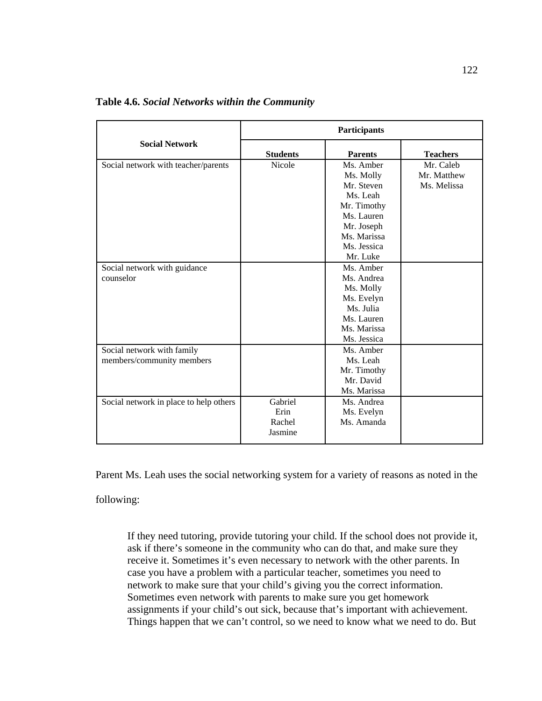|                                                         |                                      | Participants                                                                                                              |                                         |  |
|---------------------------------------------------------|--------------------------------------|---------------------------------------------------------------------------------------------------------------------------|-----------------------------------------|--|
| <b>Social Network</b>                                   | <b>Students</b>                      | <b>Parents</b>                                                                                                            | <b>Teachers</b>                         |  |
| Social network with teacher/parents                     | <b>Nicole</b>                        | Ms. Amber<br>Ms. Molly<br>Mr. Steven<br>Ms. Leah<br>Mr. Timothy<br>Ms. Lauren<br>Mr. Joseph<br>Ms. Marissa<br>Ms. Jessica | Mr. Caleb<br>Mr. Matthew<br>Ms. Melissa |  |
| Social network with guidance<br>counselor               |                                      | Mr. Luke<br>Ms. Amber<br>Ms. Andrea<br>Ms. Molly<br>Ms. Evelyn<br>Ms. Julia<br>Ms. Lauren<br>Ms. Marissa<br>Ms. Jessica   |                                         |  |
| Social network with family<br>members/community members |                                      | Ms. Amber<br>Ms. Leah<br>Mr. Timothy<br>Mr. David<br>Ms. Marissa                                                          |                                         |  |
| Social network in place to help others                  | Gabriel<br>Erin<br>Rachel<br>Jasmine | Ms. Andrea<br>Ms. Evelyn<br>Ms. Amanda                                                                                    |                                         |  |

**Table 4.6.** *Social Networks within the Community*

Parent Ms. Leah uses the social networking system for a variety of reasons as noted in the

following:

If they need tutoring, provide tutoring your child. If the school does not provide it, ask if there's someone in the community who can do that, and make sure they receive it. Sometimes it's even necessary to network with the other parents. In case you have a problem with a particular teacher, sometimes you need to network to make sure that your child's giving you the correct information. Sometimes even network with parents to make sure you get homework assignments if your child's out sick, because that's important with achievement. Things happen that we can't control, so we need to know what we need to do. But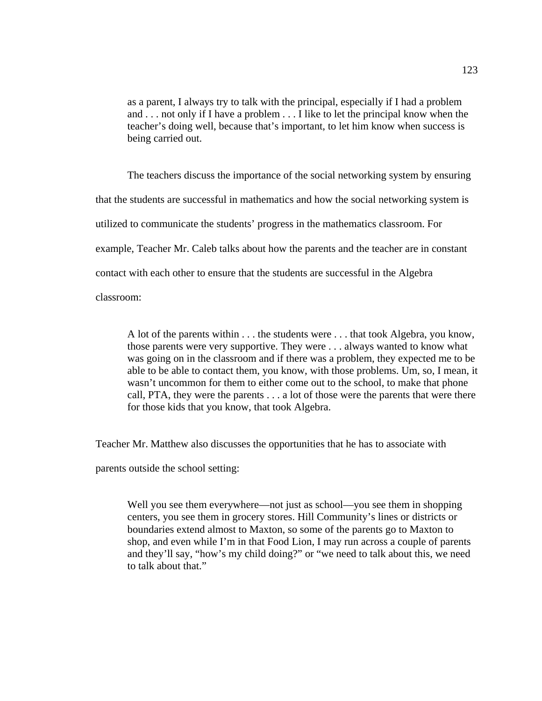as a parent, I always try to talk with the principal, especially if I had a problem and . . . not only if I have a problem . . . I like to let the principal know when the teacher's doing well, because that's important, to let him know when success is being carried out.

 The teachers discuss the importance of the social networking system by ensuring that the students are successful in mathematics and how the social networking system is utilized to communicate the students' progress in the mathematics classroom. For example, Teacher Mr. Caleb talks about how the parents and the teacher are in constant contact with each other to ensure that the students are successful in the Algebra classroom:

A lot of the parents within . . . the students were . . . that took Algebra, you know, those parents were very supportive. They were . . . always wanted to know what was going on in the classroom and if there was a problem, they expected me to be able to be able to contact them, you know, with those problems. Um, so, I mean, it wasn't uncommon for them to either come out to the school, to make that phone call, PTA, they were the parents . . . a lot of those were the parents that were there for those kids that you know, that took Algebra.

Teacher Mr. Matthew also discusses the opportunities that he has to associate with

parents outside the school setting:

Well you see them everywhere—not just as school—you see them in shopping centers, you see them in grocery stores. Hill Community's lines or districts or boundaries extend almost to Maxton, so some of the parents go to Maxton to shop, and even while I'm in that Food Lion, I may run across a couple of parents and they'll say, "how's my child doing?" or "we need to talk about this, we need to talk about that."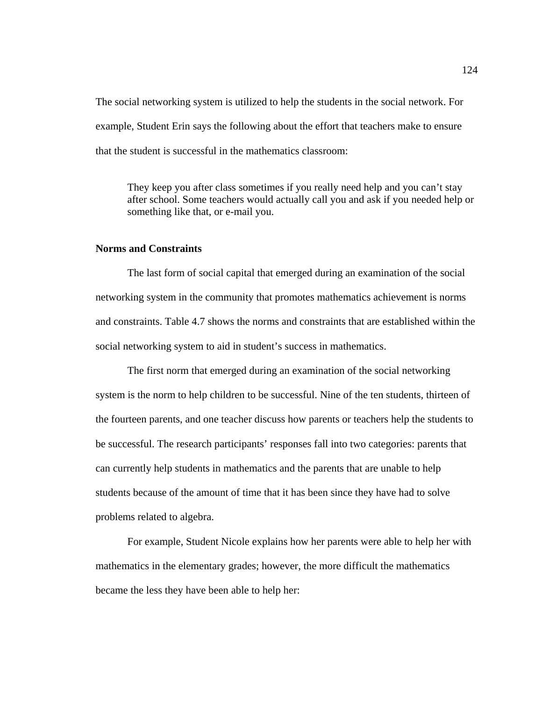The social networking system is utilized to help the students in the social network. For example, Student Erin says the following about the effort that teachers make to ensure that the student is successful in the mathematics classroom:

They keep you after class sometimes if you really need help and you can't stay after school. Some teachers would actually call you and ask if you needed help or something like that, or e-mail you.

# **Norms and Constraints**

 The last form of social capital that emerged during an examination of the social networking system in the community that promotes mathematics achievement is norms and constraints. Table 4.7 shows the norms and constraints that are established within the social networking system to aid in student's success in mathematics.

The first norm that emerged during an examination of the social networking system is the norm to help children to be successful. Nine of the ten students, thirteen of the fourteen parents, and one teacher discuss how parents or teachers help the students to be successful. The research participants' responses fall into two categories: parents that can currently help students in mathematics and the parents that are unable to help students because of the amount of time that it has been since they have had to solve problems related to algebra.

For example, Student Nicole explains how her parents were able to help her with mathematics in the elementary grades; however, the more difficult the mathematics became the less they have been able to help her: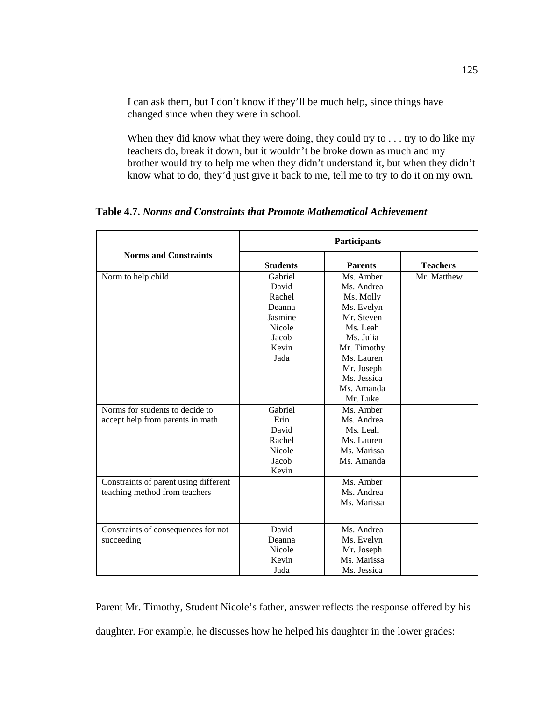I can ask them, but I don't know if they'll be much help, since things have changed since when they were in school.

When they did know what they were doing, they could try to . . . try to do like my teachers do, break it down, but it wouldn't be broke down as much and my brother would try to help me when they didn't understand it, but when they didn't know what to do, they'd just give it back to me, tell me to try to do it on my own.

**Norms and Constraints Participants Students Parents Teachers**  Norm to help child Gabriel David Rachel Deanna Jasmine Nicole Jacob Kevin Jada Ms. Amber Ms. Andrea Ms. Molly Ms. Evelyn Mr. Steven Ms. Leah Ms. Julia Mr. Timothy Ms. Lauren Mr. Joseph Ms. Jessica Ms. Amanda Mr. Luke Mr. Matthew Norms for students to decide to accept help from parents in math Gabriel Erin David Rachel Nicole Jacob Kevin Ms. Amber Ms. Andrea Ms. Leah Ms. Lauren Ms. Marissa Ms. Amanda Constraints of parent using different teaching method from teachers Ms. Amber Ms. Andrea Ms. Marissa Constraints of consequences for not succeeding David Deanna Nicole Kevin Jada Ms. Andrea Ms. Evelyn Mr. Joseph Ms. Marissa Ms. Jessica

**Table 4.7.** *Norms and Constraints that Promote Mathematical Achievement* 

Parent Mr. Timothy, Student Nicole's father, answer reflects the response offered by his daughter. For example, he discusses how he helped his daughter in the lower grades: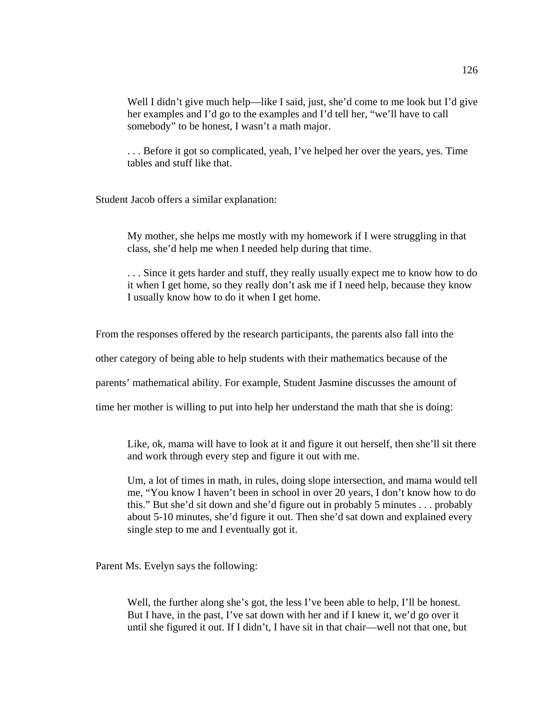Well I didn't give much help—like I said, just, she'd come to me look but I'd give her examples and I'd go to the examples and I'd tell her, "we'll have to call somebody" to be honest, I wasn't a math major.

. . . Before it got so complicated, yeah, I've helped her over the years, yes. Time tables and stuff like that.

Student Jacob offers a similar explanation:

My mother, she helps me mostly with my homework if I were struggling in that class, she'd help me when I needed help during that time.

. . . Since it gets harder and stuff, they really usually expect me to know how to do it when I get home, so they really don't ask me if I need help, because they know I usually know how to do it when I get home.

From the responses offered by the research participants, the parents also fall into the

other category of being able to help students with their mathematics because of the

parents' mathematical ability. For example, Student Jasmine discusses the amount of

time her mother is willing to put into help her understand the math that she is doing:

Like, ok, mama will have to look at it and figure it out herself, then she'll sit there and work through every step and figure it out with me.

Um, a lot of times in math, in rules, doing slope intersection, and mama would tell me, "You know I haven't been in school in over 20 years, I don't know how to do this." But she'd sit down and she'd figure out in probably 5 minutes . . . probably about 5-10 minutes, she'd figure it out. Then she'd sat down and explained every single step to me and I eventually got it.

Parent Ms. Evelyn says the following:

Well, the further along she's got, the less I've been able to help, I'll be honest. But I have, in the past, I've sat down with her and if I knew it, we'd go over it until she figured it out. If I didn't, I have sit in that chair—well not that one, but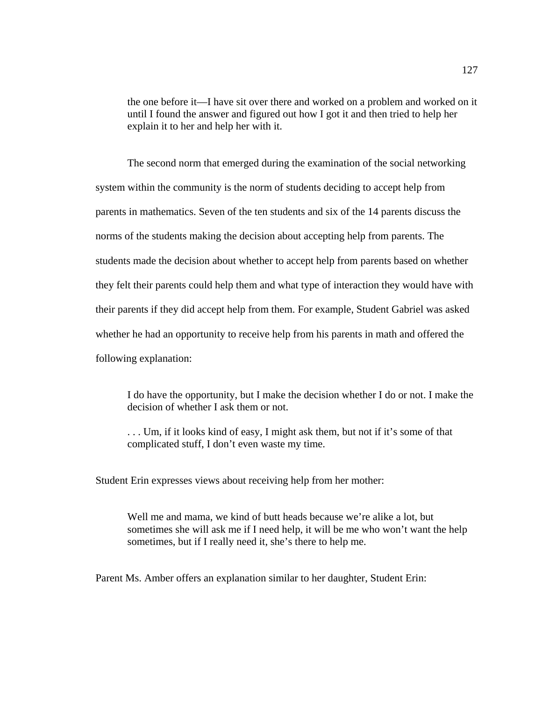the one before it—I have sit over there and worked on a problem and worked on it until I found the answer and figured out how I got it and then tried to help her explain it to her and help her with it.

The second norm that emerged during the examination of the social networking system within the community is the norm of students deciding to accept help from parents in mathematics. Seven of the ten students and six of the 14 parents discuss the norms of the students making the decision about accepting help from parents. The students made the decision about whether to accept help from parents based on whether they felt their parents could help them and what type of interaction they would have with their parents if they did accept help from them. For example, Student Gabriel was asked whether he had an opportunity to receive help from his parents in math and offered the following explanation:

I do have the opportunity, but I make the decision whether I do or not. I make the decision of whether I ask them or not.

. . . Um, if it looks kind of easy, I might ask them, but not if it's some of that complicated stuff, I don't even waste my time.

Student Erin expresses views about receiving help from her mother:

Well me and mama, we kind of butt heads because we're alike a lot, but sometimes she will ask me if I need help, it will be me who won't want the help sometimes, but if I really need it, she's there to help me.

Parent Ms. Amber offers an explanation similar to her daughter, Student Erin: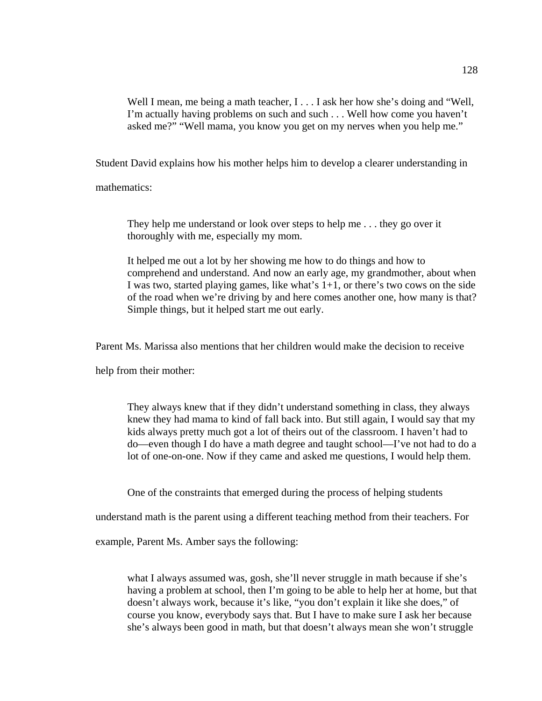Well I mean, me being a math teacher, I . . . I ask her how she's doing and "Well, I'm actually having problems on such and such . . . Well how come you haven't asked me?" "Well mama, you know you get on my nerves when you help me."

Student David explains how his mother helps him to develop a clearer understanding in

mathematics:

They help me understand or look over steps to help me . . . they go over it thoroughly with me, especially my mom.

It helped me out a lot by her showing me how to do things and how to comprehend and understand. And now an early age, my grandmother, about when I was two, started playing games, like what's 1+1, or there's two cows on the side of the road when we're driving by and here comes another one, how many is that? Simple things, but it helped start me out early.

Parent Ms. Marissa also mentions that her children would make the decision to receive

help from their mother:

They always knew that if they didn't understand something in class, they always knew they had mama to kind of fall back into. But still again, I would say that my kids always pretty much got a lot of theirs out of the classroom. I haven't had to do—even though I do have a math degree and taught school—I've not had to do a lot of one-on-one. Now if they came and asked me questions, I would help them.

One of the constraints that emerged during the process of helping students

understand math is the parent using a different teaching method from their teachers. For

example, Parent Ms. Amber says the following:

what I always assumed was, gosh, she'll never struggle in math because if she's having a problem at school, then I'm going to be able to help her at home, but that doesn't always work, because it's like, "you don't explain it like she does," of course you know, everybody says that. But I have to make sure I ask her because she's always been good in math, but that doesn't always mean she won't struggle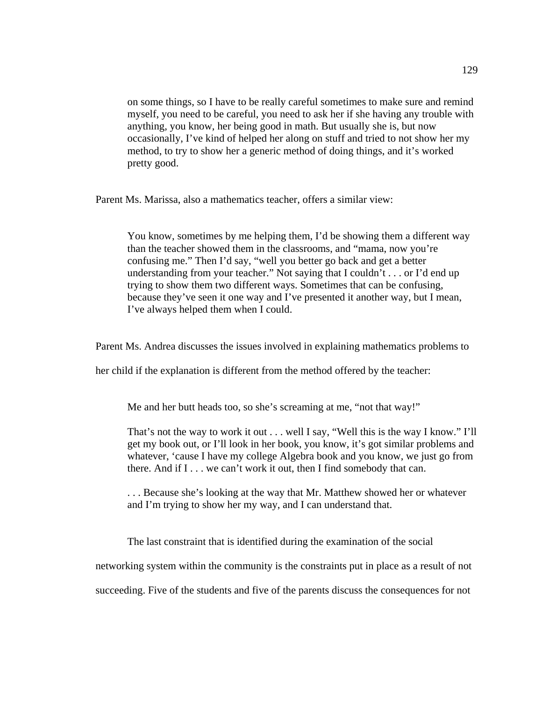on some things, so I have to be really careful sometimes to make sure and remind myself, you need to be careful, you need to ask her if she having any trouble with anything, you know, her being good in math. But usually she is, but now occasionally, I've kind of helped her along on stuff and tried to not show her my method, to try to show her a generic method of doing things, and it's worked pretty good.

Parent Ms. Marissa, also a mathematics teacher, offers a similar view:

You know, sometimes by me helping them, I'd be showing them a different way than the teacher showed them in the classrooms, and "mama, now you're confusing me." Then I'd say, "well you better go back and get a better understanding from your teacher." Not saying that I couldn't . . . or I'd end up trying to show them two different ways. Sometimes that can be confusing, because they've seen it one way and I've presented it another way, but I mean, I've always helped them when I could.

Parent Ms. Andrea discusses the issues involved in explaining mathematics problems to

her child if the explanation is different from the method offered by the teacher:

Me and her butt heads too, so she's screaming at me, "not that way!"

That's not the way to work it out . . . well I say, "Well this is the way I know." I'll get my book out, or I'll look in her book, you know, it's got similar problems and whatever, 'cause I have my college Algebra book and you know, we just go from there. And if  $I \dots$  we can't work it out, then I find somebody that can.

. . . Because she's looking at the way that Mr. Matthew showed her or whatever and I'm trying to show her my way, and I can understand that.

The last constraint that is identified during the examination of the social

networking system within the community is the constraints put in place as a result of not

succeeding. Five of the students and five of the parents discuss the consequences for not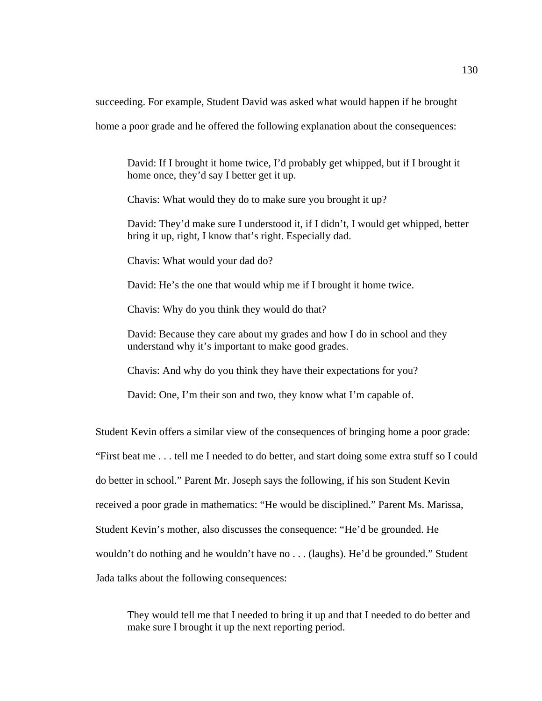succeeding. For example, Student David was asked what would happen if he brought

home a poor grade and he offered the following explanation about the consequences:

David: If I brought it home twice, I'd probably get whipped, but if I brought it home once, they'd say I better get it up.

Chavis: What would they do to make sure you brought it up?

David: They'd make sure I understood it, if I didn't, I would get whipped, better bring it up, right, I know that's right. Especially dad.

Chavis: What would your dad do?

David: He's the one that would whip me if I brought it home twice.

Chavis: Why do you think they would do that?

David: Because they care about my grades and how I do in school and they understand why it's important to make good grades.

Chavis: And why do you think they have their expectations for you?

David: One, I'm their son and two, they know what I'm capable of.

Student Kevin offers a similar view of the consequences of bringing home a poor grade: "First beat me . . . tell me I needed to do better, and start doing some extra stuff so I could do better in school." Parent Mr. Joseph says the following, if his son Student Kevin received a poor grade in mathematics: "He would be disciplined." Parent Ms. Marissa, Student Kevin's mother, also discusses the consequence: "He'd be grounded. He wouldn't do nothing and he wouldn't have no . . . (laughs). He'd be grounded." Student Jada talks about the following consequences:

They would tell me that I needed to bring it up and that I needed to do better and make sure I brought it up the next reporting period.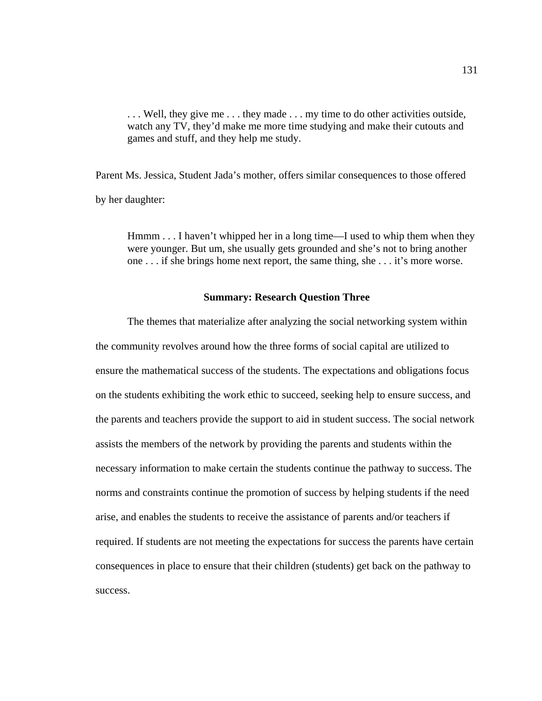. . . Well, they give me . . . they made . . . my time to do other activities outside, watch any TV, they'd make me more time studying and make their cutouts and games and stuff, and they help me study.

Parent Ms. Jessica, Student Jada's mother, offers similar consequences to those offered by her daughter:

Hmmm . . . I haven't whipped her in a long time—I used to whip them when they were younger. But um, she usually gets grounded and she's not to bring another one . . . if she brings home next report, the same thing, she . . . it's more worse.

# **Summary: Research Question Three**

The themes that materialize after analyzing the social networking system within the community revolves around how the three forms of social capital are utilized to ensure the mathematical success of the students. The expectations and obligations focus on the students exhibiting the work ethic to succeed, seeking help to ensure success, and the parents and teachers provide the support to aid in student success. The social network assists the members of the network by providing the parents and students within the necessary information to make certain the students continue the pathway to success. The norms and constraints continue the promotion of success by helping students if the need arise, and enables the students to receive the assistance of parents and/or teachers if required. If students are not meeting the expectations for success the parents have certain consequences in place to ensure that their children (students) get back on the pathway to success.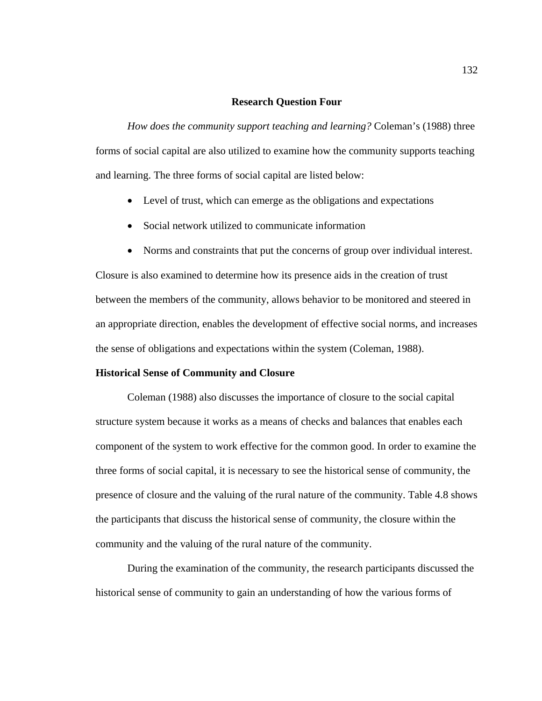## **Research Question Four**

 *How does the community support teaching and learning?* Coleman's (1988) three forms of social capital are also utilized to examine how the community supports teaching and learning. The three forms of social capital are listed below:

- Level of trust, which can emerge as the obligations and expectations
- Social network utilized to communicate information
- Norms and constraints that put the concerns of group over individual interest.

Closure is also examined to determine how its presence aids in the creation of trust between the members of the community, allows behavior to be monitored and steered in an appropriate direction, enables the development of effective social norms, and increases the sense of obligations and expectations within the system (Coleman, 1988).

#### **Historical Sense of Community and Closure**

 Coleman (1988) also discusses the importance of closure to the social capital structure system because it works as a means of checks and balances that enables each component of the system to work effective for the common good. In order to examine the three forms of social capital, it is necessary to see the historical sense of community, the presence of closure and the valuing of the rural nature of the community. Table 4.8 shows the participants that discuss the historical sense of community, the closure within the community and the valuing of the rural nature of the community.

 During the examination of the community, the research participants discussed the historical sense of community to gain an understanding of how the various forms of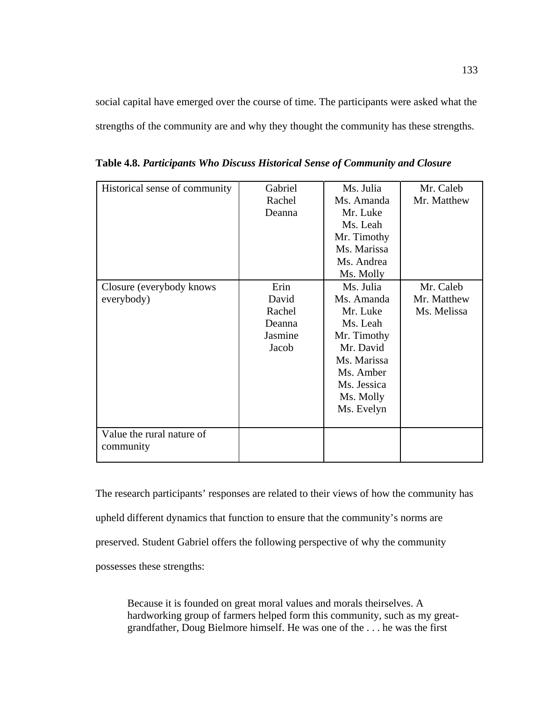social capital have emerged over the course of time. The participants were asked what the strengths of the community are and why they thought the community has these strengths.

| Historical sense of community           | Gabriel<br>Rachel<br>Deanna                           | Ms. Julia<br>Ms. Amanda<br>Mr. Luke<br>Ms. Leah<br>Mr. Timothy<br>Ms. Marissa<br>Ms. Andrea<br>Ms. Molly                                          | Mr. Caleb<br>Mr. Matthew                |
|-----------------------------------------|-------------------------------------------------------|---------------------------------------------------------------------------------------------------------------------------------------------------|-----------------------------------------|
| Closure (everybody knows)<br>everybody) | Erin<br>David<br>Rachel<br>Deanna<br>Jasmine<br>Jacob | Ms. Julia<br>Ms. Amanda<br>Mr. Luke<br>Ms. Leah<br>Mr. Timothy<br>Mr. David<br>Ms. Marissa<br>Ms. Amber<br>Ms. Jessica<br>Ms. Molly<br>Ms. Evelyn | Mr. Caleb<br>Mr. Matthew<br>Ms. Melissa |
| Value the rural nature of<br>community  |                                                       |                                                                                                                                                   |                                         |

**Table 4.8.** *Participants Who Discuss Historical Sense of Community and Closure* 

The research participants' responses are related to their views of how the community has upheld different dynamics that function to ensure that the community's norms are preserved. Student Gabriel offers the following perspective of why the community possesses these strengths:

Because it is founded on great moral values and morals theirselves. A hardworking group of farmers helped form this community, such as my greatgrandfather, Doug Bielmore himself. He was one of the . . . he was the first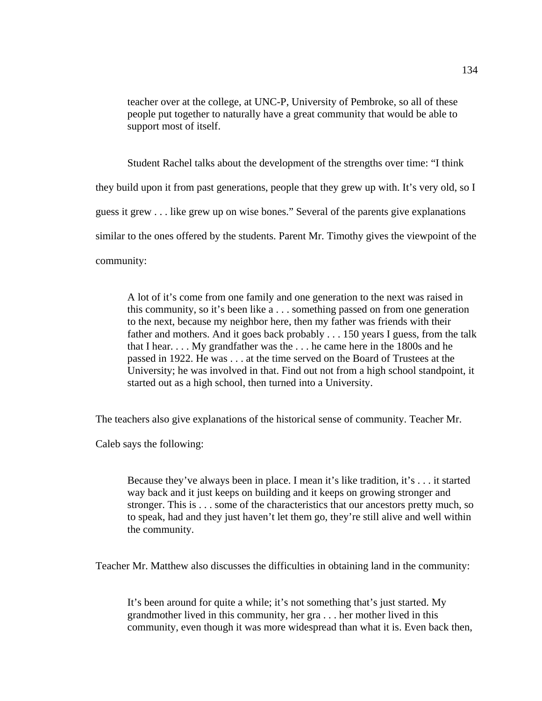teacher over at the college, at UNC-P, University of Pembroke, so all of these people put together to naturally have a great community that would be able to support most of itself.

 Student Rachel talks about the development of the strengths over time: "I think they build upon it from past generations, people that they grew up with. It's very old, so I guess it grew . . . like grew up on wise bones." Several of the parents give explanations similar to the ones offered by the students. Parent Mr. Timothy gives the viewpoint of the community:

A lot of it's come from one family and one generation to the next was raised in this community, so it's been like a . . . something passed on from one generation to the next, because my neighbor here, then my father was friends with their father and mothers. And it goes back probably . . . 150 years I guess, from the talk that I hear. . . . My grandfather was the . . . he came here in the 1800s and he passed in 1922. He was . . . at the time served on the Board of Trustees at the University; he was involved in that. Find out not from a high school standpoint, it started out as a high school, then turned into a University.

The teachers also give explanations of the historical sense of community. Teacher Mr.

Caleb says the following:

Because they've always been in place. I mean it's like tradition, it's . . . it started way back and it just keeps on building and it keeps on growing stronger and stronger. This is . . . some of the characteristics that our ancestors pretty much, so to speak, had and they just haven't let them go, they're still alive and well within the community.

Teacher Mr. Matthew also discusses the difficulties in obtaining land in the community:

It's been around for quite a while; it's not something that's just started. My grandmother lived in this community, her gra . . . her mother lived in this community, even though it was more widespread than what it is. Even back then,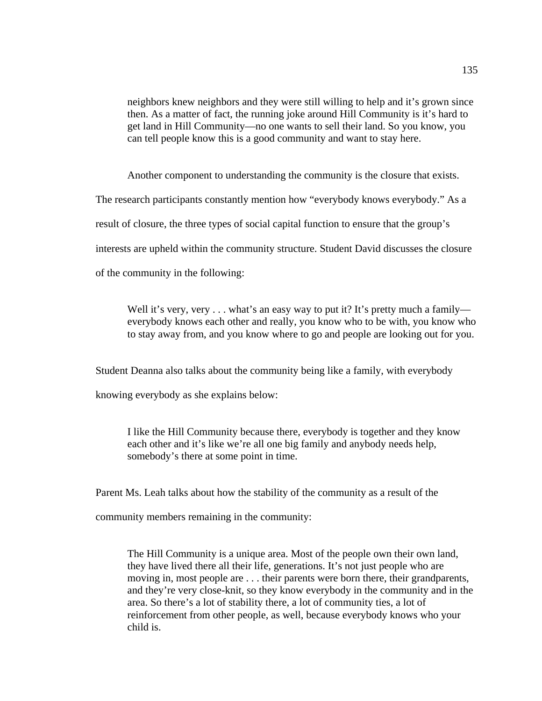neighbors knew neighbors and they were still willing to help and it's grown since then. As a matter of fact, the running joke around Hill Community is it's hard to get land in Hill Community—no one wants to sell their land. So you know, you can tell people know this is a good community and want to stay here.

Another component to understanding the community is the closure that exists.

The research participants constantly mention how "everybody knows everybody." As a

result of closure, the three types of social capital function to ensure that the group's

interests are upheld within the community structure. Student David discusses the closure

of the community in the following:

Well it's very, very  $\dots$  what's an easy way to put it? It's pretty much a family everybody knows each other and really, you know who to be with, you know who to stay away from, and you know where to go and people are looking out for you.

Student Deanna also talks about the community being like a family, with everybody

knowing everybody as she explains below:

I like the Hill Community because there, everybody is together and they know each other and it's like we're all one big family and anybody needs help, somebody's there at some point in time.

Parent Ms. Leah talks about how the stability of the community as a result of the

community members remaining in the community:

The Hill Community is a unique area. Most of the people own their own land, they have lived there all their life, generations. It's not just people who are moving in, most people are . . . their parents were born there, their grandparents, and they're very close-knit, so they know everybody in the community and in the area. So there's a lot of stability there, a lot of community ties, a lot of reinforcement from other people, as well, because everybody knows who your child is.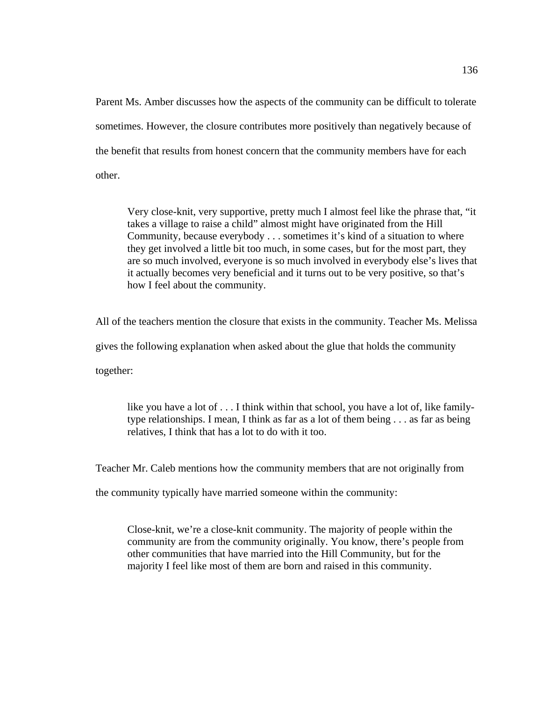Parent Ms. Amber discusses how the aspects of the community can be difficult to tolerate sometimes. However, the closure contributes more positively than negatively because of the benefit that results from honest concern that the community members have for each other.

Very close-knit, very supportive, pretty much I almost feel like the phrase that, "it takes a village to raise a child" almost might have originated from the Hill Community, because everybody . . . sometimes it's kind of a situation to where they get involved a little bit too much, in some cases, but for the most part, they are so much involved, everyone is so much involved in everybody else's lives that it actually becomes very beneficial and it turns out to be very positive, so that's how I feel about the community.

All of the teachers mention the closure that exists in the community. Teacher Ms. Melissa gives the following explanation when asked about the glue that holds the community together:

like you have a lot of . . . I think within that school, you have a lot of, like familytype relationships. I mean, I think as far as a lot of them being . . . as far as being relatives, I think that has a lot to do with it too.

Teacher Mr. Caleb mentions how the community members that are not originally from

the community typically have married someone within the community:

Close-knit, we're a close-knit community. The majority of people within the community are from the community originally. You know, there's people from other communities that have married into the Hill Community, but for the majority I feel like most of them are born and raised in this community.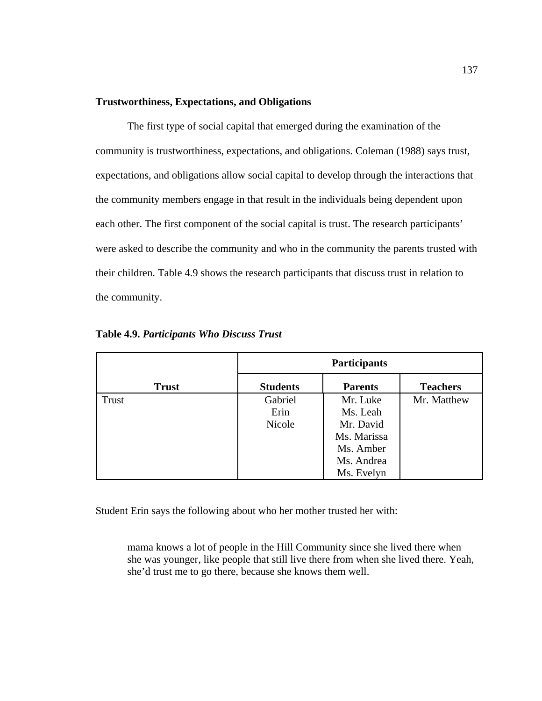## **Trustworthiness, Expectations, and Obligations**

The first type of social capital that emerged during the examination of the community is trustworthiness, expectations, and obligations. Coleman (1988) says trust, expectations, and obligations allow social capital to develop through the interactions that the community members engage in that result in the individuals being dependent upon each other. The first component of the social capital is trust. The research participants' were asked to describe the community and who in the community the parents trusted with their children. Table 4.9 shows the research participants that discuss trust in relation to the community.

|              | <b>Participants</b> |                |                 |
|--------------|---------------------|----------------|-----------------|
| <b>Trust</b> | <b>Students</b>     | <b>Parents</b> | <b>Teachers</b> |
| <b>Trust</b> | Gabriel             | Mr. Luke       | Mr. Matthew     |
|              | Erin                | Ms. Leah       |                 |
|              | Nicole              | Mr. David      |                 |
|              |                     | Ms. Marissa    |                 |
|              |                     | Ms. Amber      |                 |
|              |                     | Ms. Andrea     |                 |
|              |                     | Ms. Evelyn     |                 |

**Table 4.9.** *Participants Who Discuss Trust*

Student Erin says the following about who her mother trusted her with:

mama knows a lot of people in the Hill Community since she lived there when she was younger, like people that still live there from when she lived there. Yeah, she'd trust me to go there, because she knows them well.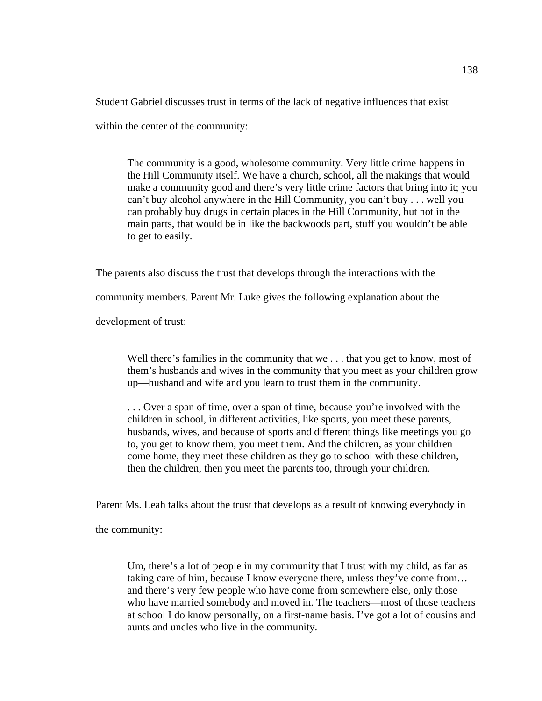Student Gabriel discusses trust in terms of the lack of negative influences that exist within the center of the community:

The community is a good, wholesome community. Very little crime happens in the Hill Community itself. We have a church, school, all the makings that would make a community good and there's very little crime factors that bring into it; you can't buy alcohol anywhere in the Hill Community, you can't buy . . . well you can probably buy drugs in certain places in the Hill Community, but not in the main parts, that would be in like the backwoods part, stuff you wouldn't be able to get to easily.

The parents also discuss the trust that develops through the interactions with the

community members. Parent Mr. Luke gives the following explanation about the

development of trust:

Well there's families in the community that we . . . that you get to know, most of them's husbands and wives in the community that you meet as your children grow up—husband and wife and you learn to trust them in the community.

. . . Over a span of time, over a span of time, because you're involved with the children in school, in different activities, like sports, you meet these parents, husbands, wives, and because of sports and different things like meetings you go to, you get to know them, you meet them. And the children, as your children come home, they meet these children as they go to school with these children, then the children, then you meet the parents too, through your children.

Parent Ms. Leah talks about the trust that develops as a result of knowing everybody in

the community:

Um, there's a lot of people in my community that I trust with my child, as far as taking care of him, because I know everyone there, unless they've come from… and there's very few people who have come from somewhere else, only those who have married somebody and moved in. The teachers—most of those teachers at school I do know personally, on a first-name basis. I've got a lot of cousins and aunts and uncles who live in the community.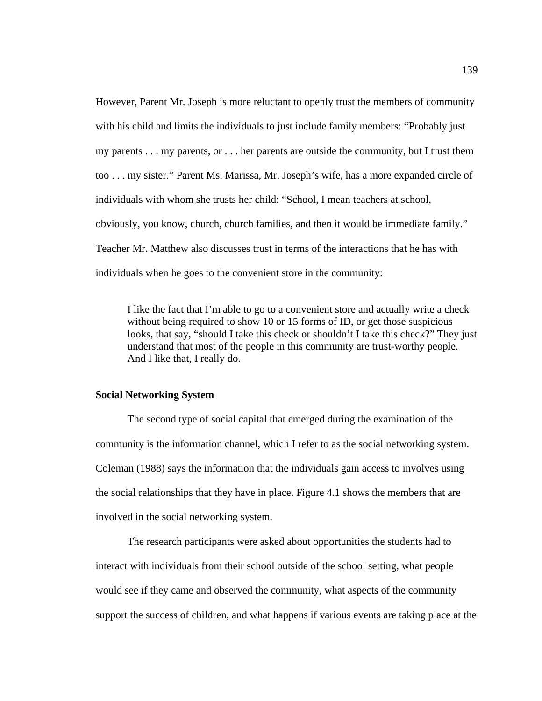However, Parent Mr. Joseph is more reluctant to openly trust the members of community with his child and limits the individuals to just include family members: "Probably just my parents . . . my parents, or . . . her parents are outside the community, but I trust them too . . . my sister." Parent Ms. Marissa, Mr. Joseph's wife, has a more expanded circle of individuals with whom she trusts her child: "School, I mean teachers at school, obviously, you know, church, church families, and then it would be immediate family." Teacher Mr. Matthew also discusses trust in terms of the interactions that he has with individuals when he goes to the convenient store in the community:

I like the fact that I'm able to go to a convenient store and actually write a check without being required to show 10 or 15 forms of ID, or get those suspicious looks, that say, "should I take this check or shouldn't I take this check?" They just understand that most of the people in this community are trust-worthy people. And I like that, I really do.

#### **Social Networking System**

The second type of social capital that emerged during the examination of the community is the information channel, which I refer to as the social networking system. Coleman (1988) says the information that the individuals gain access to involves using the social relationships that they have in place. Figure 4.1 shows the members that are involved in the social networking system.

The research participants were asked about opportunities the students had to interact with individuals from their school outside of the school setting, what people would see if they came and observed the community, what aspects of the community support the success of children, and what happens if various events are taking place at the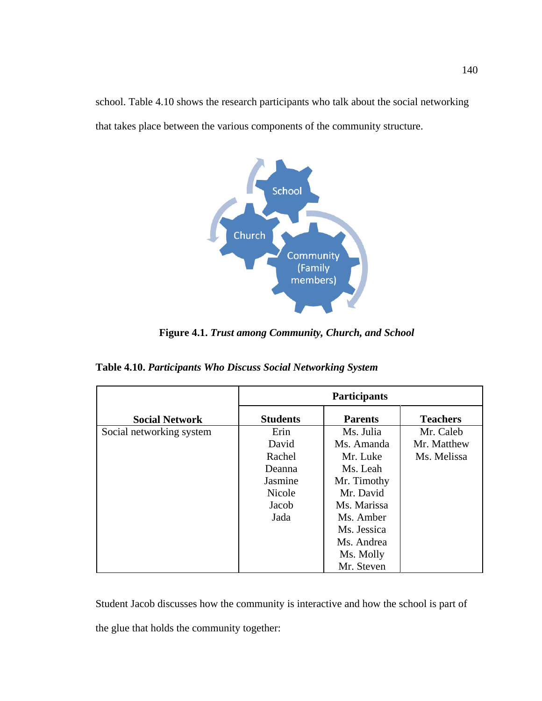school. Table 4.10 shows the research participants who talk about the social networking that takes place between the various components of the community structure.



**Figure 4.1.** *Trust among Community, Church, and School* 

| Table 4.10. Participants Who Discuss Social Networking System |  |  |  |
|---------------------------------------------------------------|--|--|--|
|---------------------------------------------------------------|--|--|--|

|                          | Participants    |                |                 |
|--------------------------|-----------------|----------------|-----------------|
| <b>Social Network</b>    | <b>Students</b> | <b>Parents</b> | <b>Teachers</b> |
| Social networking system | Erin            | Ms. Julia      | Mr. Caleb       |
|                          | David           | Ms. Amanda     | Mr. Matthew     |
|                          | Rachel          | Mr. Luke       | Ms. Melissa     |
|                          | Deanna          | Ms. Leah       |                 |
|                          | Jasmine         | Mr. Timothy    |                 |
|                          | <b>Nicole</b>   | Mr. David      |                 |
|                          | Jacob           | Ms. Marissa    |                 |
|                          | Jada            | Ms. Amber      |                 |
|                          |                 | Ms. Jessica    |                 |
|                          |                 | Ms. Andrea     |                 |
|                          |                 | Ms. Molly      |                 |
|                          |                 | Mr. Steven     |                 |

Student Jacob discusses how the community is interactive and how the school is part of the glue that holds the community together: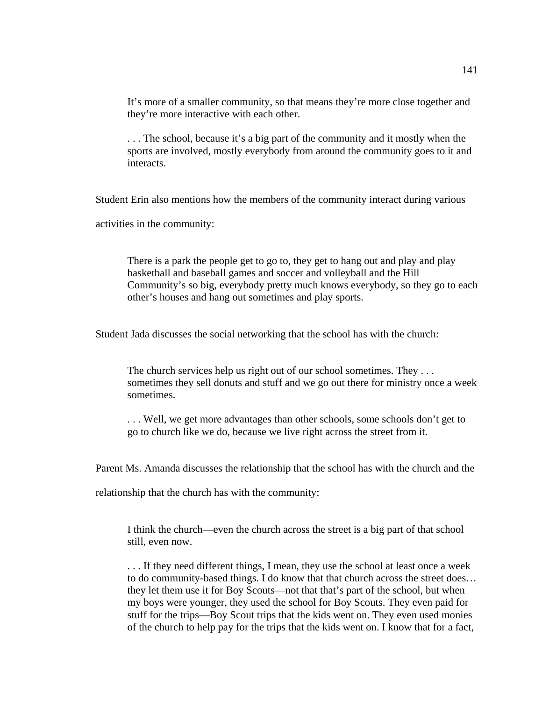It's more of a smaller community, so that means they're more close together and they're more interactive with each other.

. . . The school, because it's a big part of the community and it mostly when the sports are involved, mostly everybody from around the community goes to it and interacts.

Student Erin also mentions how the members of the community interact during various

activities in the community:

There is a park the people get to go to, they get to hang out and play and play basketball and baseball games and soccer and volleyball and the Hill Community's so big, everybody pretty much knows everybody, so they go to each other's houses and hang out sometimes and play sports.

Student Jada discusses the social networking that the school has with the church:

The church services help us right out of our school sometimes. They ... sometimes they sell donuts and stuff and we go out there for ministry once a week sometimes.

. . . Well, we get more advantages than other schools, some schools don't get to go to church like we do, because we live right across the street from it.

Parent Ms. Amanda discusses the relationship that the school has with the church and the

relationship that the church has with the community:

I think the church—even the church across the street is a big part of that school still, even now.

. . . If they need different things, I mean, they use the school at least once a week to do community-based things. I do know that that church across the street does… they let them use it for Boy Scouts—not that that's part of the school, but when my boys were younger, they used the school for Boy Scouts. They even paid for stuff for the trips—Boy Scout trips that the kids went on. They even used monies of the church to help pay for the trips that the kids went on. I know that for a fact,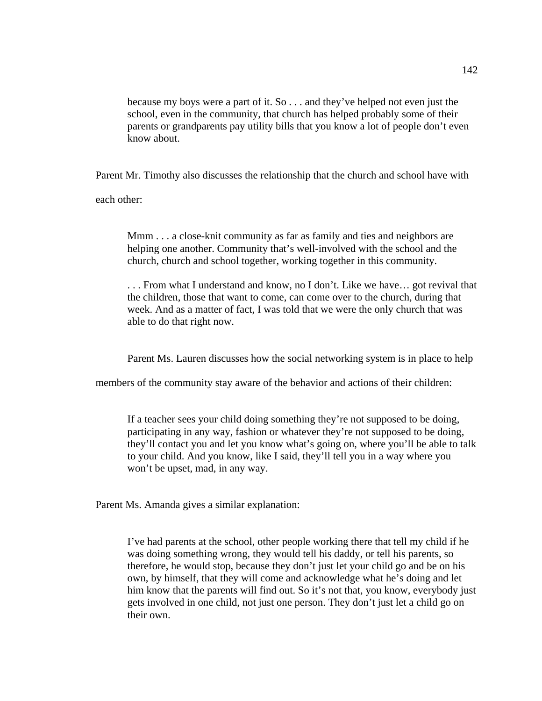because my boys were a part of it. So . . . and they've helped not even just the school, even in the community, that church has helped probably some of their parents or grandparents pay utility bills that you know a lot of people don't even know about.

Parent Mr. Timothy also discusses the relationship that the church and school have with

each other:

Mmm . . . a close-knit community as far as family and ties and neighbors are helping one another. Community that's well-involved with the school and the church, church and school together, working together in this community.

. . . From what I understand and know, no I don't. Like we have… got revival that the children, those that want to come, can come over to the church, during that week. And as a matter of fact, I was told that we were the only church that was able to do that right now.

Parent Ms. Lauren discusses how the social networking system is in place to help

members of the community stay aware of the behavior and actions of their children:

If a teacher sees your child doing something they're not supposed to be doing, participating in any way, fashion or whatever they're not supposed to be doing, they'll contact you and let you know what's going on, where you'll be able to talk to your child. And you know, like I said, they'll tell you in a way where you won't be upset, mad, in any way.

Parent Ms. Amanda gives a similar explanation:

I've had parents at the school, other people working there that tell my child if he was doing something wrong, they would tell his daddy, or tell his parents, so therefore, he would stop, because they don't just let your child go and be on his own, by himself, that they will come and acknowledge what he's doing and let him know that the parents will find out. So it's not that, you know, everybody just gets involved in one child, not just one person. They don't just let a child go on their own.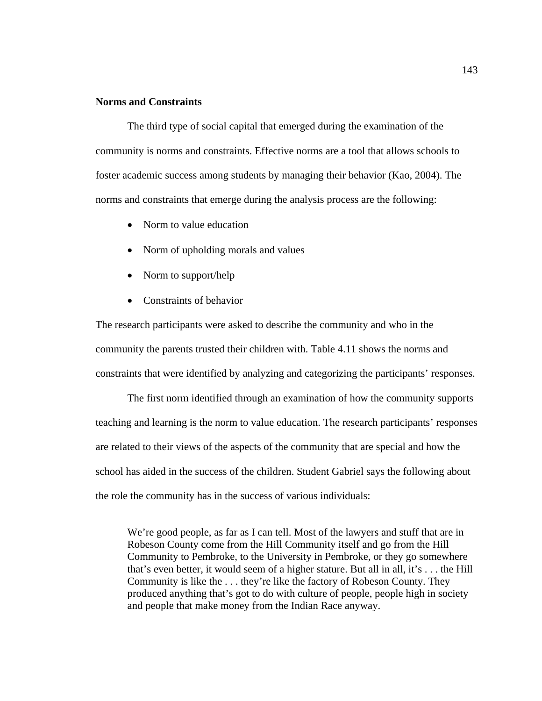# **Norms and Constraints**

 The third type of social capital that emerged during the examination of the community is norms and constraints. Effective norms are a tool that allows schools to foster academic success among students by managing their behavior (Kao, 2004). The norms and constraints that emerge during the analysis process are the following:

- Norm to value education
- Norm of upholding morals and values
- Norm to support/help
- Constraints of behavior

The research participants were asked to describe the community and who in the community the parents trusted their children with. Table 4.11 shows the norms and constraints that were identified by analyzing and categorizing the participants' responses.

The first norm identified through an examination of how the community supports teaching and learning is the norm to value education. The research participants' responses are related to their views of the aspects of the community that are special and how the school has aided in the success of the children. Student Gabriel says the following about the role the community has in the success of various individuals:

We're good people, as far as I can tell. Most of the lawyers and stuff that are in Robeson County come from the Hill Community itself and go from the Hill Community to Pembroke, to the University in Pembroke, or they go somewhere that's even better, it would seem of a higher stature. But all in all, it's . . . the Hill Community is like the . . . they're like the factory of Robeson County. They produced anything that's got to do with culture of people, people high in society and people that make money from the Indian Race anyway.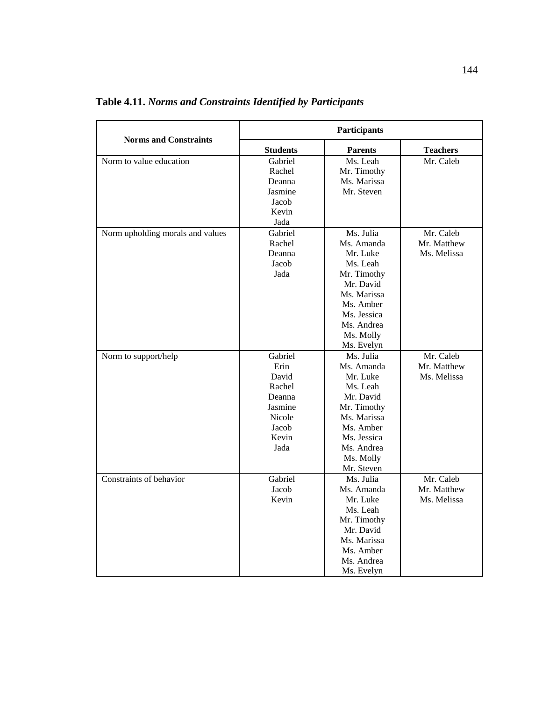| <b>Norms and Constraints</b>     | Participants                                                                                       |                                                                                                                                                                 |                                         |
|----------------------------------|----------------------------------------------------------------------------------------------------|-----------------------------------------------------------------------------------------------------------------------------------------------------------------|-----------------------------------------|
|                                  | <b>Students</b>                                                                                    | <b>Parents</b>                                                                                                                                                  | <b>Teachers</b>                         |
| Norm to value education          | Gabriel<br>Rachel<br>Deanna<br>Jasmine<br>Jacob<br>Kevin<br>Jada                                   | Ms. Leah<br>Mr. Timothy<br>Ms. Marissa<br>Mr. Steven                                                                                                            | Mr. Caleb                               |
| Norm upholding morals and values | Gabriel<br>Rachel<br>Deanna<br>Jacob<br>Jada                                                       | Ms. Julia<br>Ms. Amanda<br>Mr. Luke<br>Ms. Leah<br>Mr. Timothy<br>Mr. David<br>Ms. Marissa<br>Ms. Amber<br>Ms. Jessica<br>Ms. Andrea<br>Ms. Molly<br>Ms. Evelyn | Mr. Caleb<br>Mr. Matthew<br>Ms. Melissa |
| Norm to support/help             | Gabriel<br>Erin<br>David<br>Rachel<br>Deanna<br>Jasmine<br><b>Nicole</b><br>Jacob<br>Kevin<br>Jada | Ms. Julia<br>Ms. Amanda<br>Mr. Luke<br>Ms. Leah<br>Mr. David<br>Mr. Timothy<br>Ms. Marissa<br>Ms. Amber<br>Ms. Jessica<br>Ms. Andrea<br>Ms. Molly<br>Mr. Steven | Mr. Caleb<br>Mr. Matthew<br>Ms. Melissa |
| Constraints of behavior          | Gabriel<br>Jacob<br>Kevin                                                                          | Ms. Julia<br>Ms. Amanda<br>Mr. Luke<br>Ms. Leah<br>Mr. Timothy<br>Mr. David<br>Ms. Marissa<br>Ms. Amber<br>Ms. Andrea<br>Ms. Evelyn                             | Mr. Caleb<br>Mr. Matthew<br>Ms. Melissa |

**Table 4.11.** *Norms and Constraints Identified by Participants*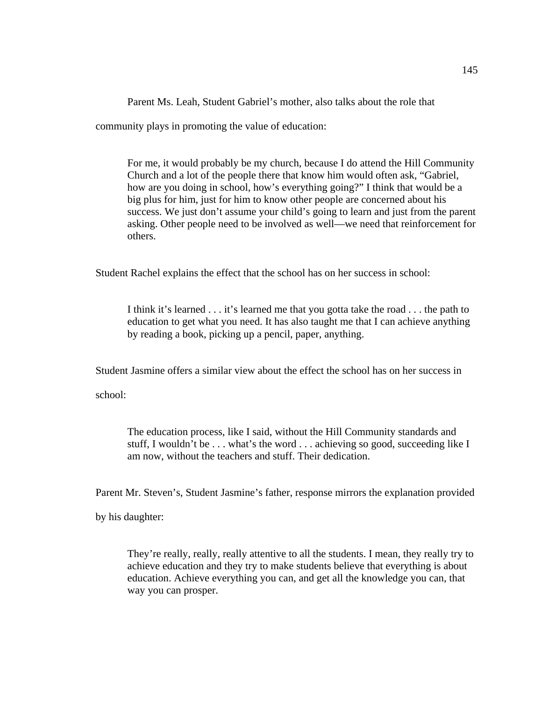Parent Ms. Leah, Student Gabriel's mother, also talks about the role that

community plays in promoting the value of education:

For me, it would probably be my church, because I do attend the Hill Community Church and a lot of the people there that know him would often ask, "Gabriel, how are you doing in school, how's everything going?" I think that would be a big plus for him, just for him to know other people are concerned about his success. We just don't assume your child's going to learn and just from the parent asking. Other people need to be involved as well—we need that reinforcement for others.

Student Rachel explains the effect that the school has on her success in school:

I think it's learned . . . it's learned me that you gotta take the road . . . the path to education to get what you need. It has also taught me that I can achieve anything by reading a book, picking up a pencil, paper, anything.

Student Jasmine offers a similar view about the effect the school has on her success in

school:

 The education process, like I said, without the Hill Community standards and stuff, I wouldn't be . . . what's the word . . . achieving so good, succeeding like I am now, without the teachers and stuff. Their dedication.

Parent Mr. Steven's, Student Jasmine's father, response mirrors the explanation provided

by his daughter:

They're really, really, really attentive to all the students. I mean, they really try to achieve education and they try to make students believe that everything is about education. Achieve everything you can, and get all the knowledge you can, that way you can prosper.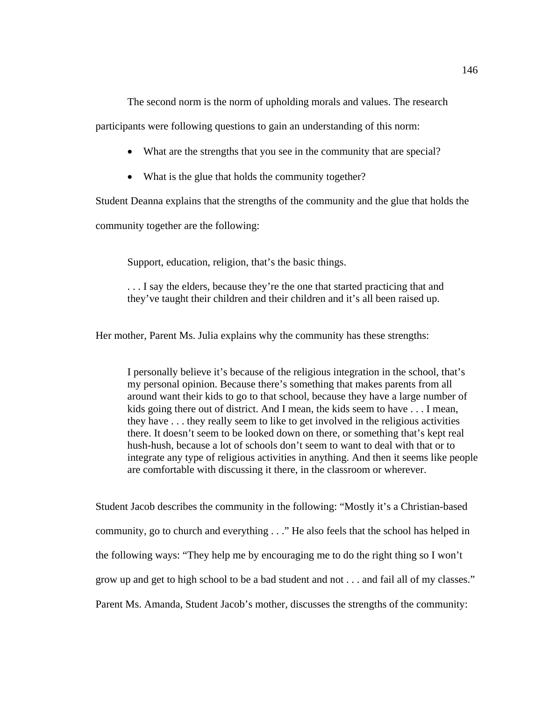The second norm is the norm of upholding morals and values. The research

participants were following questions to gain an understanding of this norm:

- What are the strengths that you see in the community that are special?
- What is the glue that holds the community together?

Student Deanna explains that the strengths of the community and the glue that holds the

community together are the following:

Support, education, religion, that's the basic things.

... I say the elders, because they're the one that started practicing that and they've taught their children and their children and it's all been raised up.

Her mother, Parent Ms. Julia explains why the community has these strengths:

I personally believe it's because of the religious integration in the school, that's my personal opinion. Because there's something that makes parents from all around want their kids to go to that school, because they have a large number of kids going there out of district. And I mean, the kids seem to have . . . I mean, they have . . . they really seem to like to get involved in the religious activities there. It doesn't seem to be looked down on there, or something that's kept real hush-hush, because a lot of schools don't seem to want to deal with that or to integrate any type of religious activities in anything. And then it seems like people are comfortable with discussing it there, in the classroom or wherever.

Student Jacob describes the community in the following: "Mostly it's a Christian-based community, go to church and everything . . ." He also feels that the school has helped in the following ways: "They help me by encouraging me to do the right thing so I won't grow up and get to high school to be a bad student and not . . . and fail all of my classes." Parent Ms. Amanda, Student Jacob's mother, discusses the strengths of the community: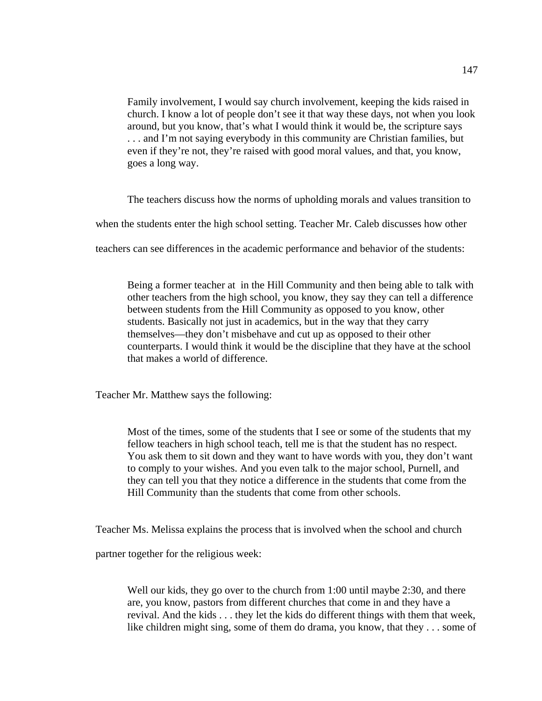Family involvement, I would say church involvement, keeping the kids raised in church. I know a lot of people don't see it that way these days, not when you look around, but you know, that's what I would think it would be, the scripture says . . . and I'm not saying everybody in this community are Christian families, but even if they're not, they're raised with good moral values, and that, you know, goes a long way.

The teachers discuss how the norms of upholding morals and values transition to

when the students enter the high school setting. Teacher Mr. Caleb discusses how other

teachers can see differences in the academic performance and behavior of the students:

Being a former teacher at in the Hill Community and then being able to talk with other teachers from the high school, you know, they say they can tell a difference between students from the Hill Community as opposed to you know, other students. Basically not just in academics, but in the way that they carry themselves—they don't misbehave and cut up as opposed to their other counterparts. I would think it would be the discipline that they have at the school that makes a world of difference.

Teacher Mr. Matthew says the following:

 Most of the times, some of the students that I see or some of the students that my fellow teachers in high school teach, tell me is that the student has no respect. You ask them to sit down and they want to have words with you, they don't want to comply to your wishes. And you even talk to the major school, Purnell, and they can tell you that they notice a difference in the students that come from the Hill Community than the students that come from other schools.

Teacher Ms. Melissa explains the process that is involved when the school and church

partner together for the religious week:

Well our kids, they go over to the church from 1:00 until maybe 2:30, and there are, you know, pastors from different churches that come in and they have a revival. And the kids . . . they let the kids do different things with them that week, like children might sing, some of them do drama, you know, that they . . . some of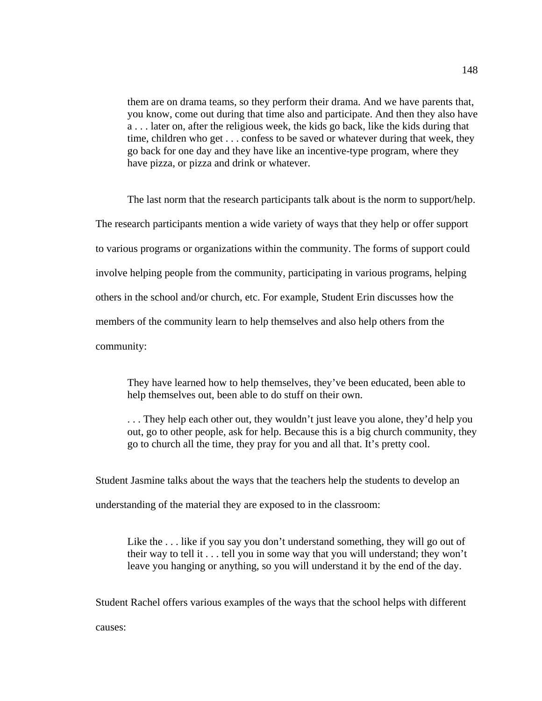them are on drama teams, so they perform their drama. And we have parents that, you know, come out during that time also and participate. And then they also have a . . . later on, after the religious week, the kids go back, like the kids during that time, children who get . . . confess to be saved or whatever during that week, they go back for one day and they have like an incentive-type program, where they have pizza, or pizza and drink or whatever.

The last norm that the research participants talk about is the norm to support/help. The research participants mention a wide variety of ways that they help or offer support to various programs or organizations within the community. The forms of support could involve helping people from the community, participating in various programs, helping others in the school and/or church, etc. For example, Student Erin discusses how the members of the community learn to help themselves and also help others from the community:

They have learned how to help themselves, they've been educated, been able to help themselves out, been able to do stuff on their own.

. . . They help each other out, they wouldn't just leave you alone, they'd help you out, go to other people, ask for help. Because this is a big church community, they go to church all the time, they pray for you and all that. It's pretty cool.

Student Jasmine talks about the ways that the teachers help the students to develop an understanding of the material they are exposed to in the classroom:

Like the ... like if you say you don't understand something, they will go out of their way to tell it . . . tell you in some way that you will understand; they won't leave you hanging or anything, so you will understand it by the end of the day.

Student Rachel offers various examples of the ways that the school helps with different

148

causes: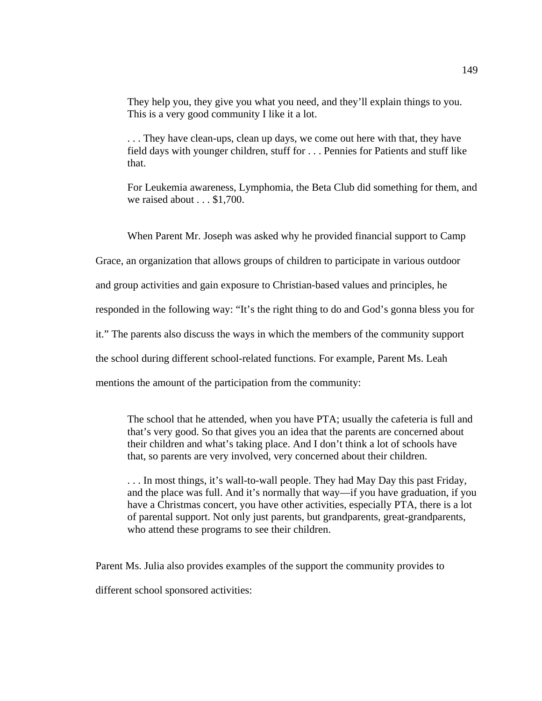They help you, they give you what you need, and they'll explain things to you. This is a very good community I like it a lot.

 . . . They have clean-ups, clean up days, we come out here with that, they have field days with younger children, stuff for . . . Pennies for Patients and stuff like that.

 For Leukemia awareness, Lymphomia, the Beta Club did something for them, and we raised about . . . \$1,700.

When Parent Mr. Joseph was asked why he provided financial support to Camp

Grace, an organization that allows groups of children to participate in various outdoor

and group activities and gain exposure to Christian-based values and principles, he

responded in the following way: "It's the right thing to do and God's gonna bless you for

it." The parents also discuss the ways in which the members of the community support

the school during different school-related functions. For example, Parent Ms. Leah

mentions the amount of the participation from the community:

 The school that he attended, when you have PTA; usually the cafeteria is full and that's very good. So that gives you an idea that the parents are concerned about their children and what's taking place. And I don't think a lot of schools have that, so parents are very involved, very concerned about their children.

 . . . In most things, it's wall-to-wall people. They had May Day this past Friday, and the place was full. And it's normally that way—if you have graduation, if you have a Christmas concert, you have other activities, especially PTA, there is a lot of parental support. Not only just parents, but grandparents, great-grandparents, who attend these programs to see their children.

Parent Ms. Julia also provides examples of the support the community provides to

different school sponsored activities: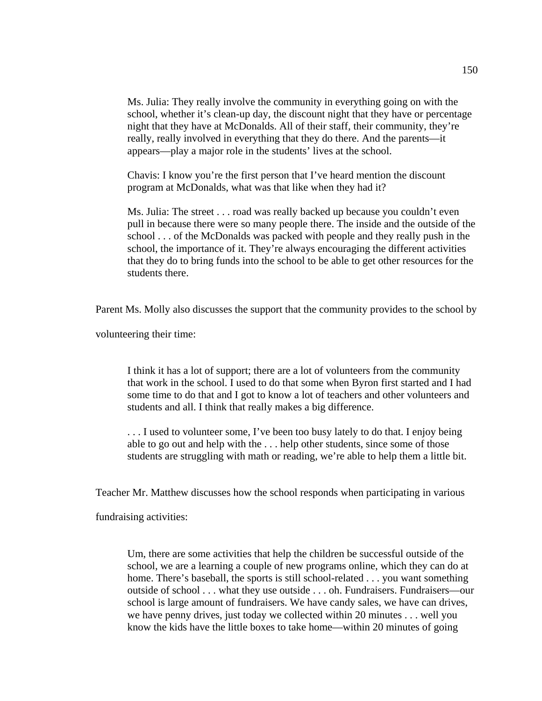Ms. Julia: They really involve the community in everything going on with the school, whether it's clean-up day, the discount night that they have or percentage night that they have at McDonalds. All of their staff, their community, they're really, really involved in everything that they do there. And the parents—it appears—play a major role in the students' lives at the school.

Chavis: I know you're the first person that I've heard mention the discount program at McDonalds, what was that like when they had it?

Ms. Julia: The street . . . road was really backed up because you couldn't even pull in because there were so many people there. The inside and the outside of the school . . . of the McDonalds was packed with people and they really push in the school, the importance of it. They're always encouraging the different activities that they do to bring funds into the school to be able to get other resources for the students there.

Parent Ms. Molly also discusses the support that the community provides to the school by

volunteering their time:

 I think it has a lot of support; there are a lot of volunteers from the community that work in the school. I used to do that some when Byron first started and I had some time to do that and I got to know a lot of teachers and other volunteers and students and all. I think that really makes a big difference.

 . . . I used to volunteer some, I've been too busy lately to do that. I enjoy being able to go out and help with the . . . help other students, since some of those students are struggling with math or reading, we're able to help them a little bit.

Teacher Mr. Matthew discusses how the school responds when participating in various

fundraising activities:

 Um, there are some activities that help the children be successful outside of the school, we are a learning a couple of new programs online, which they can do at home. There's baseball, the sports is still school-related . . . you want something outside of school . . . what they use outside . . . oh. Fundraisers. Fundraisers—our school is large amount of fundraisers. We have candy sales, we have can drives, we have penny drives, just today we collected within 20 minutes . . . well you know the kids have the little boxes to take home—within 20 minutes of going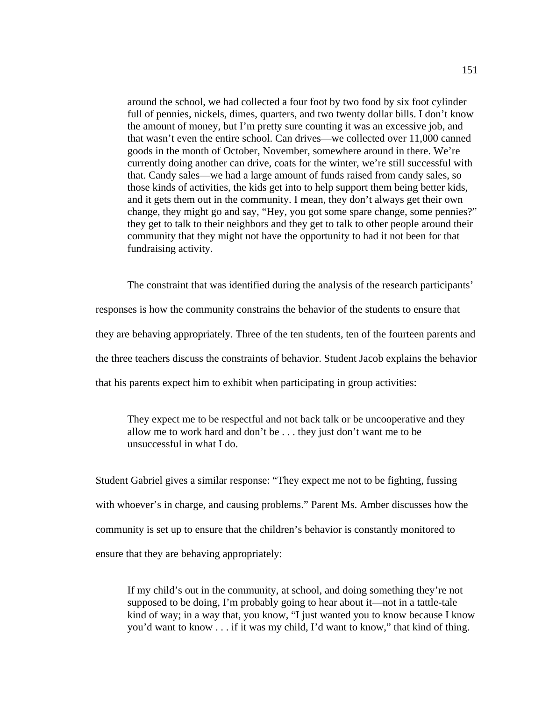around the school, we had collected a four foot by two food by six foot cylinder full of pennies, nickels, dimes, quarters, and two twenty dollar bills. I don't know the amount of money, but I'm pretty sure counting it was an excessive job, and that wasn't even the entire school. Can drives—we collected over 11,000 canned goods in the month of October, November, somewhere around in there. We're currently doing another can drive, coats for the winter, we're still successful with that. Candy sales—we had a large amount of funds raised from candy sales, so those kinds of activities, the kids get into to help support them being better kids, and it gets them out in the community. I mean, they don't always get their own change, they might go and say, "Hey, you got some spare change, some pennies?" they get to talk to their neighbors and they get to talk to other people around their community that they might not have the opportunity to had it not been for that fundraising activity.

The constraint that was identified during the analysis of the research participants'

responses is how the community constrains the behavior of the students to ensure that they are behaving appropriately. Three of the ten students, ten of the fourteen parents and the three teachers discuss the constraints of behavior. Student Jacob explains the behavior that his parents expect him to exhibit when participating in group activities:

They expect me to be respectful and not back talk or be uncooperative and they allow me to work hard and don't be . . . they just don't want me to be unsuccessful in what I do.

Student Gabriel gives a similar response: "They expect me not to be fighting, fussing with whoever's in charge, and causing problems." Parent Ms. Amber discusses how the community is set up to ensure that the children's behavior is constantly monitored to ensure that they are behaving appropriately:

If my child's out in the community, at school, and doing something they're not supposed to be doing, I'm probably going to hear about it—not in a tattle-tale kind of way; in a way that, you know, "I just wanted you to know because I know you'd want to know . . . if it was my child, I'd want to know," that kind of thing.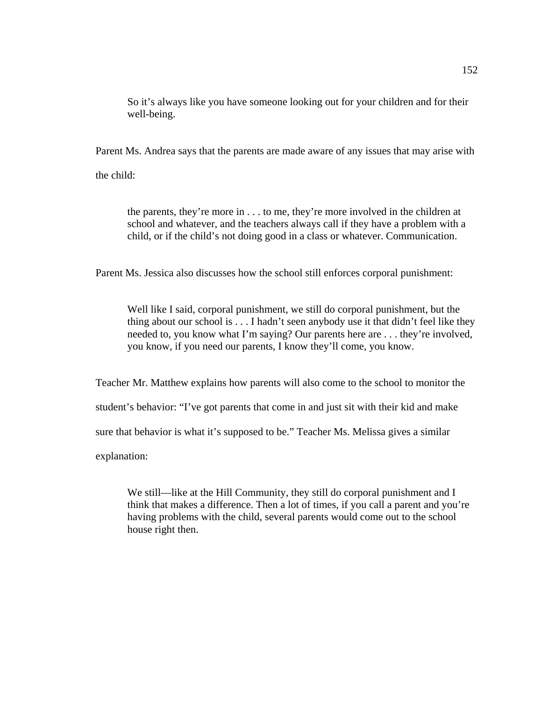So it's always like you have someone looking out for your children and for their well-being.

Parent Ms. Andrea says that the parents are made aware of any issues that may arise with

the child:

 the parents, they're more in . . . to me, they're more involved in the children at school and whatever, and the teachers always call if they have a problem with a child, or if the child's not doing good in a class or whatever. Communication.

Parent Ms. Jessica also discusses how the school still enforces corporal punishment:

Well like I said, corporal punishment, we still do corporal punishment, but the thing about our school is . . . I hadn't seen anybody use it that didn't feel like they needed to, you know what I'm saying? Our parents here are . . . they're involved, you know, if you need our parents, I know they'll come, you know.

Teacher Mr. Matthew explains how parents will also come to the school to monitor the

student's behavior: "I've got parents that come in and just sit with their kid and make

sure that behavior is what it's supposed to be." Teacher Ms. Melissa gives a similar

explanation:

We still—like at the Hill Community, they still do corporal punishment and I think that makes a difference. Then a lot of times, if you call a parent and you're having problems with the child, several parents would come out to the school house right then.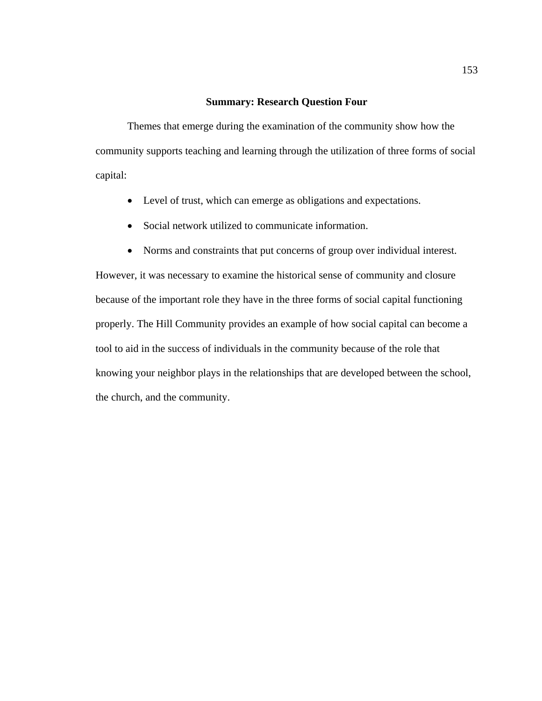## **Summary: Research Question Four**

Themes that emerge during the examination of the community show how the community supports teaching and learning through the utilization of three forms of social capital:

- Level of trust, which can emerge as obligations and expectations.
- Social network utilized to communicate information.
- Norms and constraints that put concerns of group over individual interest.

However, it was necessary to examine the historical sense of community and closure because of the important role they have in the three forms of social capital functioning properly. The Hill Community provides an example of how social capital can become a tool to aid in the success of individuals in the community because of the role that knowing your neighbor plays in the relationships that are developed between the school, the church, and the community.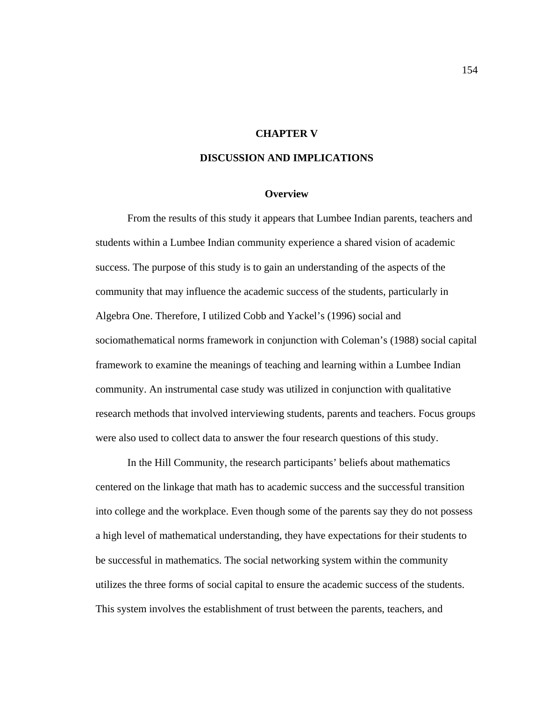## **CHAPTER V**

## **DISCUSSION AND IMPLICATIONS**

### **Overview**

From the results of this study it appears that Lumbee Indian parents, teachers and students within a Lumbee Indian community experience a shared vision of academic success. The purpose of this study is to gain an understanding of the aspects of the community that may influence the academic success of the students, particularly in Algebra One. Therefore, I utilized Cobb and Yackel's (1996) social and sociomathematical norms framework in conjunction with Coleman's (1988) social capital framework to examine the meanings of teaching and learning within a Lumbee Indian community. An instrumental case study was utilized in conjunction with qualitative research methods that involved interviewing students, parents and teachers. Focus groups were also used to collect data to answer the four research questions of this study.

In the Hill Community, the research participants' beliefs about mathematics centered on the linkage that math has to academic success and the successful transition into college and the workplace. Even though some of the parents say they do not possess a high level of mathematical understanding, they have expectations for their students to be successful in mathematics. The social networking system within the community utilizes the three forms of social capital to ensure the academic success of the students. This system involves the establishment of trust between the parents, teachers, and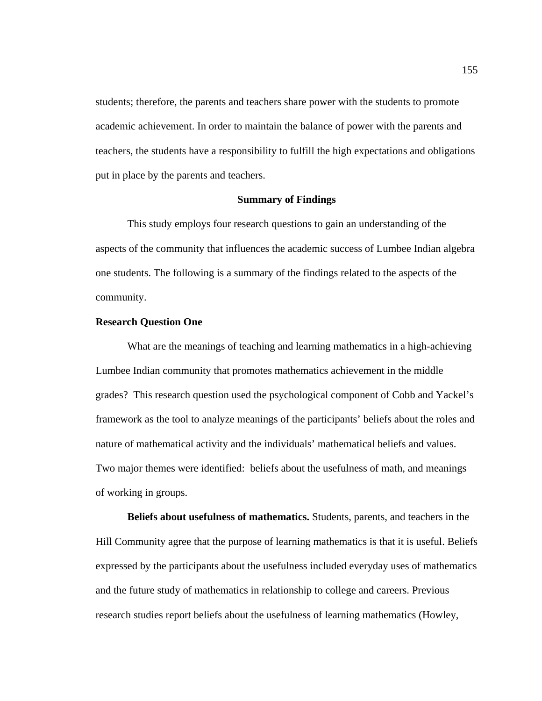students; therefore, the parents and teachers share power with the students to promote academic achievement. In order to maintain the balance of power with the parents and teachers, the students have a responsibility to fulfill the high expectations and obligations put in place by the parents and teachers.

## **Summary of Findings**

This study employs four research questions to gain an understanding of the aspects of the community that influences the academic success of Lumbee Indian algebra one students. The following is a summary of the findings related to the aspects of the community.

## **Research Question One**

What are the meanings of teaching and learning mathematics in a high-achieving Lumbee Indian community that promotes mathematics achievement in the middle grades? This research question used the psychological component of Cobb and Yackel's framework as the tool to analyze meanings of the participants' beliefs about the roles and nature of mathematical activity and the individuals' mathematical beliefs and values. Two major themes were identified: beliefs about the usefulness of math, and meanings of working in groups.

**Beliefs about usefulness of mathematics.** Students, parents, and teachers in the Hill Community agree that the purpose of learning mathematics is that it is useful. Beliefs expressed by the participants about the usefulness included everyday uses of mathematics and the future study of mathematics in relationship to college and careers. Previous research studies report beliefs about the usefulness of learning mathematics (Howley,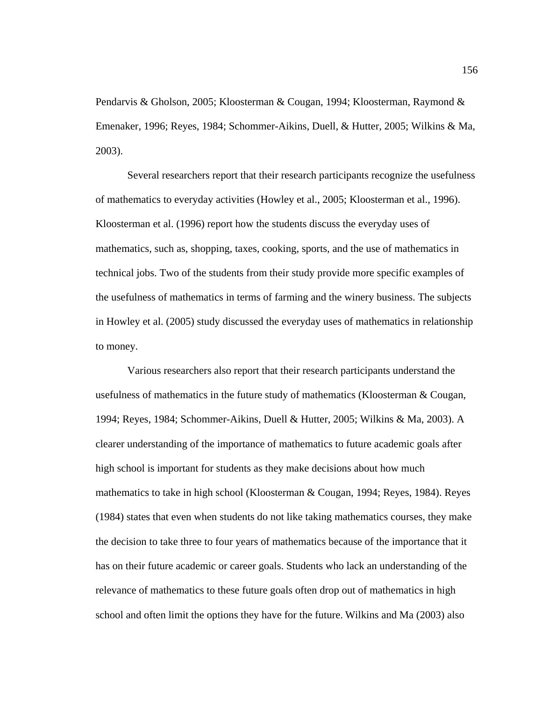Pendarvis & Gholson, 2005; Kloosterman & Cougan, 1994; Kloosterman, Raymond & Emenaker, 1996; Reyes, 1984; Schommer-Aikins, Duell, & Hutter, 2005; Wilkins & Ma, 2003).

 Several researchers report that their research participants recognize the usefulness of mathematics to everyday activities (Howley et al., 2005; Kloosterman et al., 1996). Kloosterman et al. (1996) report how the students discuss the everyday uses of mathematics, such as, shopping, taxes, cooking, sports, and the use of mathematics in technical jobs. Two of the students from their study provide more specific examples of the usefulness of mathematics in terms of farming and the winery business. The subjects in Howley et al. (2005) study discussed the everyday uses of mathematics in relationship to money.

Various researchers also report that their research participants understand the usefulness of mathematics in the future study of mathematics (Kloosterman & Cougan, 1994; Reyes, 1984; Schommer-Aikins, Duell & Hutter, 2005; Wilkins & Ma, 2003). A clearer understanding of the importance of mathematics to future academic goals after high school is important for students as they make decisions about how much mathematics to take in high school (Kloosterman & Cougan, 1994; Reyes, 1984). Reyes (1984) states that even when students do not like taking mathematics courses, they make the decision to take three to four years of mathematics because of the importance that it has on their future academic or career goals. Students who lack an understanding of the relevance of mathematics to these future goals often drop out of mathematics in high school and often limit the options they have for the future. Wilkins and Ma (2003) also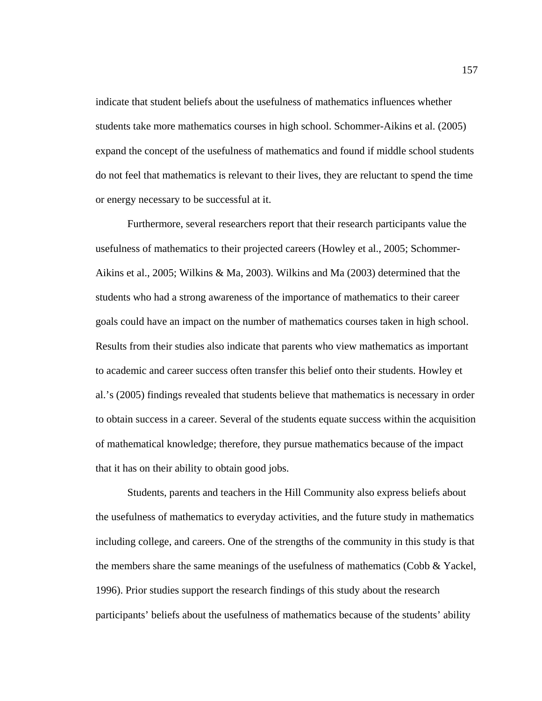indicate that student beliefs about the usefulness of mathematics influences whether students take more mathematics courses in high school. Schommer-Aikins et al. (2005) expand the concept of the usefulness of mathematics and found if middle school students do not feel that mathematics is relevant to their lives, they are reluctant to spend the time or energy necessary to be successful at it.

Furthermore, several researchers report that their research participants value the usefulness of mathematics to their projected careers (Howley et al., 2005; Schommer-Aikins et al., 2005; Wilkins & Ma, 2003). Wilkins and Ma (2003) determined that the students who had a strong awareness of the importance of mathematics to their career goals could have an impact on the number of mathematics courses taken in high school. Results from their studies also indicate that parents who view mathematics as important to academic and career success often transfer this belief onto their students. Howley et al.'s (2005) findings revealed that students believe that mathematics is necessary in order to obtain success in a career. Several of the students equate success within the acquisition of mathematical knowledge; therefore, they pursue mathematics because of the impact that it has on their ability to obtain good jobs.

Students, parents and teachers in the Hill Community also express beliefs about the usefulness of mathematics to everyday activities, and the future study in mathematics including college, and careers. One of the strengths of the community in this study is that the members share the same meanings of the usefulness of mathematics (Cobb & Yackel, 1996). Prior studies support the research findings of this study about the research participants' beliefs about the usefulness of mathematics because of the students' ability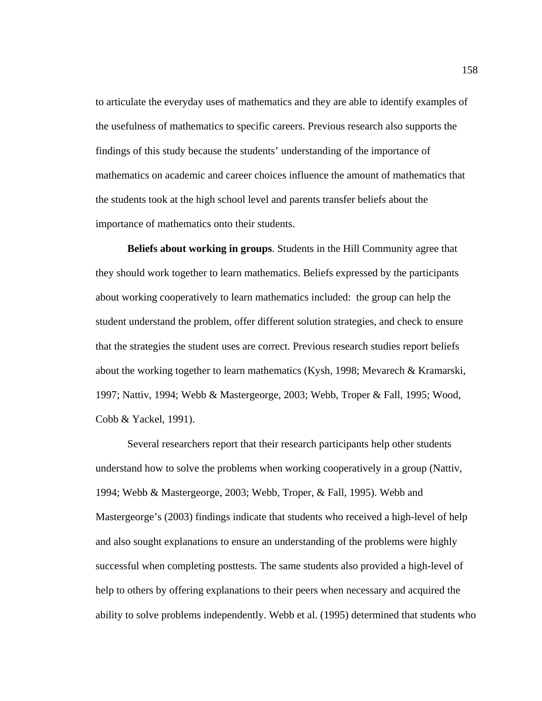to articulate the everyday uses of mathematics and they are able to identify examples of the usefulness of mathematics to specific careers. Previous research also supports the findings of this study because the students' understanding of the importance of mathematics on academic and career choices influence the amount of mathematics that the students took at the high school level and parents transfer beliefs about the importance of mathematics onto their students.

**Beliefs about working in groups**. Students in the Hill Community agree that they should work together to learn mathematics. Beliefs expressed by the participants about working cooperatively to learn mathematics included: the group can help the student understand the problem, offer different solution strategies, and check to ensure that the strategies the student uses are correct. Previous research studies report beliefs about the working together to learn mathematics (Kysh, 1998; Mevarech & Kramarski, 1997; Nattiv, 1994; Webb & Mastergeorge, 2003; Webb, Troper & Fall, 1995; Wood, Cobb & Yackel, 1991).

Several researchers report that their research participants help other students understand how to solve the problems when working cooperatively in a group (Nattiv, 1994; Webb & Mastergeorge, 2003; Webb, Troper, & Fall, 1995). Webb and Mastergeorge's (2003) findings indicate that students who received a high-level of help and also sought explanations to ensure an understanding of the problems were highly successful when completing posttests. The same students also provided a high-level of help to others by offering explanations to their peers when necessary and acquired the ability to solve problems independently. Webb et al. (1995) determined that students who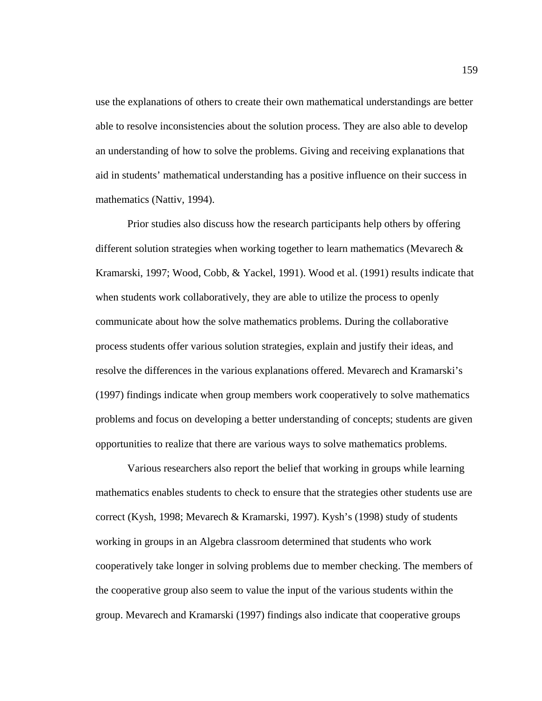use the explanations of others to create their own mathematical understandings are better able to resolve inconsistencies about the solution process. They are also able to develop an understanding of how to solve the problems. Giving and receiving explanations that aid in students' mathematical understanding has a positive influence on their success in mathematics (Nattiv, 1994).

Prior studies also discuss how the research participants help others by offering different solution strategies when working together to learn mathematics (Mevarech & Kramarski, 1997; Wood, Cobb, & Yackel, 1991). Wood et al. (1991) results indicate that when students work collaboratively, they are able to utilize the process to openly communicate about how the solve mathematics problems. During the collaborative process students offer various solution strategies, explain and justify their ideas, and resolve the differences in the various explanations offered. Mevarech and Kramarski's (1997) findings indicate when group members work cooperatively to solve mathematics problems and focus on developing a better understanding of concepts; students are given opportunities to realize that there are various ways to solve mathematics problems.

Various researchers also report the belief that working in groups while learning mathematics enables students to check to ensure that the strategies other students use are correct (Kysh, 1998; Mevarech & Kramarski, 1997). Kysh's (1998) study of students working in groups in an Algebra classroom determined that students who work cooperatively take longer in solving problems due to member checking. The members of the cooperative group also seem to value the input of the various students within the group. Mevarech and Kramarski (1997) findings also indicate that cooperative groups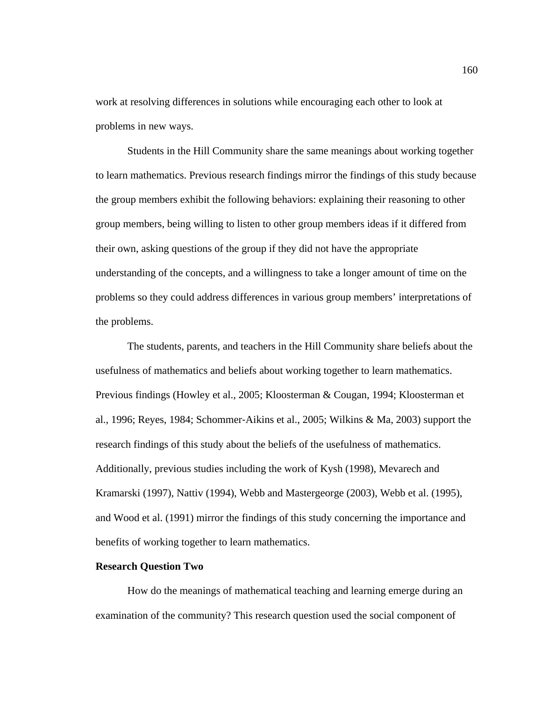work at resolving differences in solutions while encouraging each other to look at problems in new ways.

Students in the Hill Community share the same meanings about working together to learn mathematics. Previous research findings mirror the findings of this study because the group members exhibit the following behaviors: explaining their reasoning to other group members, being willing to listen to other group members ideas if it differed from their own, asking questions of the group if they did not have the appropriate understanding of the concepts, and a willingness to take a longer amount of time on the problems so they could address differences in various group members' interpretations of the problems.

The students, parents, and teachers in the Hill Community share beliefs about the usefulness of mathematics and beliefs about working together to learn mathematics. Previous findings (Howley et al., 2005; Kloosterman & Cougan, 1994; Kloosterman et al., 1996; Reyes, 1984; Schommer‐Aikins et al., 2005; Wilkins & Ma, 2003) support the research findings of this study about the beliefs of the usefulness of mathematics. Additionally, previous studies including the work of Kysh (1998), Mevarech and Kramarski (1997), Nattiv (1994), Webb and Mastergeorge (2003), Webb et al. (1995), and Wood et al. (1991) mirror the findings of this study concerning the importance and benefits of working together to learn mathematics.

## **Research Question Two**

 How do the meanings of mathematical teaching and learning emerge during an examination of the community? This research question used the social component of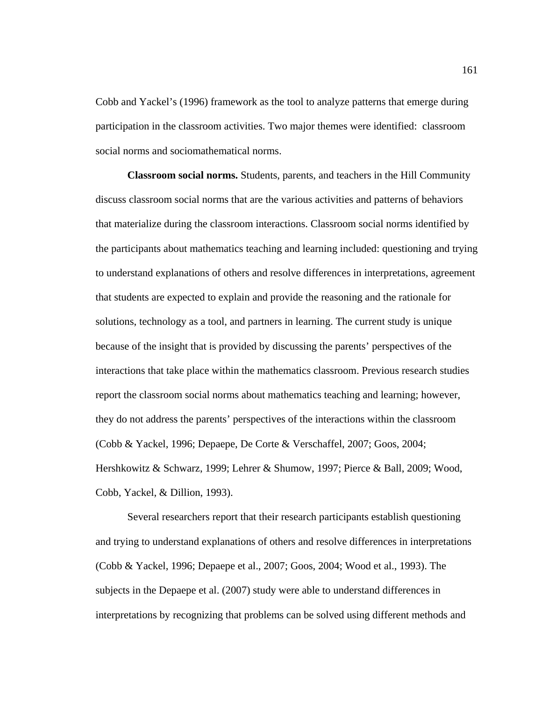Cobb and Yackel's (1996) framework as the tool to analyze patterns that emerge during participation in the classroom activities. Two major themes were identified: classroom social norms and sociomathematical norms.

**Classroom social norms.** Students, parents, and teachers in the Hill Community discuss classroom social norms that are the various activities and patterns of behaviors that materialize during the classroom interactions. Classroom social norms identified by the participants about mathematics teaching and learning included: questioning and trying to understand explanations of others and resolve differences in interpretations, agreement that students are expected to explain and provide the reasoning and the rationale for solutions, technology as a tool, and partners in learning. The current study is unique because of the insight that is provided by discussing the parents' perspectives of the interactions that take place within the mathematics classroom. Previous research studies report the classroom social norms about mathematics teaching and learning; however, they do not address the parents' perspectives of the interactions within the classroom (Cobb & Yackel, 1996; Depaepe, De Corte & Verschaffel, 2007; Goos, 2004; Hershkowitz & Schwarz, 1999; Lehrer & Shumow, 1997; Pierce & Ball, 2009; Wood, Cobb, Yackel, & Dillion, 1993).

 Several researchers report that their research participants establish questioning and trying to understand explanations of others and resolve differences in interpretations (Cobb & Yackel, 1996; Depaepe et al., 2007; Goos, 2004; Wood et al., 1993). The subjects in the Depaepe et al. (2007) study were able to understand differences in interpretations by recognizing that problems can be solved using different methods and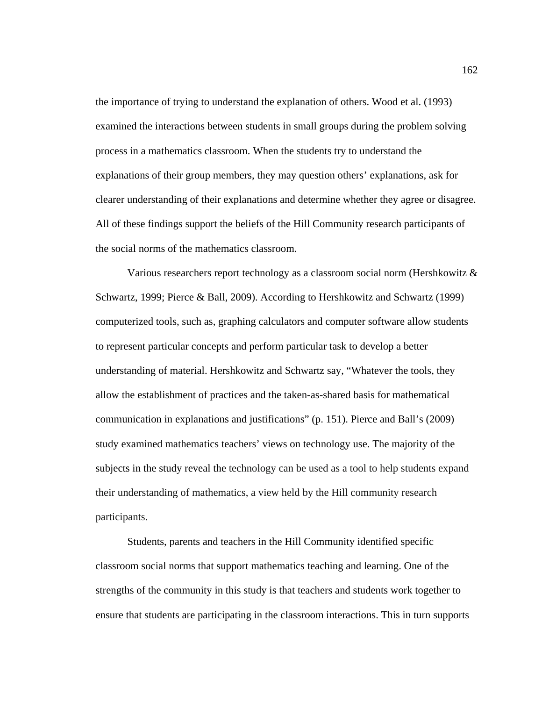the importance of trying to understand the explanation of others. Wood et al. (1993) examined the interactions between students in small groups during the problem solving process in a mathematics classroom. When the students try to understand the explanations of their group members, they may question others' explanations, ask for clearer understanding of their explanations and determine whether they agree or disagree. All of these findings support the beliefs of the Hill Community research participants of the social norms of the mathematics classroom.

 Various researchers report technology as a classroom social norm (Hershkowitz & Schwartz, 1999; Pierce & Ball, 2009). According to Hershkowitz and Schwartz (1999) computerized tools, such as, graphing calculators and computer software allow students to represent particular concepts and perform particular task to develop a better understanding of material. Hershkowitz and Schwartz say, "Whatever the tools, they allow the establishment of practices and the taken-as-shared basis for mathematical communication in explanations and justifications" (p. 151). Pierce and Ball's (2009) study examined mathematics teachers' views on technology use. The majority of the subjects in the study reveal the technology can be used as a tool to help students expand their understanding of mathematics, a view held by the Hill community research participants.

Students, parents and teachers in the Hill Community identified specific classroom social norms that support mathematics teaching and learning. One of the strengths of the community in this study is that teachers and students work together to ensure that students are participating in the classroom interactions. This in turn supports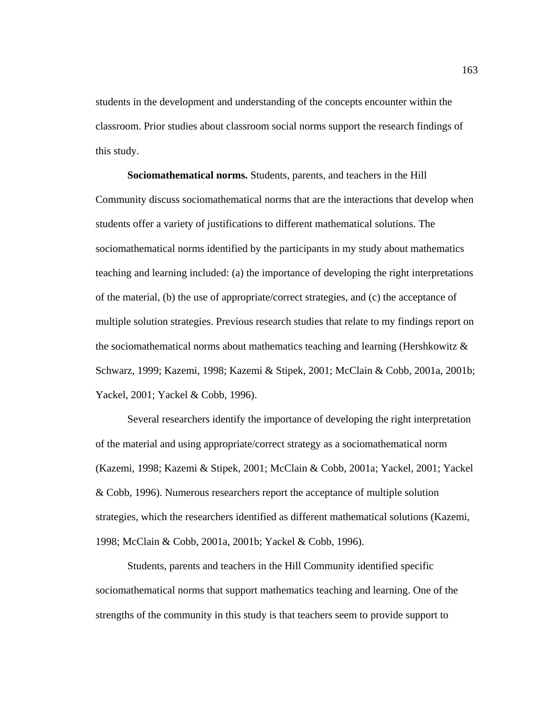students in the development and understanding of the concepts encounter within the classroom. Prior studies about classroom social norms support the research findings of this study.

**Sociomathematical norms.** Students, parents, and teachers in the Hill Community discuss sociomathematical norms that are the interactions that develop when students offer a variety of justifications to different mathematical solutions. The sociomathematical norms identified by the participants in my study about mathematics teaching and learning included: (a) the importance of developing the right interpretations of the material, (b) the use of appropriate/correct strategies, and (c) the acceptance of multiple solution strategies. Previous research studies that relate to my findings report on the sociomathematical norms about mathematics teaching and learning (Hershkowitz  $\&$ Schwarz, 1999; Kazemi, 1998; Kazemi & Stipek, 2001; McClain & Cobb, 2001a, 2001b; Yackel, 2001; Yackel & Cobb, 1996).

 Several researchers identify the importance of developing the right interpretation of the material and using appropriate/correct strategy as a sociomathematical norm (Kazemi, 1998; Kazemi & Stipek, 2001; McClain & Cobb, 2001a; Yackel, 2001; Yackel & Cobb, 1996). Numerous researchers report the acceptance of multiple solution strategies, which the researchers identified as different mathematical solutions (Kazemi, 1998; McClain & Cobb, 2001a, 2001b; Yackel & Cobb, 1996).

Students, parents and teachers in the Hill Community identified specific sociomathematical norms that support mathematics teaching and learning. One of the strengths of the community in this study is that teachers seem to provide support to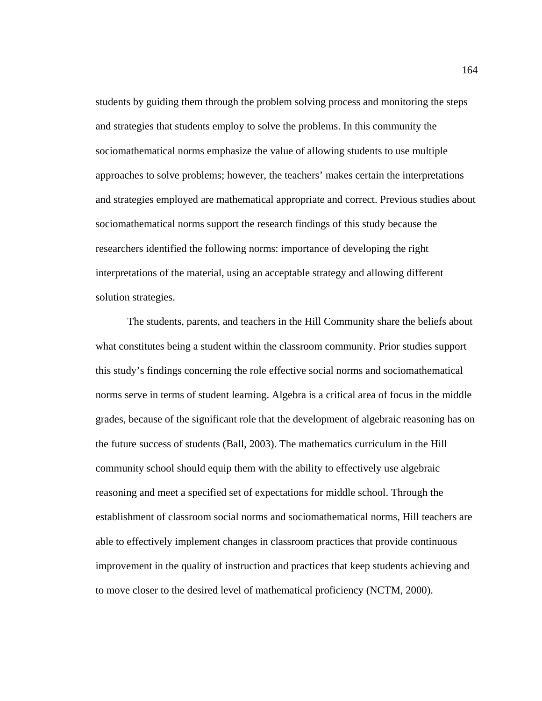students by guiding them through the problem solving process and monitoring the steps and strategies that students employ to solve the problems. In this community the sociomathematical norms emphasize the value of allowing students to use multiple approaches to solve problems; however, the teachers' makes certain the interpretations and strategies employed are mathematical appropriate and correct. Previous studies about sociomathematical norms support the research findings of this study because the researchers identified the following norms: importance of developing the right interpretations of the material, using an acceptable strategy and allowing different solution strategies.

 The students, parents, and teachers in the Hill Community share the beliefs about what constitutes being a student within the classroom community. Prior studies support this study's findings concerning the role effective social norms and sociomathematical norms serve in terms of student learning. Algebra is a critical area of focus in the middle grades, because of the significant role that the development of algebraic reasoning has on the future success of students (Ball, 2003). The mathematics curriculum in the Hill community school should equip them with the ability to effectively use algebraic reasoning and meet a specified set of expectations for middle school. Through the establishment of classroom social norms and sociomathematical norms, Hill teachers are able to effectively implement changes in classroom practices that provide continuous improvement in the quality of instruction and practices that keep students achieving and to move closer to the desired level of mathematical proficiency (NCTM, 2000).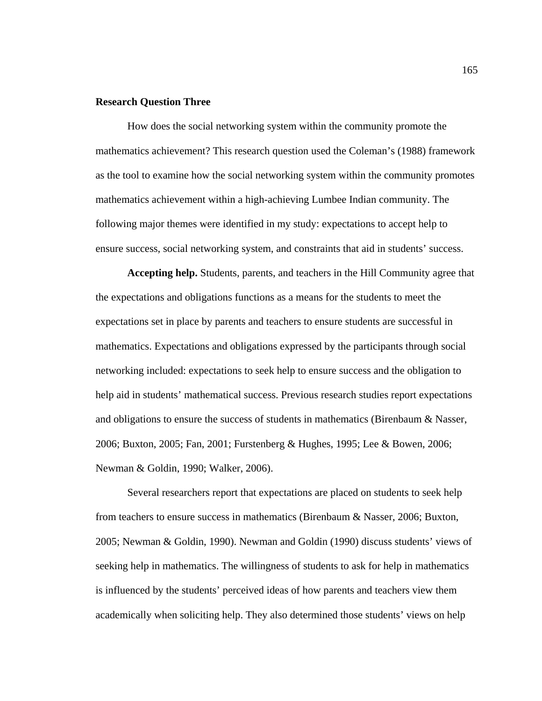### **Research Question Three**

How does the social networking system within the community promote the mathematics achievement? This research question used the Coleman's (1988) framework as the tool to examine how the social networking system within the community promotes mathematics achievement within a high-achieving Lumbee Indian community. The following major themes were identified in my study: expectations to accept help to ensure success, social networking system, and constraints that aid in students' success.

**Accepting help.** Students, parents, and teachers in the Hill Community agree that the expectations and obligations functions as a means for the students to meet the expectations set in place by parents and teachers to ensure students are successful in mathematics. Expectations and obligations expressed by the participants through social networking included: expectations to seek help to ensure success and the obligation to help aid in students' mathematical success. Previous research studies report expectations and obligations to ensure the success of students in mathematics (Birenbaum & Nasser, 2006; Buxton, 2005; Fan, 2001; Furstenberg & Hughes, 1995; Lee & Bowen, 2006; Newman & Goldin, 1990; Walker, 2006).

Several researchers report that expectations are placed on students to seek help from teachers to ensure success in mathematics (Birenbaum & Nasser, 2006; Buxton, 2005; Newman & Goldin, 1990). Newman and Goldin (1990) discuss students' views of seeking help in mathematics. The willingness of students to ask for help in mathematics is influenced by the students' perceived ideas of how parents and teachers view them academically when soliciting help. They also determined those students' views on help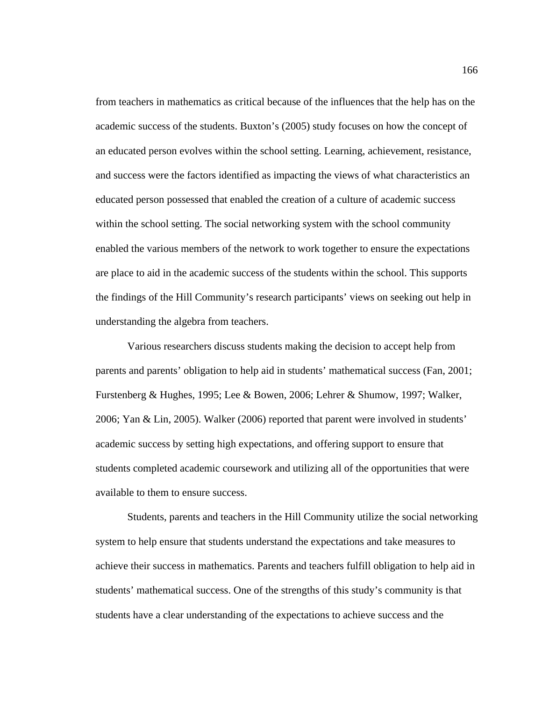from teachers in mathematics as critical because of the influences that the help has on the academic success of the students. Buxton's (2005) study focuses on how the concept of an educated person evolves within the school setting. Learning, achievement, resistance, and success were the factors identified as impacting the views of what characteristics an educated person possessed that enabled the creation of a culture of academic success within the school setting. The social networking system with the school community enabled the various members of the network to work together to ensure the expectations are place to aid in the academic success of the students within the school. This supports the findings of the Hill Community's research participants' views on seeking out help in understanding the algebra from teachers.

Various researchers discuss students making the decision to accept help from parents and parents' obligation to help aid in students' mathematical success (Fan, 2001; Furstenberg & Hughes, 1995; Lee & Bowen, 2006; Lehrer & Shumow, 1997; Walker, 2006; Yan & Lin, 2005). Walker (2006) reported that parent were involved in students' academic success by setting high expectations, and offering support to ensure that students completed academic coursework and utilizing all of the opportunities that were available to them to ensure success.

Students, parents and teachers in the Hill Community utilize the social networking system to help ensure that students understand the expectations and take measures to achieve their success in mathematics. Parents and teachers fulfill obligation to help aid in students' mathematical success. One of the strengths of this study's community is that students have a clear understanding of the expectations to achieve success and the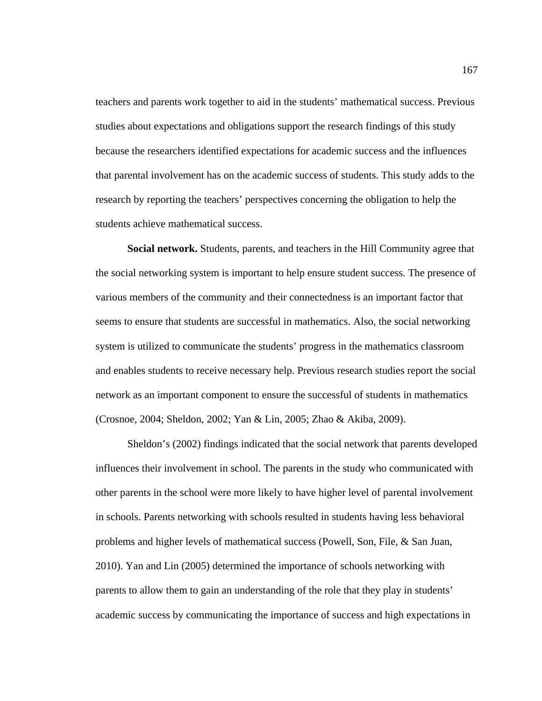teachers and parents work together to aid in the students' mathematical success. Previous studies about expectations and obligations support the research findings of this study because the researchers identified expectations for academic success and the influences that parental involvement has on the academic success of students. This study adds to the research by reporting the teachers' perspectives concerning the obligation to help the students achieve mathematical success.

 **Social network.** Students, parents, and teachers in the Hill Community agree that the social networking system is important to help ensure student success. The presence of various members of the community and their connectedness is an important factor that seems to ensure that students are successful in mathematics. Also, the social networking system is utilized to communicate the students' progress in the mathematics classroom and enables students to receive necessary help. Previous research studies report the social network as an important component to ensure the successful of students in mathematics (Crosnoe, 2004; Sheldon, 2002; Yan & Lin, 2005; Zhao & Akiba, 2009).

Sheldon's (2002) findings indicated that the social network that parents developed influences their involvement in school. The parents in the study who communicated with other parents in the school were more likely to have higher level of parental involvement in schools. Parents networking with schools resulted in students having less behavioral problems and higher levels of mathematical success (Powell, Son, File, & San Juan, 2010). Yan and Lin (2005) determined the importance of schools networking with parents to allow them to gain an understanding of the role that they play in students' academic success by communicating the importance of success and high expectations in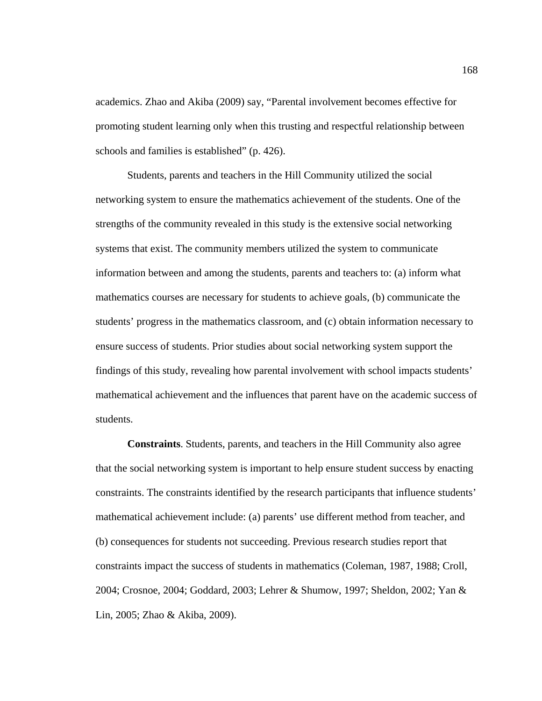academics. Zhao and Akiba (2009) say, "Parental involvement becomes effective for promoting student learning only when this trusting and respectful relationship between schools and families is established" (p. 426).

Students, parents and teachers in the Hill Community utilized the social networking system to ensure the mathematics achievement of the students. One of the strengths of the community revealed in this study is the extensive social networking systems that exist. The community members utilized the system to communicate information between and among the students, parents and teachers to: (a) inform what mathematics courses are necessary for students to achieve goals, (b) communicate the students' progress in the mathematics classroom, and (c) obtain information necessary to ensure success of students. Prior studies about social networking system support the findings of this study, revealing how parental involvement with school impacts students' mathematical achievement and the influences that parent have on the academic success of students.

**Constraints**. Students, parents, and teachers in the Hill Community also agree that the social networking system is important to help ensure student success by enacting constraints. The constraints identified by the research participants that influence students' mathematical achievement include: (a) parents' use different method from teacher, and (b) consequences for students not succeeding. Previous research studies report that constraints impact the success of students in mathematics (Coleman, 1987, 1988; Croll, 2004; Crosnoe, 2004; Goddard, 2003; Lehrer & Shumow, 1997; Sheldon, 2002; Yan & Lin, 2005; Zhao & Akiba, 2009).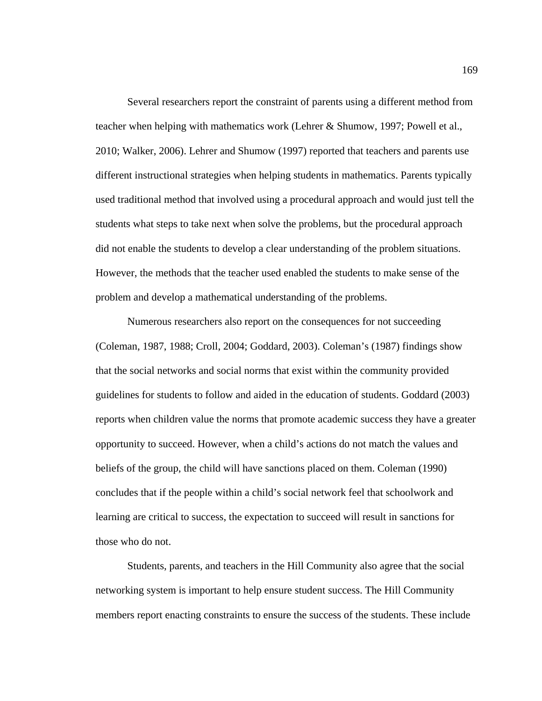Several researchers report the constraint of parents using a different method from teacher when helping with mathematics work (Lehrer & Shumow, 1997; Powell et al., 2010; Walker, 2006). Lehrer and Shumow (1997) reported that teachers and parents use different instructional strategies when helping students in mathematics. Parents typically used traditional method that involved using a procedural approach and would just tell the students what steps to take next when solve the problems, but the procedural approach did not enable the students to develop a clear understanding of the problem situations. However, the methods that the teacher used enabled the students to make sense of the problem and develop a mathematical understanding of the problems.

Numerous researchers also report on the consequences for not succeeding (Coleman, 1987, 1988; Croll, 2004; Goddard, 2003). Coleman's (1987) findings show that the social networks and social norms that exist within the community provided guidelines for students to follow and aided in the education of students. Goddard (2003) reports when children value the norms that promote academic success they have a greater opportunity to succeed. However, when a child's actions do not match the values and beliefs of the group, the child will have sanctions placed on them. Coleman (1990) concludes that if the people within a child's social network feel that schoolwork and learning are critical to success, the expectation to succeed will result in sanctions for those who do not.

Students, parents, and teachers in the Hill Community also agree that the social networking system is important to help ensure student success. The Hill Community members report enacting constraints to ensure the success of the students. These include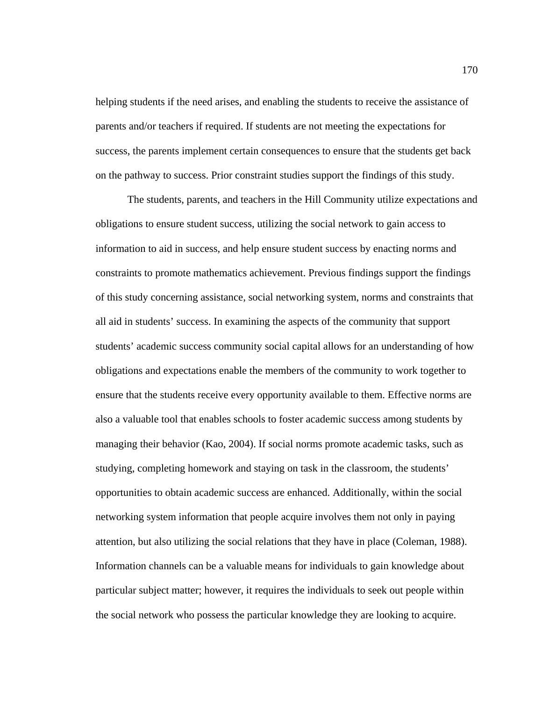helping students if the need arises, and enabling the students to receive the assistance of parents and/or teachers if required. If students are not meeting the expectations for success, the parents implement certain consequences to ensure that the students get back on the pathway to success. Prior constraint studies support the findings of this study.

The students, parents, and teachers in the Hill Community utilize expectations and obligations to ensure student success, utilizing the social network to gain access to information to aid in success, and help ensure student success by enacting norms and constraints to promote mathematics achievement. Previous findings support the findings of this study concerning assistance, social networking system, norms and constraints that all aid in students' success. In examining the aspects of the community that support students' academic success community social capital allows for an understanding of how obligations and expectations enable the members of the community to work together to ensure that the students receive every opportunity available to them. Effective norms are also a valuable tool that enables schools to foster academic success among students by managing their behavior (Kao, 2004). If social norms promote academic tasks, such as studying, completing homework and staying on task in the classroom, the students' opportunities to obtain academic success are enhanced. Additionally, within the social networking system information that people acquire involves them not only in paying attention, but also utilizing the social relations that they have in place (Coleman, 1988). Information channels can be a valuable means for individuals to gain knowledge about particular subject matter; however, it requires the individuals to seek out people within the social network who possess the particular knowledge they are looking to acquire.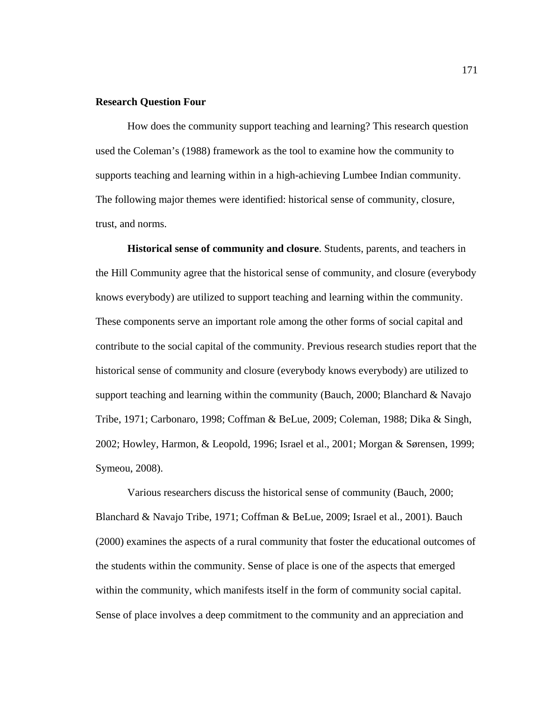#### **Research Question Four**

 How does the community support teaching and learning? This research question used the Coleman's (1988) framework as the tool to examine how the community to supports teaching and learning within in a high-achieving Lumbee Indian community. The following major themes were identified: historical sense of community, closure, trust, and norms.

**Historical sense of community and closure**. Students, parents, and teachers in the Hill Community agree that the historical sense of community, and closure (everybody knows everybody) are utilized to support teaching and learning within the community. These components serve an important role among the other forms of social capital and contribute to the social capital of the community. Previous research studies report that the historical sense of community and closure (everybody knows everybody) are utilized to support teaching and learning within the community (Bauch, 2000; Blanchard  $\&$  Navajo Tribe, 1971; Carbonaro, 1998; Coffman & BeLue, 2009; Coleman, 1988; Dika & Singh, 2002; Howley, Harmon, & Leopold, 1996; Israel et al., 2001; Morgan & Sørensen, 1999; Symeou, 2008).

Various researchers discuss the historical sense of community (Bauch, 2000; Blanchard & Navajo Tribe, 1971; Coffman & BeLue, 2009; Israel et al., 2001). Bauch (2000) examines the aspects of a rural community that foster the educational outcomes of the students within the community. Sense of place is one of the aspects that emerged within the community, which manifests itself in the form of community social capital. Sense of place involves a deep commitment to the community and an appreciation and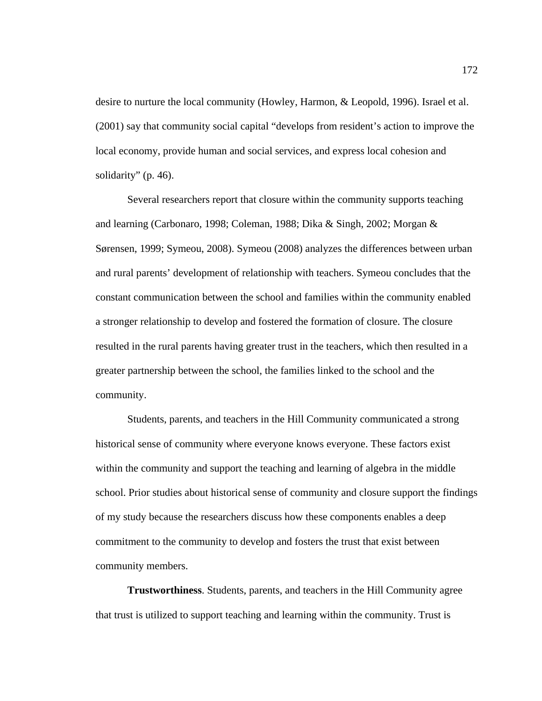desire to nurture the local community (Howley, Harmon, & Leopold, 1996). Israel et al. (2001) say that community social capital "develops from resident's action to improve the local economy, provide human and social services, and express local cohesion and solidarity" (p. 46).

Several researchers report that closure within the community supports teaching and learning (Carbonaro, 1998; Coleman, 1988; Dika & Singh, 2002; Morgan & Sørensen, 1999; Symeou, 2008). Symeou (2008) analyzes the differences between urban and rural parents' development of relationship with teachers. Symeou concludes that the constant communication between the school and families within the community enabled a stronger relationship to develop and fostered the formation of closure. The closure resulted in the rural parents having greater trust in the teachers, which then resulted in a greater partnership between the school, the families linked to the school and the community.

Students, parents, and teachers in the Hill Community communicated a strong historical sense of community where everyone knows everyone. These factors exist within the community and support the teaching and learning of algebra in the middle school. Prior studies about historical sense of community and closure support the findings of my study because the researchers discuss how these components enables a deep commitment to the community to develop and fosters the trust that exist between community members.

**Trustworthiness**. Students, parents, and teachers in the Hill Community agree that trust is utilized to support teaching and learning within the community. Trust is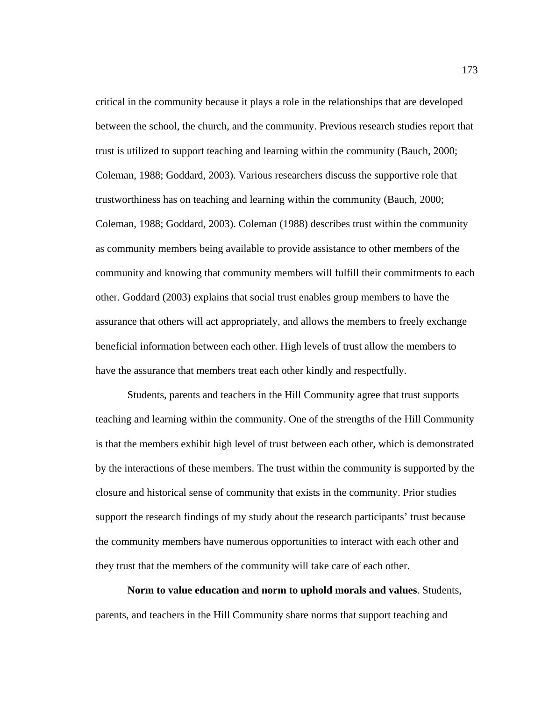critical in the community because it plays a role in the relationships that are developed between the school, the church, and the community. Previous research studies report that trust is utilized to support teaching and learning within the community (Bauch, 2000; Coleman, 1988; Goddard, 2003). Various researchers discuss the supportive role that trustworthiness has on teaching and learning within the community (Bauch, 2000; Coleman, 1988; Goddard, 2003). Coleman (1988) describes trust within the community as community members being available to provide assistance to other members of the community and knowing that community members will fulfill their commitments to each other. Goddard (2003) explains that social trust enables group members to have the assurance that others will act appropriately, and allows the members to freely exchange beneficial information between each other. High levels of trust allow the members to have the assurance that members treat each other kindly and respectfully.

Students, parents and teachers in the Hill Community agree that trust supports teaching and learning within the community. One of the strengths of the Hill Community is that the members exhibit high level of trust between each other, which is demonstrated by the interactions of these members. The trust within the community is supported by the closure and historical sense of community that exists in the community. Prior studies support the research findings of my study about the research participants' trust because the community members have numerous opportunities to interact with each other and they trust that the members of the community will take care of each other.

**Norm to value education and norm to uphold morals and values**. Students, parents, and teachers in the Hill Community share norms that support teaching and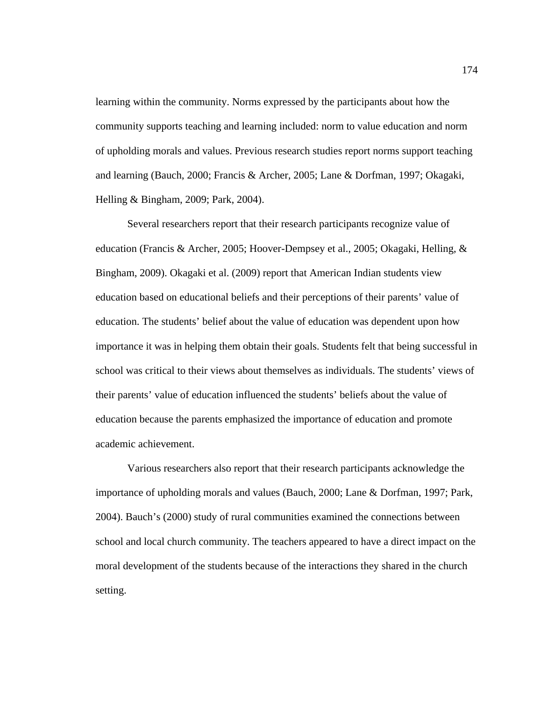learning within the community. Norms expressed by the participants about how the community supports teaching and learning included: norm to value education and norm of upholding morals and values. Previous research studies report norms support teaching and learning (Bauch, 2000; Francis & Archer, 2005; Lane & Dorfman, 1997; Okagaki, Helling & Bingham, 2009; Park, 2004).

Several researchers report that their research participants recognize value of education (Francis & Archer, 2005; Hoover-Dempsey et al., 2005; Okagaki, Helling, & Bingham, 2009). Okagaki et al. (2009) report that American Indian students view education based on educational beliefs and their perceptions of their parents' value of education. The students' belief about the value of education was dependent upon how importance it was in helping them obtain their goals. Students felt that being successful in school was critical to their views about themselves as individuals. The students' views of their parents' value of education influenced the students' beliefs about the value of education because the parents emphasized the importance of education and promote academic achievement.

Various researchers also report that their research participants acknowledge the importance of upholding morals and values (Bauch, 2000; Lane & Dorfman, 1997; Park, 2004). Bauch's (2000) study of rural communities examined the connections between school and local church community. The teachers appeared to have a direct impact on the moral development of the students because of the interactions they shared in the church setting.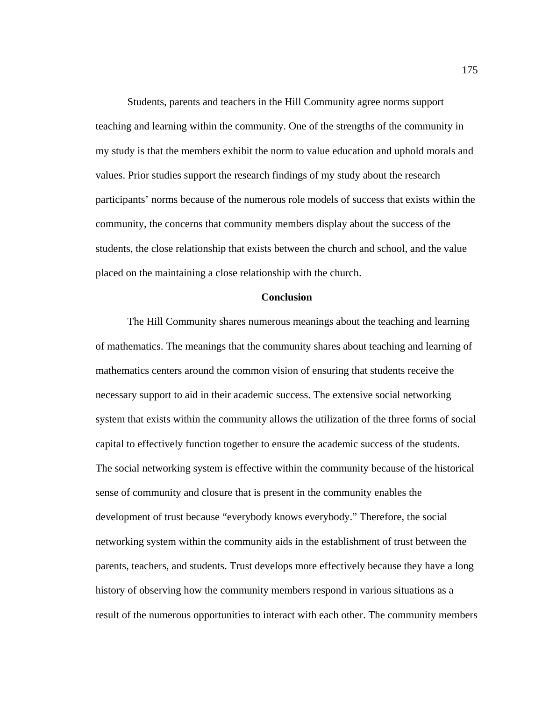Students, parents and teachers in the Hill Community agree norms support teaching and learning within the community. One of the strengths of the community in my study is that the members exhibit the norm to value education and uphold morals and values. Prior studies support the research findings of my study about the research participants' norms because of the numerous role models of success that exists within the community, the concerns that community members display about the success of the students, the close relationship that exists between the church and school, and the value placed on the maintaining a close relationship with the church.

#### **Conclusion**

The Hill Community shares numerous meanings about the teaching and learning of mathematics. The meanings that the community shares about teaching and learning of mathematics centers around the common vision of ensuring that students receive the necessary support to aid in their academic success. The extensive social networking system that exists within the community allows the utilization of the three forms of social capital to effectively function together to ensure the academic success of the students. The social networking system is effective within the community because of the historical sense of community and closure that is present in the community enables the development of trust because "everybody knows everybody." Therefore, the social networking system within the community aids in the establishment of trust between the parents, teachers, and students. Trust develops more effectively because they have a long history of observing how the community members respond in various situations as a result of the numerous opportunities to interact with each other. The community members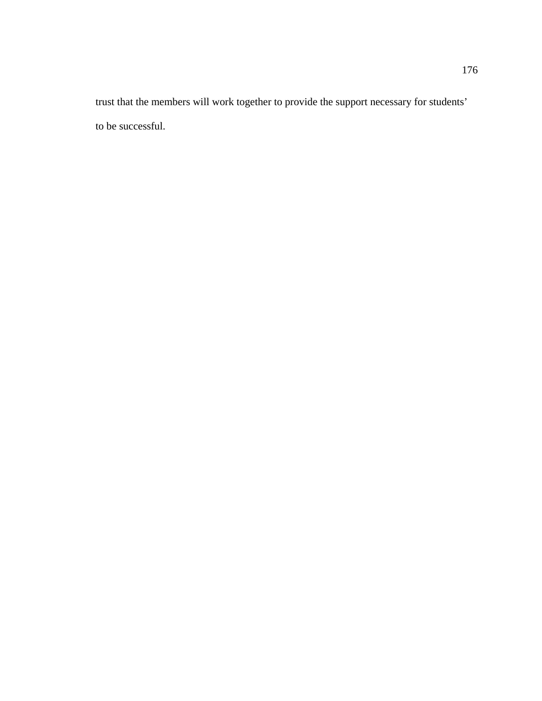trust that the members will work together to provide the support necessary for students' to be successful.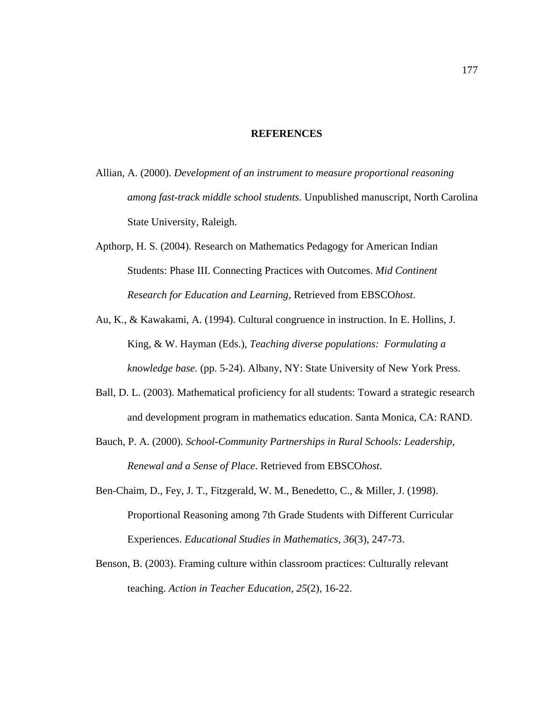#### **REFERENCES**

- Allian, A. (2000). *Development of an instrument to measure proportional reasoning among fast-track middle school students.* Unpublished manuscript, North Carolina State University, Raleigh.
- Apthorp, H. S. (2004). Research on Mathematics Pedagogy for American Indian Students: Phase III. Connecting Practices with Outcomes. *Mid Continent Research for Education and Learning*, Retrieved from EBSCO*host*.
- Au, K., & Kawakami, A. (1994). Cultural congruence in instruction. In E. Hollins, J. King, & W. Hayman (Eds.), *Teaching diverse populations: Formulating a knowledge base.* (pp. 5-24). Albany, NY: State University of New York Press.
- Ball, D. L. (2003). Mathematical proficiency for all students: Toward a strategic research and development program in mathematics education. Santa Monica, CA: RAND.
- Bauch, P. A. (2000). *School-Community Partnerships in Rural Schools: Leadership, Renewal and a Sense of Place*. Retrieved from EBSCO*host*.
- Ben-Chaim, D., Fey, J. T., Fitzgerald, W. M., Benedetto, C., & Miller, J. (1998). Proportional Reasoning among 7th Grade Students with Different Curricular Experiences. *Educational Studies in Mathematics, 36*(3), 247-73.
- Benson, B. (2003). Framing culture within classroom practices: Culturally relevant teaching. *Action in Teacher Education, 25*(2), 16-22.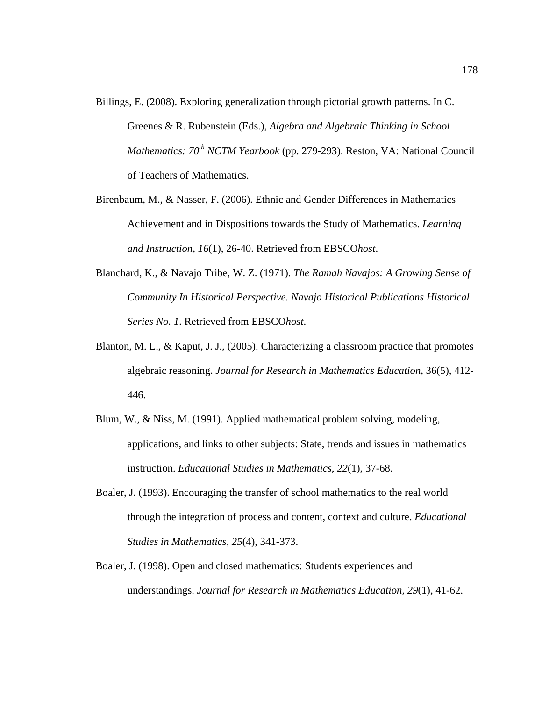- Billings, E. (2008). Exploring generalization through pictorial growth patterns. In C. Greenes & R. Rubenstein (Eds.), *Algebra and Algebraic Thinking in School Mathematics: 70<sup>th</sup> NCTM Yearbook* (pp. 279-293). Reston, VA: National Council of Teachers of Mathematics.
- Birenbaum, M., & Nasser, F. (2006). Ethnic and Gender Differences in Mathematics Achievement and in Dispositions towards the Study of Mathematics. *Learning and Instruction, 16*(1), 26-40. Retrieved from EBSCO*host*.
- Blanchard, K., & Navajo Tribe, W. Z. (1971). *The Ramah Navajos: A Growing Sense of Community In Historical Perspective. Navajo Historical Publications Historical Series No. 1*. Retrieved from EBSCO*host*.
- Blanton, M. L., & Kaput, J. J., (2005). Characterizing a classroom practice that promotes algebraic reasoning. *Journal for Research in Mathematics Education*, 36(5), 412- 446.
- Blum, W., & Niss, M. (1991). Applied mathematical problem solving, modeling, applications, and links to other subjects: State, trends and issues in mathematics instruction. *Educational Studies in Mathematics, 22*(1), 37-68.
- Boaler, J. (1993). Encouraging the transfer of school mathematics to the real world through the integration of process and content, context and culture. *Educational Studies in Mathematics, 25*(4), 341-373.
- Boaler, J. (1998). Open and closed mathematics: Students experiences and understandings. *Journal for Research in Mathematics Education, 29*(1), 41-62.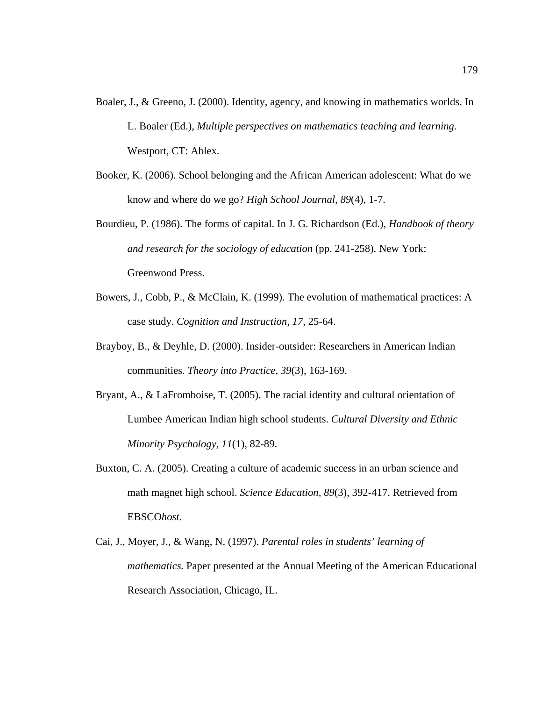- Boaler, J., & Greeno, J. (2000). Identity, agency, and knowing in mathematics worlds. In L. Boaler (Ed.), *Multiple perspectives on mathematics teaching and learning.*  Westport, CT: Ablex.
- Booker, K. (2006). School belonging and the African American adolescent: What do we know and where do we go? *High School Journal, 89*(4), 1-7.
- Bourdieu, P. (1986). The forms of capital. In J. G. Richardson (Ed.), *Handbook of theory and research for the sociology of education* (pp. 241-258). New York: Greenwood Press.
- Bowers, J., Cobb, P., & McClain, K. (1999). The evolution of mathematical practices: A case study. *Cognition and Instruction, 17,* 25-64.
- Brayboy, B., & Deyhle, D. (2000). Insider-outsider: Researchers in American Indian communities. *Theory into Practice, 39*(3), 163-169.
- Bryant, A., & LaFromboise, T. (2005). The racial identity and cultural orientation of Lumbee American Indian high school students. *Cultural Diversity and Ethnic Minority Psychology, 11*(1), 82-89.
- Buxton, C. A. (2005). Creating a culture of academic success in an urban science and math magnet high school. *Science Education, 89*(3), 392-417. Retrieved from EBSCO*host*.
- Cai, J., Moyer, J., & Wang, N. (1997). *Parental roles in students' learning of mathematics.* Paper presented at the Annual Meeting of the American Educational Research Association, Chicago, IL.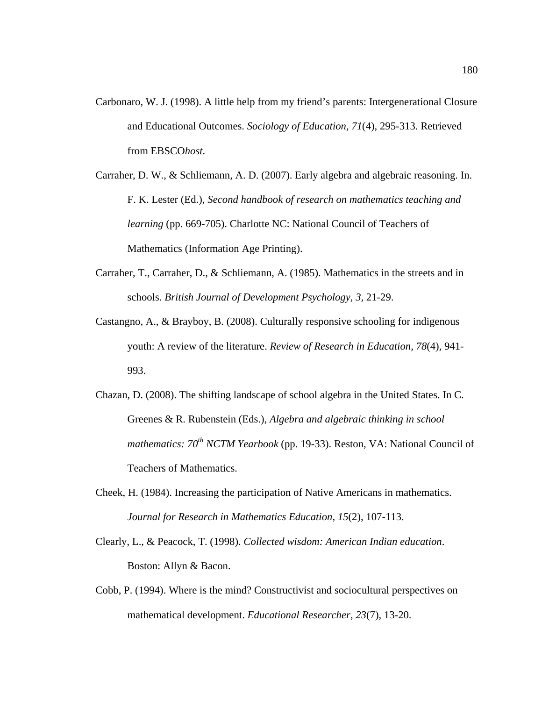- Carbonaro, W. J. (1998). A little help from my friend's parents: Intergenerational Closure and Educational Outcomes. *Sociology of Education, 71*(4), 295-313. Retrieved from EBSCO*host*.
- Carraher, D. W., & Schliemann, A. D. (2007). Early algebra and algebraic reasoning. In. F. K. Lester (Ed.), *Second handbook of research on mathematics teaching and learning* (pp. 669-705). Charlotte NC: National Council of Teachers of Mathematics (Information Age Printing).
- Carraher, T., Carraher, D., & Schliemann, A. (1985). Mathematics in the streets and in schools. *British Journal of Development Psychology, 3,* 21-29.
- Castangno, A., & Brayboy, B. (2008). Culturally responsive schooling for indigenous youth: A review of the literature. *Review of Research in Education, 78*(4), 941- 993.
- Chazan, D. (2008). The shifting landscape of school algebra in the United States. In C. Greenes & R. Rubenstein (Eds.), *Algebra and algebraic thinking in school mathematics: 70<sup>th</sup> NCTM Yearbook* (pp. 19-33). Reston, VA: National Council of Teachers of Mathematics.
- Cheek, H. (1984). Increasing the participation of Native Americans in mathematics. *Journal for Research in Mathematics Education, 15*(2), 107-113.
- Clearly, L., & Peacock, T. (1998). *Collected wisdom: American Indian education*. Boston: Allyn & Bacon.
- Cobb, P. (1994). Where is the mind? Constructivist and sociocultural perspectives on mathematical development. *Educational Researcher, 23*(7), 13-20.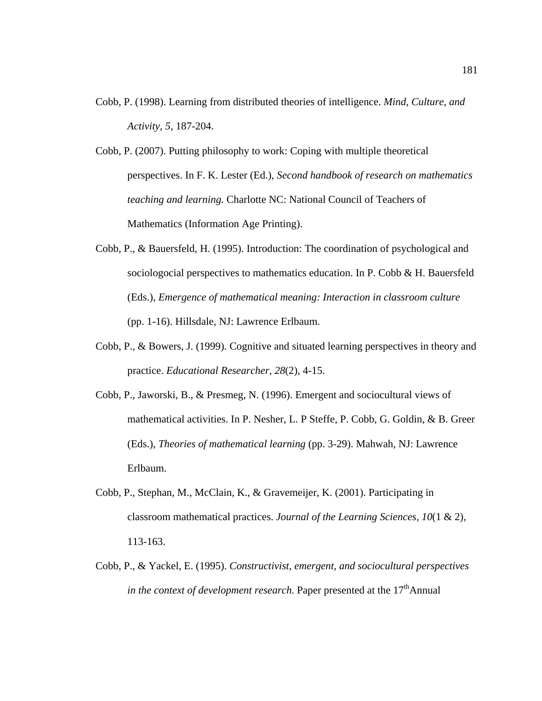- Cobb, P. (1998). Learning from distributed theories of intelligence. *Mind, Culture, and Activity, 5,* 187-204.
- Cobb, P. (2007). Putting philosophy to work: Coping with multiple theoretical perspectives. In F. K. Lester (Ed.), *Second handbook of research on mathematics teaching and learning.* Charlotte NC: National Council of Teachers of Mathematics (Information Age Printing).
- Cobb, P., & Bauersfeld, H. (1995). Introduction: The coordination of psychological and sociologocial perspectives to mathematics education. In P. Cobb & H. Bauersfeld (Eds.), *Emergence of mathematical meaning: Interaction in classroom culture*  (pp. 1-16). Hillsdale, NJ: Lawrence Erlbaum.
- Cobb, P., & Bowers, J. (1999). Cognitive and situated learning perspectives in theory and practice. *Educational Researcher, 28*(2), 4-15.
- Cobb, P., Jaworski, B., & Presmeg, N. (1996). Emergent and sociocultural views of mathematical activities. In P. Nesher, L. P Steffe, P. Cobb, G. Goldin, & B. Greer (Eds.), *Theories of mathematical learning* (pp. 3-29). Mahwah, NJ: Lawrence Erlbaum.
- Cobb, P., Stephan, M., McClain, K., & Gravemeijer, K. (2001). Participating in classroom mathematical practices. *Journal of the Learning Sciences, 10*(1 & 2), 113-163.
- Cobb, P., & Yackel, E. (1995). *Constructivist, emergent, and sociocultural perspectives in the context of development research.* Paper presented at the 17<sup>th</sup>Annual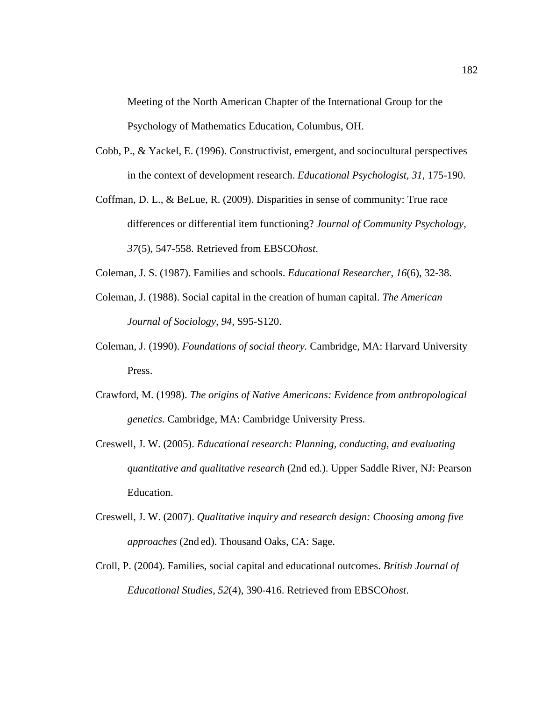Meeting of the North American Chapter of the International Group for the Psychology of Mathematics Education, Columbus, OH.

- Cobb, P., & Yackel, E. (1996). Constructivist, emergent, and sociocultural perspectives in the context of development research. *Educational Psychologist, 31*, 175-190.
- Coffman, D. L., & BeLue, R. (2009). Disparities in sense of community: True race differences or differential item functioning? *Journal of Community Psychology*, *37*(5), 547-558. Retrieved from EBSCO*host*.
- Coleman, J. S. (1987). Families and schools. *Educational Researcher, 16*(6), 32-38.
- Coleman, J. (1988). Social capital in the creation of human capital. *The American Journal of Sociology, 94,* S95-S120.
- Coleman, J. (1990). *Foundations of social theory.* Cambridge, MA: Harvard University Press.
- Crawford, M. (1998). *The origins of Native Americans: Evidence from anthropological genetics.* Cambridge, MA: Cambridge University Press.
- Creswell, J. W. (2005). *Educational research: Planning, conducting, and evaluating quantitative and qualitative research* (2nd ed.). Upper Saddle River, NJ: Pearson Education.
- Creswell, J. W. (2007). *Qualitative inquiry and research design: Choosing among five approaches* (2nd ed). Thousand Oaks, CA: Sage.
- Croll, P. (2004). Families, social capital and educational outcomes. *British Journal of Educational Studies, 52*(4), 390-416. Retrieved from EBSCO*host*.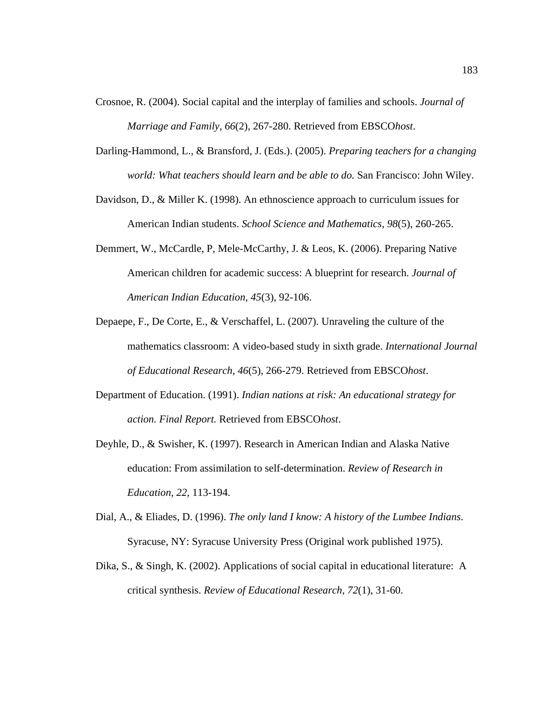- Crosnoe, R. (2004). Social capital and the interplay of families and schools. *Journal of Marriage and Family, 66*(2), 267-280. Retrieved from EBSCO*host*.
- Darling-Hammond, L., & Bransford, J. (Eds.). (2005). *Preparing teachers for a changing world: What teachers should learn and be able to do.* San Francisco: John Wiley.
- Davidson, D., & Miller K. (1998). An ethnoscience approach to curriculum issues for American Indian students. *School Science and Mathematics, 98*(5), 260-265.
- Demmert, W., McCardle, P, Mele-McCarthy, J. & Leos, K. (2006). Preparing Native American children for academic success: A blueprint for research. *Journal of American Indian Education, 45*(3), 92-106.
- Depaepe, F., De Corte, E., & Verschaffel, L. (2007). Unraveling the culture of the mathematics classroom: A video-based study in sixth grade. *International Journal of Educational Research, 46*(5), 266-279. Retrieved from EBSCO*host*.
- Department of Education. (1991). *Indian nations at risk: An educational strategy for action. Final Report.* Retrieved from EBSCO*host*.
- Deyhle, D., & Swisher, K. (1997). Research in American Indian and Alaska Native education: From assimilation to self-determination. *Review of Research in Education, 22,* 113-194.
- Dial, A., & Eliades, D. (1996). *The only land I know: A history of the Lumbee Indians*. Syracuse, NY: Syracuse University Press (Original work published 1975).
- Dika, S., & Singh, K. (2002). Applications of social capital in educational literature: A critical synthesis. *Review of Educational Research, 72*(1), 31-60.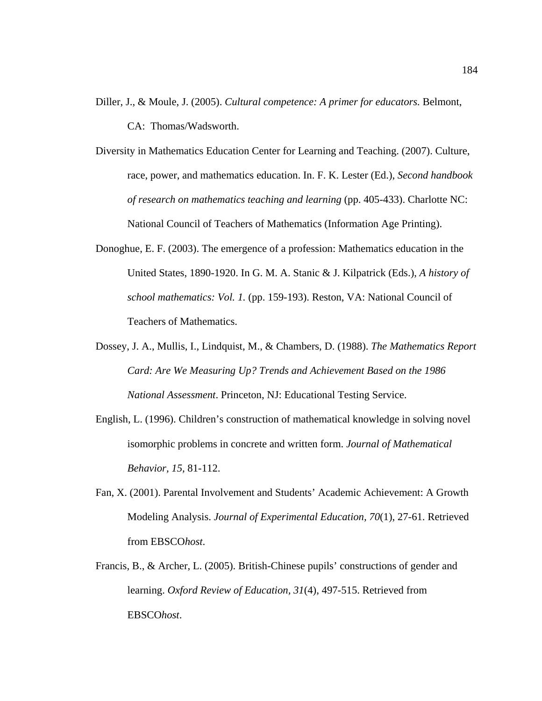Diller, J., & Moule, J. (2005). *Cultural competence: A primer for educators.* Belmont,

CA: Thomas/Wadsworth.

- Diversity in Mathematics Education Center for Learning and Teaching. (2007). Culture, race, power, and mathematics education. In. F. K. Lester (Ed.), *Second handbook of research on mathematics teaching and learning* (pp. 405-433). Charlotte NC: National Council of Teachers of Mathematics (Information Age Printing).
- Donoghue, E. F. (2003). The emergence of a profession: Mathematics education in the United States, 1890-1920. In G. M. A. Stanic & J. Kilpatrick (Eds.), *A history of school mathematics: Vol. 1.* (pp. 159-193). Reston, VA: National Council of Teachers of Mathematics.
- Dossey, J. A., Mullis, I., Lindquist, M., & Chambers, D. (1988). *The Mathematics Report Card: Are We Measuring Up? Trends and Achievement Based on the 1986 National Assessment*. Princeton, NJ: Educational Testing Service.
- English, L. (1996). Children's construction of mathematical knowledge in solving novel isomorphic problems in concrete and written form. *Journal of Mathematical Behavior, 15,* 81-112.
- Fan, X. (2001). Parental Involvement and Students' Academic Achievement: A Growth Modeling Analysis. *Journal of Experimental Education, 70*(1), 27-61. Retrieved from EBSCO*host*.
- Francis, B., & Archer, L. (2005). British-Chinese pupils' constructions of gender and learning. *Oxford Review of Education, 31*(4), 497-515. Retrieved from EBSCO*host*.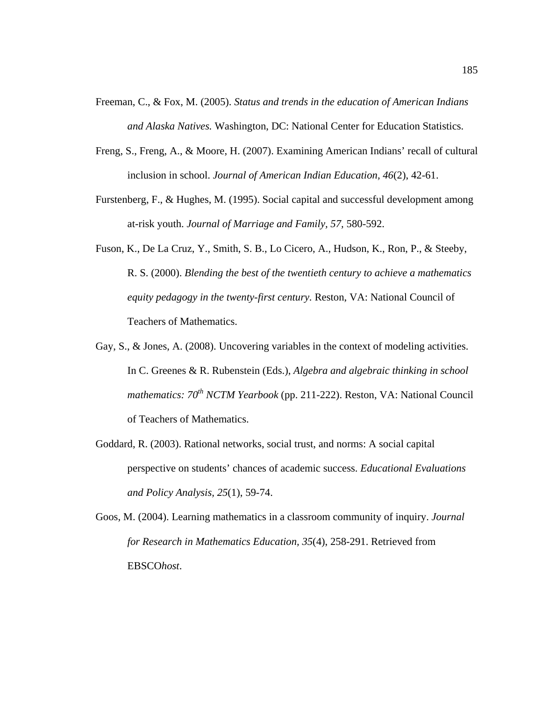- Freeman, C., & Fox, M. (2005). *Status and trends in the education of American Indians and Alaska Natives.* Washington, DC: National Center for Education Statistics.
- Freng, S., Freng, A., & Moore, H. (2007). Examining American Indians' recall of cultural inclusion in school. *Journal of American Indian Education, 46*(2), 42-61.
- Furstenberg, F., & Hughes, M. (1995). Social capital and successful development among at-risk youth. *Journal of Marriage and Family, 57,* 580-592.
- Fuson, K., De La Cruz, Y., Smith, S. B., Lo Cicero, A., Hudson, K., Ron, P., & Steeby, R. S. (2000). *Blending the best of the twentieth century to achieve a mathematics equity pedagogy in the twenty-first century.* Reston, VA: National Council of Teachers of Mathematics.
- Gay, S., & Jones, A. (2008). Uncovering variables in the context of modeling activities. In C. Greenes & R. Rubenstein (Eds.), *Algebra and algebraic thinking in school mathematics: 70<sup>th</sup> NCTM Yearbook* (pp. 211-222). Reston, VA: National Council of Teachers of Mathematics.
- Goddard, R. (2003). Rational networks, social trust, and norms: A social capital perspective on students' chances of academic success. *Educational Evaluations and Policy Analysis, 25*(1), 59-74.
- Goos, M. (2004). Learning mathematics in a classroom community of inquiry. *Journal for Research in Mathematics Education, 35*(4), 258-291. Retrieved from EBSCO*host*.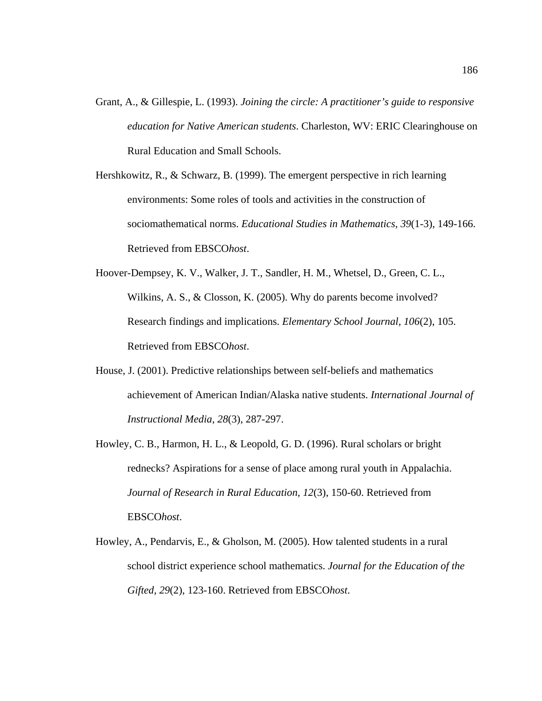- Grant, A., & Gillespie, L. (1993). *Joining the circle: A practitioner's guide to responsive education for Native American students*. Charleston, WV: ERIC Clearinghouse on Rural Education and Small Schools.
- Hershkowitz, R., & Schwarz, B. (1999). The emergent perspective in rich learning environments: Some roles of tools and activities in the construction of sociomathematical norms. *Educational Studies in Mathematics, 39*(1-3), 149-166. Retrieved from EBSCO*host*.
- Hoover-Dempsey, K. V., Walker, J. T., Sandler, H. M., Whetsel, D., Green, C. L., Wilkins, A. S., & Closson, K. (2005). Why do parents become involved? Research findings and implications. *Elementary School Journal, 106*(2), 105. Retrieved from EBSCO*host*.
- House, J. (2001). Predictive relationships between self-beliefs and mathematics achievement of American Indian/Alaska native students. *International Journal of Instructional Media, 28*(3)*,* 287-297.
- Howley, C. B., Harmon, H. L., & Leopold, G. D. (1996). Rural scholars or bright rednecks? Aspirations for a sense of place among rural youth in Appalachia. *Journal of Research in Rural Education, 12*(3), 150-60. Retrieved from EBSCO*host*.
- Howley, A., Pendarvis, E., & Gholson, M. (2005). How talented students in a rural school district experience school mathematics. *Journal for the Education of the Gifted, 29*(2), 123-160. Retrieved from EBSCO*host*.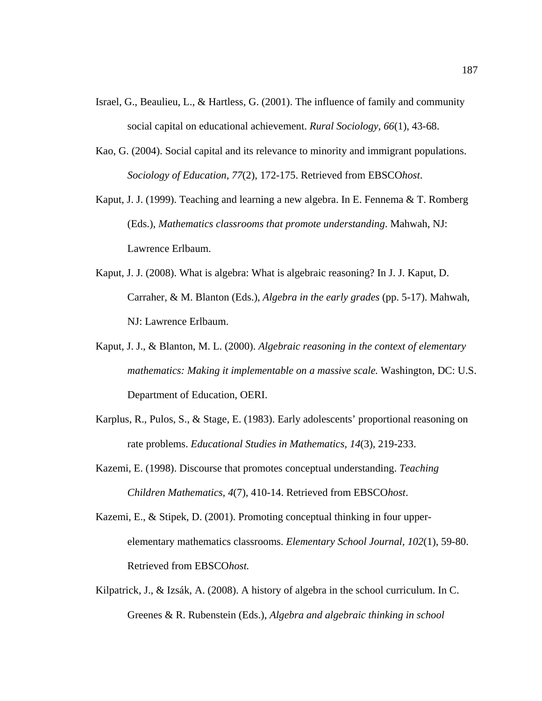- Israel, G., Beaulieu, L., & Hartless, G. (2001). The influence of family and community social capital on educational achievement. *Rural Sociology, 66*(1), 43-68.
- Kao, G. (2004). Social capital and its relevance to minority and immigrant populations. *Sociology of Education, 77*(2), 172-175. Retrieved from EBSCO*host*.
- Kaput, J. J. (1999). Teaching and learning a new algebra. In E. Fennema & T. Romberg (Eds.), *Mathematics classrooms that promote understanding*. Mahwah, NJ: Lawrence Erlbaum.
- Kaput, J. J. (2008). What is algebra: What is algebraic reasoning? In J. J. Kaput, D. Carraher, & M. Blanton (Eds.), *Algebra in the early grades* (pp. 5-17). Mahwah, NJ: Lawrence Erlbaum.
- Kaput, J. J., & Blanton, M. L. (2000). *Algebraic reasoning in the context of elementary mathematics: Making it implementable on a massive scale.* Washington, DC: U.S. Department of Education, OERI.
- Karplus, R., Pulos, S., & Stage, E. (1983). Early adolescents' proportional reasoning on rate problems. *Educational Studies in Mathematics, 14*(3), 219-233.
- Kazemi, E. (1998). Discourse that promotes conceptual understanding. *Teaching Children Mathematics, 4*(7), 410-14. Retrieved from EBSCO*host*.
- Kazemi, E., & Stipek, D. (2001). Promoting conceptual thinking in four upperelementary mathematics classrooms. *Elementary School Journal, 102*(1), 59-80. Retrieved from EBSCO*host.*
- Kilpatrick, J., & Izsák, A. (2008). A history of algebra in the school curriculum. In C. Greenes & R. Rubenstein (Eds.), *Algebra and algebraic thinking in school*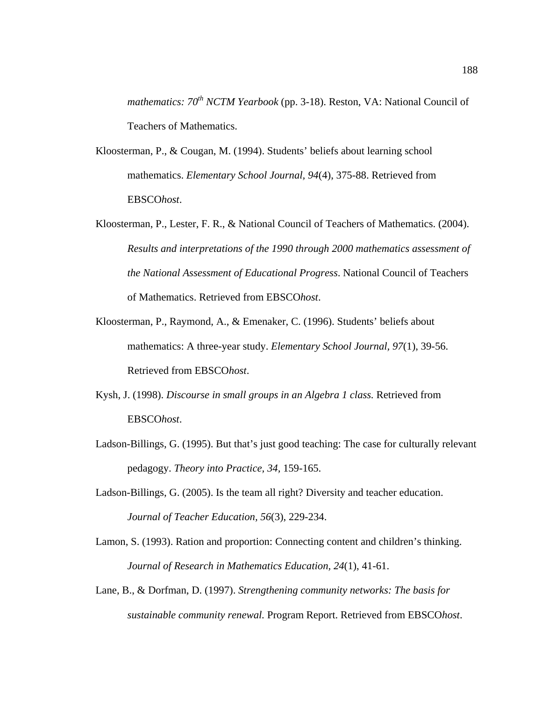*mathematics: 70<sup>th</sup> NCTM Yearbook* (pp. 3-18). Reston, VA: National Council of Teachers of Mathematics.

- Kloosterman, P., & Cougan, M. (1994). Students' beliefs about learning school mathematics. *Elementary School Journal, 94*(4), 375-88. Retrieved from EBSCO*host*.
- Kloosterman, P., Lester, F. R., & National Council of Teachers of Mathematics. (2004). *Results and interpretations of the 1990 through 2000 mathematics assessment of the National Assessment of Educational Progress*. National Council of Teachers of Mathematics. Retrieved from EBSCO*host*.
- Kloosterman, P., Raymond, A., & Emenaker, C. (1996). Students' beliefs about mathematics: A three-year study. *Elementary School Journal, 97*(1), 39-56. Retrieved from EBSCO*host*.
- Kysh, J. (1998). *Discourse in small groups in an Algebra 1 class.* Retrieved from EBSCO*host*.
- Ladson-Billings, G. (1995). But that's just good teaching: The case for culturally relevant pedagogy. *Theory into Practice, 34,* 159-165.
- Ladson-Billings, G. (2005). Is the team all right? Diversity and teacher education. *Journal of Teacher Education, 56*(3), 229-234.
- Lamon, S. (1993). Ration and proportion: Connecting content and children's thinking. *Journal of Research in Mathematics Education, 24*(1), 41-61.
- Lane, B., & Dorfman, D. (1997). *Strengthening community networks: The basis for sustainable community renewal.* Program Report. Retrieved from EBSCO*host*.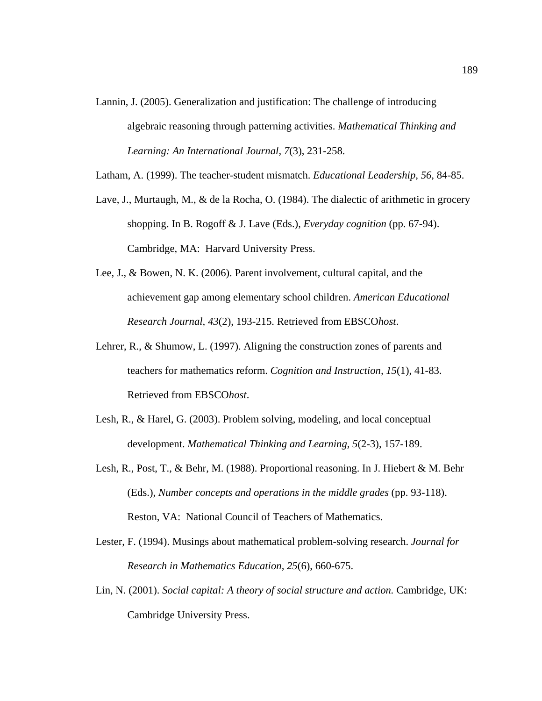- Lannin, J. (2005). Generalization and justification: The challenge of introducing algebraic reasoning through patterning activities. *Mathematical Thinking and Learning: An International Journal, 7*(3), 231-258.
- Latham, A. (1999). The teacher-student mismatch. *Educational Leadership, 56,* 84-85.
- Lave, J., Murtaugh, M., & de la Rocha, O. (1984). The dialectic of arithmetic in grocery shopping. In B. Rogoff & J. Lave (Eds.), *Everyday cognition* (pp. 67-94). Cambridge, MA: Harvard University Press.
- Lee, J., & Bowen, N. K. (2006). Parent involvement, cultural capital, and the achievement gap among elementary school children. *American Educational Research Journal, 43*(2), 193-215. Retrieved from EBSCO*host*.
- Lehrer, R., & Shumow, L. (1997). Aligning the construction zones of parents and teachers for mathematics reform. *Cognition and Instruction, 15*(1), 41-83. Retrieved from EBSCO*host*.
- Lesh, R., & Harel, G. (2003). Problem solving, modeling, and local conceptual development. *Mathematical Thinking and Learning, 5*(2-3), 157-189.
- Lesh, R., Post, T., & Behr, M. (1988). Proportional reasoning. In J. Hiebert & M. Behr (Eds.), *Number concepts and operations in the middle grades* (pp. 93-118). Reston, VA: National Council of Teachers of Mathematics.
- Lester, F. (1994). Musings about mathematical problem-solving research. *Journal for Research in Mathematics Education, 25*(6), 660-675.
- Lin, N. (2001). *Social capital: A theory of social structure and action.* Cambridge, UK: Cambridge University Press.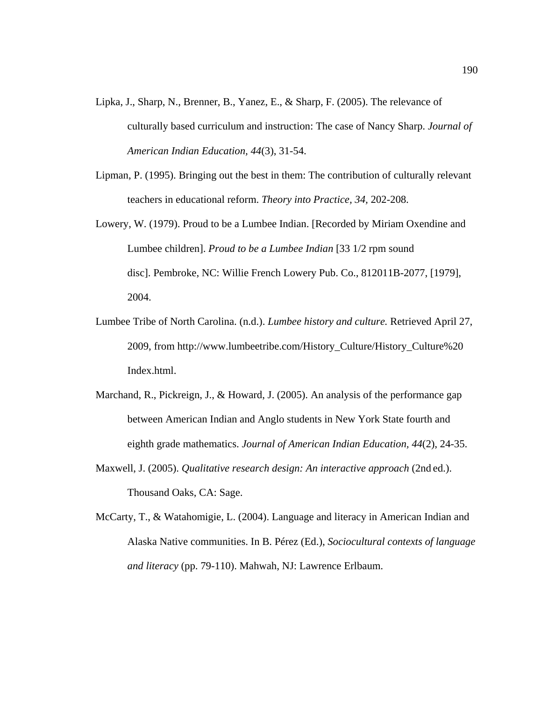- Lipka, J., Sharp, N., Brenner, B., Yanez, E., & Sharp, F. (2005). The relevance of culturally based curriculum and instruction: The case of Nancy Sharp. *Journal of American Indian Education, 44*(3), 31-54.
- Lipman, P. (1995). Bringing out the best in them: The contribution of culturally relevant teachers in educational reform. *Theory into Practice, 34,* 202-208.
- Lowery, W. (1979). Proud to be a Lumbee Indian. [Recorded by Miriam Oxendine and Lumbee children]. *Proud to be a Lumbee Indian* [33 1/2 rpm sound disc]. Pembroke, NC: Willie French Lowery Pub. Co., 812011B-2077, [1979], 2004.
- Lumbee Tribe of North Carolina. (n.d.). *Lumbee history and culture.* Retrieved April 27, 2009, from http://www.lumbeetribe.com/History\_Culture/History\_Culture%20 Index.html.
- Marchand, R., Pickreign, J., & Howard, J. (2005). An analysis of the performance gap between American Indian and Anglo students in New York State fourth and eighth grade mathematics. *Journal of American Indian Education, 44*(2), 24-35.
- Maxwell, J. (2005). *Qualitative research design: An interactive approach* (2nd ed.). Thousand Oaks, CA: Sage.
- McCarty, T., & Watahomigie, L. (2004). Language and literacy in American Indian and Alaska Native communities. In B. Pérez (Ed.), *Sociocultural contexts of language and literacy* (pp. 79-110). Mahwah, NJ: Lawrence Erlbaum.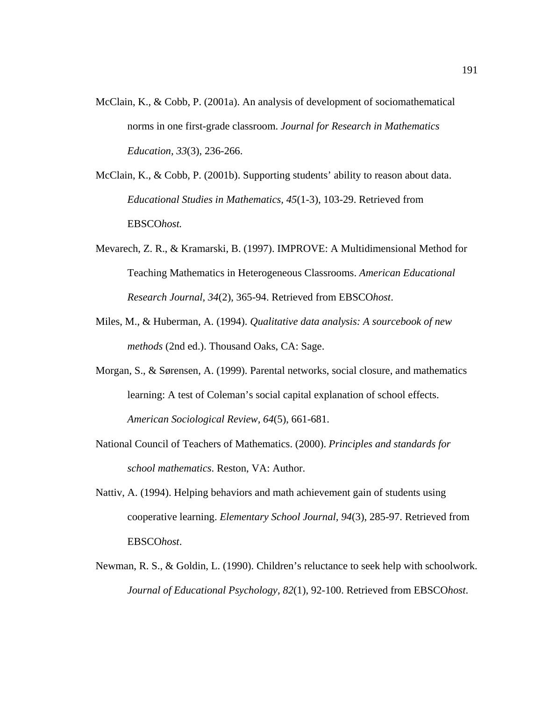- McClain, K., & Cobb, P. (2001a). An analysis of development of sociomathematical norms in one first-grade classroom. *Journal for Research in Mathematics Education, 33*(3), 236-266.
- McClain, K., & Cobb, P. (2001b). Supporting students' ability to reason about data. *Educational Studies in Mathematics, 45*(1-3), 103-29. Retrieved from EBSCO*host.*
- Mevarech, Z. R., & Kramarski, B. (1997). IMPROVE: A Multidimensional Method for Teaching Mathematics in Heterogeneous Classrooms. *American Educational Research Journal, 34*(2), 365-94. Retrieved from EBSCO*host*.
- Miles, M., & Huberman, A. (1994). *Qualitative data analysis: A sourcebook of new methods* (2nd ed.). Thousand Oaks, CA: Sage.
- Morgan, S., & Sørensen, A. (1999). Parental networks, social closure, and mathematics learning: A test of Coleman's social capital explanation of school effects. *American Sociological Review, 64*(5), 661-681.
- National Council of Teachers of Mathematics. (2000). *Principles and standards for school mathematics*. Reston, VA: Author.
- Nattiv, A. (1994). Helping behaviors and math achievement gain of students using cooperative learning. *Elementary School Journal, 94*(3), 285-97. Retrieved from EBSCO*host*.
- Newman, R. S., & Goldin, L. (1990). Children's reluctance to seek help with schoolwork. *Journal of Educational Psychology, 82*(1), 92-100. Retrieved from EBSCO*host*.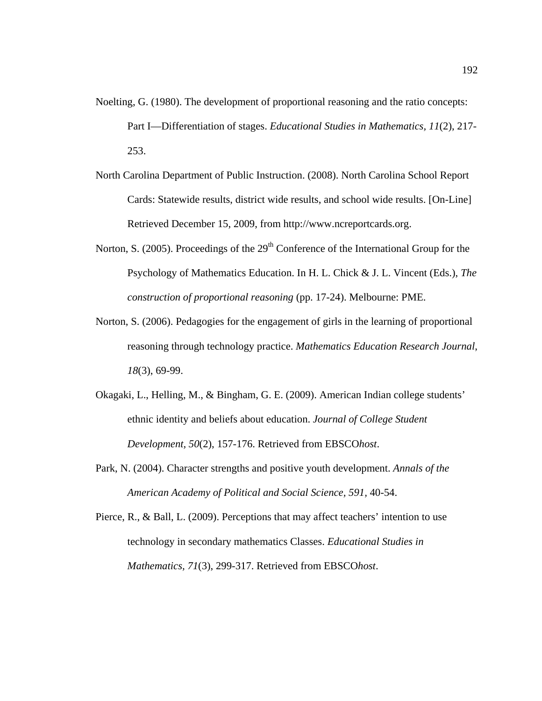- Noelting, G. (1980). The development of proportional reasoning and the ratio concepts: Part I—Differentiation of stages. *Educational Studies in Mathematics, 11*(2), 217- 253.
- North Carolina Department of Public Instruction. (2008). North Carolina School Report Cards: Statewide results, district wide results, and school wide results. [On-Line] Retrieved December 15, 2009, from http://www.ncreportcards.org.
- Norton, S. (2005). Proceedings of the  $29<sup>th</sup>$  Conference of the International Group for the Psychology of Mathematics Education. In H. L. Chick & J. L. Vincent (Eds.), *The construction of proportional reasoning* (pp. 17-24). Melbourne: PME.
- Norton, S. (2006). Pedagogies for the engagement of girls in the learning of proportional reasoning through technology practice. *Mathematics Education Research Journal*, *18*(3), 69-99.
- Okagaki, L., Helling, M., & Bingham, G. E. (2009). American Indian college students' ethnic identity and beliefs about education. *Journal of College Student Development, 50*(2), 157-176. Retrieved from EBSCO*host*.
- Park, N. (2004). Character strengths and positive youth development. *Annals of the American Academy of Political and Social Science, 591,* 40-54.
- Pierce, R., & Ball, L. (2009). Perceptions that may affect teachers' intention to use technology in secondary mathematics Classes. *Educational Studies in Mathematics, 71*(3), 299-317. Retrieved from EBSCO*host*.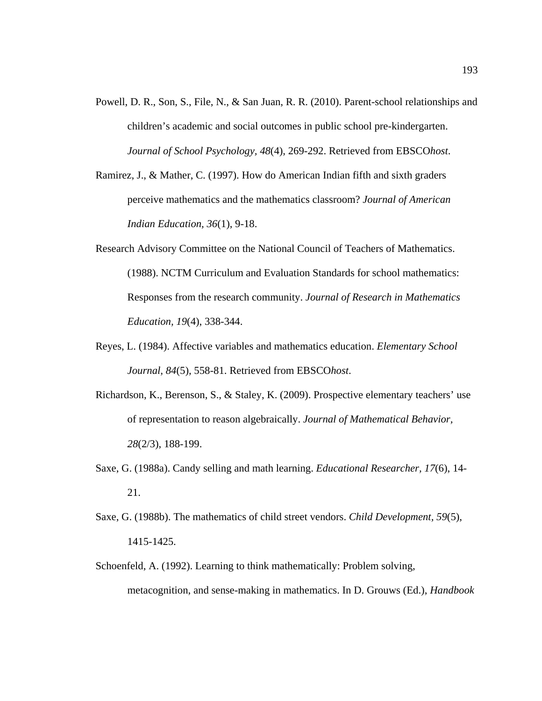- Powell, D. R., Son, S., File, N., & San Juan, R. R. (2010). Parent-school relationships and children's academic and social outcomes in public school pre-kindergarten. *Journal of School Psychology, 48*(4), 269-292. Retrieved from EBSCO*host*.
- Ramirez, J., & Mather, C. (1997). How do American Indian fifth and sixth graders perceive mathematics and the mathematics classroom? *Journal of American Indian Education, 36*(1), 9-18.
- Research Advisory Committee on the National Council of Teachers of Mathematics. (1988). NCTM Curriculum and Evaluation Standards for school mathematics: Responses from the research community. *Journal of Research in Mathematics Education, 19*(4), 338-344.
- Reyes, L. (1984). Affective variables and mathematics education. *Elementary School Journal, 84*(5), 558-81. Retrieved from EBSCO*host*.
- Richardson, K., Berenson, S., & Staley, K. (2009). Prospective elementary teachers' use of representation to reason algebraically. *Journal of Mathematical Behavior, 28*(2/3), 188-199.
- Saxe, G. (1988a). Candy selling and math learning. *Educational Researcher, 17*(6), 14- 21.
- Saxe, G. (1988b). The mathematics of child street vendors. *Child Development, 59*(5), 1415-1425.
- Schoenfeld, A. (1992). Learning to think mathematically: Problem solving, metacognition, and sense-making in mathematics. In D. Grouws (Ed.), *Handbook*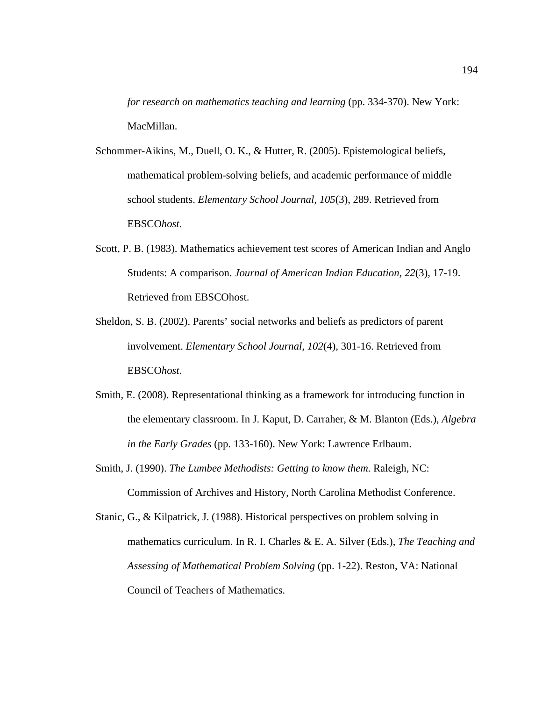*for research on mathematics teaching and learning* (pp. 334-370). New York: MacMillan.

- Schommer-Aikins, M., Duell, O. K., & Hutter, R. (2005). Epistemological beliefs, mathematical problem-solving beliefs, and academic performance of middle school students. *Elementary School Journal, 105*(3), 289. Retrieved from EBSCO*host*.
- Scott, P. B. (1983). Mathematics achievement test scores of American Indian and Anglo Students: A comparison. *Journal of American Indian Education, 22*(3), 17-19. Retrieved from EBSCOhost.
- Sheldon, S. B. (2002). Parents' social networks and beliefs as predictors of parent involvement. *Elementary School Journal, 102*(4), 301-16. Retrieved from EBSCO*host*.
- Smith, E. (2008). Representational thinking as a framework for introducing function in the elementary classroom. In J. Kaput, D. Carraher, & M. Blanton (Eds.), *Algebra in the Early Grades* (pp. 133-160). New York: Lawrence Erlbaum.
- Smith, J. (1990). *The Lumbee Methodists: Getting to know them*. Raleigh, NC: Commission of Archives and History, North Carolina Methodist Conference.
- Stanic, G., & Kilpatrick, J. (1988). Historical perspectives on problem solving in mathematics curriculum. In R. I. Charles & E. A. Silver (Eds.), *The Teaching and Assessing of Mathematical Problem Solving* (pp. 1-22). Reston, VA: National Council of Teachers of Mathematics.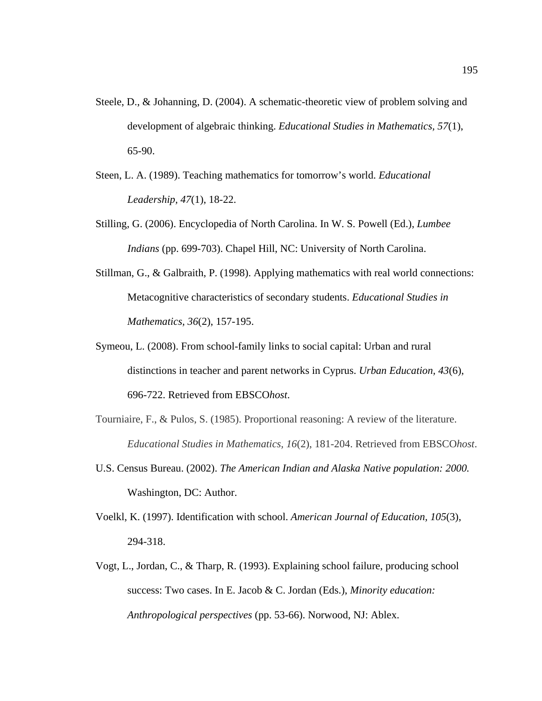- Steele, D., & Johanning, D. (2004). A schematic-theoretic view of problem solving and development of algebraic thinking. *Educational Studies in Mathematics, 57*(1), 65-90.
- Steen, L. A. (1989). Teaching mathematics for tomorrow's world. *Educational Leadership, 47*(1), 18-22.
- Stilling, G. (2006). Encyclopedia of North Carolina. In W. S. Powell (Ed.), *Lumbee Indians* (pp. 699-703). Chapel Hill, NC: University of North Carolina.
- Stillman, G., & Galbraith, P. (1998). Applying mathematics with real world connections: Metacognitive characteristics of secondary students. *Educational Studies in Mathematics, 36*(2), 157-195.
- Symeou, L. (2008). From school-family links to social capital: Urban and rural distinctions in teacher and parent networks in Cyprus. *Urban Education, 43*(6), 696-722. Retrieved from EBSCO*host*.
- Tourniaire, F., & Pulos, S. (1985). Proportional reasoning: A review of the literature. *Educational Studies in Mathematics, 16*(2), 181-204. Retrieved from EBSCO*host*.
- U.S. Census Bureau. (2002). *The American Indian and Alaska Native population: 2000.* Washington, DC: Author.
- Voelkl, K. (1997). Identification with school. *American Journal of Education, 105*(3), 294-318.
- Vogt, L., Jordan, C., & Tharp, R. (1993). Explaining school failure, producing school success: Two cases. In E. Jacob & C. Jordan (Eds.), *Minority education: Anthropological perspectives* (pp. 53-66). Norwood, NJ: Ablex.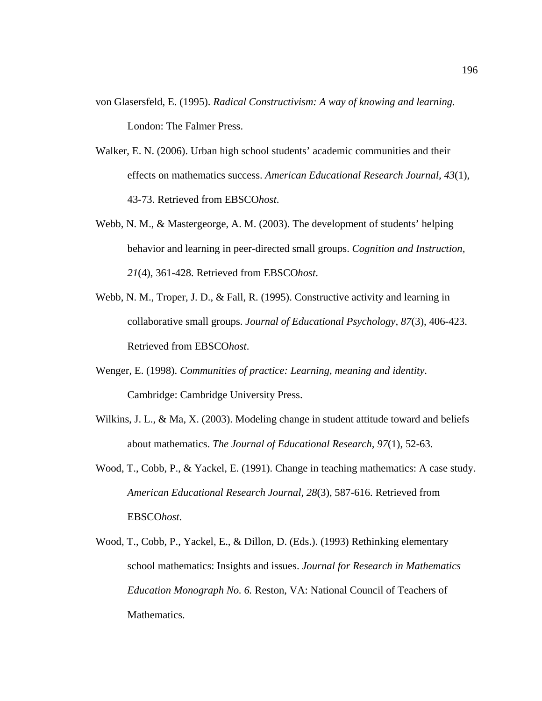- von Glasersfeld, E. (1995). *Radical Constructivism: A way of knowing and learning.*  London: The Falmer Press.
- Walker, E. N. (2006). Urban high school students' academic communities and their effects on mathematics success. *American Educational Research Journal, 43*(1), 43-73. Retrieved from EBSCO*host*.
- Webb, N. M., & Mastergeorge, A. M. (2003). The development of students' helping behavior and learning in peer-directed small groups. *Cognition and Instruction, 21*(4), 361-428. Retrieved from EBSCO*host*.
- Webb, N. M., Troper, J. D., & Fall, R. (1995). Constructive activity and learning in collaborative small groups. *Journal of Educational Psychology, 87*(3), 406-423. Retrieved from EBSCO*host*.
- Wenger, E. (1998). *Communities of practice: Learning, meaning and identity*. Cambridge: Cambridge University Press.
- Wilkins, J. L., & Ma, X. (2003). Modeling change in student attitude toward and beliefs about mathematics. *The Journal of Educational Research, 97*(1), 52-63.
- Wood, T., Cobb, P., & Yackel, E. (1991). Change in teaching mathematics: A case study. *American Educational Research Journal, 28*(3), 587-616. Retrieved from EBSCO*host*.
- Wood, T., Cobb, P., Yackel, E., & Dillon, D. (Eds.). (1993) Rethinking elementary school mathematics: Insights and issues. *Journal for Research in Mathematics Education Monograph No. 6.* Reston, VA: National Council of Teachers of Mathematics.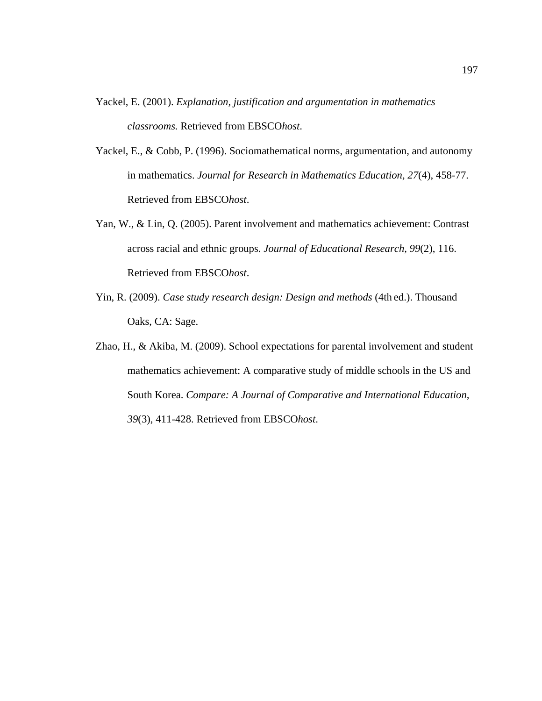- Yackel, E. (2001). *Explanation, justification and argumentation in mathematics classrooms.* Retrieved from EBSCO*host*.
- Yackel, E., & Cobb, P. (1996). Sociomathematical norms, argumentation, and autonomy in mathematics. *Journal for Research in Mathematics Education, 27*(4), 458-77. Retrieved from EBSCO*host*.
- Yan, W., & Lin, Q. (2005). Parent involvement and mathematics achievement: Contrast across racial and ethnic groups. *Journal of Educational Research, 99*(2), 116. Retrieved from EBSCO*host*.
- Yin, R. (2009). *Case study research design: Design and methods* (4th ed.). Thousand Oaks, CA: Sage.
- Zhao, H., & Akiba, M. (2009). School expectations for parental involvement and student mathematics achievement: A comparative study of middle schools in the US and South Korea. *Compare: A Journal of Comparative and International Education, 39*(3), 411-428. Retrieved from EBSCO*host*.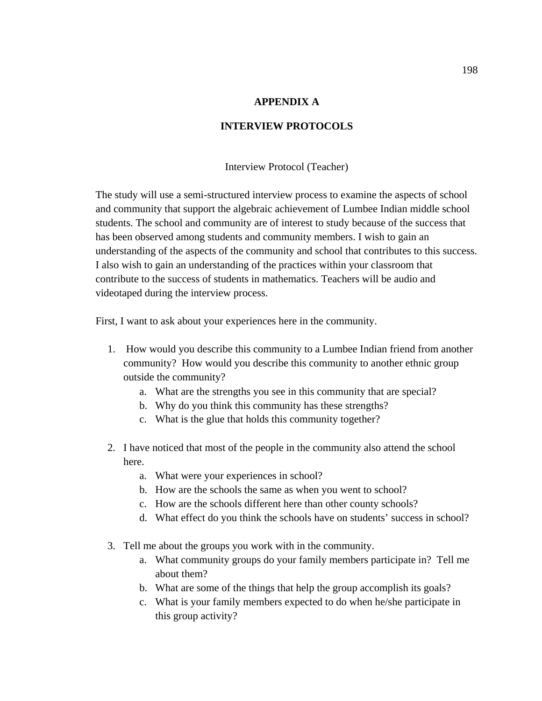### **APPENDIX A**

## **INTERVIEW PROTOCOLS**

Interview Protocol (Teacher)

The study will use a semi-structured interview process to examine the aspects of school and community that support the algebraic achievement of Lumbee Indian middle school students. The school and community are of interest to study because of the success that has been observed among students and community members. I wish to gain an understanding of the aspects of the community and school that contributes to this success. I also wish to gain an understanding of the practices within your classroom that contribute to the success of students in mathematics. Teachers will be audio and videotaped during the interview process.

First, I want to ask about your experiences here in the community.

- 1. How would you describe this community to a Lumbee Indian friend from another community? How would you describe this community to another ethnic group outside the community?
	- a. What are the strengths you see in this community that are special?
	- b. Why do you think this community has these strengths?
	- c. What is the glue that holds this community together?
- 2. I have noticed that most of the people in the community also attend the school here.
	- a. What were your experiences in school?
	- b. How are the schools the same as when you went to school?
	- c. How are the schools different here than other county schools?
	- d. What effect do you think the schools have on students' success in school?
- 3. Tell me about the groups you work with in the community.
	- a. What community groups do your family members participate in? Tell me about them?
	- b. What are some of the things that help the group accomplish its goals?
	- c. What is your family members expected to do when he/she participate in this group activity?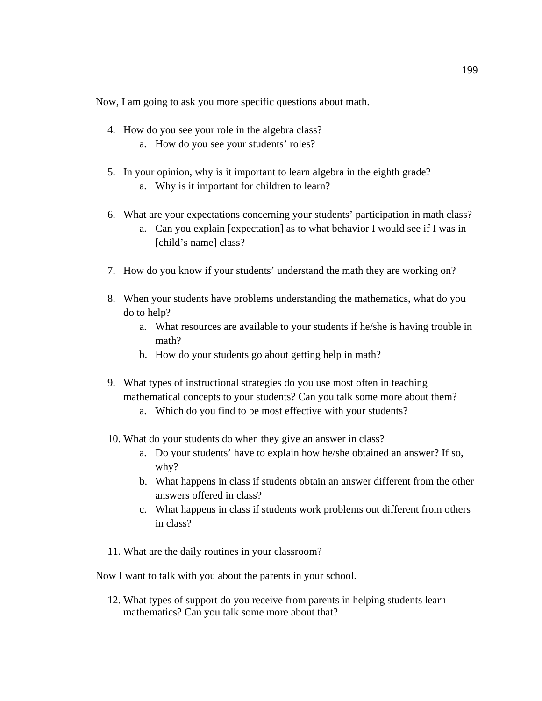Now, I am going to ask you more specific questions about math.

- 4. How do you see your role in the algebra class?
	- a. How do you see your students' roles?
- 5. In your opinion, why is it important to learn algebra in the eighth grade? a. Why is it important for children to learn?
- 6. What are your expectations concerning your students' participation in math class?
	- a. Can you explain [expectation] as to what behavior I would see if I was in [child's name] class?
- 7. How do you know if your students' understand the math they are working on?
- 8. When your students have problems understanding the mathematics, what do you do to help?
	- a. What resources are available to your students if he/she is having trouble in math?
	- b. How do your students go about getting help in math?
- 9. What types of instructional strategies do you use most often in teaching mathematical concepts to your students? Can you talk some more about them?
	- a. Which do you find to be most effective with your students?
- 10. What do your students do when they give an answer in class?
	- a. Do your students' have to explain how he/she obtained an answer? If so, why?
	- b. What happens in class if students obtain an answer different from the other answers offered in class?
	- c. What happens in class if students work problems out different from others in class?
- 11. What are the daily routines in your classroom?
- Now I want to talk with you about the parents in your school.
	- 12. What types of support do you receive from parents in helping students learn mathematics? Can you talk some more about that?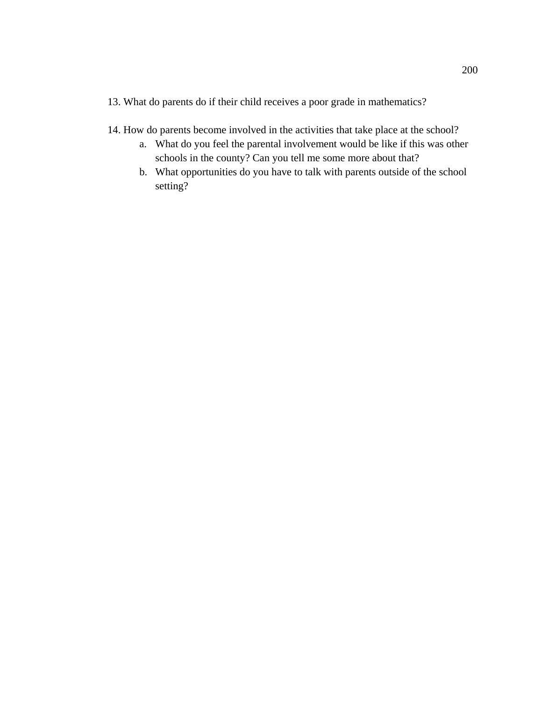- 13. What do parents do if their child receives a poor grade in mathematics?
- 14. How do parents become involved in the activities that take place at the school?
	- a. What do you feel the parental involvement would be like if this was other schools in the county? Can you tell me some more about that?
	- b. What opportunities do you have to talk with parents outside of the school setting?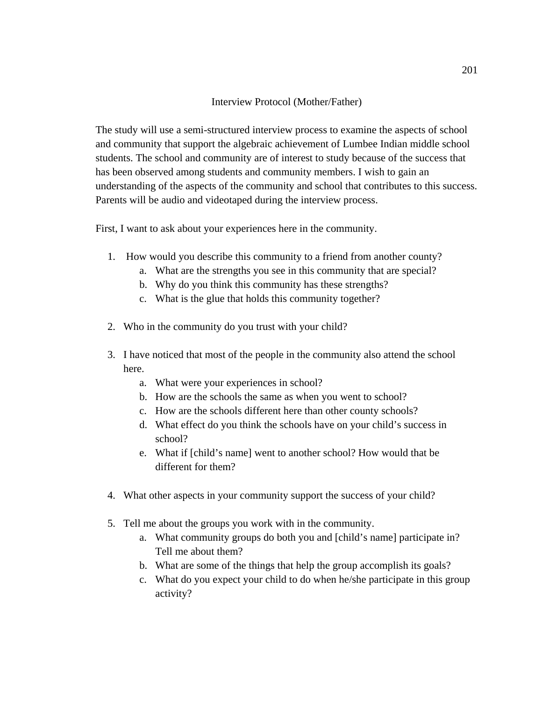### Interview Protocol (Mother/Father)

The study will use a semi-structured interview process to examine the aspects of school and community that support the algebraic achievement of Lumbee Indian middle school students. The school and community are of interest to study because of the success that has been observed among students and community members. I wish to gain an understanding of the aspects of the community and school that contributes to this success. Parents will be audio and videotaped during the interview process.

First, I want to ask about your experiences here in the community.

- 1. How would you describe this community to a friend from another county?
	- a. What are the strengths you see in this community that are special?
	- b. Why do you think this community has these strengths?
	- c. What is the glue that holds this community together?
- 2. Who in the community do you trust with your child?
- 3. I have noticed that most of the people in the community also attend the school here.
	- a. What were your experiences in school?
	- b. How are the schools the same as when you went to school?
	- c. How are the schools different here than other county schools?
	- d. What effect do you think the schools have on your child's success in school?
	- e. What if [child's name] went to another school? How would that be different for them?
- 4. What other aspects in your community support the success of your child?
- 5. Tell me about the groups you work with in the community.
	- a. What community groups do both you and [child's name] participate in? Tell me about them?
	- b. What are some of the things that help the group accomplish its goals?
	- c. What do you expect your child to do when he/she participate in this group activity?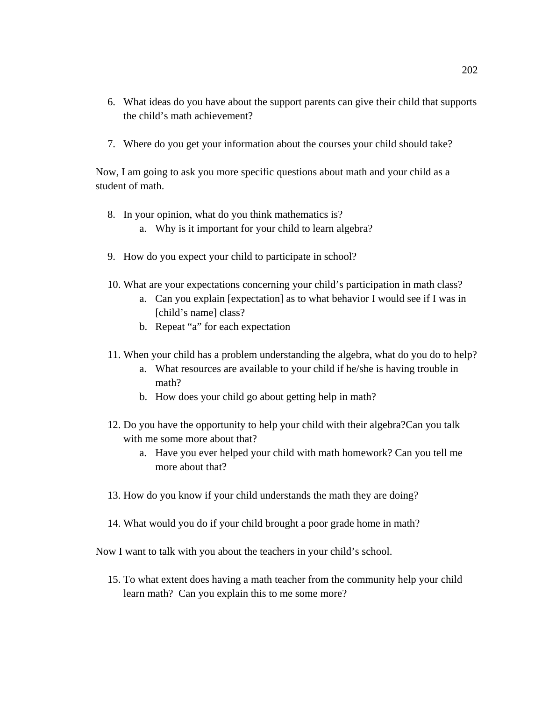- 6. What ideas do you have about the support parents can give their child that supports the child's math achievement?
- 7. Where do you get your information about the courses your child should take?

Now, I am going to ask you more specific questions about math and your child as a student of math.

- 8. In your opinion, what do you think mathematics is?
	- a. Why is it important for your child to learn algebra?
- 9. How do you expect your child to participate in school?
- 10. What are your expectations concerning your child's participation in math class?
	- a. Can you explain [expectation] as to what behavior I would see if I was in [child's name] class?
	- b. Repeat "a" for each expectation
- 11. When your child has a problem understanding the algebra, what do you do to help?
	- a. What resources are available to your child if he/she is having trouble in math?
	- b. How does your child go about getting help in math?
- 12. Do you have the opportunity to help your child with their algebra?Can you talk with me some more about that?
	- a. Have you ever helped your child with math homework? Can you tell me more about that?
- 13. How do you know if your child understands the math they are doing?
- 14. What would you do if your child brought a poor grade home in math?

Now I want to talk with you about the teachers in your child's school.

15. To what extent does having a math teacher from the community help your child learn math? Can you explain this to me some more?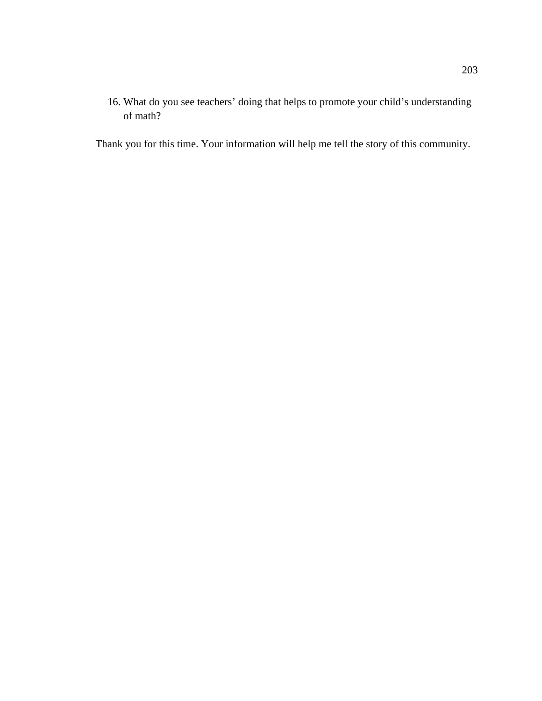16. What do you see teachers' doing that helps to promote your child's understanding of math?

Thank you for this time. Your information will help me tell the story of this community.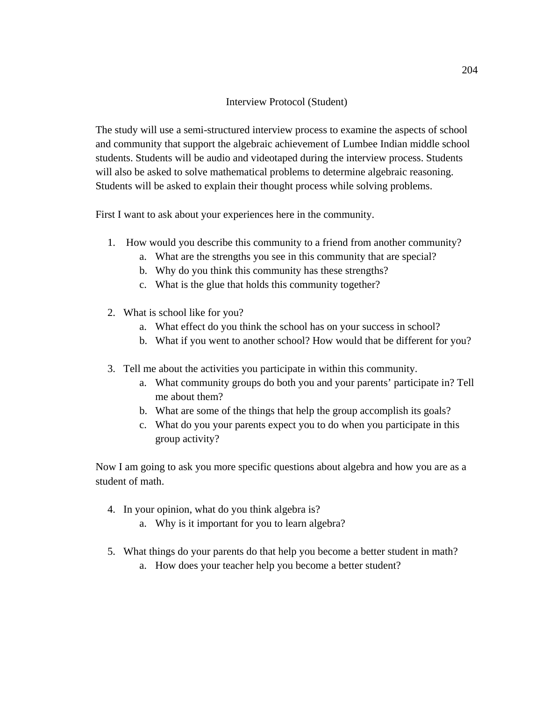## Interview Protocol (Student)

The study will use a semi-structured interview process to examine the aspects of school and community that support the algebraic achievement of Lumbee Indian middle school students. Students will be audio and videotaped during the interview process. Students will also be asked to solve mathematical problems to determine algebraic reasoning. Students will be asked to explain their thought process while solving problems.

First I want to ask about your experiences here in the community.

- 1. How would you describe this community to a friend from another community?
	- a. What are the strengths you see in this community that are special?
	- b. Why do you think this community has these strengths?
	- c. What is the glue that holds this community together?
- 2. What is school like for you?
	- a. What effect do you think the school has on your success in school?
	- b. What if you went to another school? How would that be different for you?
- 3. Tell me about the activities you participate in within this community.
	- a. What community groups do both you and your parents' participate in? Tell me about them?
	- b. What are some of the things that help the group accomplish its goals?
	- c. What do you your parents expect you to do when you participate in this group activity?

Now I am going to ask you more specific questions about algebra and how you are as a student of math.

- 4. In your opinion, what do you think algebra is?
	- a. Why is it important for you to learn algebra?
- 5. What things do your parents do that help you become a better student in math?
	- a. How does your teacher help you become a better student?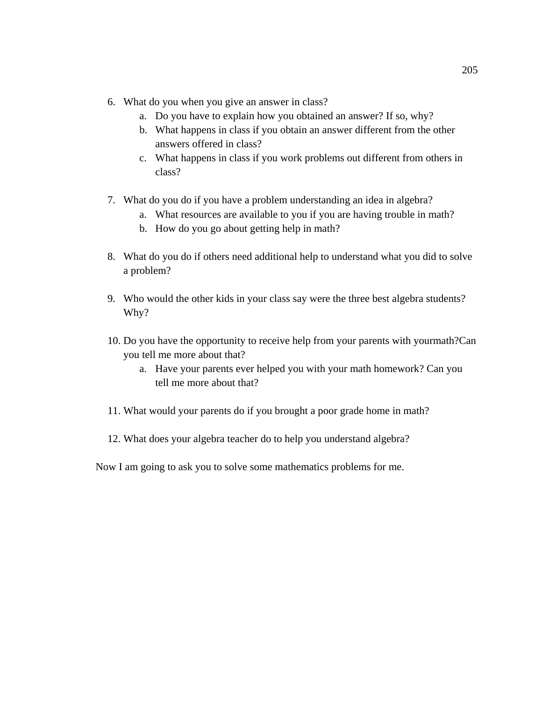- 6. What do you when you give an answer in class?
	- a. Do you have to explain how you obtained an answer? If so, why?
	- b. What happens in class if you obtain an answer different from the other answers offered in class?
	- c. What happens in class if you work problems out different from others in class?
- 7. What do you do if you have a problem understanding an idea in algebra?
	- a. What resources are available to you if you are having trouble in math?
	- b. How do you go about getting help in math?
- 8. What do you do if others need additional help to understand what you did to solve a problem?
- 9. Who would the other kids in your class say were the three best algebra students? Why?
- 10. Do you have the opportunity to receive help from your parents with yourmath?Can you tell me more about that?
	- a. Have your parents ever helped you with your math homework? Can you tell me more about that?
- 11. What would your parents do if you brought a poor grade home in math?
- 12. What does your algebra teacher do to help you understand algebra?

Now I am going to ask you to solve some mathematics problems for me.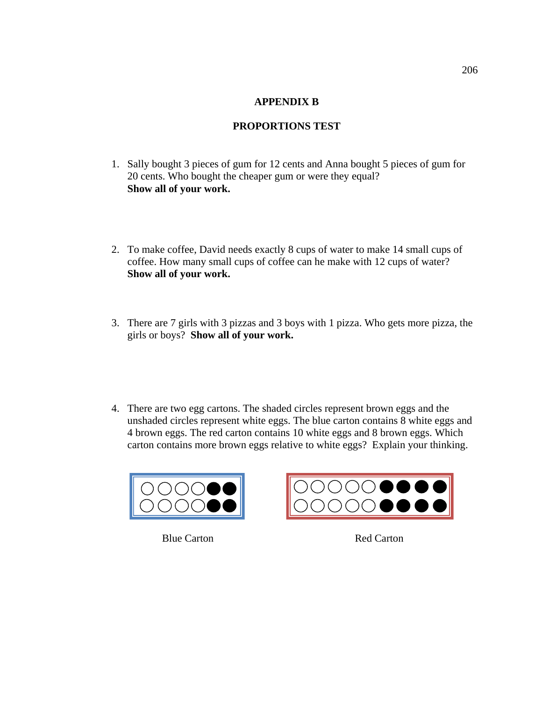## **APPENDIX B**

# **PROPORTIONS TEST**

- 1. Sally bought 3 pieces of gum for 12 cents and Anna bought 5 pieces of gum for 20 cents. Who bought the cheaper gum or were they equal? **Show all of your work.**
- 2. To make coffee, David needs exactly 8 cups of water to make 14 small cups of coffee. How many small cups of coffee can he make with 12 cups of water? **Show all of your work.**
- 3. There are 7 girls with 3 pizzas and 3 boys with 1 pizza. Who gets more pizza, the girls or boys? **Show all of your work.**
- 4. There are two egg cartons. The shaded circles represent brown eggs and the unshaded circles represent white eggs. The blue carton contains 8 white eggs and 4 brown eggs. The red carton contains 10 white eggs and 8 brown eggs. Which carton contains more brown eggs relative to white eggs? Explain your thinking.



Blue Carton Red Carton

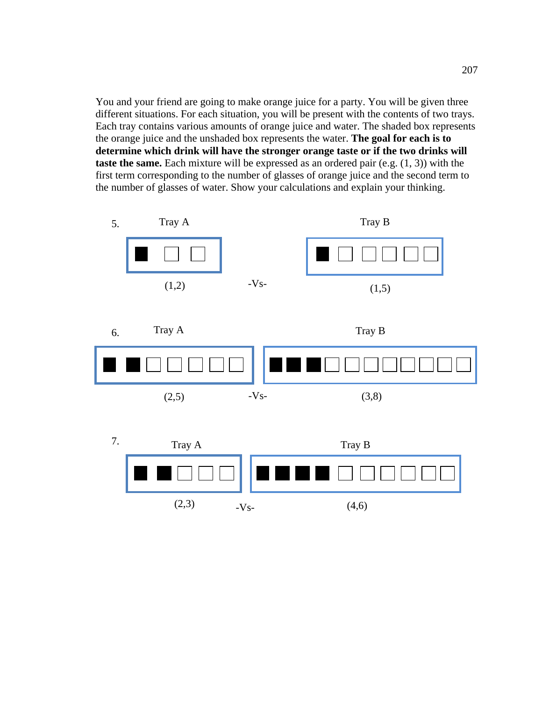You and your friend are going to make orange juice for a party. You will be given three different situations. For each situation, you will be present with the contents of two trays. Each tray contains various amounts of orange juice and water. The shaded box represents the orange juice and the unshaded box represents the water. **The goal for each is to determine which drink will have the stronger orange taste or if the two drinks will taste the same.** Each mixture will be expressed as an ordered pair (e.g. (1, 3)) with the first term corresponding to the number of glasses of orange juice and the second term to the number of glasses of water. Show your calculations and explain your thinking.





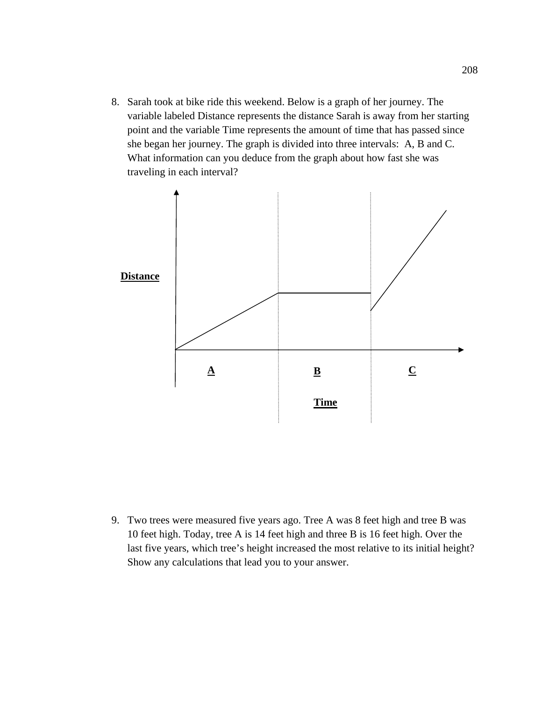8. Sarah took at bike ride this weekend. Below is a graph of her journey. The variable labeled Distance represents the distance Sarah is away from her starting point and the variable Time represents the amount of time that has passed since she began her journey. The graph is divided into three intervals: A, B and C. What information can you deduce from the graph about how fast she was traveling in each interval?



9. Two trees were measured five years ago. Tree A was 8 feet high and tree B was 10 feet high. Today, tree A is 14 feet high and three B is 16 feet high. Over the last five years, which tree's height increased the most relative to its initial height? Show any calculations that lead you to your answer.